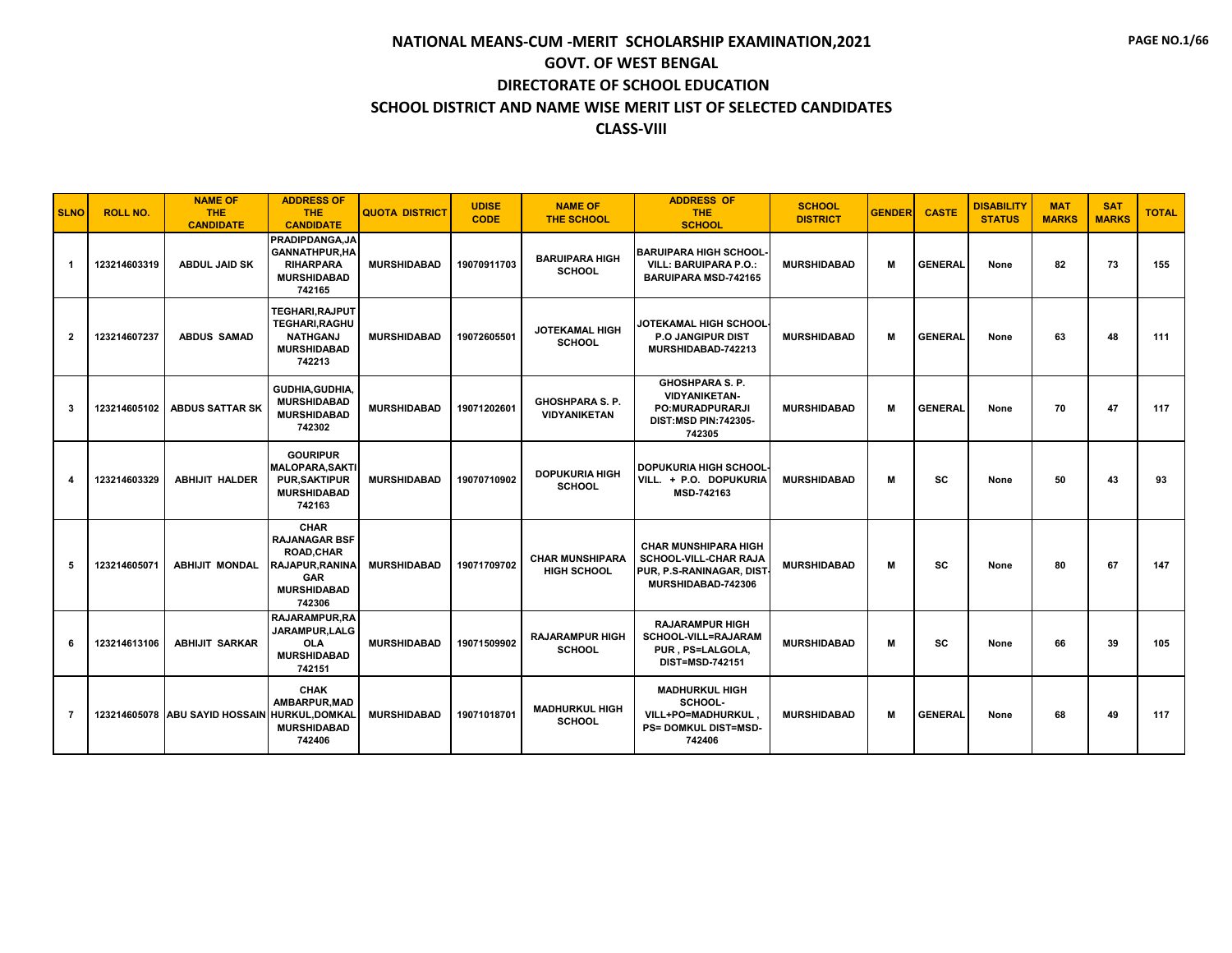| <b>SLNO</b>    | <b>ROLL NO.</b> | <b>NAME OF</b><br><b>THE</b><br><b>CANDIDATE</b> | <b>ADDRESS OF</b><br>THE.<br><b>CANDIDATE</b>                                                                                   | <b>QUOTA DISTRICT</b> | <b>UDISE</b><br><b>CODE</b> | <b>NAME OF</b><br><b>THE SCHOOL</b>           | <b>ADDRESS OF</b><br><b>THE</b><br><b>SCHOOL</b>                                                           | <b>SCHOOL</b><br><b>DISTRICT</b> | <b>GENDER</b> | <b>CASTE</b>   | <b>DISABILITY</b><br><b>STATUS</b> | <b>MAT</b><br><b>MARKS</b> | <b>SAT</b><br><b>MARKS</b> | <b>TOTAL</b> |
|----------------|-----------------|--------------------------------------------------|---------------------------------------------------------------------------------------------------------------------------------|-----------------------|-----------------------------|-----------------------------------------------|------------------------------------------------------------------------------------------------------------|----------------------------------|---------------|----------------|------------------------------------|----------------------------|----------------------------|--------------|
| -1             | 123214603319    | <b>ABDUL JAID SK</b>                             | <b>PRADIPDANGA.JA</b><br><b>GANNATHPUR, HA</b><br><b>RIHARPARA</b><br><b>MURSHIDABAD</b><br>742165                              | <b>MURSHIDABAD</b>    | 19070911703                 | <b>BARUIPARA HIGH</b><br><b>SCHOOL</b>        | <b>BARUIPARA HIGH SCHOOL</b><br>VILL: BARUIPARA P.O.:<br><b>BARUIPARA MSD-742165</b>                       | <b>MURSHIDABAD</b>               | м             | <b>GENERAL</b> | None                               | 82                         | 73                         | 155          |
| $\overline{2}$ | 123214607237    | <b>ABDUS SAMAD</b>                               | TEGHARI, RAJPUT<br><b>TEGHARI.RAGHU</b><br><b>NATHGANJ</b><br><b>MURSHIDABAD</b><br>742213                                      | <b>MURSHIDABAD</b>    | 19072605501                 | <b>JOTEKAMAL HIGH</b><br><b>SCHOOL</b>        | JOTEKAMAL HIGH SCHOOL<br><b>P.O. JANGIPUR DIST</b><br>MURSHIDABAD-742213                                   | <b>MURSHIDABAD</b>               | м             | <b>GENERAL</b> | None                               | 63                         | 48                         | 111          |
| 3              | 123214605102    | <b>ABDUS SATTAR SK</b>                           | <b>GUDHIA, GUDHIA,</b><br><b>MURSHIDABAD</b><br><b>MURSHIDABAD</b><br>742302                                                    | <b>MURSHIDABAD</b>    | 19071202601                 | <b>GHOSHPARA S. P.</b><br><b>VIDYANIKETAN</b> | <b>GHOSHPARA S. P.</b><br><b>VIDYANIKETAN-</b><br>PO:MURADPURARJI<br><b>DIST:MSD PIN:742305-</b><br>742305 | <b>MURSHIDABAD</b>               | м             | <b>GENERAL</b> | None                               | 70                         | 47                         | 117          |
| 4              | 123214603329    | <b>ABHIJIT HALDER</b>                            | <b>GOURIPUR</b><br><b>MALOPARA, SAKTI</b><br><b>PUR.SAKTIPUR</b><br><b>MURSHIDABAD</b><br>742163                                | <b>MURSHIDABAD</b>    | 19070710902                 | <b>DOPUKURIA HIGH</b><br><b>SCHOOL</b>        | <b>DOPUKURIA HIGH SCHOOL</b><br>VILL. + P.O. DOPUKURIA<br>MSD-742163                                       | <b>MURSHIDABAD</b>               | M             | SC             | None                               | 50                         | 43                         | 93           |
| 5              | 123214605071    | <b>ABHIJIT MONDAL</b>                            | <b>CHAR</b><br><b>RAJANAGAR BSF</b><br><b>ROAD, CHAR</b><br><b>RAJAPUR.RANINA</b><br><b>GAR</b><br><b>MURSHIDABAD</b><br>742306 | <b>MURSHIDABAD</b>    | 19071709702                 | <b>CHAR MUNSHIPARA</b><br><b>HIGH SCHOOL</b>  | <b>CHAR MUNSHIPARA HIGH</b><br>SCHOOL-VILL-CHAR RAJA<br>PUR, P.S-RANINAGAR, DIST<br>MURSHIDABAD-742306     | <b>MURSHIDABAD</b>               | м             | SC             | None                               | 80                         | 67                         | 147          |
| 6              | 123214613106    | <b>ABHIJIT SARKAR</b>                            | <b>RAJARAMPUR, RA</b><br>JARAMPUR.LALG<br><b>OLA</b><br><b>MURSHIDABAD</b><br>742151                                            | <b>MURSHIDABAD</b>    | 19071509902                 | <b>RAJARAMPUR HIGH</b><br><b>SCHOOL</b>       | <b>RAJARAMPUR HIGH</b><br><b>SCHOOL-VILL=RAJARAM</b><br>PUR, PS=LALGOLA,<br><b>DIST=MSD-742151</b>         | <b>MURSHIDABAD</b>               | м             | SC             | None                               | 66                         | 39                         | 105          |
| $\overline{7}$ |                 | 123214605078 ABU SAYID HOSSAIN HURKUL, DOMKAL    | <b>CHAK</b><br>AMBARPUR, MAD<br><b>MURSHIDABAD</b><br>742406                                                                    | <b>MURSHIDABAD</b>    | 19071018701                 | <b>MADHURKUL HIGH</b><br><b>SCHOOL</b>        | <b>MADHURKUL HIGH</b><br>SCHOOL-<br>VILL+PO=MADHURKUL.<br><b>PS= DOMKUL DIST=MSD-</b><br>742406            | <b>MURSHIDABAD</b>               | м             | <b>GENERAL</b> | None                               | 68                         | 49                         | 117          |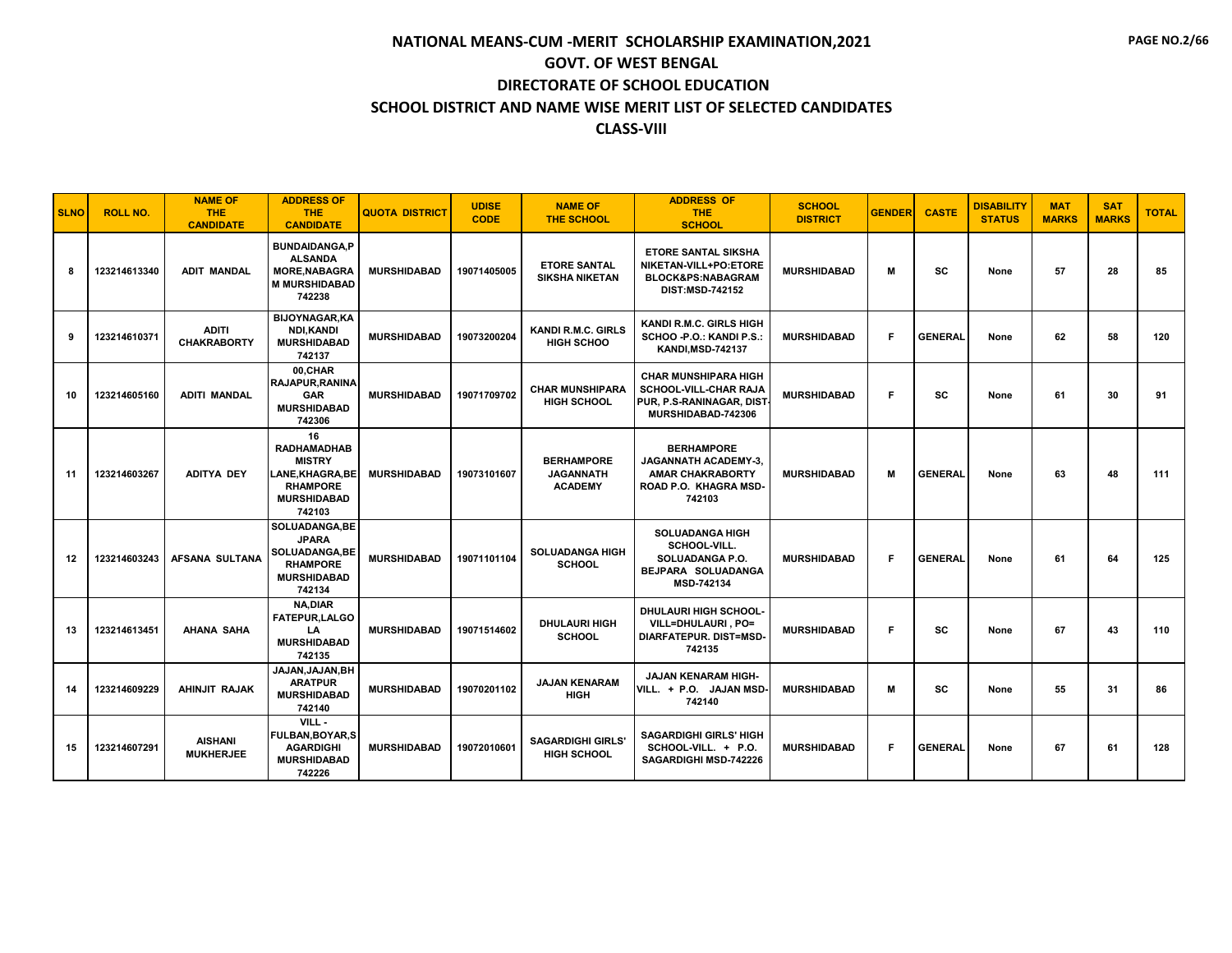| <b>SLNO</b> | <b>ROLL NO.</b> | <b>NAME OF</b><br><b>THE</b><br><b>CANDIDATE</b> | <b>ADDRESS OF</b><br>THE.<br><b>CANDIDATE</b>                                                                   | <b>QUOTA DISTRICT</b> | <b>UDISE</b><br><b>CODE</b> | <b>NAME OF</b><br><b>THE SCHOOL</b>                     | <b>ADDRESS OF</b><br><b>THE</b><br><b>SCHOOL</b>                                                               | <b>SCHOOL</b><br><b>DISTRICT</b> | <b>GENDER</b> | <b>CASTE</b>   | <b>DISABILITY</b><br><b>STATUS</b> | <b>MAT</b><br><b>MARKS</b> | <b>SAT</b><br><b>MARKS</b> | <b>TOTAL</b> |
|-------------|-----------------|--------------------------------------------------|-----------------------------------------------------------------------------------------------------------------|-----------------------|-----------------------------|---------------------------------------------------------|----------------------------------------------------------------------------------------------------------------|----------------------------------|---------------|----------------|------------------------------------|----------------------------|----------------------------|--------------|
| 8           | 123214613340    | <b>ADIT MANDAL</b>                               | <b>BUNDAIDANGA.P</b><br><b>ALSANDA</b><br><b>MORE.NABAGRA</b><br><b>M MURSHIDABAD</b><br>742238                 | <b>MURSHIDABAD</b>    | 19071405005                 | <b>ETORE SANTAL</b><br><b>SIKSHA NIKETAN</b>            | <b>ETORE SANTAL SIKSHA</b><br>NIKETAN-VILL+PO:ETORE<br><b>BLOCK&amp;PS:NABAGRAM</b><br><b>DIST:MSD-742152</b>  | <b>MURSHIDABAD</b>               | M             | SC             | None                               | 57                         | 28                         | 85           |
| 9           | 123214610371    | <b>ADITI</b><br><b>CHAKRABORTY</b>               | <b>BIJOYNAGAR,KA</b><br>NDI,KANDI<br><b>MURSHIDABAD</b><br>742137                                               | <b>MURSHIDABAD</b>    | 19073200204                 | <b>KANDI R.M.C. GIRLS</b><br><b>HIGH SCHOO</b>          | KANDI R.M.C. GIRLS HIGH<br>SCHOO - P.O.: KANDI P.S.:<br><b>KANDI.MSD-742137</b>                                | <b>MURSHIDABAD</b>               | F             | <b>GENERAL</b> | None                               | 62                         | 58                         | 120          |
| 10          | 123214605160    | <b>ADITI MANDAL</b>                              | 00.CHAR<br><b>RAJAPUR.RANINA</b><br><b>GAR</b><br><b>MURSHIDABAD</b><br>742306                                  | <b>MURSHIDABAD</b>    | 19071709702                 | <b>CHAR MUNSHIPARA</b><br><b>HIGH SCHOOL</b>            | <b>CHAR MUNSHIPARA HIGH</b><br>SCHOOL-VILL-CHAR RAJA<br>PUR, P.S-RANINAGAR, DIST<br>MURSHIDABAD-742306         | <b>MURSHIDABAD</b>               | F             | SC             | None                               | 61                         | 30                         | 91           |
| 11          | 123214603267    | <b>ADITYA DEY</b>                                | 16<br><b>RADHAMADHAB</b><br><b>MISTRY</b><br>LANE.KHAGRA.BEI<br><b>RHAMPORE</b><br><b>MURSHIDABAD</b><br>742103 | <b>MURSHIDABAD</b>    | 19073101607                 | <b>BERHAMPORE</b><br><b>JAGANNATH</b><br><b>ACADEMY</b> | <b>BERHAMPORE</b><br><b>JAGANNATH ACADEMY-3.</b><br><b>AMAR CHAKRABORTY</b><br>ROAD P.O. KHAGRA MSD-<br>742103 | <b>MURSHIDABAD</b>               | м             | <b>GENERAL</b> | None                               | 63                         | 48                         | 111          |
| $12 \,$     | 123214603243    | <b>AFSANA SULTANA</b>                            | <b>SOLUADANGA.BE</b><br><b>JPARA</b><br><b>SOLUADANGA,BE</b><br><b>RHAMPORE</b><br><b>MURSHIDABAD</b><br>742134 | <b>MURSHIDABAD</b>    | 19071101104                 | <b>SOLUADANGA HIGH</b><br><b>SCHOOL</b>                 | <b>SOLUADANGA HIGH</b><br>SCHOOL-VILL.<br>SOLUADANGA P.O.<br>BEJPARA SOLUADANGA<br>MSD-742134                  | <b>MURSHIDABAD</b>               | F             | <b>GENERAL</b> | None                               | 61                         | 64                         | 125          |
| 13          | 123214613451    | <b>AHANA SAHA</b>                                | <b>NA,DIAR</b><br>FATEPUR, LALGO<br>LA<br><b>MURSHIDABAD</b><br>742135                                          | <b>MURSHIDABAD</b>    | 19071514602                 | <b>DHULAURI HIGH</b><br><b>SCHOOL</b>                   | DHULAURI HIGH SCHOOL-<br>VILL=DHULAURI.PO=<br><b>DIARFATEPUR, DIST=MSD-</b><br>742135                          | <b>MURSHIDABAD</b>               | F             | SC             | None                               | 67                         | 43                         | 110          |
| 14          | 123214609229    | AHINJIT RAJAK                                    | JAJAN, JAJAN, BH<br><b>ARATPUR</b><br><b>MURSHIDABAD</b><br>742140                                              | <b>MURSHIDABAD</b>    | 19070201102                 | <b>JAJAN KENARAM</b><br><b>HIGH</b>                     | <b>JAJAN KENARAM HIGH-</b><br>VILL. + P.O. JAJAN MSD-<br>742140                                                | <b>MURSHIDABAD</b>               | м             | sc             | None                               | 55                         | 31                         | 86           |
| 15          | 123214607291    | <b>AISHANI</b><br><b>MUKHERJEE</b>               | VILL-<br><b>FULBAN, BOYAR, S</b><br><b>AGARDIGHI</b><br><b>MURSHIDABAD</b><br>742226                            | <b>MURSHIDABAD</b>    | 19072010601                 | <b>SAGARDIGHI GIRLS'</b><br><b>HIGH SCHOOL</b>          | <b>SAGARDIGHI GIRLS' HIGH</b><br>SCHOOL-VILL. + P.O.<br>SAGARDIGHI MSD-742226                                  | <b>MURSHIDABAD</b>               | F.            | <b>GENERAL</b> | None                               | 67                         | 61                         | 128          |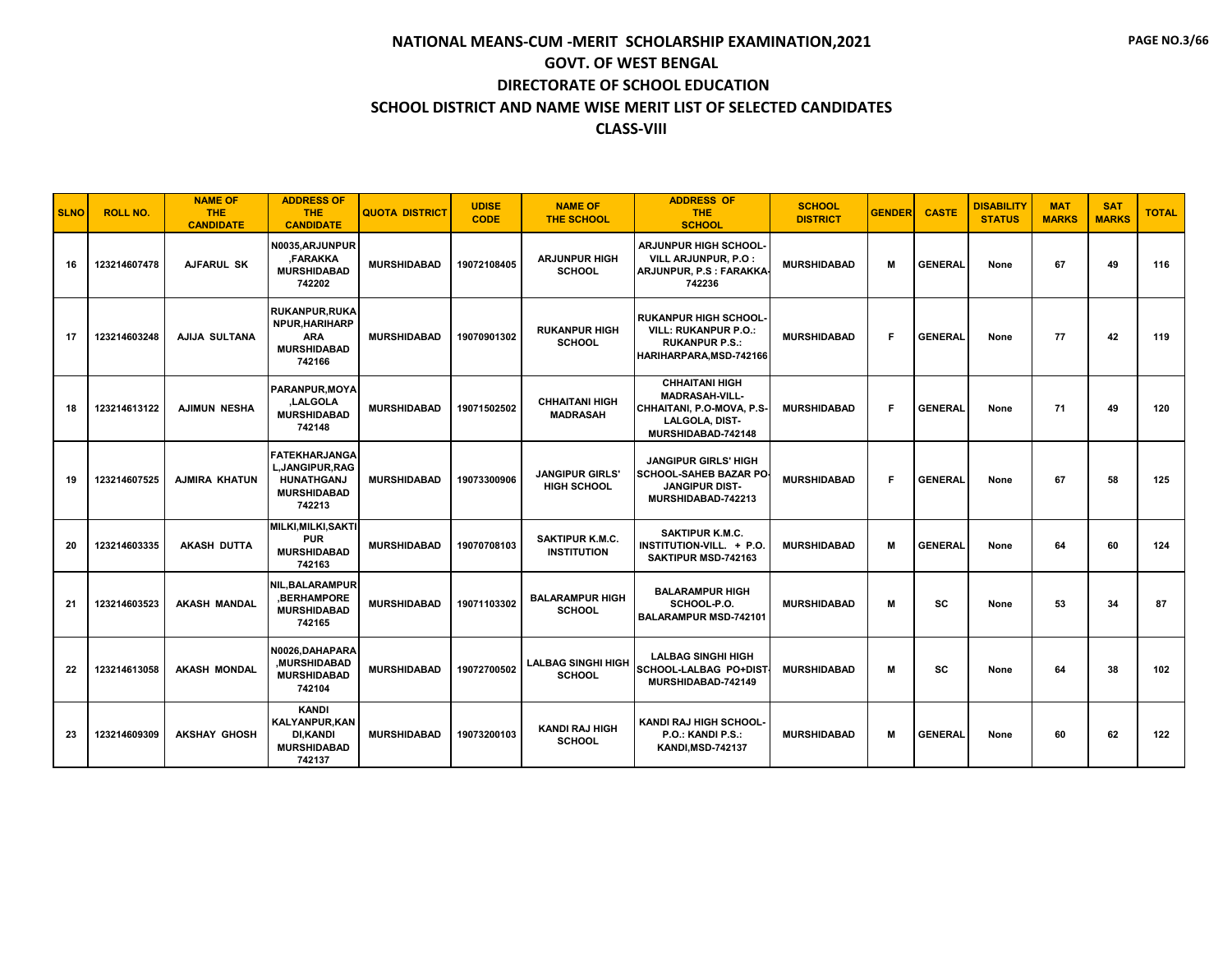| <b>SLNO</b> | <b>ROLL NO.</b> | <b>NAME OF</b><br><b>THE</b><br><b>CANDIDATE</b> | <b>ADDRESS OF</b><br><b>THE</b><br><b>CANDIDATE</b>                                           | <b>QUOTA DISTRICT</b> | <b>UDISE</b><br><b>CODE</b> | <b>NAME OF</b><br><b>THE SCHOOL</b>          | <b>ADDRESS OF</b><br><b>THE</b><br><b>SCHOOL</b>                                                                           | <b>SCHOOL</b><br><b>DISTRICT</b> | <b>GENDER</b> | <b>CASTE</b>   | <b>DISABILITY</b><br><b>STATUS</b> | <b>MAT</b><br><b>MARKS</b> | <b>SAT</b><br><b>MARKS</b> | <b>TOTAL</b> |
|-------------|-----------------|--------------------------------------------------|-----------------------------------------------------------------------------------------------|-----------------------|-----------------------------|----------------------------------------------|----------------------------------------------------------------------------------------------------------------------------|----------------------------------|---------------|----------------|------------------------------------|----------------------------|----------------------------|--------------|
| 16          | 123214607478    | AJFARUL SK                                       | N0035, ARJUNPUR<br><b>FARAKKA</b><br><b>MURSHIDABAD</b><br>742202                             | <b>MURSHIDABAD</b>    | 19072108405                 | <b>ARJUNPUR HIGH</b><br><b>SCHOOL</b>        | <b>ARJUNPUR HIGH SCHOOL-</b><br>VILL ARJUNPUR, P.O :<br>ARJUNPUR, P.S : FARAKKA-<br>742236                                 | <b>MURSHIDABAD</b>               | M             | <b>GENERAL</b> | None                               | 67                         | 49                         | 116          |
| 17          | 123214603248    | AJIJA SULTANA                                    | <b>RUKANPUR, RUKA</b><br>NPUR, HARIHARP<br><b>ARA</b><br><b>MURSHIDABAD</b><br>742166         | <b>MURSHIDABAD</b>    | 19070901302                 | <b>RUKANPUR HIGH</b><br><b>SCHOOL</b>        | <b>RUKANPUR HIGH SCHOOL</b><br><b>VILL: RUKANPUR P.O.:</b><br><b>RUKANPUR P.S.:</b><br>HARIHARPARA, MSD-742166             | <b>MURSHIDABAD</b>               | F             | <b>GENERAL</b> | None                               | 77                         | 42                         | 119          |
| 18          | 123214613122    | <b>AJIMUN NESHA</b>                              | PARANPUR.MOYA<br>LALGOLA,<br><b>MURSHIDABAD</b><br>742148                                     | <b>MURSHIDABAD</b>    | 19071502502                 | <b>CHHAITANI HIGH</b><br><b>MADRASAH</b>     | <b>CHHAITANI HIGH</b><br><b>MADRASAH-VILL-</b><br>CHHAITANI, P.O-MOVA, P.S-<br><b>LALGOLA, DIST-</b><br>MURSHIDABAD-742148 | <b>MURSHIDABAD</b>               | F.            | <b>GENERAL</b> | None                               | 71                         | 49                         | 120          |
| 19          | 123214607525    | <b>AJMIRA KHATUN</b>                             | <b>FATEKHARJANGA</b><br>L, JANGIPUR, RAG<br><b>HUNATHGANJ</b><br><b>MURSHIDABAD</b><br>742213 | <b>MURSHIDABAD</b>    | 19073300906                 | <b>JANGIPUR GIRLS'</b><br><b>HIGH SCHOOL</b> | <b>JANGIPUR GIRLS' HIGH</b><br><b>SCHOOL-SAHEB BAZAR PO-</b><br><b>JANGIPUR DIST-</b><br>MURSHIDABAD-742213                | <b>MURSHIDABAD</b>               | F.            | <b>GENERAL</b> | None                               | 67                         | 58                         | 125          |
| 20          | 123214603335    | <b>AKASH DUTTA</b>                               | MILKI, MILKI, SAKTI<br><b>PUR</b><br><b>MURSHIDABAD</b><br>742163                             | <b>MURSHIDABAD</b>    | 19070708103                 | <b>SAKTIPUR K.M.C.</b><br><b>INSTITUTION</b> | SAKTIPUR K.M.C.<br>INSTITUTION-VILL. + P.O.<br>SAKTIPUR MSD-742163                                                         | <b>MURSHIDABAD</b>               | М             | <b>GENERAL</b> | None                               | 64                         | 60                         | 124          |
| 21          | 123214603523    | <b>AKASH MANDAL</b>                              | NIL, BALARAMPUR<br><b>,BERHAMPORE</b><br><b>MURSHIDABAD</b><br>742165                         | <b>MURSHIDABAD</b>    | 19071103302                 | <b>BALARAMPUR HIGH</b><br><b>SCHOOL</b>      | <b>BALARAMPUR HIGH</b><br>SCHOOL-P.O.<br><b>BALARAMPUR MSD-742101</b>                                                      | <b>MURSHIDABAD</b>               | м             | <b>SC</b>      | None                               | 53                         | 34                         | 87           |
| 22          | 123214613058    | <b>AKASH MONDAL</b>                              | N0026.DAHAPARA<br>.MURSHIDABAD<br><b>MURSHIDABAD</b><br>742104                                | <b>MURSHIDABAD</b>    | 19072700502                 | <b>LALBAG SINGHI HIGH</b><br><b>SCHOOL</b>   | <b>LALBAG SINGHI HIGH</b><br><b>SCHOOL-LALBAG PO+DIST</b><br>MURSHIDABAD-742149                                            | <b>MURSHIDABAD</b>               | М             | <b>SC</b>      | None                               | 64                         | 38                         | 102          |
| 23          | 123214609309    | <b>AKSHAY GHOSH</b>                              | <b>KANDI</b><br><b>KALYANPUR, KAN</b><br><b>DI,KANDI</b><br><b>MURSHIDABAD</b><br>742137      | <b>MURSHIDABAD</b>    | 19073200103                 | <b>KANDI RAJ HIGH</b><br><b>SCHOOL</b>       | KANDI RAJ HIGH SCHOOL-<br>P.O.: KANDI P.S.:<br><b>KANDI, MSD-742137</b>                                                    | <b>MURSHIDABAD</b>               | м             | <b>GENERAL</b> | None                               | 60                         | 62                         | 122          |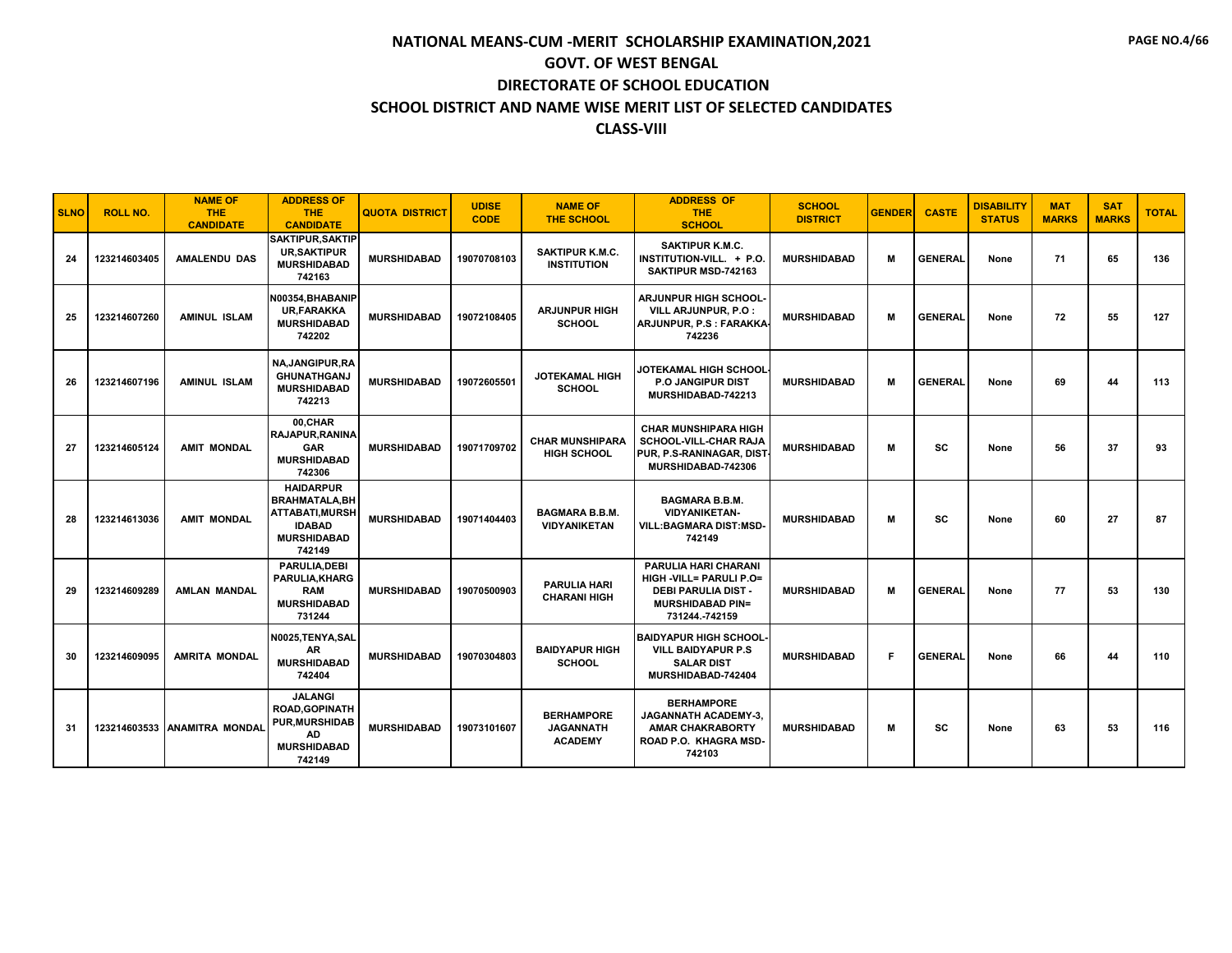| <b>SLNO</b> | <b>ROLL NO.</b> | <b>NAME OF</b><br><b>THE</b><br><b>CANDIDATE</b> | <b>ADDRESS OF</b><br>THE.<br><b>CANDIDATE</b>                                                                 | <b>QUOTA DISTRICT</b> | <b>UDISE</b><br><b>CODE</b> | <b>NAME OF</b><br><b>THE SCHOOL</b>                     | <b>ADDRESS OF</b><br><b>THE</b><br><b>SCHOOL</b>                                                                                         | <b>SCHOOL</b><br><b>DISTRICT</b> | <b>GENDER</b> | <b>CASTE</b>   | <b>DISABILITY</b><br><b>STATUS</b> | <b>MAT</b><br><b>MARKS</b> | <b>SAT</b><br><b>MARKS</b> | <b>TOTAL</b> |
|-------------|-----------------|--------------------------------------------------|---------------------------------------------------------------------------------------------------------------|-----------------------|-----------------------------|---------------------------------------------------------|------------------------------------------------------------------------------------------------------------------------------------------|----------------------------------|---------------|----------------|------------------------------------|----------------------------|----------------------------|--------------|
| 24          | 123214603405    | <b>AMALENDU DAS</b>                              | <b>SAKTIPUR.SAKTIP</b><br><b>UR, SAKTIPUR</b><br><b>MURSHIDABAD</b><br>742163                                 | <b>MURSHIDABAD</b>    | 19070708103                 | <b>SAKTIPUR K.M.C.</b><br><b>INSTITUTION</b>            | <b>SAKTIPUR K.M.C.</b><br>INSTITUTION-VILL. + P.O.<br>SAKTIPUR MSD-742163                                                                | <b>MURSHIDABAD</b>               | М             | <b>GENERAL</b> | None                               | 71                         | 65                         | 136          |
| 25          | 123214607260    | <b>AMINUL ISLAM</b>                              | N00354, BHABANIP<br><b>UR.FARAKKA</b><br><b>MURSHIDABAD</b><br>742202                                         | <b>MURSHIDABAD</b>    | 19072108405                 | <b>ARJUNPUR HIGH</b><br><b>SCHOOL</b>                   | ARJUNPUR HIGH SCHOOL-<br>VILL ARJUNPUR, P.O :<br>ARJUNPUR, P.S : FARAKKA<br>742236                                                       | <b>MURSHIDABAD</b>               | М             | <b>GENERAL</b> | None                               | 72                         | 55                         | 127          |
| 26          | 123214607196    | <b>AMINUL ISLAM</b>                              | NA, JANGIPUR, RA<br><b>GHUNATHGANJ</b><br><b>MURSHIDABAD</b><br>742213                                        | <b>MURSHIDABAD</b>    | 19072605501                 | <b>JOTEKAMAL HIGH</b><br><b>SCHOOL</b>                  | JOTEKAMAL HIGH SCHOOL<br><b>P.O JANGIPUR DIST</b><br>MURSHIDABAD-742213                                                                  | <b>MURSHIDABAD</b>               | М             | <b>GENERAL</b> | None                               | 69                         | 44                         | 113          |
| 27          | 123214605124    | <b>AMIT MONDAL</b>                               | 00,CHAR<br><b>RAJAPUR, RANINA</b><br><b>GAR</b><br><b>MURSHIDABAD</b><br>742306                               | <b>MURSHIDABAD</b>    | 19071709702                 | <b>CHAR MUNSHIPARA</b><br><b>HIGH SCHOOL</b>            | <b>CHAR MUNSHIPARA HIGH</b><br>SCHOOL-VILL-CHAR RAJA<br>PUR, P.S-RANINAGAR, DIST<br>MURSHIDABAD-742306                                   | <b>MURSHIDABAD</b>               | М             | SC             | None                               | 56                         | 37                         | 93           |
| 28          | 123214613036    | <b>AMIT MONDAL</b>                               | <b>HAIDARPUR</b><br><b>BRAHMATALA, BH</b><br>ATTABATI, MURSH<br><b>IDABAD</b><br><b>MURSHIDABAD</b><br>742149 | <b>MURSHIDABAD</b>    | 19071404403                 | <b>BAGMARA B.B.M.</b><br><b>VIDYANIKETAN</b>            | <b>BAGMARA B.B.M.</b><br><b>VIDYANIKETAN-</b><br><b>VILL:BAGMARA DIST:MSD-</b><br>742149                                                 | <b>MURSHIDABAD</b>               | М             | SC             | None                               | 60                         | 27                         | 87           |
| 29          | 123214609289    | <b>AMLAN MANDAL</b>                              | PARULIA.DEBI<br>PARULIA, KHARG<br><b>RAM</b><br><b>MURSHIDABAD</b><br>731244                                  | <b>MURSHIDABAD</b>    | 19070500903                 | <b>PARULIA HARI</b><br><b>CHARANI HIGH</b>              | <b>PARULIA HARI CHARANI</b><br><b>HIGH -VILL= PARULI P.O=</b><br><b>DEBI PARULIA DIST -</b><br><b>MURSHIDABAD PIN=</b><br>731244.-742159 | <b>MURSHIDABAD</b>               | M             | <b>GENERAL</b> | None                               | 77                         | 53                         | 130          |
| 30          | 123214609095    | <b>AMRITA MONDAL</b>                             | N0025, TENYA, SAL<br>AR<br><b>MURSHIDABAD</b><br>742404                                                       | <b>MURSHIDABAD</b>    | 19070304803                 | <b>BAIDYAPUR HIGH</b><br><b>SCHOOL</b>                  | <b>BAIDYAPUR HIGH SCHOOL-</b><br><b>VILL BAIDYAPUR P.S.</b><br><b>SALAR DIST</b><br>MURSHIDABAD-742404                                   | <b>MURSHIDABAD</b>               | F             | <b>GENERAL</b> | None                               | 66                         | 44                         | 110          |
| 31          |                 | 123214603533 ANAMITRA MONDAL                     | <b>JALANGI</b><br><b>ROAD.GOPINATH</b><br><b>PUR, MURSHIDAB</b><br>AD<br><b>MURSHIDABAD</b><br>742149         | <b>MURSHIDABAD</b>    | 19073101607                 | <b>BERHAMPORE</b><br><b>JAGANNATH</b><br><b>ACADEMY</b> | <b>BERHAMPORE</b><br>JAGANNATH ACADEMY-3,<br><b>AMAR CHAKRABORTY</b><br>ROAD P.O. KHAGRA MSD-<br>742103                                  | <b>MURSHIDABAD</b>               | М             | <b>SC</b>      | None                               | 63                         | 53                         | 116          |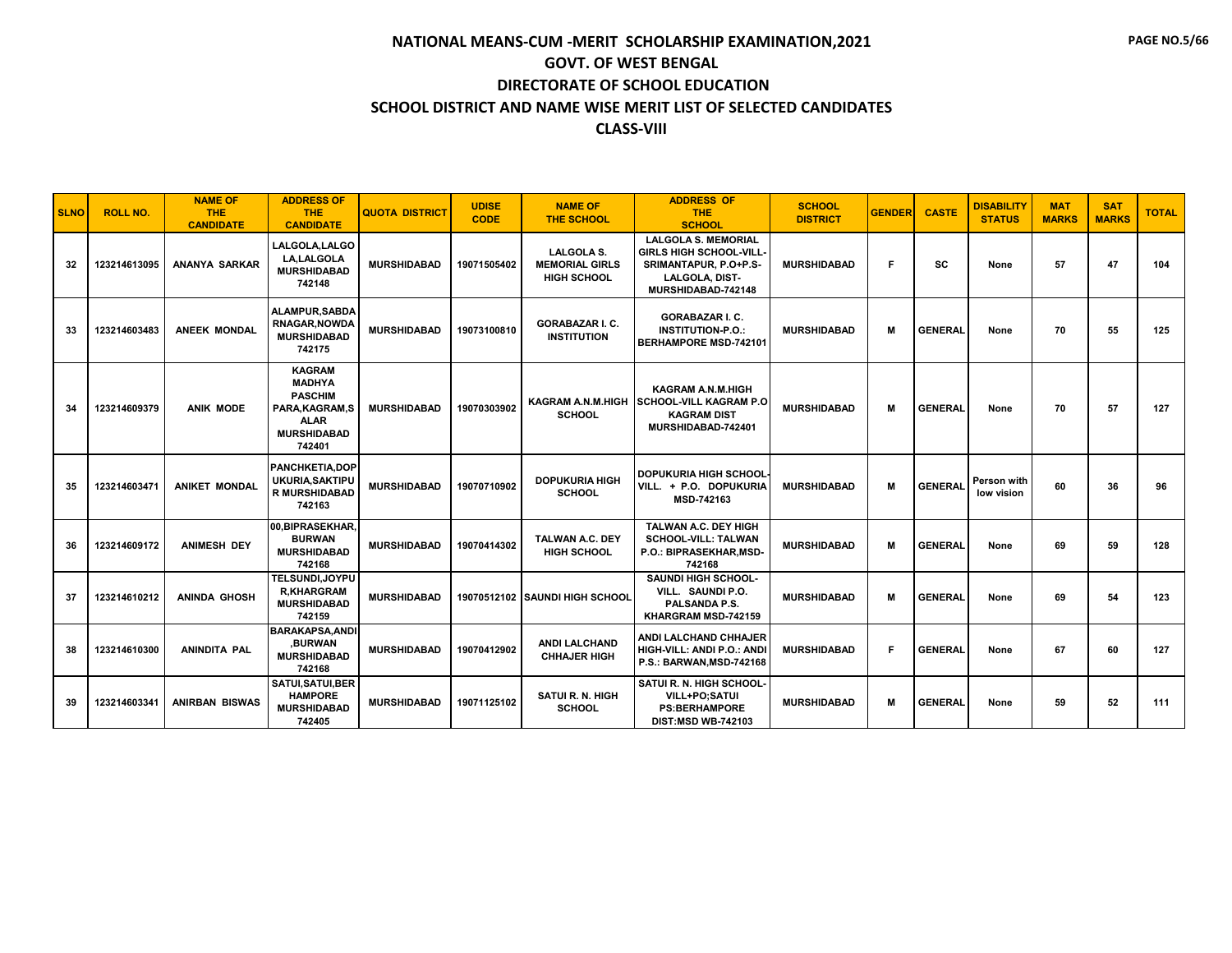| <b>SLNO</b> | <b>ROLL NO.</b> | <b>NAME OF</b><br><b>THE</b><br><b>CANDIDATE</b> | <b>ADDRESS OF</b><br><b>THE</b><br><b>CANDIDATE</b>                                                                | <b>QUOTA DISTRICT</b> | <b>UDISE</b><br><b>CODE</b> | <b>NAME OF</b><br><b>THE SCHOOL</b>                              | <b>ADDRESS OF</b><br><b>THE</b><br><b>SCHOOL</b>                                                                             | <b>SCHOOL</b><br><b>DISTRICT</b> | <b>GENDER</b> | <b>CASTE</b>   | <b>DISABILITY</b><br><b>STATUS</b> | <b>MAT</b><br><b>MARKS</b> | <b>SAT</b><br><b>MARKS</b> | <b>TOTAL</b> |
|-------------|-----------------|--------------------------------------------------|--------------------------------------------------------------------------------------------------------------------|-----------------------|-----------------------------|------------------------------------------------------------------|------------------------------------------------------------------------------------------------------------------------------|----------------------------------|---------------|----------------|------------------------------------|----------------------------|----------------------------|--------------|
| 32          | 123214613095    | ANANYA SARKAR                                    | LALGOLA.LALGO<br><b>LA.LALGOLA</b><br><b>MURSHIDABAD</b><br>742148                                                 | <b>MURSHIDABAD</b>    | 19071505402                 | <b>LALGOLA S.</b><br><b>MEMORIAL GIRLS</b><br><b>HIGH SCHOOL</b> | <b>LALGOLA S. MEMORIAL</b><br><b>GIRLS HIGH SCHOOL-VILL</b><br>SRIMANTAPUR, P.O+P.S-<br>LALGOLA, DIST-<br>MURSHIDABAD-742148 | <b>MURSHIDABAD</b>               | F             | SC             | None                               | 57                         | 47                         | 104          |
| 33          | 123214603483    | <b>ANEEK MONDAL</b>                              | <b>ALAMPUR.SABDA</b><br><b>RNAGAR.NOWDA</b><br><b>MURSHIDABAD</b><br>742175                                        | <b>MURSHIDABAD</b>    | 19073100810                 | <b>GORABAZAR I. C.</b><br><b>INSTITUTION</b>                     | <b>GORABAZAR I. C.</b><br><b>INSTITUTION-P.O.:</b><br>BERHAMPORE MSD-742101                                                  | <b>MURSHIDABAD</b>               | м             | <b>GENERAL</b> | None                               | 70                         | 55                         | 125          |
| 34          | 123214609379    | <b>ANIK MODE</b>                                 | <b>KAGRAM</b><br><b>MADHYA</b><br><b>PASCHIM</b><br>PARA, KAGRAM, S<br><b>ALAR</b><br><b>MURSHIDABAD</b><br>742401 | <b>MURSHIDABAD</b>    | 19070303902                 | <b>KAGRAM A.N.M.HIGH</b><br><b>SCHOOL</b>                        | <b>KAGRAM A.N.M.HIGH</b><br><b>SCHOOL-VILL KAGRAM P.O</b><br><b>KAGRAM DIST</b><br>MURSHIDABAD-742401                        | <b>MURSHIDABAD</b>               | м             | <b>GENERAL</b> | None                               | 70                         | 57                         | 127          |
| 35          | 123214603471    | <b>ANIKET MONDAL</b>                             | <b>PANCHKETIA.DOP</b><br><b>UKURIA, SAKTIPU</b><br>R MURSHIDABAD<br>742163                                         | <b>MURSHIDABAD</b>    | 19070710902                 | <b>DOPUKURIA HIGH</b><br><b>SCHOOL</b>                           | <b>DOPUKURIA HIGH SCHOOL</b><br>VILL. + P.O. DOPUKURIA<br>MSD-742163                                                         | <b>MURSHIDABAD</b>               | M             | <b>GENERAL</b> | Person with<br>low vision          | 60                         | 36                         | 96           |
| 36          | 123214609172    | <b>ANIMESH DEY</b>                               | 00.BIPRASEKHAR.<br><b>BURWAN</b><br><b>MURSHIDABAD</b><br>742168                                                   | <b>MURSHIDABAD</b>    | 19070414302                 | <b>TALWAN A.C. DEY</b><br><b>HIGH SCHOOL</b>                     | TALWAN A.C. DEY HIGH<br><b>SCHOOL-VILL: TALWAN</b><br>P.O.: BIPRASEKHAR.MSD-<br>742168                                       | <b>MURSHIDABAD</b>               | М             | <b>GENERAL</b> | None                               | 69                         | 59                         | 128          |
| 37          | 123214610212    | <b>ANINDA GHOSH</b>                              | TELSUNDI, JOYPU<br><b>R.KHARGRAM</b><br><b>MURSHIDABAD</b><br>742159                                               | <b>MURSHIDABAD</b>    |                             | 19070512102 SAUNDI HIGH SCHOOL                                   | <b>SAUNDI HIGH SCHOOL-</b><br>VILL. SAUNDI P.O.<br>PALSANDA P.S.<br>KHARGRAM MSD-742159                                      | <b>MURSHIDABAD</b>               | м             | <b>GENERAL</b> | None                               | 69                         | 54                         | 123          |
| 38          | 123214610300    | <b>ANINDITA PAL</b>                              | <b>BARAKAPSA, ANDI</b><br>,BURWAN<br><b>MURSHIDABAD</b><br>742168                                                  | <b>MURSHIDABAD</b>    | 19070412902                 | <b>ANDI LALCHAND</b><br><b>CHHAJER HIGH</b>                      | <b>ANDI LALCHAND CHHAJER</b><br>HIGH-VILL: ANDI P.O.: ANDI<br>P.S.: BARWAN, MSD-742168                                       | <b>MURSHIDABAD</b>               | F.            | <b>GENERAL</b> | None                               | 67                         | 60                         | 127          |
| 39          | 123214603341    | <b>ANIRBAN BISWAS</b>                            | SATUI, SATUI, BER<br><b>HAMPORE</b><br><b>MURSHIDABAD</b><br>742405                                                | <b>MURSHIDABAD</b>    | 19071125102                 | <b>SATUI R. N. HIGH</b><br><b>SCHOOL</b>                         | SATUI R. N. HIGH SCHOOL-<br>VILL+PO;SATUI<br><b>PS:BERHAMPORE</b><br><b>DIST:MSD WB-742103</b>                               | <b>MURSHIDABAD</b>               | м             | <b>GENERAL</b> | None                               | 59                         | 52                         | 111          |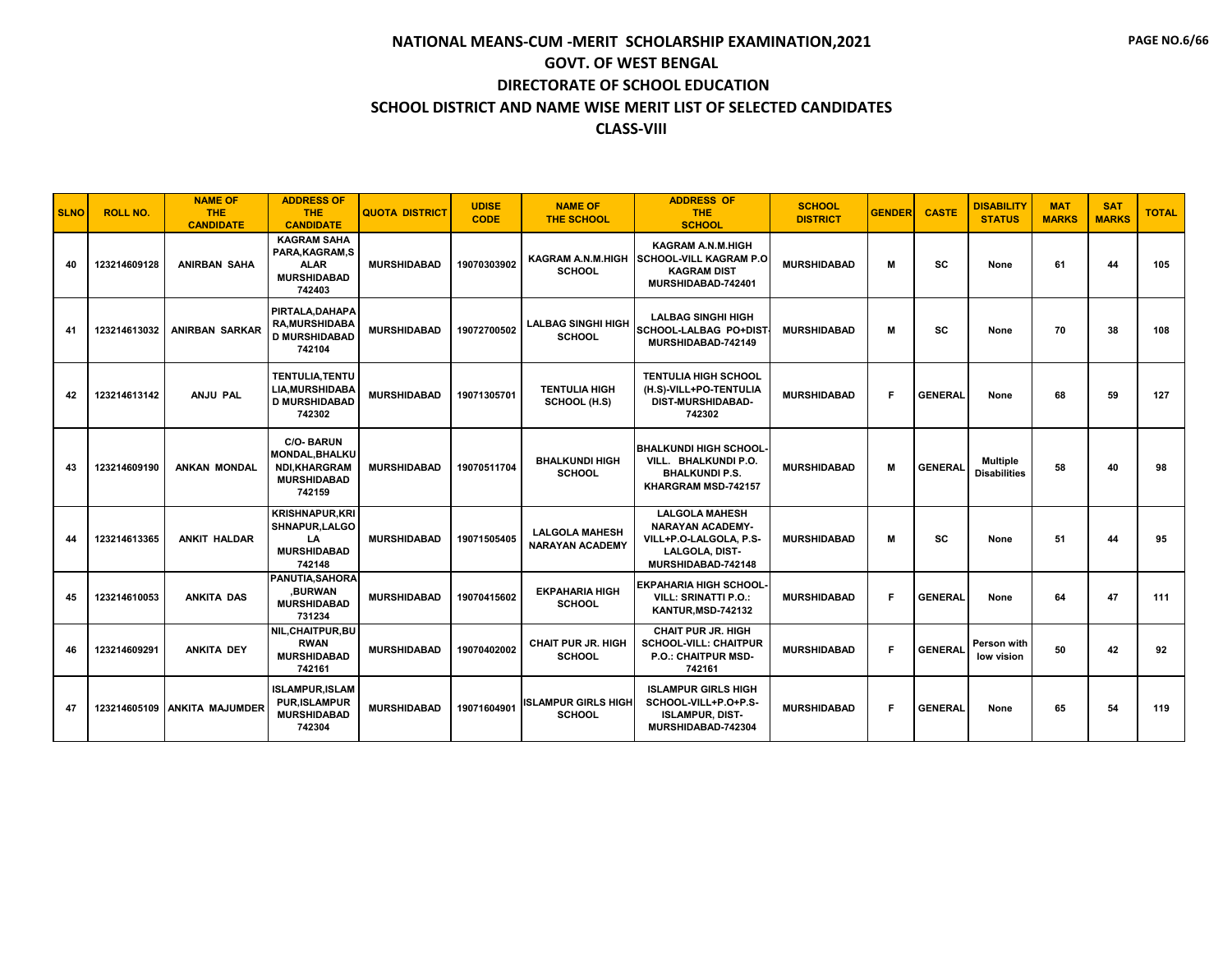| <b>SLNO</b> | <b>ROLL NO.</b> | <b>NAME OF</b><br><b>THE</b><br><b>CANDIDATE</b> | <b>ADDRESS OF</b><br>THE.<br><b>CANDIDATE</b>                                                    | <b>QUOTA DISTRICT</b> | <b>UDISE</b><br><b>CODE</b> | <b>NAME OF</b><br><b>THE SCHOOL</b>             | <b>ADDRESS OF</b><br><b>THE</b><br><b>SCHOOL</b>                                                                   | <b>SCHOOL</b><br><b>DISTRICT</b> | <b>GENDER</b> | <b>CASTE</b>   | <b>DISABILITY</b><br><b>STATUS</b>     | <b>MAT</b><br><b>MARKS</b> | <b>SAT</b><br><b>MARKS</b> | <b>TOTAL</b> |
|-------------|-----------------|--------------------------------------------------|--------------------------------------------------------------------------------------------------|-----------------------|-----------------------------|-------------------------------------------------|--------------------------------------------------------------------------------------------------------------------|----------------------------------|---------------|----------------|----------------------------------------|----------------------------|----------------------------|--------------|
| 40          | 123214609128    | <b>ANIRBAN SAHA</b>                              | <b>KAGRAM SAHA</b><br>PARA.KAGRAM.S<br><b>ALAR</b><br><b>MURSHIDABAD</b><br>742403               | <b>MURSHIDABAD</b>    | 19070303902                 | <b>KAGRAM A.N.M.HIGH</b><br><b>SCHOOL</b>       | <b>KAGRAM A.N.M.HIGH</b><br><b>SCHOOL-VILL KAGRAM P.O.</b><br><b>KAGRAM DIST</b><br>MURSHIDABAD-742401             | <b>MURSHIDABAD</b>               | м             | SC             | None                                   | 61                         | 44                         | 105          |
| 41          | 123214613032    | <b>ANIRBAN SARKAR</b>                            | PIRTALA, DAHAPA<br><b>RA, MURSHIDABA</b><br><b>D MURSHIDABAD</b><br>742104                       | <b>MURSHIDABAD</b>    | 19072700502                 | <b>LALBAG SINGHI HIGH</b><br><b>SCHOOL</b>      | <b>LALBAG SINGHI HIGH</b><br>SCHOOL-LALBAG PO+DIST<br>MURSHIDABAD-742149                                           | <b>MURSHIDABAD</b>               | M             | SC             | None                                   | 70                         | 38                         | 108          |
| 42          | 123214613142    | <b>ANJU PAL</b>                                  | <b>TENTULIA, TENTU</b><br><b>LIA.MURSHIDABA</b><br><b>D MURSHIDABAD</b><br>742302                | <b>MURSHIDABAD</b>    | 19071305701                 | <b>TENTULIA HIGH</b><br>SCHOOL (H.S)            | <b>TENTULIA HIGH SCHOOL</b><br>(H.S)-VILL+PO-TENTULIA<br><b>DIST-MURSHIDABAD-</b><br>742302                        | <b>MURSHIDABAD</b>               | F.            | <b>GENERAL</b> | None                                   | 68                         | 59                         | 127          |
| 43          | 123214609190    | <b>ANKAN MONDAL</b>                              | <b>C/O-BARUN</b><br><b>MONDAL, BHALKU</b><br><b>NDI.KHARGRAM</b><br><b>MURSHIDABAD</b><br>742159 | <b>MURSHIDABAD</b>    | 19070511704                 | <b>BHALKUNDI HIGH</b><br><b>SCHOOL</b>          | <b>BHALKUNDI HIGH SCHOOL-</b><br>VILL. BHALKUNDI P.O.<br><b>BHALKUNDI P.S.</b><br>KHARGRAM MSD-742157              | <b>MURSHIDABAD</b>               | м             | <b>GENERAL</b> | <b>Multiple</b><br><b>Disabilities</b> | 58                         | 40                         | 98           |
| 44          | 123214613365    | <b>ANKIT HALDAR</b>                              | <b>KRISHNAPUR, KRI</b><br>SHNAPUR, LALGO<br>LA<br><b>MURSHIDABAD</b><br>742148                   | <b>MURSHIDABAD</b>    | 19071505405                 | <b>LALGOLA MAHESH</b><br><b>NARAYAN ACADEMY</b> | <b>LALGOLA MAHESH</b><br><b>NARAYAN ACADEMY-</b><br>VILL+P.O-LALGOLA, P.S-<br>LALGOLA, DIST-<br>MURSHIDABAD-742148 | <b>MURSHIDABAD</b>               | M             | SC             | None                                   | 51                         | 44                         | 95           |
| 45          | 123214610053    | <b>ANKITA DAS</b>                                | <b>PANUTIA.SAHORA</b><br><b>BURWAN</b><br><b>MURSHIDABAD</b><br>731234                           | <b>MURSHIDABAD</b>    | 19070415602                 | <b>EKPAHARIA HIGH</b><br><b>SCHOOL</b>          | <b>EKPAHARIA HIGH SCHOOL</b><br><b>VILL: SRINATTI P.O.:</b><br><b>KANTUR, MSD-742132</b>                           | <b>MURSHIDABAD</b>               | F             | <b>GENERAL</b> | None                                   | 64                         | 47                         | 111          |
| 46          | 123214609291    | <b>ANKITA DEY</b>                                | NIL, CHAITPUR, BU<br><b>RWAN</b><br><b>MURSHIDABAD</b><br>742161                                 | <b>MURSHIDABAD</b>    | 19070402002                 | <b>CHAIT PUR JR. HIGH</b><br><b>SCHOOL</b>      | <b>CHAIT PUR JR. HIGH</b><br><b>SCHOOL-VILL: CHAITPUR</b><br><b>P.O.: CHAITPUR MSD-</b><br>742161                  | <b>MURSHIDABAD</b>               | F             | <b>GENERAL</b> | Person with<br>low vision              | 50                         | 42                         | 92           |
| 47          |                 | 123214605109 ANKITA MAJUMDER                     | <b>ISLAMPUR, ISLAM</b><br><b>PUR.ISLAMPUR</b><br><b>MURSHIDABAD</b><br>742304                    | <b>MURSHIDABAD</b>    | 19071604901                 | <b>ISLAMPUR GIRLS HIGH</b><br><b>SCHOOL</b>     | <b>ISLAMPUR GIRLS HIGH</b><br>SCHOOL-VILL+P.O+P.S-<br><b>ISLAMPUR, DIST-</b><br>MURSHIDABAD-742304                 | <b>MURSHIDABAD</b>               | F             | <b>GENERAL</b> | None                                   | 65                         | 54                         | 119          |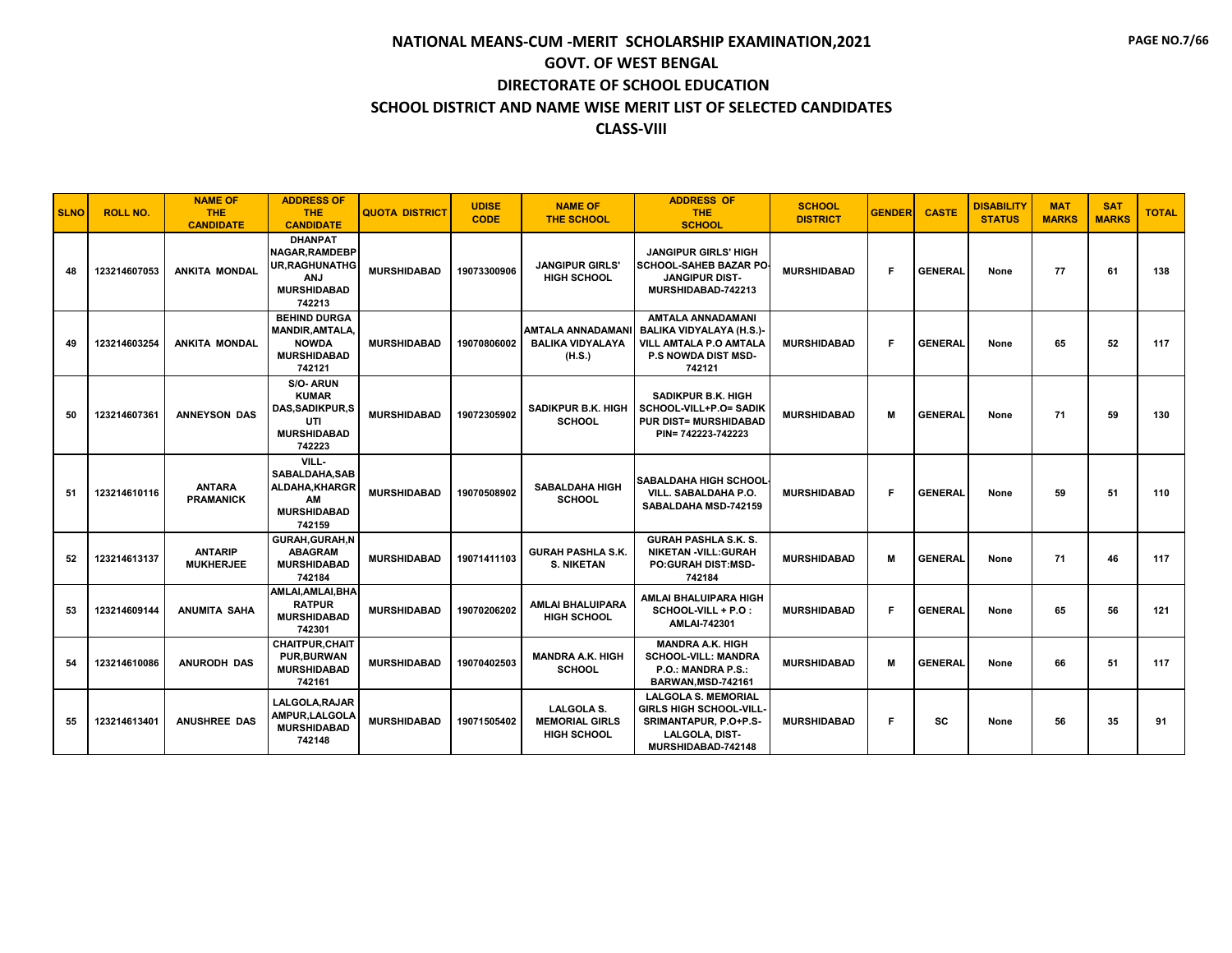| <b>SLNO</b> | <b>ROLL NO.</b> | <b>NAME OF</b><br><b>THE</b><br><b>CANDIDATE</b> | <b>ADDRESS OF</b><br><b>THE</b><br><b>CANDIDATE</b>                                                           | <b>QUOTA DISTRICT</b> | <b>UDISE</b><br><b>CODE</b> | <b>NAME OF</b><br><b>THE SCHOOL</b>                              | <b>ADDRESS OF</b><br><b>THE</b><br><b>SCHOOL</b>                                                                              | <b>SCHOOL</b><br><b>DISTRICT</b> | <b>GENDER</b> | <b>CASTE</b>   | <b>DISABILITY</b><br><b>STATUS</b> | <b>MAT</b><br><b>MARKS</b> | <b>SAT</b><br><b>MARKS</b> | <b>TOTAL</b> |
|-------------|-----------------|--------------------------------------------------|---------------------------------------------------------------------------------------------------------------|-----------------------|-----------------------------|------------------------------------------------------------------|-------------------------------------------------------------------------------------------------------------------------------|----------------------------------|---------------|----------------|------------------------------------|----------------------------|----------------------------|--------------|
| 48          | 123214607053    | <b>ANKITA MONDAL</b>                             | <b>DHANPAT</b><br><b>NAGAR.RAMDEBP</b><br><b>UR, RAGHUNATHG</b><br><b>ANJ</b><br><b>MURSHIDABAD</b><br>742213 | <b>MURSHIDABAD</b>    | 19073300906                 | <b>JANGIPUR GIRLS'</b><br><b>HIGH SCHOOL</b>                     | <b>JANGIPUR GIRLS' HIGH</b><br><b>SCHOOL-SAHEB BAZAR PO</b><br><b>JANGIPUR DIST-</b><br>MURSHIDABAD-742213                    | <b>MURSHIDABAD</b>               | F.            | <b>GENERAL</b> | None                               | 77                         | 61                         | 138          |
| 49          | 123214603254    | <b>ANKITA MONDAL</b>                             | <b>BEHIND DURGA</b><br><b>MANDIR.AMTALA.</b><br><b>NOWDA</b><br><b>MURSHIDABAD</b><br>742121                  | <b>MURSHIDABAD</b>    | 19070806002                 | <b>AMTALA ANNADAMAN</b><br><b>BALIKA VIDYALAYA</b><br>(H.S.)     | <b>AMTALA ANNADAMANI</b><br><b>BALIKA VIDYALAYA (H.S.)-</b><br>VILL AMTALA P.O AMTALA<br><b>P.S NOWDA DIST MSD-</b><br>742121 | <b>MURSHIDABAD</b>               | F.            | <b>GENERAL</b> | None                               | 65                         | 52                         | 117          |
| 50          | 123214607361    | <b>ANNEYSON DAS</b>                              | S/O-ARUN<br><b>KUMAR</b><br><b>DAS, SADIKPUR, S</b><br>UTI<br><b>MURSHIDABAD</b><br>742223                    | <b>MURSHIDABAD</b>    | 19072305902                 | <b>SADIKPUR B.K. HIGH</b><br><b>SCHOOL</b>                       | <b>SADIKPUR B.K. HIGH</b><br>SCHOOL-VILL+P.O= SADIK<br><b>PUR DIST= MURSHIDABAD</b><br>PIN= 742223-742223                     | <b>MURSHIDABAD</b>               | M             | <b>GENERAL</b> | None                               | 71                         | 59                         | 130          |
| 51          | 123214610116    | <b>ANTARA</b><br><b>PRAMANICK</b>                | VILL-<br>SABALDAHA.SAB<br>ALDAHA.KHARGR<br>AM<br><b>MURSHIDABAD</b><br>742159                                 | <b>MURSHIDABAD</b>    | 19070508902                 | <b>SABALDAHA HIGH</b><br><b>SCHOOL</b>                           | <b>SABALDAHA HIGH SCHOOL</b><br>VILL. SABALDAHA P.O.<br>SABALDAHA MSD-742159                                                  | <b>MURSHIDABAD</b>               | F.            | <b>GENERAL</b> | None                               | 59                         | 51                         | 110          |
| 52          | 123214613137    | <b>ANTARIP</b><br><b>MUKHERJEE</b>               | <b>GURAH.GURAH.N</b><br><b>ABAGRAM</b><br><b>MURSHIDABAD</b><br>742184                                        | <b>MURSHIDABAD</b>    | 19071411103                 | <b>GURAH PASHLA S.K.</b><br><b>S. NIKETAN</b>                    | <b>GURAH PASHLA S.K. S.</b><br><b>NIKETAN -VILL:GURAH</b><br>PO:GURAH DIST:MSD-<br>742184                                     | <b>MURSHIDABAD</b>               | M             | <b>GENERAL</b> | None                               | 71                         | 46                         | 117          |
| 53          | 123214609144    | <b>ANUMITA SAHA</b>                              | AMLAI, AMLAI, BHA<br><b>RATPUR</b><br><b>MURSHIDABAD</b><br>742301                                            | <b>MURSHIDABAD</b>    | 19070206202                 | <b>AMLAI BHALUIPARA</b><br><b>HIGH SCHOOL</b>                    | AMLAI BHALUIPARA HIGH<br>SCHOOL-VILL + P.O :<br>AMLAI-742301                                                                  | <b>MURSHIDABAD</b>               | F.            | <b>GENERAL</b> | None                               | 65                         | 56                         | 121          |
| 54          | 123214610086    | <b>ANURODH DAS</b>                               | <b>CHAITPUR.CHAIT</b><br><b>PUR, BURWAN</b><br><b>MURSHIDABAD</b><br>742161                                   | <b>MURSHIDABAD</b>    | 19070402503                 | <b>MANDRA A.K. HIGH</b><br><b>SCHOOL</b>                         | <b>MANDRA A.K. HIGH</b><br><b>SCHOOL-VILL: MANDRA</b><br>P.O.: MANDRA P.S.:<br>BARWAN, MSD-742161                             | <b>MURSHIDABAD</b>               | M             | <b>GENERAL</b> | None                               | 66                         | 51                         | 117          |
| 55          | 123214613401    | <b>ANUSHREE DAS</b>                              | LALGOLA.RAJAR<br>AMPUR, LALGOLA<br><b>MURSHIDABAD</b><br>742148                                               | <b>MURSHIDABAD</b>    | 19071505402                 | <b>LALGOLA S.</b><br><b>MEMORIAL GIRLS</b><br><b>HIGH SCHOOL</b> | <b>LALGOLA S. MEMORIAL</b><br>GIRLS HIGH SCHOOL-VILL<br>SRIMANTAPUR, P.O+P.S-<br><b>LALGOLA, DIST-</b><br>MURSHIDABAD-742148  | <b>MURSHIDABAD</b>               | F.            | SC             | None                               | 56                         | 35                         | 91           |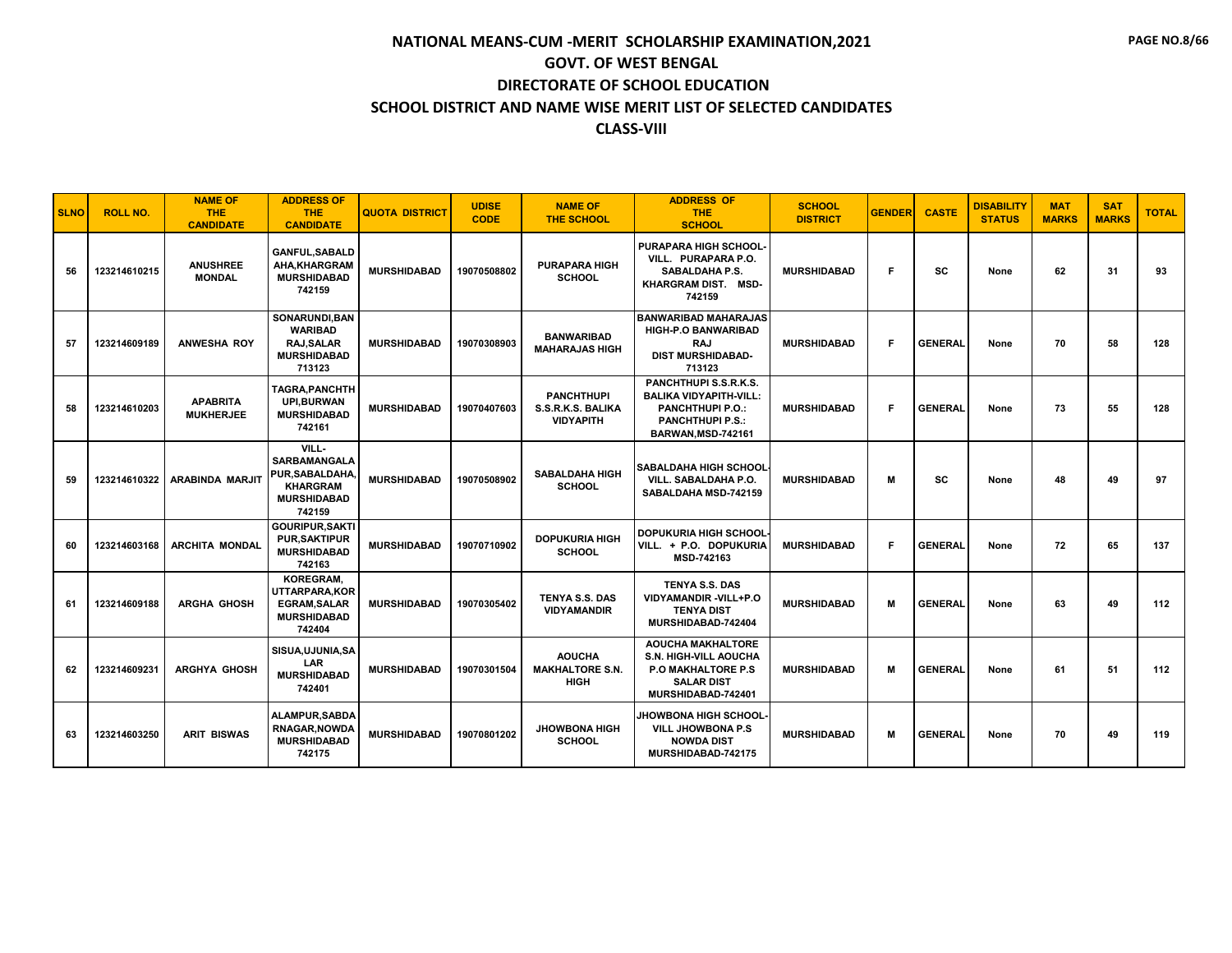| <b>SLNO</b> | <b>ROLL NO.</b> | <b>NAME OF</b><br><b>THE</b><br><b>CANDIDATE</b> | <b>ADDRESS OF</b><br>THE.<br><b>CANDIDATE</b>                                                           | <b>QUOTA DISTRICT</b> | <b>UDISE</b><br><b>CODE</b> | <b>NAME OF</b><br><b>THE SCHOOL</b>                        | <b>ADDRESS OF</b><br><b>THE</b><br><b>SCHOOL</b>                                                                                   | <b>SCHOOL</b><br><b>DISTRICT</b> | <b>GENDER</b> | <b>CASTE</b>   | <b>DISABILITY</b><br><b>STATUS</b> | <b>MAT</b><br><b>MARKS</b> | <b>SAT</b><br><b>MARKS</b> | <b>TOTAL</b> |
|-------------|-----------------|--------------------------------------------------|---------------------------------------------------------------------------------------------------------|-----------------------|-----------------------------|------------------------------------------------------------|------------------------------------------------------------------------------------------------------------------------------------|----------------------------------|---------------|----------------|------------------------------------|----------------------------|----------------------------|--------------|
| 56          | 123214610215    | <b>ANUSHREE</b><br><b>MONDAL</b>                 | <b>GANFUL.SABALD</b><br>AHA.KHARGRAM<br><b>MURSHIDABAD</b><br>742159                                    | <b>MURSHIDABAD</b>    | 19070508802                 | <b>PURAPARA HIGH</b><br><b>SCHOOL</b>                      | <b>PURAPARA HIGH SCHOOL</b><br>VILL. PURAPARA P.O.<br>SABALDAHA P.S.<br>KHARGRAM DIST. MSD-<br>742159                              | <b>MURSHIDABAD</b>               | F             | sc             | None                               | 62                         | 31                         | 93           |
| 57          | 123214609189    | <b>ANWESHA ROY</b>                               | SONARUNDI, BAN<br><b>WARIBAD</b><br>RAJ, SALAR<br><b>MURSHIDABAD</b><br>713123                          | <b>MURSHIDABAD</b>    | 19070308903                 | <b>BANWARIBAD</b><br><b>MAHARAJAS HIGH</b>                 | <b>BANWARIBAD MAHARAJAS</b><br><b>HIGH-P.O BANWARIBAD</b><br><b>RAJ</b><br><b>DIST MURSHIDABAD-</b><br>713123                      | <b>MURSHIDABAD</b>               | F.            | <b>GENERAL</b> | None                               | 70                         | 58                         | 128          |
| 58          | 123214610203    | <b>APABRITA</b><br><b>MUKHERJEE</b>              | TAGRA, PANCHTH<br><b>UPI.BURWAN</b><br><b>MURSHIDABAD</b><br>742161                                     | <b>MURSHIDABAD</b>    | 19070407603                 | <b>PANCHTHUPI</b><br>S.S.R.K.S. BALIKA<br><b>VIDYAPITH</b> | PANCHTHUPI S.S.R.K.S.<br><b>BALIKA VIDYAPITH-VILL:</b><br><b>PANCHTHUPI P.O.:</b><br><b>PANCHTHUPI P.S.:</b><br>BARWAN, MSD-742161 | <b>MURSHIDABAD</b>               | F.            | <b>GENERAL</b> | None                               | 73                         | 55                         | 128          |
| 59          | 123214610322    | <b>ARABINDA MARJIT</b>                           | VILL-<br><b>SARBAMANGALA</b><br><b>PUR.SABALDAHA</b><br><b>KHARGRAM</b><br><b>MURSHIDABAD</b><br>742159 | <b>MURSHIDABAD</b>    | 19070508902                 | <b>SABALDAHA HIGH</b><br><b>SCHOOL</b>                     | SABALDAHA HIGH SCHOOL<br>VILL. SABALDAHA P.O.<br>SABALDAHA MSD-742159                                                              | <b>MURSHIDABAD</b>               | м             | SC             | None                               | 48                         | 49                         | 97           |
| 60          | 123214603168    | <b>ARCHITA MONDAL</b>                            | <b>GOURIPUR.SAKTI</b><br><b>PUR, SAKTIPUR</b><br><b>MURSHIDABAD</b><br>742163                           | <b>MURSHIDABAD</b>    | 19070710902                 | <b>DOPUKURIA HIGH</b><br><b>SCHOOL</b>                     | <b>DOPUKURIA HIGH SCHOOL</b><br>VILL. + P.O. DOPUKURIA<br>MSD-742163                                                               | <b>MURSHIDABAD</b>               | F.            | <b>GENERAL</b> | None                               | 72                         | 65                         | 137          |
| 61          | 123214609188    | <b>ARGHA GHOSH</b>                               | <b>KOREGRAM.</b><br>UTTARPARA, KOR<br><b>EGRAM, SALAR</b><br><b>MURSHIDABAD</b><br>742404               | <b>MURSHIDABAD</b>    | 19070305402                 | <b>TENYA S.S. DAS</b><br><b>VIDYAMANDIR</b>                | <b>TENYA S.S. DAS</b><br>VIDYAMANDIR-VILL+P.O<br><b>TENYA DIST</b><br>MURSHIDABAD-742404                                           | <b>MURSHIDABAD</b>               | м             | <b>GENERAL</b> | None                               | 63                         | 49                         | 112          |
| 62          | 123214609231    | <b>ARGHYA GHOSH</b>                              | SISUA, UJUNIA, SA<br>LAR<br><b>MURSHIDABAD</b><br>742401                                                | <b>MURSHIDABAD</b>    | 19070301504                 | <b>AOUCHA</b><br><b>MAKHALTORE S.N.</b><br><b>HIGH</b>     | <b>AOUCHA MAKHALTORE</b><br><b>S.N. HIGH-VILL AOUCHA</b><br><b>P.O MAKHALTORE P.S.</b><br><b>SALAR DIST</b><br>MURSHIDABAD-742401  | <b>MURSHIDABAD</b>               | м             | <b>GENERAL</b> | None                               | 61                         | 51                         | 112          |
| 63          | 123214603250    | <b>ARIT BISWAS</b>                               | <b>ALAMPUR, SABDA</b><br>RNAGAR, NOWDA<br><b>MURSHIDABAD</b><br>742175                                  | <b>MURSHIDABAD</b>    | 19070801202                 | <b>JHOWBONA HIGH</b><br><b>SCHOOL</b>                      | <b>JHOWBONA HIGH SCHOOL</b><br><b>VILL JHOWBONA P.S</b><br><b>NOWDA DIST</b><br>MURSHIDABAD-742175                                 | <b>MURSHIDABAD</b>               | м             | <b>GENERAL</b> | None                               | 70                         | 49                         | 119          |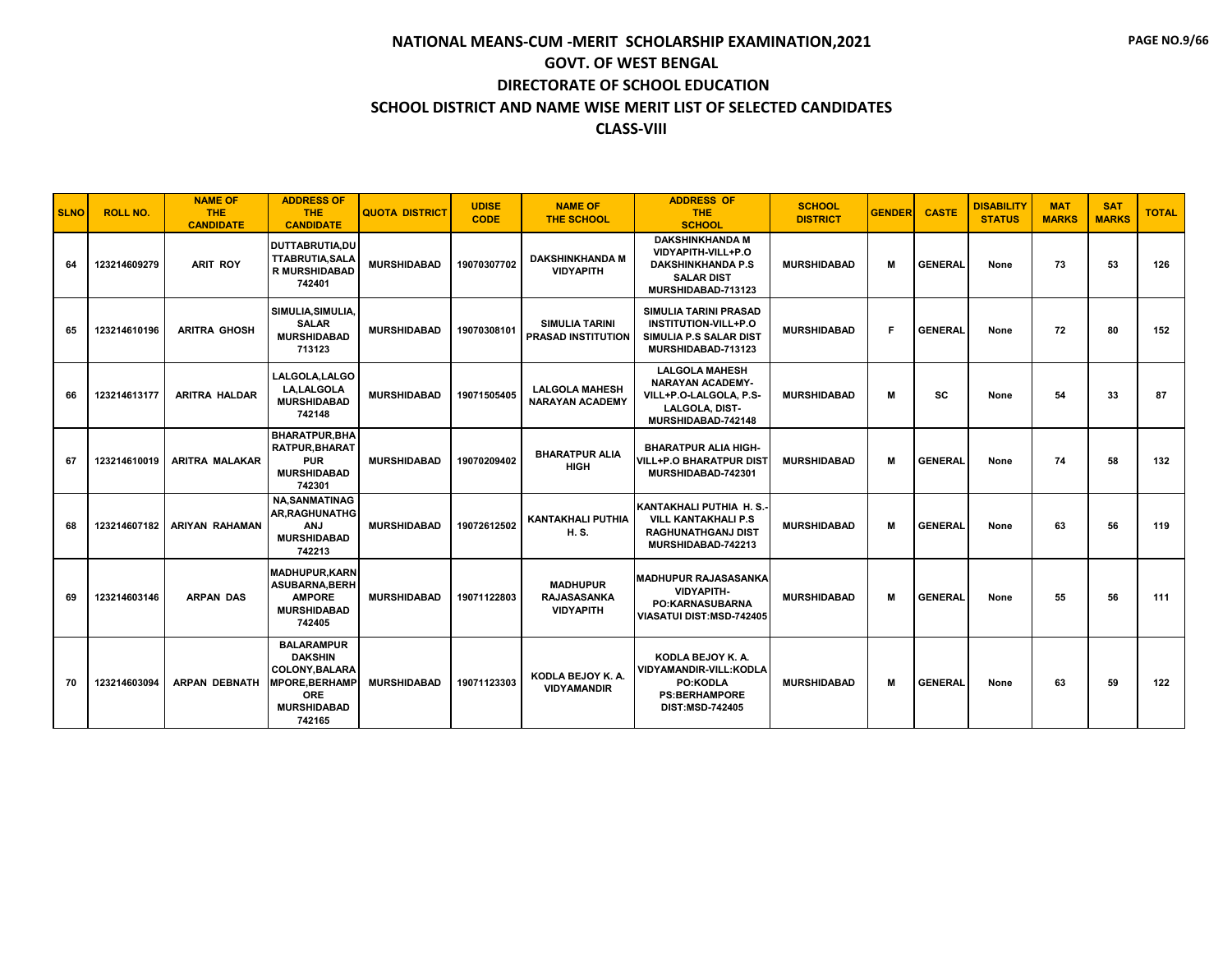| <b>SLNO</b> | <b>ROLL NO.</b> | <b>NAME OF</b><br>THE.<br><b>CANDIDATE</b> | <b>ADDRESS OF</b><br><b>THE</b><br><b>CANDIDATE</b>                                                                          | <b>QUOTA DISTRICT</b> | <b>UDISE</b><br><b>CODE</b> | <b>NAME OF</b><br>THE SCHOOL                              | <b>ADDRESS OF</b><br><b>THE</b><br><b>SCHOOL</b>                                                                        | <b>SCHOOL</b><br><b>DISTRICT</b> | <b>GENDER</b> | <b>CASTE</b>   | <b>DISABILITY</b><br><b>STATUS</b> | <b>MAT</b><br><b>MARKS</b> | <b>SAT</b><br><b>MARKS</b> | <b>TOTAL</b> |
|-------------|-----------------|--------------------------------------------|------------------------------------------------------------------------------------------------------------------------------|-----------------------|-----------------------------|-----------------------------------------------------------|-------------------------------------------------------------------------------------------------------------------------|----------------------------------|---------------|----------------|------------------------------------|----------------------------|----------------------------|--------------|
| 64          | 123214609279    | <b>ARIT ROY</b>                            | <b>DUTTABRUTIA,DU</b><br><b>TTABRUTIA, SALA</b><br><b>R MURSHIDABAD</b><br>742401                                            | <b>MURSHIDABAD</b>    | 19070307702                 | <b>DAKSHINKHANDA M</b><br><b>VIDYAPITH</b>                | <b>DAKSHINKHANDA M</b><br>VIDYAPITH-VILL+P.O<br><b>DAKSHINKHANDA P.S</b><br><b>SALAR DIST</b><br>MURSHIDABAD-713123     | <b>MURSHIDABAD</b>               | М             | <b>GENERAL</b> | None                               | 73                         | 53                         | 126          |
| 65          | 123214610196    | <b>ARITRA GHOSH</b>                        | SIMULIA.SIMULIA.<br><b>SALAR</b><br><b>MURSHIDABAD</b><br>713123                                                             | <b>MURSHIDABAD</b>    | 19070308101                 | <b>SIMULIA TARINI</b><br><b>PRASAD INSTITUTION</b>        | <b>SIMULIA TARINI PRASAD</b><br><b>INSTITUTION-VILL+P.O</b><br>SIMULIA P.S SALAR DIST<br>MURSHIDABAD-713123             | <b>MURSHIDABAD</b>               | F             | <b>GENERAL</b> | None                               | 72                         | 80                         | 152          |
| 66          | 123214613177    | <b>ARITRA HALDAR</b>                       | LALGOLA, LALGO<br><b>LA.LALGOLA</b><br><b>MURSHIDABAD</b><br>742148                                                          | <b>MURSHIDABAD</b>    | 19071505405                 | <b>LALGOLA MAHESH</b><br><b>NARAYAN ACADEMY</b>           | <b>LALGOLA MAHESH</b><br><b>NARAYAN ACADEMY-</b><br>VILL+P.O-LALGOLA. P.S-<br>LALGOLA, DIST-<br>MURSHIDABAD-742148      | <b>MURSHIDABAD</b>               | M             | SC             | None                               | 54                         | 33                         | 87           |
| 67          | 123214610019    | ARITRA MALAKAR                             | <b>BHARATPUR.BHA</b><br><b>RATPUR.BHARAT</b><br><b>PUR</b><br><b>MURSHIDABAD</b><br>742301                                   | <b>MURSHIDABAD</b>    | 19070209402                 | <b>BHARATPUR ALIA</b><br><b>HIGH</b>                      | <b>BHARATPUR ALIA HIGH-</b><br>VILL+P.O BHARATPUR DIST<br>MURSHIDABAD-742301                                            | <b>MURSHIDABAD</b>               | М             | <b>GENERAL</b> | None                               | 74                         | 58                         | 132          |
| 68          | 123214607182    | <b>ARIYAN RAHAMAN</b>                      | <b>NA.SANMATINAG</b><br>AR, RAGHUNATHG<br><b>ANJ</b><br><b>MURSHIDABAD</b><br>742213                                         | <b>MURSHIDABAD</b>    | 19072612502                 | <b>KANTAKHALI PUTHIA</b><br>H. S.                         | KANTAKHALI PUTHIA H.S.-<br><b>VILL KANTAKHALI P.S</b><br><b>RAGHUNATHGANJ DIST</b><br>MURSHIDABAD-742213                | <b>MURSHIDABAD</b>               | м             | <b>GENERAL</b> | None                               | 63                         | 56                         | 119          |
| 69          | 123214603146    | <b>ARPAN DAS</b>                           | <b>MADHUPUR.KARN</b><br>ASUBARNA, BERH<br><b>AMPORE</b><br><b>MURSHIDABAD</b><br>742405                                      | <b>MURSHIDABAD</b>    | 19071122803                 | <b>MADHUPUR</b><br><b>RAJASASANKA</b><br><b>VIDYAPITH</b> | <b>MADHUPUR RAJASASANKA</b><br><b>VIDYAPITH-</b><br><b>PO:KARNASUBARNA</b><br><b>VIASATUI DIST:MSD-742405</b>           | <b>MURSHIDABAD</b>               | м             | <b>GENERAL</b> | None                               | 55                         | 56                         | 111          |
| 70          | 123214603094    | <b>ARPAN DEBNATH</b>                       | <b>BALARAMPUR</b><br><b>DAKSHIN</b><br>COLONY, BALARA<br><b>MPORE, BERHAMP</b><br><b>ORE</b><br><b>MURSHIDABAD</b><br>742165 | <b>MURSHIDABAD</b>    | 19071123303                 | KODLA BEJOY K. A.<br><b>VIDYAMANDIR</b>                   | KODLA BEJOY K. A.<br><b>VIDYAMANDIR-VILL:KODLA</b><br><b>PO:KODLA</b><br><b>PS:BERHAMPORE</b><br><b>DIST:MSD-742405</b> | <b>MURSHIDABAD</b>               | М             | <b>GENERAL</b> | None                               | 63                         | 59                         | 122          |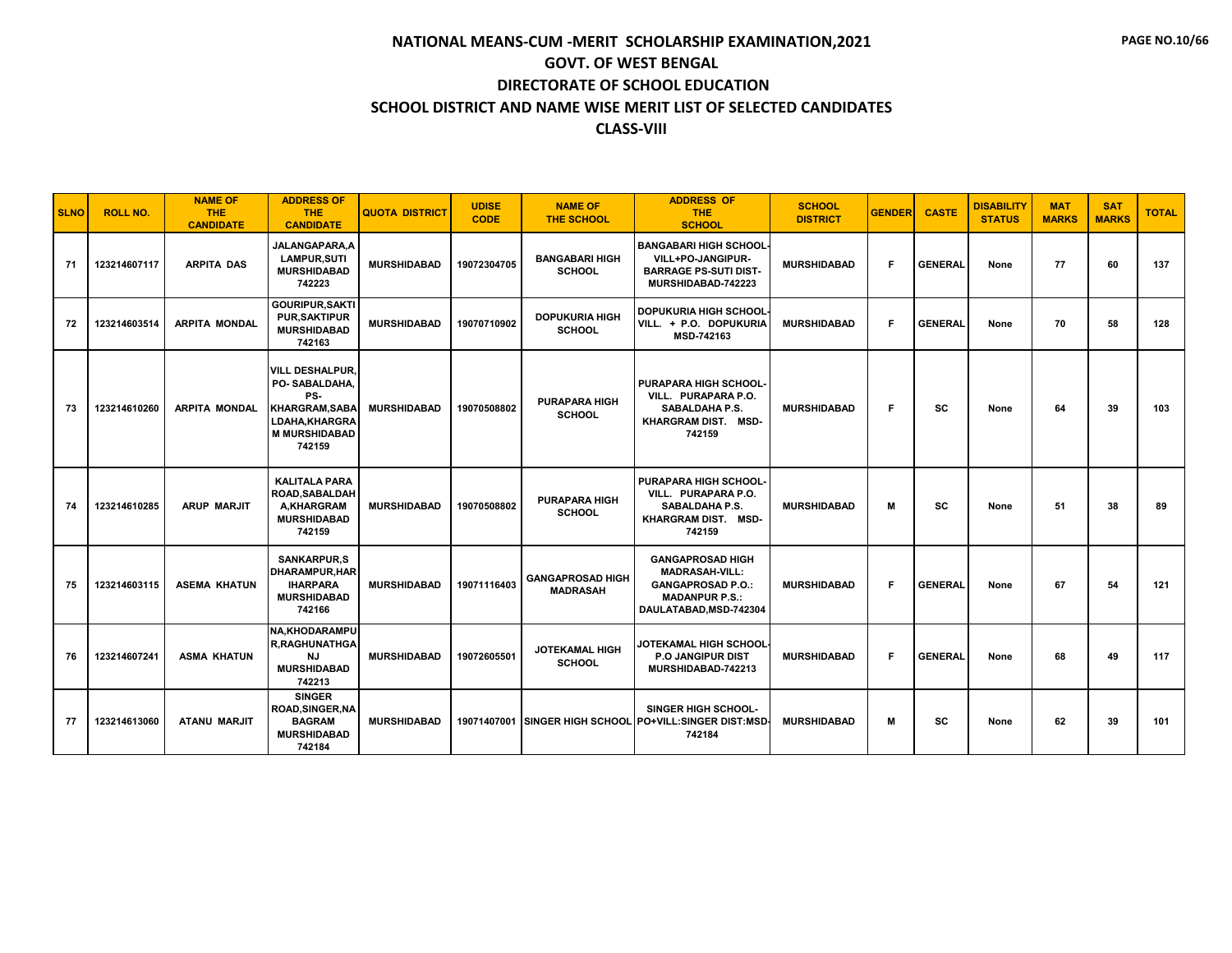| <b>SLNO</b> | <b>ROLL NO.</b> | <b>NAME OF</b><br><b>THE</b><br><b>CANDIDATE</b> | <b>ADDRESS OF</b><br>THE.<br><b>CANDIDATE</b>                                                                                     | <b>QUOTA DISTRICT</b> | <b>UDISE</b><br><b>CODE</b> | <b>NAME OF</b><br><b>THE SCHOOL</b>        | <b>ADDRESS OF</b><br><b>THE</b><br><b>SCHOOL</b>                                                                                | <b>SCHOOL</b><br><b>DISTRICT</b> | <b>GENDER</b> | <b>CASTE</b>   | <b>DISABILITY</b><br><b>STATUS</b> | <b>MAT</b><br><b>MARKS</b> | <b>SAT</b><br><b>MARKS</b> | <b>TOTAL</b> |
|-------------|-----------------|--------------------------------------------------|-----------------------------------------------------------------------------------------------------------------------------------|-----------------------|-----------------------------|--------------------------------------------|---------------------------------------------------------------------------------------------------------------------------------|----------------------------------|---------------|----------------|------------------------------------|----------------------------|----------------------------|--------------|
| 71          | 123214607117    | <b>ARPITA DAS</b>                                | JALANGAPARA.A<br><b>LAMPUR.SUTI</b><br><b>MURSHIDABAD</b><br>742223                                                               | <b>MURSHIDABAD</b>    | 19072304705                 | <b>BANGABARI HIGH</b><br><b>SCHOOL</b>     | <b>BANGABARI HIGH SCHOOL</b><br>VILL+PO-JANGIPUR-<br><b>BARRAGE PS-SUTI DIST-</b><br>MURSHIDABAD-742223                         | <b>MURSHIDABAD</b>               | F.            | <b>GENERAL</b> | None                               | 77                         | 60                         | 137          |
| 72          | 123214603514    | <b>ARPITA MONDAL</b>                             | <b>GOURIPUR.SAKTI</b><br><b>PUR.SAKTIPUR</b><br><b>MURSHIDABAD</b><br>742163                                                      | <b>MURSHIDABAD</b>    | 19070710902                 | <b>DOPUKURIA HIGH</b><br><b>SCHOOL</b>     | <b>DOPUKURIA HIGH SCHOOL</b><br>VILL. + P.O. DOPUKURIA<br>MSD-742163                                                            | <b>MURSHIDABAD</b>               | F.            | <b>GENERAL</b> | None                               | 70                         | 58                         | 128          |
| 73          | 123214610260    | <b>ARPITA MONDAL</b>                             | <b>VILL DESHALPUR.</b><br>PO-SABALDAHA.<br>PS-<br><b>KHARGRAM, SABA</b><br><b>LDAHA.KHARGRA</b><br><b>M MURSHIDABAD</b><br>742159 | <b>MURSHIDABAD</b>    | 19070508802                 | <b>PURAPARA HIGH</b><br><b>SCHOOL</b>      | PURAPARA HIGH SCHOOL-<br>VILL. PURAPARA P.O.<br><b>SABALDAHA P.S.</b><br>KHARGRAM DIST. MSD-<br>742159                          | <b>MURSHIDABAD</b>               | F.            | <b>SC</b>      | None                               | 64                         | 39                         | 103          |
| 74          | 123214610285    | <b>ARUP MARJIT</b>                               | <b>KALITALA PARA</b><br>ROAD.SABALDAH<br><b>A.KHARGRAM</b><br><b>MURSHIDABAD</b><br>742159                                        | <b>MURSHIDABAD</b>    | 19070508802                 | <b>PURAPARA HIGH</b><br><b>SCHOOL</b>      | PURAPARA HIGH SCHOOL-<br>VILL. PURAPARA P.O.<br><b>SABALDAHA P.S.</b><br>KHARGRAM DIST. MSD-<br>742159                          | <b>MURSHIDABAD</b>               | М             | <b>SC</b>      | None                               | 51                         | 38                         | 89           |
| 75          | 123214603115    | <b>ASEMA KHATUN</b>                              | <b>SANKARPUR.S</b><br><b>DHARAMPUR.HAR</b><br><b>IHARPARA</b><br><b>MURSHIDABAD</b><br>742166                                     | <b>MURSHIDABAD</b>    | 19071116403                 | <b>GANGAPROSAD HIGH</b><br><b>MADRASAH</b> | <b>GANGAPROSAD HIGH</b><br><b>MADRASAH-VILL:</b><br><b>GANGAPROSAD P.O.:</b><br><b>MADANPUR P.S.:</b><br>DAULATABAD, MSD-742304 | <b>MURSHIDABAD</b>               | F.            | <b>GENERAL</b> | None                               | 67                         | 54                         | 121          |
| 76          | 123214607241    | <b>ASMA KHATUN</b>                               | <b>NA,KHODARAMPU</b><br><b>R.RAGHUNATHGA</b><br>NJ<br><b>MURSHIDABAD</b><br>742213                                                | <b>MURSHIDABAD</b>    | 19072605501                 | <b>JOTEKAMAL HIGH</b><br><b>SCHOOL</b>     | JOTEKAMAL HIGH SCHOOL<br><b>P.O. JANGIPUR DIST</b><br>MURSHIDABAD-742213                                                        | <b>MURSHIDABAD</b>               | F.            | <b>GENERAL</b> | None                               | 68                         | 49                         | 117          |
| 77          | 123214613060    | ATANU MARJIT                                     | <b>SINGER</b><br><b>ROAD, SINGER, NA</b><br><b>BAGRAM</b><br><b>MURSHIDABAD</b><br>742184                                         | <b>MURSHIDABAD</b>    |                             |                                            | <b>SINGER HIGH SCHOOL-</b><br>19071407001 SINGER HIGH SCHOOL PO+VILL:SINGER DIST:MSD-<br>742184                                 | <b>MURSHIDABAD</b>               | М             | SC             | None                               | 62                         | 39                         | 101          |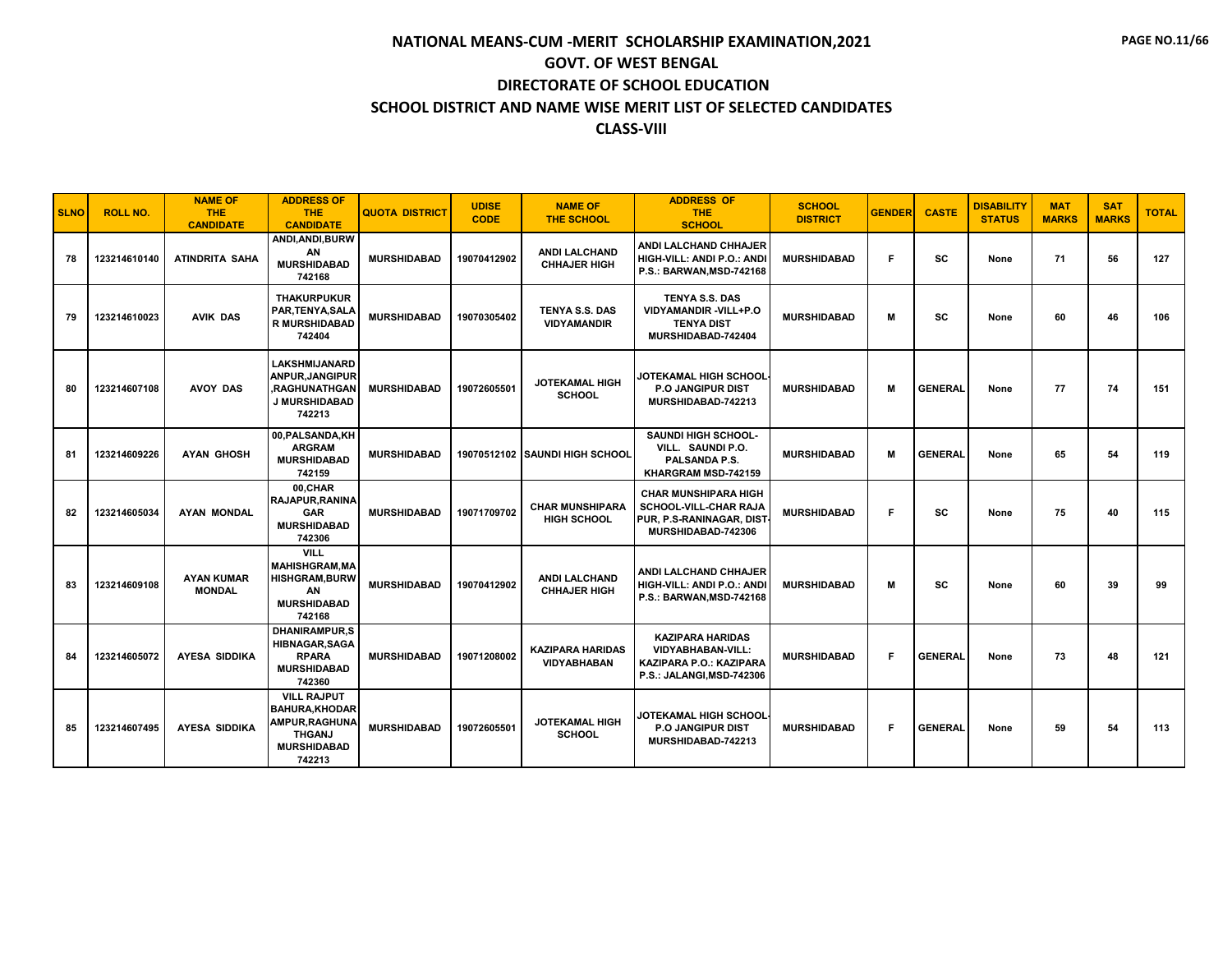| <b>SLNO</b> | <b>ROLL NO.</b> | <b>NAME OF</b><br><b>THE</b><br><b>CANDIDATE</b> | <b>ADDRESS OF</b><br><b>THE</b><br><b>CANDIDATE</b>                                                            | <b>QUOTA DISTRICT</b> | <b>UDISE</b><br><b>CODE</b> | <b>NAME OF</b><br><b>THE SCHOOL</b>           | <b>ADDRESS OF</b><br><b>THE</b><br><b>SCHOOL</b>                                                            | <b>SCHOOL</b><br><b>DISTRICT</b> | <b>GENDER</b> | <b>CASTE</b>   | <b>DISABILITY</b><br><b>STATUS</b> | <b>MAT</b><br><b>MARKS</b> | <b>SAT</b><br><b>MARKS</b> | <b>TOTAL</b> |
|-------------|-----------------|--------------------------------------------------|----------------------------------------------------------------------------------------------------------------|-----------------------|-----------------------------|-----------------------------------------------|-------------------------------------------------------------------------------------------------------------|----------------------------------|---------------|----------------|------------------------------------|----------------------------|----------------------------|--------------|
| 78          | 123214610140    | <b>ATINDRITA SAHA</b>                            | ANDI.ANDI.BURW<br>ΑN<br><b>MURSHIDABAD</b><br>742168                                                           | <b>MURSHIDABAD</b>    | 19070412902                 | <b>ANDI LALCHAND</b><br><b>CHHAJER HIGH</b>   | <b>ANDI LALCHAND CHHAJER</b><br>HIGH-VILL: ANDI P.O.: ANDI<br><b>P.S.: BARWAN.MSD-742168</b>                | <b>MURSHIDABAD</b>               | F.            | SC             | None                               | 71                         | 56                         | 127          |
| 79          | 123214610023    | <b>AVIK DAS</b>                                  | <b>THAKURPUKUR</b><br>PAR, TENYA, SALA<br><b>R MURSHIDABAD</b><br>742404                                       | <b>MURSHIDABAD</b>    | 19070305402                 | <b>TENYA S.S. DAS</b><br><b>VIDYAMANDIR</b>   | <b>TENYA S.S. DAS</b><br>VIDYAMANDIR-VILL+P.O<br><b>TENYA DIST</b><br>MURSHIDABAD-742404                    | <b>MURSHIDABAD</b>               | м             | SC             | None                               | 60                         | 46                         | 106          |
| 80          | 123214607108    | <b>AVOY DAS</b>                                  | <b>LAKSHMIJANARD</b><br><b>ANPUR, JANGIPUR</b><br><b>.RAGHUNATHGAN</b><br>J MURSHIDABAD<br>742213              | <b>MURSHIDABAD</b>    | 19072605501                 | <b>JOTEKAMAL HIGH</b><br><b>SCHOOL</b>        | JOTEKAMAL HIGH SCHOOL<br><b>P.O JANGIPUR DIST</b><br>MURSHIDABAD-742213                                     | <b>MURSHIDABAD</b>               | м             | <b>GENERAL</b> | None                               | 77                         | 74                         | 151          |
| 81          | 123214609226    | <b>AYAN GHOSH</b>                                | 00, PALSANDA, KH<br><b>ARGRAM</b><br><b>MURSHIDABAD</b><br>742159                                              | <b>MURSHIDABAD</b>    | 19070512102                 | <b>SAUNDI HIGH SCHOOL</b>                     | <b>SAUNDI HIGH SCHOOL-</b><br>VILL. SAUNDI P.O.<br>PALSANDA P.S.<br>KHARGRAM MSD-742159                     | <b>MURSHIDABAD</b>               | м             | <b>GENERAL</b> | None                               | 65                         | 54                         | 119          |
| 82          | 123214605034    | <b>AYAN MONDAL</b>                               | 00,CHAR<br><b>RAJAPUR.RANINA</b><br><b>GAR</b><br><b>MURSHIDABAD</b><br>742306                                 | <b>MURSHIDABAD</b>    | 19071709702                 | <b>CHAR MUNSHIPARA</b><br><b>HIGH SCHOOL</b>  | <b>CHAR MUNSHIPARA HIGH</b><br>SCHOOL-VILL-CHAR RAJA<br>PUR, P.S-RANINAGAR, DIST<br>MURSHIDABAD-742306      | <b>MURSHIDABAD</b>               | F             | SC             | None                               | 75                         | 40                         | 115          |
| 83          | 123214609108    | <b>AYAN KUMAR</b><br><b>MONDAL</b>               | <b>VILL</b><br><b>MAHISHGRAM.MA</b><br><b>HISHGRAM, BURW</b><br>AN<br><b>MURSHIDABAD</b><br>742168             | <b>MURSHIDABAD</b>    | 19070412902                 | <b>ANDI LALCHAND</b><br><b>CHHAJER HIGH</b>   | ANDI LALCHAND CHHAJER<br>HIGH-VILL: ANDI P.O.: ANDI<br><b>P.S.: BARWAN, MSD-742168</b>                      | <b>MURSHIDABAD</b>               | M             | SC             | None                               | 60                         | 39                         | 99           |
| 84          | 123214605072    | <b>AYESA SIDDIKA</b>                             | <b>DHANIRAMPUR.S</b><br><b>HIBNAGAR, SAGA</b><br><b>RPARA</b><br><b>MURSHIDABAD</b><br>742360                  | <b>MURSHIDABAD</b>    | 19071208002                 | <b>KAZIPARA HARIDAS</b><br><b>VIDYABHABAN</b> | <b>KAZIPARA HARIDAS</b><br><b>VIDYABHABAN-VILL:</b><br>KAZIPARA P.O.: KAZIPARA<br>P.S.: JALANGI, MSD-742306 | <b>MURSHIDABAD</b>               | F             | <b>GENERAL</b> | None                               | 73                         | 48                         | 121          |
| 85          | 123214607495    | <b>AYESA SIDDIKA</b>                             | <b>VILL RAJPUT</b><br><b>BAHURA, KHODAR</b><br>AMPUR, RAGHUNA<br><b>THGANJ</b><br><b>MURSHIDABAD</b><br>742213 | <b>MURSHIDABAD</b>    | 19072605501                 | <b>JOTEKAMAL HIGH</b><br><b>SCHOOL</b>        | JOTEKAMAL HIGH SCHOOL<br><b>P.O JANGIPUR DIST</b><br>MURSHIDABAD-742213                                     | <b>MURSHIDABAD</b>               | F.            | <b>GENERAL</b> | None                               | 59                         | 54                         | 113          |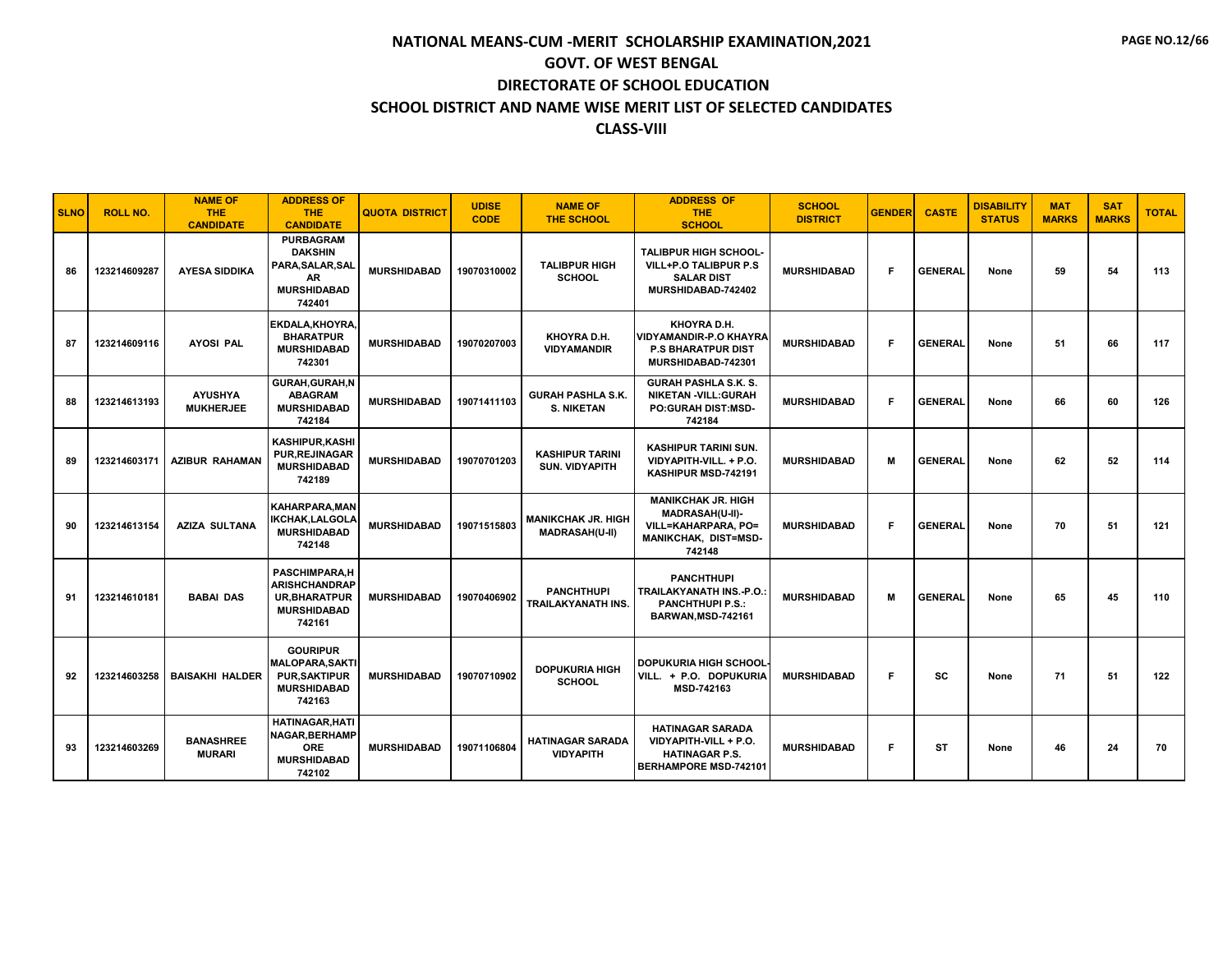| <b>SLNO</b> | <b>ROLL NO.</b> | <b>NAME OF</b><br><b>THE</b><br><b>CANDIDATE</b> | <b>ADDRESS OF</b><br><b>THE</b><br><b>CANDIDATE</b>                                                 | <b>QUOTA DISTRICT</b> | <b>UDISE</b><br><b>CODE</b> | <b>NAME OF</b><br><b>THE SCHOOL</b>                | <b>ADDRESS OF</b><br><b>THE</b><br><b>SCHOOL</b>                                                                    | <b>SCHOOL</b><br><b>DISTRICT</b> | <b>GENDER</b> | <b>CASTE</b>   | <b>DISABILITY</b><br><b>STATUS</b> | <b>MAT</b><br><b>MARKS</b> | <b>SAT</b><br><b>MARKS</b> | <b>TOTAL</b> |
|-------------|-----------------|--------------------------------------------------|-----------------------------------------------------------------------------------------------------|-----------------------|-----------------------------|----------------------------------------------------|---------------------------------------------------------------------------------------------------------------------|----------------------------------|---------------|----------------|------------------------------------|----------------------------|----------------------------|--------------|
| 86          | 123214609287    | <b>AYESA SIDDIKA</b>                             | <b>PURBAGRAM</b><br><b>DAKSHIN</b><br>PARA, SALAR, SAL<br><b>AR</b><br><b>MURSHIDABAD</b><br>742401 | <b>MURSHIDABAD</b>    | 19070310002                 | <b>TALIBPUR HIGH</b><br><b>SCHOOL</b>              | <b>TALIBPUR HIGH SCHOOL-</b><br>VILL+P.O TALIBPUR P.S<br><b>SALAR DIST</b><br>MURSHIDABAD-742402                    | <b>MURSHIDABAD</b>               | F.            | <b>GENERAL</b> | None                               | 59                         | 54                         | 113          |
| 87          | 123214609116    | <b>AYOSI PAL</b>                                 | EKDALA, KHOYRA.<br><b>BHARATPUR</b><br><b>MURSHIDABAD</b><br>742301                                 | <b>MURSHIDABAD</b>    | 19070207003                 | KHOYRA D.H.<br><b>VIDYAMANDIR</b>                  | KHOYRA D.H.<br><b>VIDYAMANDIR-P.O KHAYRA</b><br><b>P.S BHARATPUR DIST</b><br>MURSHIDABAD-742301                     | <b>MURSHIDABAD</b>               | F             | <b>GENERAL</b> | None                               | 51                         | 66                         | 117          |
| 88          | 123214613193    | <b>AYUSHYA</b><br><b>MUKHERJEE</b>               | <b>GURAH.GURAH.N</b><br><b>ABAGRAM</b><br><b>MURSHIDABAD</b><br>742184                              | <b>MURSHIDABAD</b>    | 19071411103                 | <b>GURAH PASHLA S.K.</b><br><b>S. NIKETAN</b>      | <b>GURAH PASHLA S.K. S.</b><br><b>NIKETAN -VILL:GURAH</b><br><b>PO:GURAH DIST:MSD-</b><br>742184                    | <b>MURSHIDABAD</b>               | F             | <b>GENERAL</b> | None                               | 66                         | 60                         | 126          |
| 89          | 123214603171    | <b>AZIBUR RAHAMAN</b>                            | KASHIPUR, KASHI<br><b>PUR.REJINAGAR</b><br><b>MURSHIDABAD</b><br>742189                             | <b>MURSHIDABAD</b>    | 19070701203                 | <b>KASHIPUR TARINI</b><br><b>SUN. VIDYAPITH</b>    | <b>KASHIPUR TARINI SUN.</b><br>VIDYAPITH-VILL. + P.O.<br>KASHIPUR MSD-742191                                        | <b>MURSHIDABAD</b>               | M             | <b>GENERAL</b> | None                               | 62                         | 52                         | 114          |
| 90          | 123214613154    | <b>AZIZA SULTANA</b>                             | <b>KAHARPARA, MAN</b><br><b>IKCHAK,LALGOLA</b><br><b>MURSHIDABAD</b><br>742148                      | <b>MURSHIDABAD</b>    | 19071515803                 | <b>MANIKCHAK JR. HIGH</b><br><b>MADRASAH(U-II)</b> | <b>MANIKCHAK JR. HIGH</b><br>MADRASAH(U-II)-<br><b>VILL=KAHARPARA, PO=</b><br><b>MANIKCHAK, DIST=MSD-</b><br>742148 | <b>MURSHIDABAD</b>               | F             | <b>GENERAL</b> | None                               | 70                         | 51                         | 121          |
| 91          | 123214610181    | <b>BABAI DAS</b>                                 | <b>PASCHIMPARA.H</b><br><b>ARISHCHANDRAP</b><br><b>UR.BHARATPUR</b><br><b>MURSHIDABAD</b><br>742161 | <b>MURSHIDABAD</b>    | 19070406902                 | <b>PANCHTHUPI</b><br>TRAILAKYANATH INS.            | <b>PANCHTHUPI</b><br><b>TRAILAKYANATH INS.-P.O.:</b><br><b>PANCHTHUPI P.S.:</b><br><b>BARWAN, MSD-742161</b>        | <b>MURSHIDABAD</b>               | М             | <b>GENERAL</b> | None                               | 65                         | 45                         | 110          |
| 92          | 123214603258    | <b>BAISAKHI HALDER</b>                           | <b>GOURIPUR</b><br><b>MALOPARA, SAKTI</b><br><b>PUR, SAKTIPUR</b><br><b>MURSHIDABAD</b><br>742163   | <b>MURSHIDABAD</b>    | 19070710902                 | <b>DOPUKURIA HIGH</b><br><b>SCHOOL</b>             | <b>DOPUKURIA HIGH SCHOOL</b><br>VILL. + P.O. DOPUKURIA<br>MSD-742163                                                | <b>MURSHIDABAD</b>               | F             | SC             | None                               | 71                         | 51                         | 122          |
| 93          | 123214603269    | <b>BANASHREE</b><br><b>MURARI</b>                | <b>HATINAGAR.HATI</b><br>NAGAR, BERHAMP<br><b>ORE</b><br><b>MURSHIDABAD</b><br>742102               | <b>MURSHIDABAD</b>    | 19071106804                 | <b>HATINAGAR SARADA</b><br><b>VIDYAPITH</b>        | <b>HATINAGAR SARADA</b><br>VIDYAPITH-VILL + P.O.<br><b>HATINAGAR P.S.</b><br><b>BERHAMPORE MSD-742101</b>           | <b>MURSHIDABAD</b>               | F             | <b>ST</b>      | None                               | 46                         | 24                         | 70           |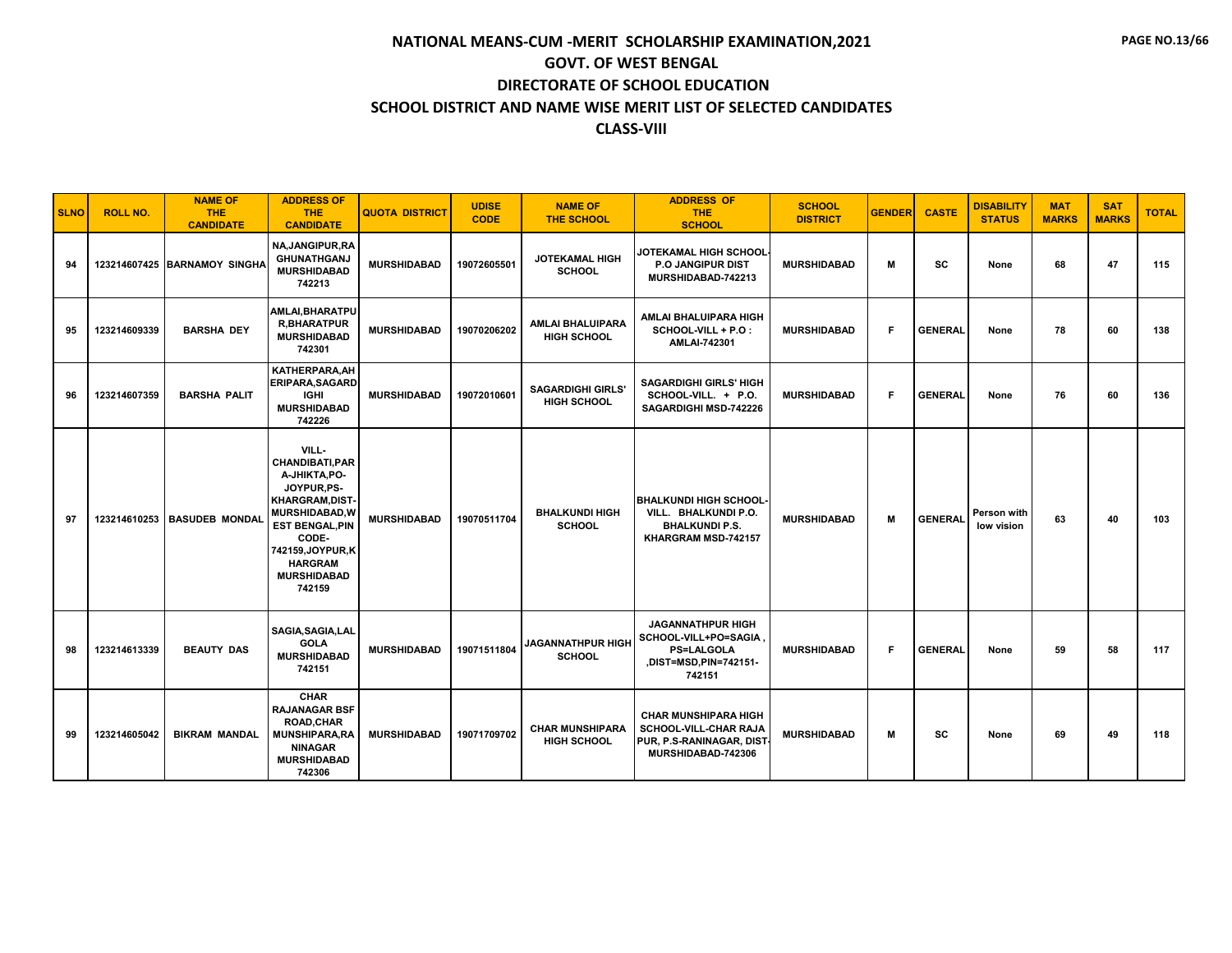| <b>SLNO</b> | <b>ROLL NO.</b> | <b>NAME OF</b><br><b>THE</b><br><b>CANDIDATE</b> | <b>ADDRESS OF</b><br><b>THE</b><br><b>CANDIDATE</b>                                                                                                                                                     | <b>QUOTA DISTRICT</b> | <b>UDISE</b><br><b>CODE</b> | <b>NAME OF</b><br><b>THE SCHOOL</b>          | <b>ADDRESS OF</b><br><b>THE</b><br><b>SCHOOL</b>                                                          | <b>SCHOOL</b><br><b>DISTRICT</b> | <b>GENDER</b> | <b>CASTE</b>   | <b>DISABILITY</b><br><b>STATUS</b> | <b>MAT</b><br><b>MARKS</b> | <b>SAT</b><br><b>MARKS</b> | <b>TOTAL</b> |
|-------------|-----------------|--------------------------------------------------|---------------------------------------------------------------------------------------------------------------------------------------------------------------------------------------------------------|-----------------------|-----------------------------|----------------------------------------------|-----------------------------------------------------------------------------------------------------------|----------------------------------|---------------|----------------|------------------------------------|----------------------------|----------------------------|--------------|
| 94          |                 | 123214607425 BARNAMOY SINGHA                     | <b>NA.JANGIPUR.RA</b><br><b>GHUNATHGANJ</b><br><b>MURSHIDABAD</b><br>742213                                                                                                                             | <b>MURSHIDABAD</b>    | 19072605501                 | <b>JOTEKAMAL HIGH</b><br><b>SCHOOL</b>       | <b>JOTEKAMAL HIGH SCHOOL</b><br>P.O JANGIPUR DIST<br>MURSHIDABAD-742213                                   | <b>MURSHIDABAD</b>               | M             | <b>SC</b>      | None                               | 68                         | 47                         | 115          |
| 95          | 123214609339    | <b>BARSHA DEY</b>                                | AMLAI, BHARATPU<br><b>R,BHARATPUR</b><br><b>MURSHIDABAD</b><br>742301                                                                                                                                   | <b>MURSHIDABAD</b>    | 19070206202                 | AMLAI BHALUIPARA<br><b>HIGH SCHOOL</b>       | AMLAI BHALUIPARA HIGH<br>SCHOOL-VILL + P.O :<br>AMLAI-742301                                              | <b>MURSHIDABAD</b>               | F.            | <b>GENERAL</b> | None                               | 78                         | 60                         | 138          |
| 96          | 123214607359    | <b>BARSHA PALIT</b>                              | KATHERPARA, AH<br><b>ERIPARA, SAGARD</b><br><b>IGHI</b><br><b>MURSHIDABAD</b><br>742226                                                                                                                 | <b>MURSHIDABAD</b>    | 19072010601                 | <b>SAGARDIGHI GIRLS'</b><br>HIGH SCHOOL      | <b>SAGARDIGHI GIRLS' HIGH</b><br>SCHOOL-VILL. + P.O.<br>SAGARDIGHI MSD-742226                             | <b>MURSHIDABAD</b>               | F             | <b>GENERAL</b> | None                               | 76                         | 60                         | 136          |
| 97          | 123214610253    | <b>BASUDEB MONDAL</b>                            | VILL-<br>CHANDIBATI, PAR<br>A-JHIKTA, PO-<br>JOYPUR, PS-<br>KHARGRAM, DIST-<br>MURSHIDABAD, W<br><b>EST BENGAL, PIN</b><br>CODE-<br>742159, JOYPUR, K<br><b>HARGRAM</b><br><b>MURSHIDABAD</b><br>742159 | <b>MURSHIDABAD</b>    | 19070511704                 | <b>BHALKUNDI HIGH</b><br><b>SCHOOL</b>       | <b>BHALKUNDI HIGH SCHOOL-</b><br>VILL. BHALKUNDI P.O.<br><b>BHALKUNDI P.S.</b><br>KHARGRAM MSD-742157     | <b>MURSHIDABAD</b>               | М             | <b>GENERAL</b> | Person with<br>low vision          | 63                         | 40                         | 103          |
| 98          | 123214613339    | <b>BEAUTY DAS</b>                                | SAGIA, SAGIA, LAL<br><b>GOLA</b><br><b>MURSHIDABAD</b><br>742151                                                                                                                                        | <b>MURSHIDABAD</b>    | 19071511804                 | <b>JAGANNATHPUR HIGH</b><br><b>SCHOOL</b>    | <b>JAGANNATHPUR HIGH</b><br>SCHOOL-VILL+PO=SAGIA.<br><b>PS=LALGOLA</b><br>.DIST=MSD,PIN=742151-<br>742151 | <b>MURSHIDABAD</b>               | F             | <b>GENERAL</b> | None                               | 59                         | 58                         | 117          |
| 99          | 123214605042    | <b>BIKRAM MANDAL</b>                             | <b>CHAR</b><br><b>RAJANAGAR BSF</b><br><b>ROAD, CHAR</b><br><b>MUNSHIPARA,RA</b><br><b>NINAGAR</b><br><b>MURSHIDABAD</b><br>742306                                                                      | <b>MURSHIDABAD</b>    | 19071709702                 | <b>CHAR MUNSHIPARA</b><br><b>HIGH SCHOOL</b> | <b>CHAR MUNSHIPARA HIGH</b><br>SCHOOL-VILL-CHAR RAJA<br>PUR, P.S-RANINAGAR, DIST<br>MURSHIDABAD-742306    | <b>MURSHIDABAD</b>               | м             | SC             | None                               | 69                         | 49                         | 118          |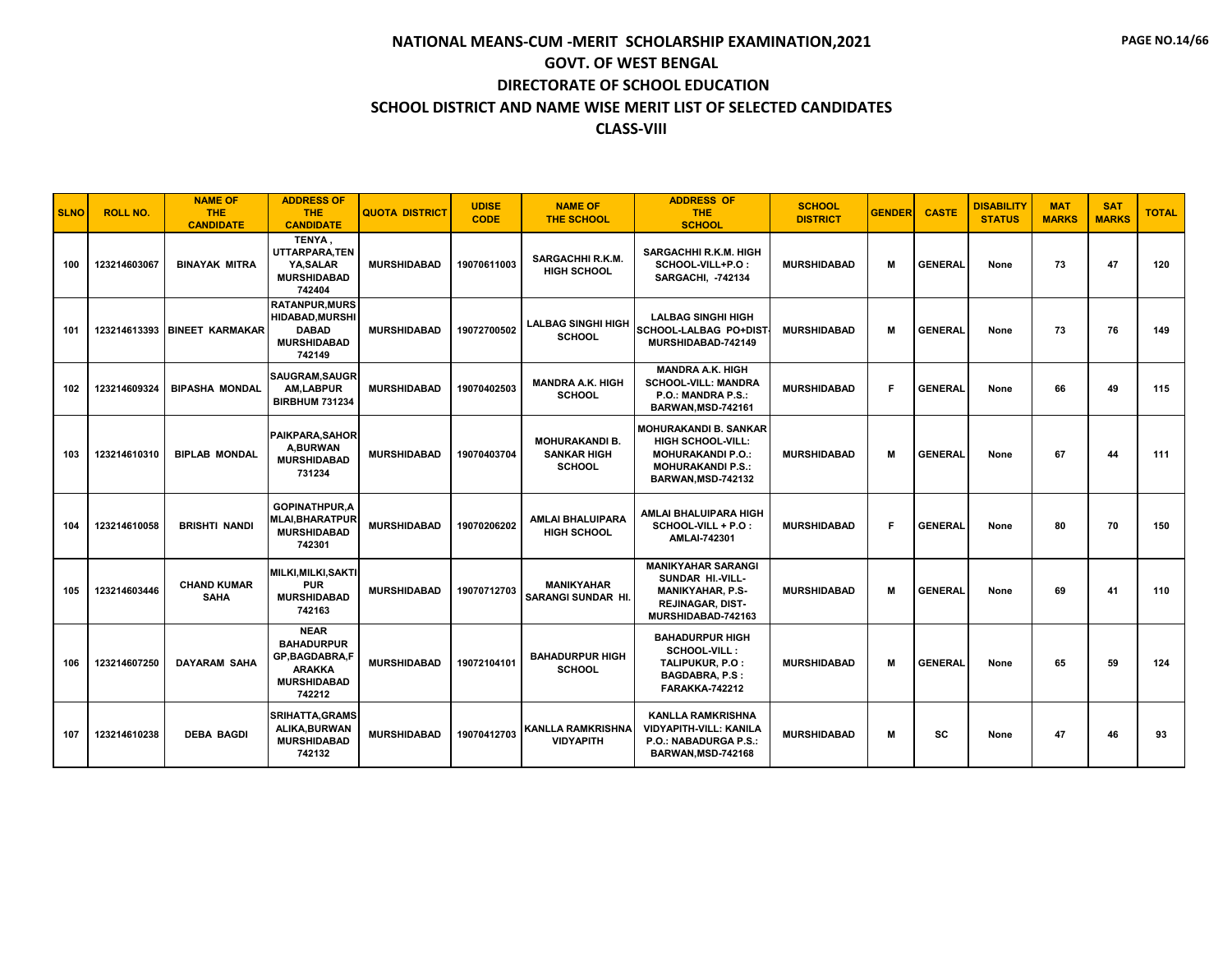| <b>SLNO</b> | <b>ROLL NO.</b> | <b>NAME OF</b><br><b>THE</b><br><b>CANDIDATE</b> | <b>ADDRESS OF</b><br>THE.<br><b>CANDIDATE</b>                                                             | <b>QUOTA DISTRICT</b> | <b>UDISE</b><br><b>CODE</b> | <b>NAME OF</b><br><b>THE SCHOOL</b>                          | <b>ADDRESS OF</b><br><b>THE</b><br><b>SCHOOL</b>                                                                                       | <b>SCHOOL</b><br><b>DISTRICT</b> | <b>GENDER</b> | <b>CASTE</b>   | <b>DISABILITY</b><br><b>STATUS</b> | <b>MAT</b><br><b>MARKS</b> | <b>SAT</b><br><b>MARKS</b> | <b>TOTAL</b> |
|-------------|-----------------|--------------------------------------------------|-----------------------------------------------------------------------------------------------------------|-----------------------|-----------------------------|--------------------------------------------------------------|----------------------------------------------------------------------------------------------------------------------------------------|----------------------------------|---------------|----------------|------------------------------------|----------------------------|----------------------------|--------------|
| 100         | 123214603067    | <b>BINAYAK MITRA</b>                             | TENYA,<br>UTTARPARA, TEN<br>YA.SALAR<br><b>MURSHIDABAD</b><br>742404                                      | <b>MURSHIDABAD</b>    | 19070611003                 | <b>SARGACHHI R.K.M.</b><br><b>HIGH SCHOOL</b>                | <b>SARGACHHI R.K.M. HIGH</b><br>SCHOOL-VILL+P.O:<br><b>SARGACHI. -742134</b>                                                           | <b>MURSHIDABAD</b>               | M             | <b>GENERAL</b> | None                               | 73                         | 47                         | 120          |
| 101         |                 | 123214613393 BINEET KARMAKAR                     | <b>RATANPUR.MURS</b><br><b>HIDABAD, MURSHI</b><br><b>DABAD</b><br><b>MURSHIDABAD</b><br>742149            | <b>MURSHIDABAD</b>    | 19072700502                 | <b>LALBAG SINGHI HIGH</b><br><b>SCHOOL</b>                   | <b>LALBAG SINGHI HIGH</b><br><b>SCHOOL-LALBAG PO+DIST</b><br>MURSHIDABAD-742149                                                        | <b>MURSHIDABAD</b>               | M             | <b>GENERAL</b> | None                               | 73                         | 76                         | 149          |
| 102         | 123214609324    | <b>BIPASHA MONDAL</b>                            | <b>SAUGRAM, SAUGR</b><br>AM,LABPUR<br><b>BIRBHUM 731234</b>                                               | <b>MURSHIDABAD</b>    | 19070402503                 | <b>MANDRA A.K. HIGH</b><br><b>SCHOOL</b>                     | <b>MANDRA A.K. HIGH</b><br><b>SCHOOL-VILL: MANDRA</b><br>P.O.: MANDRA P.S.:<br>BARWAN, MSD-742161                                      | <b>MURSHIDABAD</b>               | F.            | <b>GENERAL</b> | None                               | 66                         | 49                         | 115          |
| 103         | 123214610310    | <b>BIPLAB MONDAL</b>                             | <b>PAIKPARA, SAHOR</b><br><b>A,BURWAN</b><br><b>MURSHIDABAD</b><br>731234                                 | <b>MURSHIDABAD</b>    | 19070403704                 | <b>MOHURAKANDI B.</b><br><b>SANKAR HIGH</b><br><b>SCHOOL</b> | <b>MOHURAKANDI B. SANKAR</b><br><b>HIGH SCHOOL-VILL:</b><br><b>MOHURAKANDI P.O.:</b><br><b>MOHURAKANDI P.S.:</b><br>BARWAN, MSD-742132 | <b>MURSHIDABAD</b>               | M             | <b>GENERAL</b> | None                               | 67                         | 44                         | 111          |
| 104         | 123214610058    | <b>BRISHTI NANDI</b>                             | <b>GOPINATHPUR, A</b><br><b>MLAI, BHARATPUR</b><br><b>MURSHIDABAD</b><br>742301                           | <b>MURSHIDABAD</b>    | 19070206202                 | <b>AMLAI BHALUIPARA</b><br><b>HIGH SCHOOL</b>                | AMLAI BHALUIPARA HIGH<br>SCHOOL-VILL + P.O :<br><b>AMLAI-742301</b>                                                                    | <b>MURSHIDABAD</b>               | F.            | <b>GENERAL</b> | None                               | 80                         | 70                         | 150          |
| 105         | 123214603446    | <b>CHAND KUMAR</b><br><b>SAHA</b>                | MILKI, MILKI, SAKTI<br><b>PUR</b><br><b>MURSHIDABAD</b><br>742163                                         | <b>MURSHIDABAD</b>    | 19070712703                 | <b>MANIKYAHAR</b><br><b>SARANGI SUNDAR HI.</b>               | <b>MANIKYAHAR SARANGI</b><br>SUNDAR HI.-VILL-<br><b>MANIKYAHAR, P.S-</b><br><b>REJINAGAR, DIST-</b><br>MURSHIDABAD-742163              | <b>MURSHIDABAD</b>               | м             | <b>GENERAL</b> | None                               | 69                         | 41                         | 110          |
| 106         | 123214607250    | <b>DAYARAM SAHA</b>                              | <b>NEAR</b><br><b>BAHADURPUR</b><br><b>GP,BAGDABRA,F</b><br><b>ARAKKA</b><br><b>MURSHIDABAD</b><br>742212 | <b>MURSHIDABAD</b>    | 19072104101                 | <b>BAHADURPUR HIGH</b><br><b>SCHOOL</b>                      | <b>BAHADURPUR HIGH</b><br><b>SCHOOL-VILL:</b><br>TALIPUKUR. P.O:<br><b>BAGDABRA, P.S :</b><br><b>FARAKKA-742212</b>                    | <b>MURSHIDABAD</b>               | M             | <b>GENERAL</b> | None                               | 65                         | 59                         | 124          |
| 107         | 123214610238    | <b>DEBA BAGDI</b>                                | <b>SRIHATTA, GRAMS</b><br>ALIKA, BURWAN<br><b>MURSHIDABAD</b><br>742132                                   | <b>MURSHIDABAD</b>    | 19070412703                 | <b>KANLLA RAMKRISHNA</b><br><b>VIDYAPITH</b>                 | <b>KANLLA RAMKRISHNA</b><br><b>VIDYAPITH-VILL: KANILA</b><br>P.O.: NABADURGA P.S.:<br><b>BARWAN, MSD-742168</b>                        | <b>MURSHIDABAD</b>               | м             | SC             | None                               | 47                         | 46                         | 93           |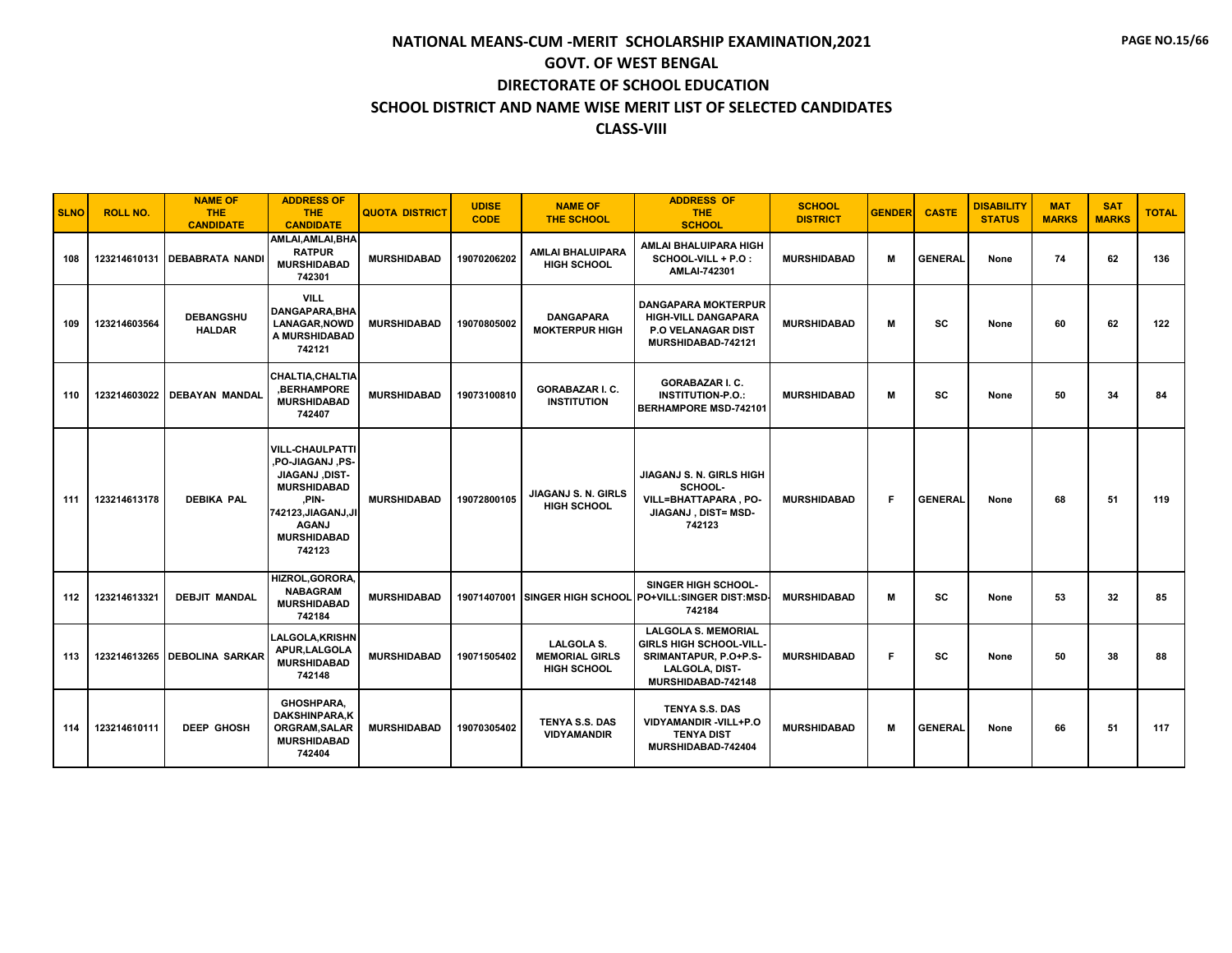| <b>SLNO</b> | <b>ROLL NO.</b> | <b>NAME OF</b><br><b>THE</b><br><b>CANDIDATE</b> | <b>ADDRESS OF</b><br><b>THE</b><br><b>CANDIDATE</b>                                                                                                                       | <b>QUOTA DISTRICT</b> | <b>UDISE</b><br><b>CODE</b> | <b>NAME OF</b><br><b>THE SCHOOL</b>                              | <b>ADDRESS OF</b><br><b>THE</b><br><b>SCHOOL</b>                                                                       | <b>SCHOOL</b><br><b>DISTRICT</b> | <b>GENDER</b> | <b>CASTE</b>   | <b>DISABILITY</b><br><b>STATUS</b> | <b>MAT</b><br><b>MARKS</b> | <b>SAT</b><br><b>MARKS</b> | <b>TOTAL</b> |
|-------------|-----------------|--------------------------------------------------|---------------------------------------------------------------------------------------------------------------------------------------------------------------------------|-----------------------|-----------------------------|------------------------------------------------------------------|------------------------------------------------------------------------------------------------------------------------|----------------------------------|---------------|----------------|------------------------------------|----------------------------|----------------------------|--------------|
| 108         | 123214610131    | <b>DEBABRATA NANDI</b>                           | AMLAI, AMLAI, BHA<br><b>RATPUR</b><br><b>MURSHIDABAD</b><br>742301                                                                                                        | <b>MURSHIDABAD</b>    | 19070206202                 | <b>AMLAI BHALUIPARA</b><br><b>HIGH SCHOOL</b>                    | AMLAI BHALUIPARA HIGH<br>SCHOOL-VILL + P.O :<br>AMLAI-742301                                                           | <b>MURSHIDABAD</b>               | M             | <b>GENERAL</b> | None                               | 74                         | 62                         | 136          |
| 109         | 123214603564    | <b>DEBANGSHU</b><br><b>HALDAR</b>                | <b>VILL</b><br>DANGAPARA, BHA<br><b>LANAGAR, NOWD</b><br>A MURSHIDABAD<br>742121                                                                                          | <b>MURSHIDABAD</b>    | 19070805002                 | <b>DANGAPARA</b><br><b>MOKTERPUR HIGH</b>                        | <b>DANGAPARA MOKTERPUR</b><br><b>HIGH-VILL DANGAPARA</b><br><b>P.O VELANAGAR DIST</b><br>MURSHIDABAD-742121            | <b>MURSHIDABAD</b>               | M             | <b>SC</b>      | None                               | 60                         | 62                         | 122          |
| 110         | 123214603022    | <b>DEBAYAN MANDAL</b>                            | <b>CHALTIA, CHALTIA</b><br><b>BERHAMPORE</b><br><b>MURSHIDABAD</b><br>742407                                                                                              | <b>MURSHIDABAD</b>    | 19073100810                 | <b>GORABAZAR I. C.</b><br><b>INSTITUTION</b>                     | <b>GORABAZAR I. C.</b><br><b>INSTITUTION-P.O.:</b><br><b>BERHAMPORE MSD-742101</b>                                     | <b>MURSHIDABAD</b>               | м             | SC             | None                               | 50                         | 34                         | 84           |
| 111         | 123214613178    | <b>DEBIKA PAL</b>                                | <b>VILL-CHAULPATTI</b><br>.PO-JIAGANJ ,PS-<br><b>JIAGANJ, DIST-</b><br><b>MURSHIDABAD</b><br>.PIN-<br>742123, JIAGANJ, JI<br><b>AGANJ</b><br><b>MURSHIDABAD</b><br>742123 | <b>MURSHIDABAD</b>    | 19072800105                 | JIAGANJ S. N. GIRLS<br><b>HIGH SCHOOL</b>                        | JIAGANJ S. N. GIRLS HIGH<br>SCHOOL-<br>VILL=BHATTAPARA, PO-<br>JIAGANJ, DIST= MSD-<br>742123                           | <b>MURSHIDABAD</b>               | F             | <b>GENERAL</b> | None                               | 68                         | 51                         | 119          |
| 112         | 123214613321    | <b>DEBJIT MANDAL</b>                             | HIZROL, GORORA,<br><b>NABAGRAM</b><br><b>MURSHIDABAD</b><br>742184                                                                                                        | <b>MURSHIDABAD</b>    |                             |                                                                  | <b>SINGER HIGH SCHOOL-</b><br>19071407001 SINGER HIGH SCHOOL PO+VILL:SINGER DIST:MSD-<br>742184                        | <b>MURSHIDABAD</b>               | м             | <b>SC</b>      | None                               | 53                         | 32                         | 85           |
| 113         |                 | 123214613265 DEBOLINA SARKAR                     | <b>LALGOLA, KRISHN</b><br>APUR, LALGOLA<br><b>MURSHIDABAD</b><br>742148                                                                                                   | <b>MURSHIDABAD</b>    | 19071505402                 | <b>LALGOLA S.</b><br><b>MEMORIAL GIRLS</b><br><b>HIGH SCHOOL</b> | <b>LALGOLA S. MEMORIAL</b><br>GIRLS HIGH SCHOOL-VILL-<br>SRIMANTAPUR, P.O+P.S-<br>LALGOLA, DIST-<br>MURSHIDABAD-742148 | <b>MURSHIDABAD</b>               | F             | <b>SC</b>      | None                               | 50                         | 38                         | 88           |
| 114         | 123214610111    | <b>DEEP GHOSH</b>                                | <b>GHOSHPARA.</b><br><b>DAKSHINPARA,K</b><br><b>ORGRAM, SALAR</b><br><b>MURSHIDABAD</b><br>742404                                                                         | <b>MURSHIDABAD</b>    | 19070305402                 | <b>TENYA S.S. DAS</b><br><b>VIDYAMANDIR</b>                      | TENYA S.S. DAS<br>VIDYAMANDIR - VILL+P.O<br><b>TENYA DIST</b><br>MURSHIDABAD-742404                                    | <b>MURSHIDABAD</b>               | M             | <b>GENERAL</b> | None                               | 66                         | 51                         | 117          |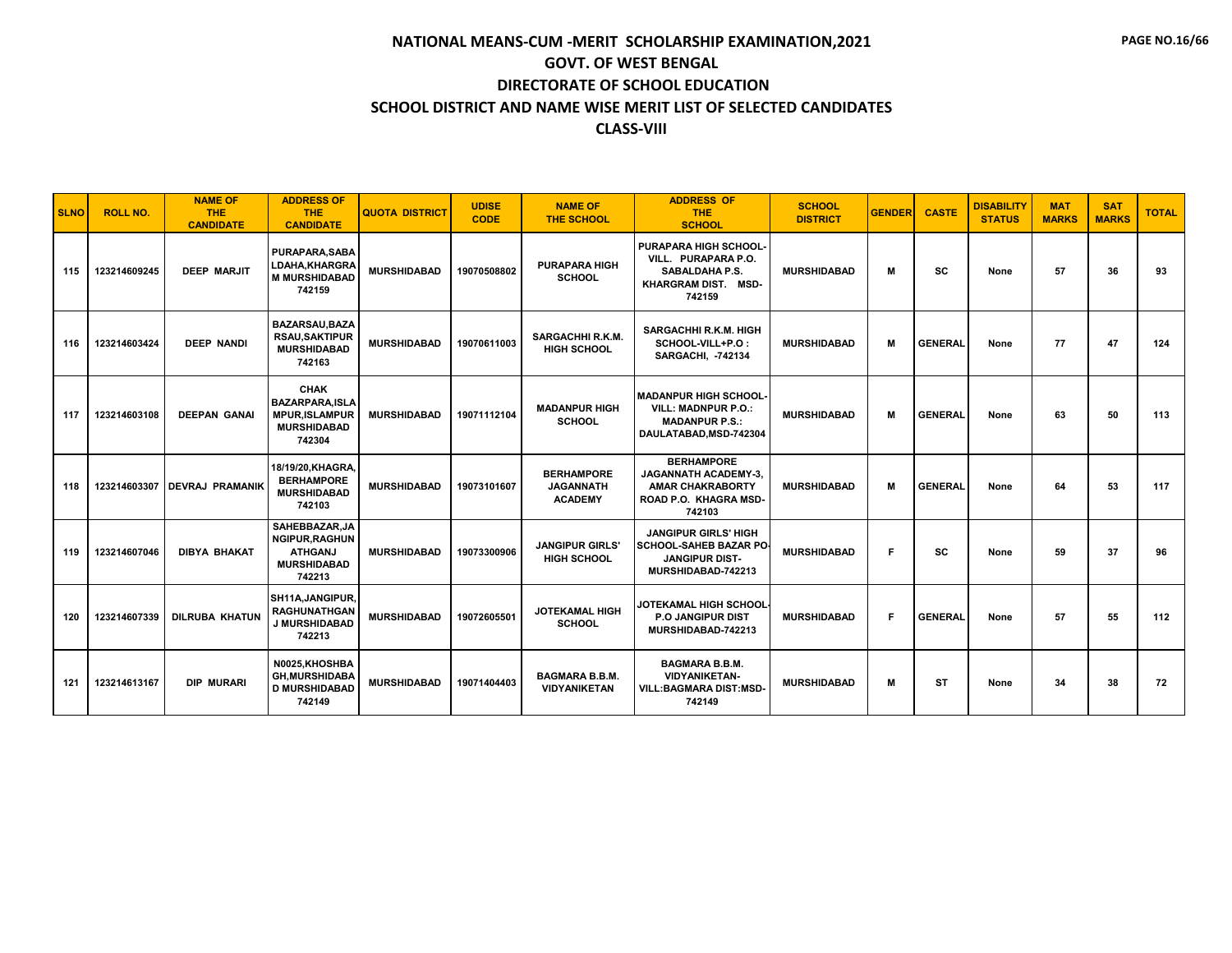| <b>SLNO</b> | <b>ROLL NO.</b> | <b>NAME OF</b><br><b>THE</b><br><b>CANDIDATE</b> | <b>ADDRESS OF</b><br><b>THE</b><br><b>CANDIDATE</b>                                           | <b>QUOTA DISTRICT</b> | <b>UDISE</b><br><b>CODE</b> | <b>NAME OF</b><br><b>THE SCHOOL</b>                     | <b>ADDRESS OF</b><br><b>THE</b><br><b>SCHOOL</b>                                                               | <b>SCHOOL</b><br><b>DISTRICT</b> | <b>GENDER</b> | <b>CASTE</b>   | <b>DISABILITY</b><br><b>STATUS</b> | <b>MAT</b><br><b>MARKS</b> | <b>SAT</b><br><b>MARKS</b> | <b>TOTAL</b> |
|-------------|-----------------|--------------------------------------------------|-----------------------------------------------------------------------------------------------|-----------------------|-----------------------------|---------------------------------------------------------|----------------------------------------------------------------------------------------------------------------|----------------------------------|---------------|----------------|------------------------------------|----------------------------|----------------------------|--------------|
| 115         | 123214609245    | <b>DEEP MARJIT</b>                               | <b>PURAPARA.SABA</b><br>LDAHA, KHARGRA<br><b>M MURSHIDABAD</b><br>742159                      | <b>MURSHIDABAD</b>    | 19070508802                 | <b>PURAPARA HIGH</b><br><b>SCHOOL</b>                   | PURAPARA HIGH SCHOOL-<br>VILL. PURAPARA P.O.<br><b>SABALDAHA P.S.</b><br>KHARGRAM DIST. MSD-<br>742159         | <b>MURSHIDABAD</b>               | м             | SC             | None                               | 57                         | 36                         | 93           |
| 116         | 123214603424    | <b>DEEP NANDI</b>                                | <b>BAZARSAU.BAZA</b><br><b>RSAU,SAKTIPUR</b><br><b>MURSHIDABAD</b><br>742163                  | <b>MURSHIDABAD</b>    | 19070611003                 | <b>SARGACHHI R.K.M.</b><br><b>HIGH SCHOOL</b>           | <b>SARGACHHI R.K.M. HIGH</b><br>SCHOOL-VILL+P.O:<br><b>SARGACHI, -742134</b>                                   | <b>MURSHIDABAD</b>               | М             | <b>GENERAL</b> | None                               | 77                         | 47                         | 124          |
| 117         | 123214603108    | <b>DEEPAN GANAL</b>                              | <b>CHAK</b><br><b>BAZARPARA.ISLA</b><br><b>MPUR, ISLAMPUR</b><br><b>MURSHIDABAD</b><br>742304 | <b>MURSHIDABAD</b>    | 19071112104                 | <b>MADANPUR HIGH</b><br><b>SCHOOL</b>                   | <b>MADANPUR HIGH SCHOOL-</b><br><b>VILL: MADNPUR P.O.:</b><br><b>MADANPUR P.S.:</b><br>DAULATABAD.MSD-742304   | <b>MURSHIDABAD</b>               | м             | <b>GENERAL</b> | None                               | 63                         | 50                         | 113          |
| 118         | 123214603307    | <b>DEVRAJ PRAMANIK</b>                           | 18/19/20.KHAGRA.<br><b>BERHAMPORE</b><br><b>MURSHIDABAD</b><br>742103                         | <b>MURSHIDABAD</b>    | 19073101607                 | <b>BERHAMPORE</b><br><b>JAGANNATH</b><br><b>ACADEMY</b> | <b>BERHAMPORE</b><br><b>JAGANNATH ACADEMY-3.</b><br><b>AMAR CHAKRABORTY</b><br>ROAD P.O. KHAGRA MSD-<br>742103 | <b>MURSHIDABAD</b>               | м             | <b>GENERAL</b> | None                               | 64                         | 53                         | 117          |
| 119         | 123214607046    | <b>DIBYA BHAKAT</b>                              | SAHEBBAZAR.JA<br><b>NGIPUR, RAGHUN</b><br><b>ATHGANJ</b><br><b>MURSHIDABAD</b><br>742213      | <b>MURSHIDABAD</b>    | 19073300906                 | <b>JANGIPUR GIRLS'</b><br><b>HIGH SCHOOL</b>            | <b>JANGIPUR GIRLS' HIGH</b><br><b>SCHOOL-SAHEB BAZAR PO</b><br><b>JANGIPUR DIST-</b><br>MURSHIDABAD-742213     | <b>MURSHIDABAD</b>               | F             | sc             | None                               | 59                         | 37                         | 96           |
| 120         | 123214607339    | <b>DILRUBA KHATUN</b>                            | <b>SH11A.JANGIPUR.</b><br><b>RAGHUNATHGAN</b><br>J MURSHIDABAD<br>742213                      | <b>MURSHIDABAD</b>    | 19072605501                 | <b>JOTEKAMAL HIGH</b><br><b>SCHOOL</b>                  | JOTEKAMAL HIGH SCHOOL<br>P.O JANGIPUR DIST<br>MURSHIDABAD-742213                                               | <b>MURSHIDABAD</b>               | F.            | <b>GENERAL</b> | None                               | 57                         | 55                         | 112          |
| 121         | 123214613167    | <b>DIP MURARI</b>                                | N0025.KHOSHBA<br><b>GH,MURSHIDABA</b><br><b>D MURSHIDABAD</b><br>742149                       | <b>MURSHIDABAD</b>    | 19071404403                 | <b>BAGMARA B.B.M.</b><br><b>VIDYANIKETAN</b>            | <b>BAGMARA B.B.M.</b><br><b>VIDYANIKETAN-</b><br><b>VILL:BAGMARA DIST:MSD-</b><br>742149                       | <b>MURSHIDABAD</b>               | м             | <b>ST</b>      | None                               | 34                         | 38                         | 72           |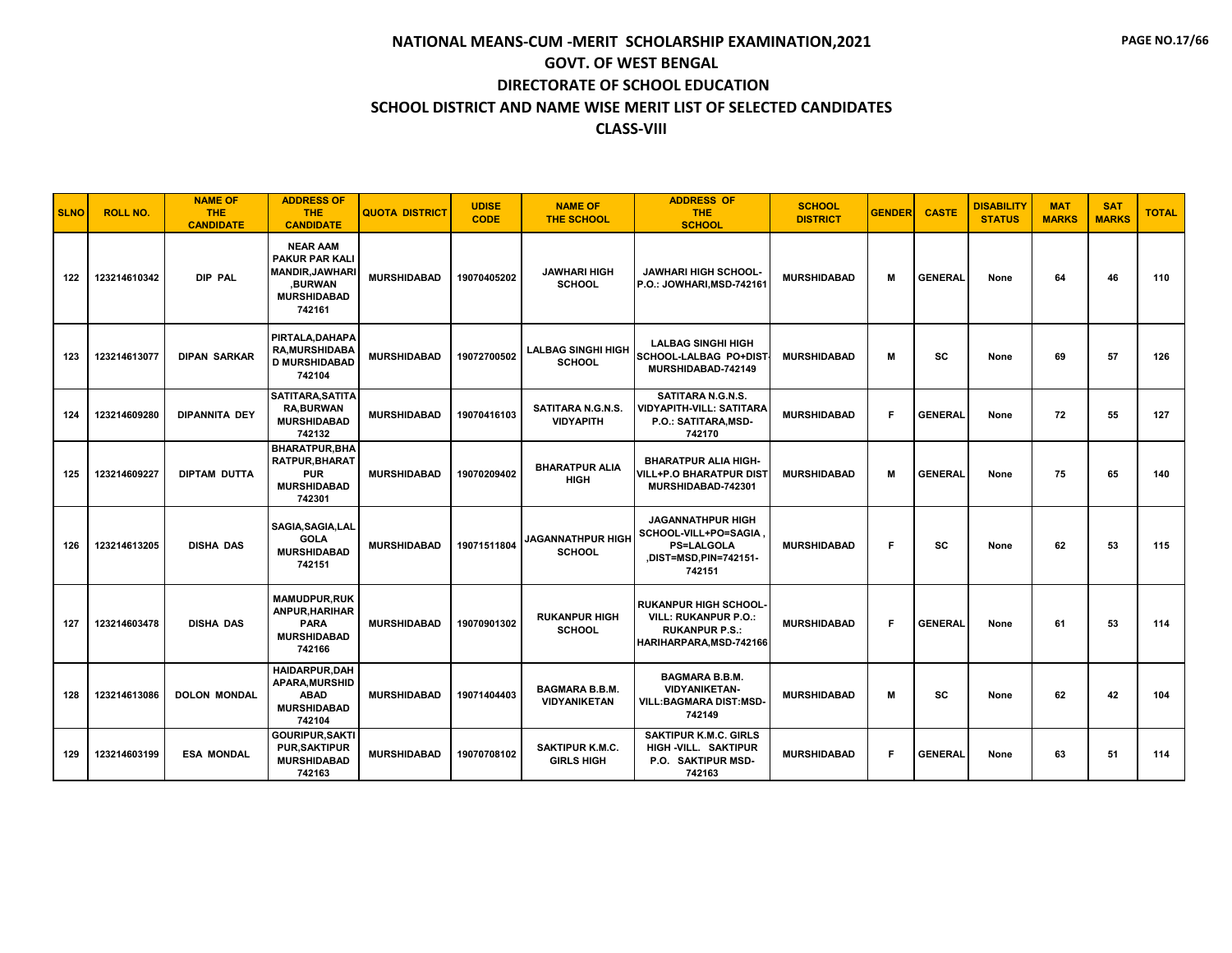| <b>SLNO</b> | <b>ROLL NO.</b> | <b>NAME OF</b><br><b>THE</b><br><b>CANDIDATE</b> | <b>ADDRESS OF</b><br>THE.<br><b>CANDIDATE</b>                                                                 | <b>QUOTA DISTRICT</b> | <b>UDISE</b><br><b>CODE</b> | <b>NAME OF</b><br><b>THE SCHOOL</b>          | <b>ADDRESS OF</b><br><b>THE</b><br><b>SCHOOL</b>                                                         | <b>SCHOOL</b><br><b>DISTRICT</b> | <b>GENDER</b> | <b>CASTE</b>   | <b>DISABILITY</b><br><b>STATUS</b> | <b>MAT</b><br><b>MARKS</b> | <b>SAT</b><br><b>MARKS</b> | <b>TOTAL</b> |
|-------------|-----------------|--------------------------------------------------|---------------------------------------------------------------------------------------------------------------|-----------------------|-----------------------------|----------------------------------------------|----------------------------------------------------------------------------------------------------------|----------------------------------|---------------|----------------|------------------------------------|----------------------------|----------------------------|--------------|
| 122         | 123214610342    | DIP PAL                                          | <b>NEAR AAM</b><br><b>PAKUR PAR KALI</b><br><b>MANDIR, JAWHARI</b><br>,BURWAN<br><b>MURSHIDABAD</b><br>742161 | <b>MURSHIDABAD</b>    | 19070405202                 | <b>JAWHARI HIGH</b><br><b>SCHOOL</b>         | <b>JAWHARI HIGH SCHOOL-</b><br>P.O.: JOWHARI, MSD-742161                                                 | <b>MURSHIDABAD</b>               | м             | <b>GENERAL</b> | None                               | 64                         | 46                         | 110          |
| 123         | 123214613077    | <b>DIPAN SARKAR</b>                              | PIRTALA, DAHAPA<br><b>RA, MURSHIDABA</b><br><b>D MURSHIDABAD</b><br>742104                                    | <b>MURSHIDABAD</b>    | 19072700502                 | <b>LALBAG SINGHI HIGH</b><br><b>SCHOOL</b>   | <b>LALBAG SINGHI HIGH</b><br>SCHOOL-LALBAG PO+DIST<br>MURSHIDABAD-742149                                 | <b>MURSHIDABAD</b>               | M             | SC             | None                               | 69                         | 57                         | 126          |
| 124         | 123214609280    | <b>DIPANNITA DEY</b>                             | SATITARA, SATITA<br><b>RA.BURWAN</b><br><b>MURSHIDABAD</b><br>742132                                          | <b>MURSHIDABAD</b>    | 19070416103                 | SATITARA N.G.N.S.<br><b>VIDYAPITH</b>        | SATITARA N.G.N.S.<br>VIDYAPITH-VILL: SATITARA<br>P.O.: SATITARA, MSD-<br>742170                          | <b>MURSHIDABAD</b>               | F.            | <b>GENERAL</b> | None                               | 72                         | 55                         | 127          |
| 125         | 123214609227    | DIPTAM DUTTA                                     | <b>BHARATPUR.BHA</b><br><b>RATPUR, BHARAT</b><br><b>PUR</b><br><b>MURSHIDABAD</b><br>742301                   | <b>MURSHIDABAD</b>    | 19070209402                 | <b>BHARATPUR ALIA</b><br><b>HIGH</b>         | <b>BHARATPUR ALIA HIGH-</b><br>VILL+P.O BHARATPUR DIST<br>MURSHIDABAD-742301                             | <b>MURSHIDABAD</b>               | м             | <b>GENERAL</b> | None                               | 75                         | 65                         | 140          |
| 126         | 123214613205    | <b>DISHA DAS</b>                                 | SAGIA, SAGIA, LAL<br><b>GOLA</b><br><b>MURSHIDABAD</b><br>742151                                              | <b>MURSHIDABAD</b>    | 19071511804                 | <b>JAGANNATHPUR HIGH</b><br><b>SCHOOL</b>    | <b>JAGANNATHPUR HIGH</b><br>SCHOOL-VILL+PO=SAGIA<br><b>PS=LALGOLA</b><br>.DIST=MSD,PIN=742151-<br>742151 | <b>MURSHIDABAD</b>               | F             | SC             | None                               | 62                         | 53                         | 115          |
| 127         | 123214603478    | <b>DISHA DAS</b>                                 | <b>MAMUDPUR.RUK</b><br>ANPUR, HARIHAR<br><b>PARA</b><br><b>MURSHIDABAD</b><br>742166                          | <b>MURSHIDABAD</b>    | 19070901302                 | <b>RUKANPUR HIGH</b><br><b>SCHOOL</b>        | <b>RUKANPUR HIGH SCHOOL</b><br>VILL: RUKANPUR P.O.:<br><b>RUKANPUR P.S.:</b><br>HARIHARPARA,MSD-742166   | <b>MURSHIDABAD</b>               | F.            | <b>GENERAL</b> | None                               | 61                         | 53                         | 114          |
| 128         | 123214613086    | <b>DOLON MONDAL</b>                              | HAIDARPUR, DAH<br><b>APARA.MURSHID</b><br><b>ABAD</b><br><b>MURSHIDABAD</b><br>742104                         | <b>MURSHIDABAD</b>    | 19071404403                 | <b>BAGMARA B.B.M.</b><br><b>VIDYANIKETAN</b> | <b>BAGMARA B.B.M.</b><br><b>VIDYANIKETAN-</b><br>VILL:BAGMARA DIST:MSD-<br>742149                        | <b>MURSHIDABAD</b>               | м             | SC             | None                               | 62                         | 42                         | 104          |
| 129         | 123214603199    | <b>ESA MONDAL</b>                                | <b>GOURIPUR, SAKTI</b><br><b>PUR, SAKTIPUR</b><br><b>MURSHIDABAD</b><br>742163                                | <b>MURSHIDABAD</b>    | 19070708102                 | <b>SAKTIPUR K.M.C.</b><br><b>GIRLS HIGH</b>  | <b>SAKTIPUR K.M.C. GIRLS</b><br>HIGH -VILL. SAKTIPUR<br>P.O. SAKTIPUR MSD-<br>742163                     | <b>MURSHIDABAD</b>               | F.            | <b>GENERAL</b> | None                               | 63                         | 51                         | 114          |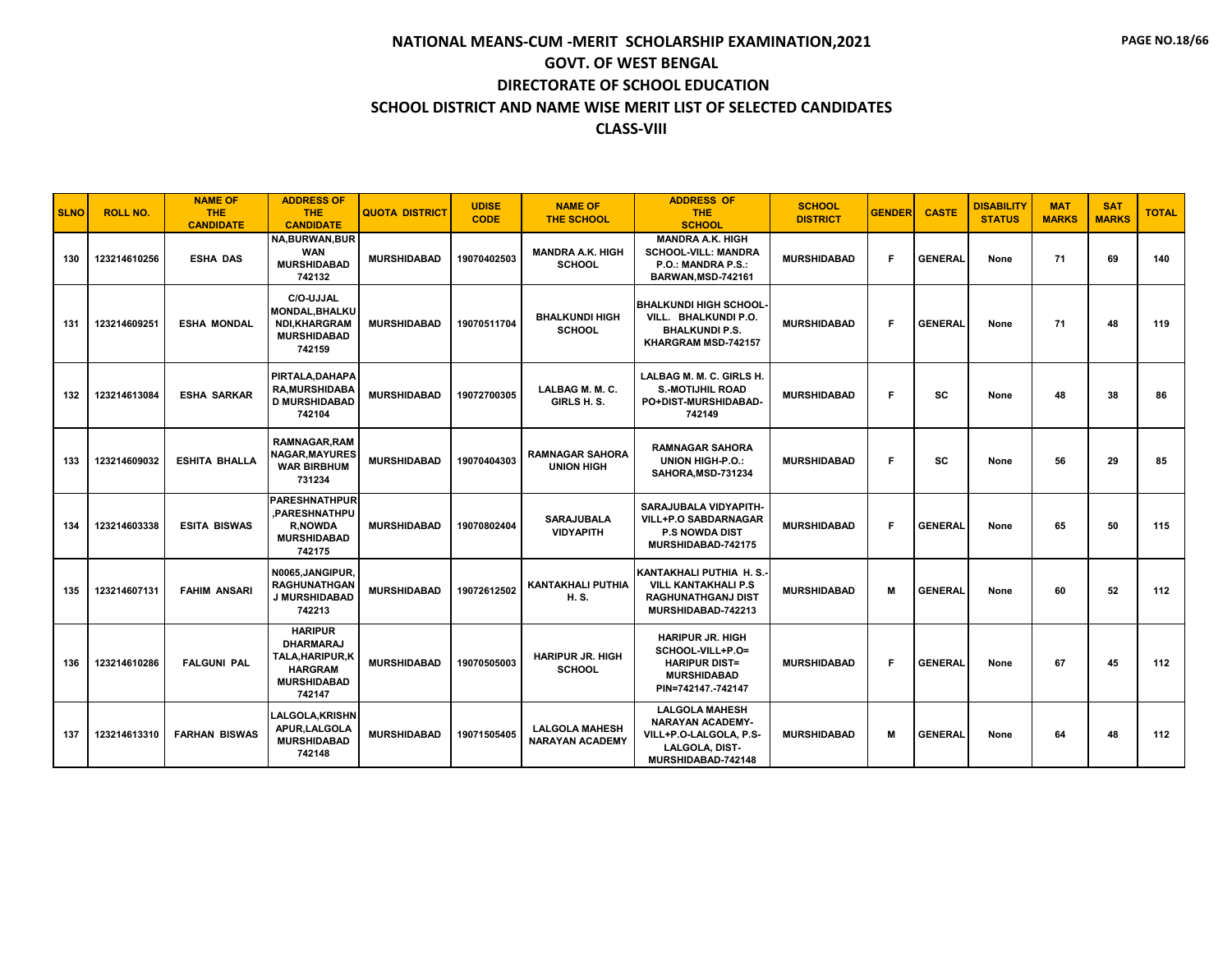| <b>SLNO</b> | <b>ROLL NO.</b> | <b>NAME OF</b><br><b>THE</b><br><b>CANDIDATE</b> | <b>ADDRESS OF</b><br><b>THE</b><br><b>CANDIDATE</b>                                                      | <b>QUOTA DISTRICT</b> | <b>UDISE</b><br><b>CODE</b> | <b>NAME OF</b><br><b>THE SCHOOL</b>             | <b>ADDRESS OF</b><br><b>THE</b><br><b>SCHOOL</b>                                                                   | <b>SCHOOL</b><br><b>DISTRICT</b> | <b>GENDER</b> | <b>CASTE</b>   | <b>DISABILITY</b><br><b>STATUS</b> | <b>MAT</b><br><b>MARKS</b> | <b>SAT</b><br><b>MARKS</b> | <b>TOTAL</b> |
|-------------|-----------------|--------------------------------------------------|----------------------------------------------------------------------------------------------------------|-----------------------|-----------------------------|-------------------------------------------------|--------------------------------------------------------------------------------------------------------------------|----------------------------------|---------------|----------------|------------------------------------|----------------------------|----------------------------|--------------|
| 130         | 123214610256    | <b>ESHA DAS</b>                                  | <b>NA,BURWAN,BUR</b><br><b>WAN</b><br><b>MURSHIDABAD</b><br>742132                                       | <b>MURSHIDABAD</b>    | 19070402503                 | <b>MANDRA A.K. HIGH</b><br><b>SCHOOL</b>        | <b>MANDRA A.K. HIGH</b><br><b>SCHOOL-VILL: MANDRA</b><br>P.O.: MANDRA P.S.:<br>BARWAN, MSD-742161                  | <b>MURSHIDABAD</b>               | F             | <b>GENERAL</b> | None                               | 71                         | 69                         | 140          |
| 131         | 123214609251    | <b>ESHA MONDAL</b>                               | C/O-UJJAL<br><b>MONDAL, BHALKU</b><br><b>NDI,KHARGRAM</b><br><b>MURSHIDABAD</b><br>742159                | <b>MURSHIDABAD</b>    | 19070511704                 | <b>BHALKUNDI HIGH</b><br><b>SCHOOL</b>          | <b>BHALKUNDI HIGH SCHOOL</b><br>VILL. BHALKUNDI P.O.<br><b>BHALKUNDI P.S.</b><br>KHARGRAM MSD-742157               | <b>MURSHIDABAD</b>               | F             | <b>GENERAL</b> | None                               | 71                         | 48                         | 119          |
| 132         | 123214613084    | <b>ESHA SARKAR</b>                               | PIRTALA, DAHAPA<br><b>RA.MURSHIDABA</b><br><b>D MURSHIDABAD</b><br>742104                                | <b>MURSHIDABAD</b>    | 19072700305                 | LALBAG M. M. C.<br>GIRLS H.S.                   | LALBAG M. M. C. GIRLS H.<br><b>S.-MOTIJHIL ROAD</b><br>PO+DIST-MURSHIDABAD-<br>742149                              | <b>MURSHIDABAD</b>               | F             | SC             | None                               | 48                         | 38                         | 86           |
| 133         | 123214609032    | <b>ESHITA BHALLA</b>                             | <b>RAMNAGAR, RAM</b><br><b>NAGAR.MAYURES</b><br><b>WAR BIRBHUM</b><br>731234                             | <b>MURSHIDABAD</b>    | 19070404303                 | <b>RAMNAGAR SAHORA</b><br><b>UNION HIGH</b>     | <b>RAMNAGAR SAHORA</b><br>UNION HIGH-P.O.:<br>SAHORA, MSD-731234                                                   | <b>MURSHIDABAD</b>               | F             | SC             | None                               | 56                         | 29                         | 85           |
| 134         | 123214603338    | <b>ESITA BISWAS</b>                              | <b>PARESHNATHPUR</b><br>.PARESHNATHPU<br><b>R,NOWDA</b><br><b>MURSHIDABAD</b><br>742175                  | <b>MURSHIDABAD</b>    | 19070802404                 | <b>SARAJUBALA</b><br><b>VIDYAPITH</b>           | SARAJUBALA VIDYAPITH-<br><b>VILL+P.O SABDARNAGAR</b><br><b>P.S NOWDA DIST</b><br>MURSHIDABAD-742175                | <b>MURSHIDABAD</b>               | F.            | <b>GENERAL</b> | None                               | 65                         | 50                         | 115          |
| 135         | 123214607131    | <b>FAHIM ANSARI</b>                              | N0065, JANGIPUR,<br><b>RAGHUNATHGAN</b><br><b>J MURSHIDABAD</b><br>742213                                | <b>MURSHIDABAD</b>    | 19072612502                 | <b>KANTAKHALI PUTHIA</b><br>H. S.               | KANTAKHALI PUTHIA H.S.<br><b>VILL KANTAKHALI P.S</b><br><b>RAGHUNATHGANJ DIST</b><br>MURSHIDABAD-742213            | <b>MURSHIDABAD</b>               | M             | <b>GENERAL</b> | None                               | 60                         | 52                         | 112          |
| 136         | 123214610286    | <b>FALGUNI PAL</b>                               | <b>HARIPUR</b><br><b>DHARMARAJ</b><br>TALA, HARIPUR, K<br><b>HARGRAM</b><br><b>MURSHIDABAD</b><br>742147 | <b>MURSHIDABAD</b>    | 19070505003                 | <b>HARIPUR JR. HIGH</b><br><b>SCHOOL</b>        | <b>HARIPUR JR. HIGH</b><br>SCHOOL-VILL+P.O=<br><b>HARIPUR DIST=</b><br><b>MURSHIDABAD</b><br>PIN=742147.-742147    | <b>MURSHIDABAD</b>               | F             | <b>GENERAL</b> | None                               | 67                         | 45                         | 112          |
| 137         | 123214613310    | <b>FARHAN BISWAS</b>                             | <b>LALGOLA, KRISHN</b><br>APUR, LALGOLA<br><b>MURSHIDABAD</b><br>742148                                  | <b>MURSHIDABAD</b>    | 19071505405                 | <b>LALGOLA MAHESH</b><br><b>NARAYAN ACADEMY</b> | <b>LALGOLA MAHESH</b><br><b>NARAYAN ACADEMY-</b><br>VILL+P.O-LALGOLA, P.S-<br>LALGOLA, DIST-<br>MURSHIDABAD-742148 | <b>MURSHIDABAD</b>               | м             | <b>GENERAL</b> | None                               | 64                         | 48                         | 112          |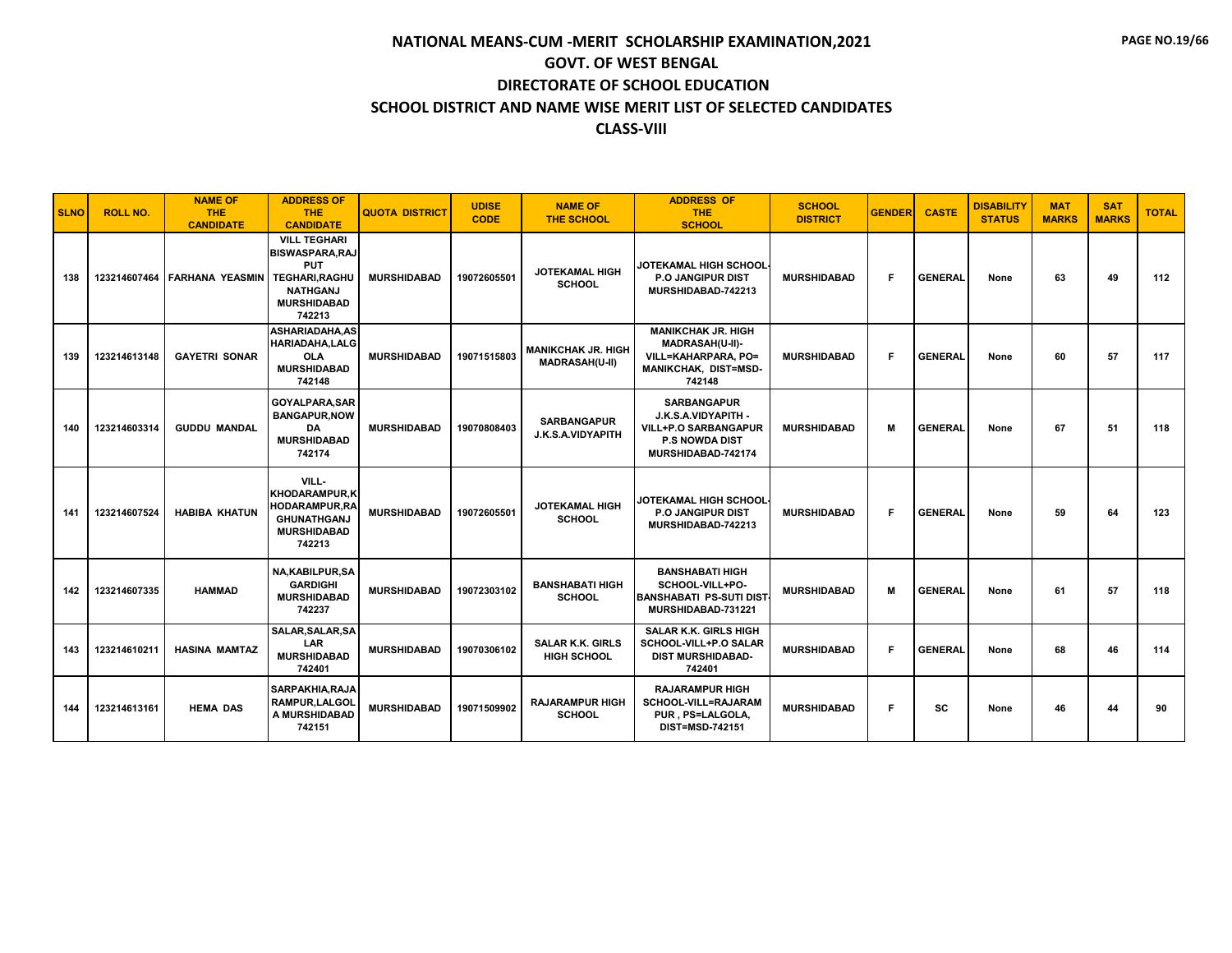| <b>SLNO</b> | <b>ROLL NO.</b> | <b>NAME OF</b><br><b>THE</b><br><b>CANDIDATE</b> | <b>ADDRESS OF</b><br><b>THE</b><br><b>CANDIDATE</b>                                                                                    | <b>QUOTA DISTRICT</b> | <b>UDISE</b><br><b>CODE</b> | <b>NAME OF</b><br><b>THE SCHOOL</b>                | <b>ADDRESS OF</b><br><b>THE</b><br><b>SCHOOL</b>                                                                        | <b>SCHOOL</b><br><b>DISTRICT</b> | <b>GENDER</b> | <b>CASTE</b>   | <b>DISABILITY</b><br><b>STATUS</b> | <b>MAT</b><br><b>MARKS</b> | <b>SAT</b><br><b>MARKS</b> | <b>TOTAL</b> |
|-------------|-----------------|--------------------------------------------------|----------------------------------------------------------------------------------------------------------------------------------------|-----------------------|-----------------------------|----------------------------------------------------|-------------------------------------------------------------------------------------------------------------------------|----------------------------------|---------------|----------------|------------------------------------|----------------------------|----------------------------|--------------|
| 138         |                 | 123214607464 FARHANA YEASMIN                     | <b>VILL TEGHARI</b><br><b>BISWASPARA, RAJ</b><br><b>PUT</b><br><b>TEGHARI.RAGHU</b><br><b>NATHGANJ</b><br><b>MURSHIDABAD</b><br>742213 | <b>MURSHIDABAD</b>    | 19072605501                 | <b>JOTEKAMAL HIGH</b><br><b>SCHOOL</b>             | JOTEKAMAL HIGH SCHOOL<br><b>P.O JANGIPUR DIST</b><br>MURSHIDABAD-742213                                                 | <b>MURSHIDABAD</b>               | F             | <b>GENERAL</b> | None                               | 63                         | 49                         | 112          |
| 139         | 123214613148    | <b>GAYETRI SONAR</b>                             | <b>ASHARIADAHA.AS</b><br><b>HARIADAHA.LALG</b><br><b>OLA</b><br><b>MURSHIDABAD</b><br>742148                                           | <b>MURSHIDABAD</b>    | 19071515803                 | <b>MANIKCHAK JR. HIGH</b><br><b>MADRASAH(U-II)</b> | <b>MANIKCHAK JR. HIGH</b><br>MADRASAH(U-II)-<br>VILL=KAHARPARA, PO=<br>MANIKCHAK, DIST=MSD-<br>742148                   | <b>MURSHIDABAD</b>               | F             | <b>GENERAL</b> | None                               | 60                         | 57                         | 117          |
| 140         | 123214603314    | <b>GUDDU MANDAL</b>                              | GOYALPARA, SAR<br><b>BANGAPUR, NOW</b><br>DA<br><b>MURSHIDABAD</b><br>742174                                                           | <b>MURSHIDABAD</b>    | 19070808403                 | <b>SARBANGAPUR</b><br>J.K.S.A.VIDYAPITH            | <b>SARBANGAPUR</b><br>J.K.S.A.VIDYAPITH -<br><b>VILL+P.O SARBANGAPUR</b><br><b>P.S NOWDA DIST</b><br>MURSHIDABAD-742174 | <b>MURSHIDABAD</b>               | м             | <b>GENERAL</b> | None                               | 67                         | 51                         | 118          |
| 141         | 123214607524    | <b>HABIBA KHATUN</b>                             | VILL-<br><b>KHODARAMPUR,K</b><br><b>HODARAMPUR,RA</b><br><b>GHUNATHGANJ</b><br><b>MURSHIDABAD</b><br>742213                            | <b>MURSHIDABAD</b>    | 19072605501                 | <b>JOTEKAMAL HIGH</b><br><b>SCHOOL</b>             | JOTEKAMAL HIGH SCHOOL<br>P.O JANGIPUR DIST<br>MURSHIDABAD-742213                                                        | <b>MURSHIDABAD</b>               | F.            | <b>GENERAL</b> | None                               | 59                         | 64                         | 123          |
| 142         | 123214607335    | <b>HAMMAD</b>                                    | <b>NA.KABILPUR.SA</b><br><b>GARDIGHI</b><br><b>MURSHIDABAD</b><br>742237                                                               | <b>MURSHIDABAD</b>    | 19072303102                 | <b>BANSHABATI HIGH</b><br><b>SCHOOL</b>            | <b>BANSHABATI HIGH</b><br>SCHOOL-VILL+PO-<br><b>BANSHABATI PS-SUTI DIST</b><br>MURSHIDABAD-731221                       | <b>MURSHIDABAD</b>               | M             | <b>GENERAL</b> | None                               | 61                         | 57                         | 118          |
| 143         | 123214610211    | <b>HASINA MAMTAZ</b>                             | SALAR, SALAR, SA<br><b>LAR</b><br><b>MURSHIDABAD</b><br>742401                                                                         | <b>MURSHIDABAD</b>    | 19070306102                 | <b>SALAR K.K. GIRLS</b><br><b>HIGH SCHOOL</b>      | <b>SALAR K.K. GIRLS HIGH</b><br>SCHOOL-VILL+P.O SALAR<br><b>DIST MURSHIDABAD-</b><br>742401                             | <b>MURSHIDABAD</b>               | F             | <b>GENERAL</b> | None                               | 68                         | 46                         | 114          |
| 144         | 123214613161    | <b>HEMA DAS</b>                                  | SARPAKHIA, RAJA<br><b>RAMPUR.LALGOL</b><br>A MURSHIDABAD<br>742151                                                                     | <b>MURSHIDABAD</b>    | 19071509902                 | <b>RAJARAMPUR HIGH</b><br><b>SCHOOL</b>            | <b>RAJARAMPUR HIGH</b><br>SCHOOL-VILL=RAJARAM<br>PUR, PS=LALGOLA,<br>DIST=MSD-742151                                    | <b>MURSHIDABAD</b>               | F             | sc             | None                               | 46                         | 44                         | 90           |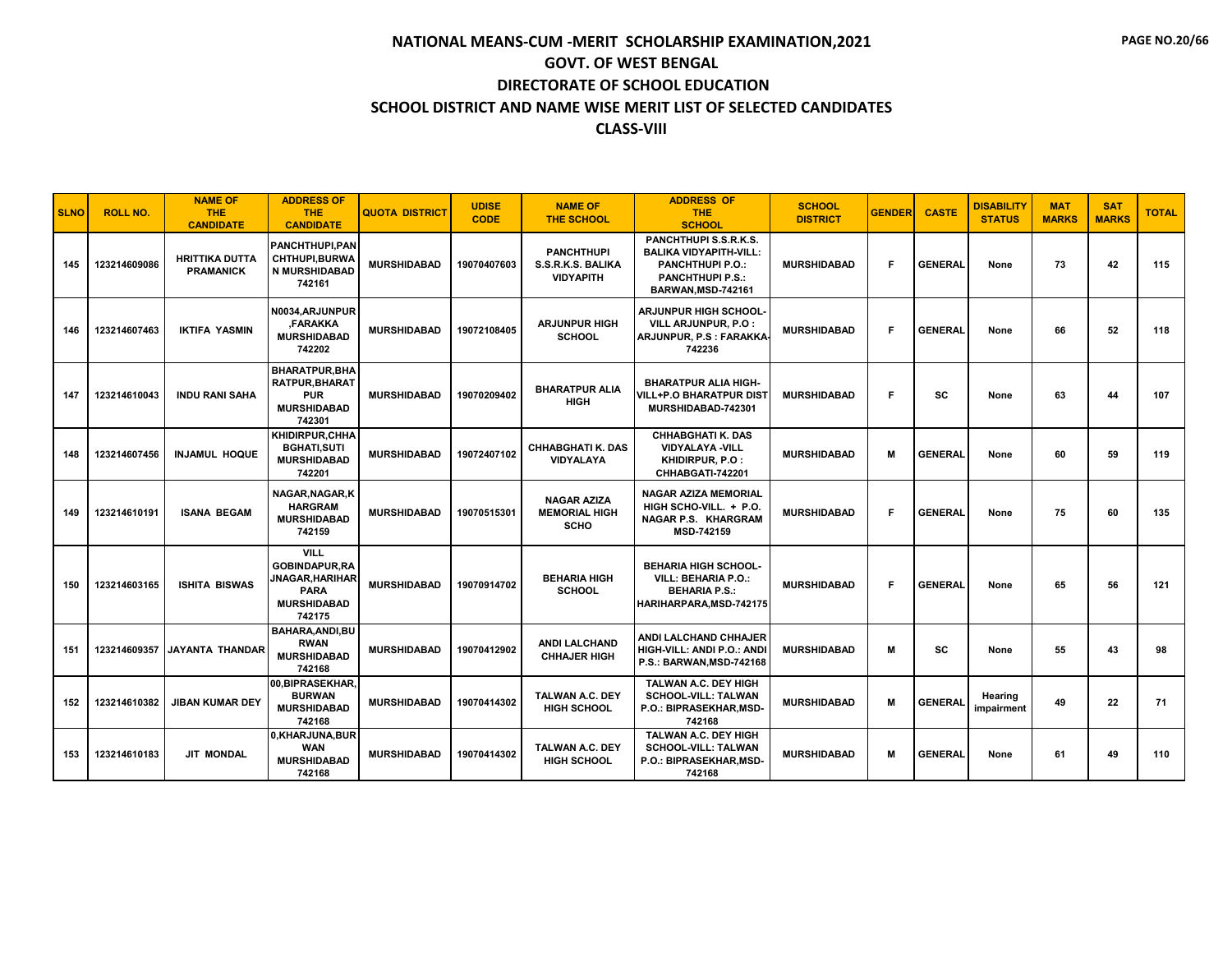| <b>SLNO</b> | <b>ROLL NO.</b> | <b>NAME OF</b><br><b>THE</b><br><b>CANDIDATE</b> | <b>ADDRESS OF</b><br><b>THE</b><br><b>CANDIDATE</b>                                                  | <b>QUOTA DISTRICT</b> | <b>UDISE</b><br><b>CODE</b> | <b>NAME OF</b><br><b>THE SCHOOL</b>                        | <b>ADDRESS OF</b><br><b>THE</b><br><b>SCHOOL</b>                                                                                   | <b>SCHOOL</b><br><b>DISTRICT</b> | <b>GENDER</b> | <b>CASTE</b>   | <b>DISABILITY</b><br><b>STATUS</b> | <b>MAT</b><br><b>MARKS</b> | <b>SAT</b><br><b>MARKS</b> | <b>TOTAL</b> |
|-------------|-----------------|--------------------------------------------------|------------------------------------------------------------------------------------------------------|-----------------------|-----------------------------|------------------------------------------------------------|------------------------------------------------------------------------------------------------------------------------------------|----------------------------------|---------------|----------------|------------------------------------|----------------------------|----------------------------|--------------|
| 145         | 123214609086    | <b>HRITTIKA DUTTA</b><br><b>PRAMANICK</b>        | <b>PANCHTHUPI.PAN</b><br>CHTHUPI, BURWA<br><b>N MURSHIDABAD</b><br>742161                            | <b>MURSHIDABAD</b>    | 19070407603                 | <b>PANCHTHUPI</b><br>S.S.R.K.S. BALIKA<br><b>VIDYAPITH</b> | PANCHTHUPI S.S.R.K.S.<br><b>BALIKA VIDYAPITH-VILL:</b><br><b>PANCHTHUPI P.O.:</b><br><b>PANCHTHUPI P.S.:</b><br>BARWAN, MSD-742161 | <b>MURSHIDABAD</b>               | F             | <b>GENERAL</b> | None                               | 73                         | 42                         | 115          |
| 146         | 123214607463    | <b>IKTIFA YASMIN</b>                             | N0034, ARJUNPUR<br><b>FARAKKA</b><br><b>MURSHIDABAD</b><br>742202                                    | <b>MURSHIDABAD</b>    | 19072108405                 | <b>ARJUNPUR HIGH</b><br><b>SCHOOL</b>                      | <b>ARJUNPUR HIGH SCHOOL</b><br>VILL ARJUNPUR, P.O :<br>ARJUNPUR, P.S : FARAKKA<br>742236                                           | <b>MURSHIDABAD</b>               | F.            | <b>GENERAL</b> | None                               | 66                         | 52                         | 118          |
| 147         | 123214610043    | <b>INDU RANI SAHA</b>                            | <b>BHARATPUR.BHA</b><br><b>RATPUR, BHARAT</b><br><b>PUR</b><br><b>MURSHIDABAD</b><br>742301          | <b>MURSHIDABAD</b>    | 19070209402                 | <b>BHARATPUR ALIA</b><br><b>HIGH</b>                       | <b>BHARATPUR ALIA HIGH-</b><br><b>VILL+P.O BHARATPUR DIST</b><br>MURSHIDABAD-742301                                                | <b>MURSHIDABAD</b>               | F             | <b>SC</b>      | None                               | 63                         | 44                         | 107          |
| 148         | 123214607456    | <b>INJAMUL HOQUE</b>                             | KHIDIRPUR, CHHA<br><b>BGHATI,SUTI</b><br><b>MURSHIDABAD</b><br>742201                                | <b>MURSHIDABAD</b>    | 19072407102                 | <b>CHHABGHATI K. DAS</b><br><b>VIDYALAYA</b>               | <b>CHHABGHATI K. DAS</b><br><b>VIDYALAYA -VILL</b><br>KHIDIRPUR, P.O :<br>CHHABGATI-742201                                         | <b>MURSHIDABAD</b>               | М             | <b>GENERAL</b> | None                               | 60                         | 59                         | 119          |
| 149         | 123214610191    | <b>ISANA BEGAM</b>                               | NAGAR.NAGAR.K<br><b>HARGRAM</b><br><b>MURSHIDABAD</b><br>742159                                      | <b>MURSHIDABAD</b>    | 19070515301                 | <b>NAGAR AZIZA</b><br><b>MEMORIAL HIGH</b><br><b>SCHO</b>  | <b>NAGAR AZIZA MEMORIAL</b><br>HIGH SCHO-VILL. + P.O.<br><b>NAGAR P.S. KHARGRAM</b><br>MSD-742159                                  | <b>MURSHIDABAD</b>               | F             | <b>GENERAL</b> | None                               | 75                         | 60                         | 135          |
| 150         | 123214603165    | <b>ISHITA BISWAS</b>                             | <b>VILL</b><br><b>GOBINDAPUR.RA</b><br>JNAGAR,HARIHAR<br><b>PARA</b><br><b>MURSHIDABAD</b><br>742175 | <b>MURSHIDABAD</b>    | 19070914702                 | <b>BEHARIA HIGH</b><br><b>SCHOOL</b>                       | <b>BEHARIA HIGH SCHOOL-</b><br><b>VILL: BEHARIA P.O.:</b><br><b>BEHARIA P.S.:</b><br>HARIHARPARA,MSD-742175                        | <b>MURSHIDABAD</b>               | F             | <b>GENERAL</b> | None                               | 65                         | 56                         | 121          |
| 151         | 123214609357    | <b>JAYANTA THANDAR</b>                           | BAHARA, ANDI, BU<br><b>RWAN</b><br><b>MURSHIDABAD</b><br>742168                                      | <b>MURSHIDABAD</b>    | 19070412902                 | <b>ANDI LALCHAND</b><br><b>CHHAJER HIGH</b>                | <b>ANDI LALCHAND CHHAJER</b><br>HIGH-VILL: ANDI P.O.: ANDI<br>P.S.: BARWAN, MSD-742168                                             | <b>MURSHIDABAD</b>               | м             | <b>SC</b>      | None                               | 55                         | 43                         | 98           |
| 152         | 123214610382    | <b>JIBAN KUMAR DEY</b>                           | 00, BIPRASEKHAR,<br><b>BURWAN</b><br><b>MURSHIDABAD</b><br>742168                                    | <b>MURSHIDABAD</b>    | 19070414302                 | <b>TALWAN A.C. DEY</b><br><b>HIGH SCHOOL</b>               | TALWAN A.C. DEY HIGH<br><b>SCHOOL-VILL: TALWAN</b><br>P.O.: BIPRASEKHAR, MSD-<br>742168                                            | <b>MURSHIDABAD</b>               | М             | <b>GENERAL</b> | Hearing<br>impairment              | 49                         | 22                         | 71           |
| 153         | 123214610183    | <b>JIT MONDAL</b>                                | 0,KHARJUNA,BUR<br><b>WAN</b><br><b>MURSHIDABAD</b><br>742168                                         | <b>MURSHIDABAD</b>    | 19070414302                 | <b>TALWAN A.C. DEY</b><br><b>HIGH SCHOOL</b>               | TALWAN A.C. DEY HIGH<br><b>SCHOOL-VILL: TALWAN</b><br><b>P.O.: BIPRASEKHAR.MSD-</b><br>742168                                      | <b>MURSHIDABAD</b>               | М             | <b>GENERAL</b> | None                               | 61                         | 49                         | 110          |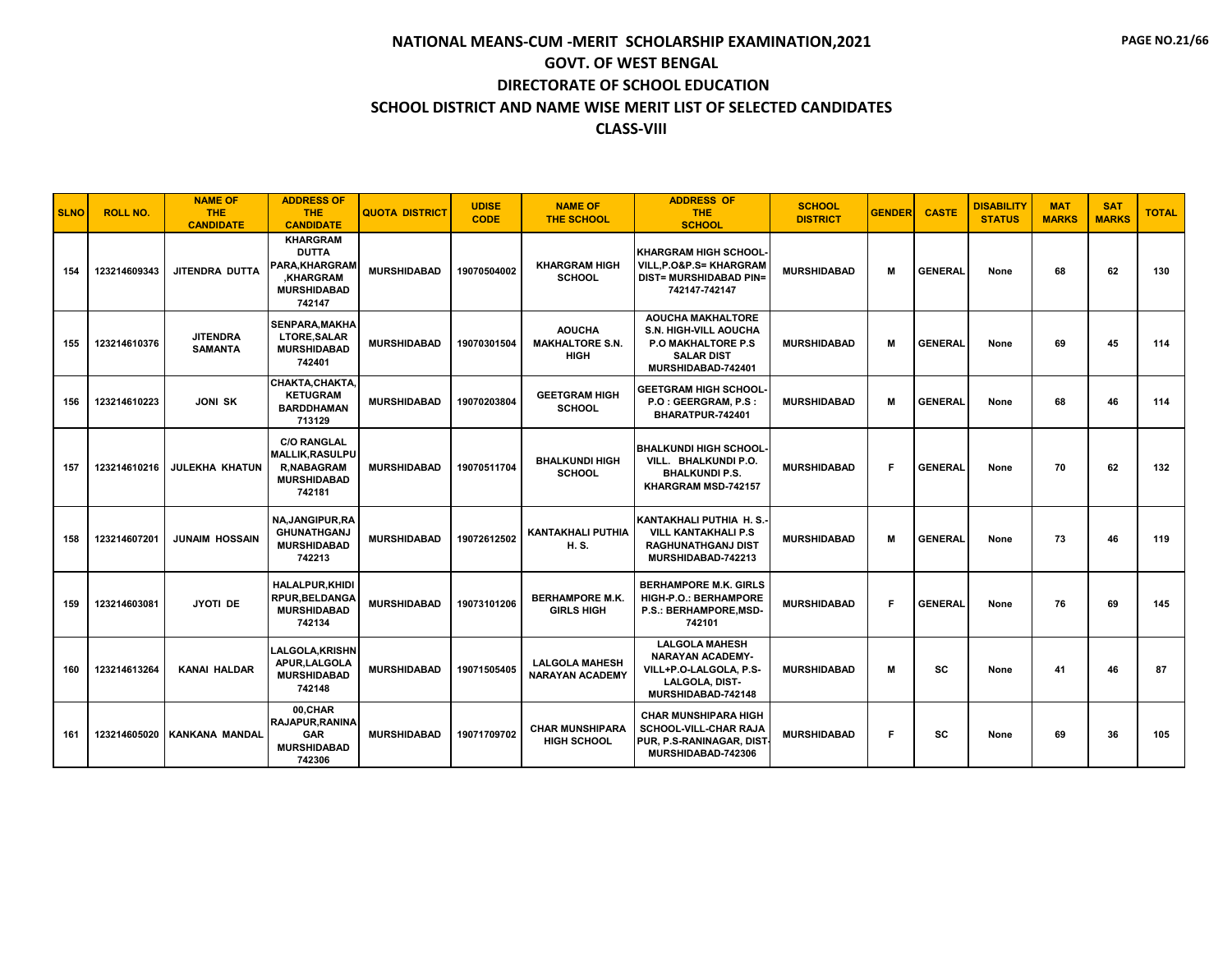| <b>SLNO</b> | <b>ROLL NO.</b> | <b>NAME OF</b><br><b>THE</b><br><b>CANDIDATE</b> | <b>ADDRESS OF</b><br><b>THE</b><br><b>CANDIDATE</b>                                                        | <b>QUOTA DISTRICT</b> | <b>UDISE</b><br><b>CODE</b> | <b>NAME OF</b><br><b>THE SCHOOL</b>                    | <b>ADDRESS OF</b><br><b>THE</b><br><b>SCHOOL</b>                                                                                 | <b>SCHOOL</b><br><b>DISTRICT</b> | <b>GENDER</b> | <b>CASTE</b>   | <b>DISABILITY</b><br><b>STATUS</b> | <b>MAT</b><br><b>MARKS</b> | <b>SAT</b><br><b>MARKS</b> | <b>TOTAL</b> |
|-------------|-----------------|--------------------------------------------------|------------------------------------------------------------------------------------------------------------|-----------------------|-----------------------------|--------------------------------------------------------|----------------------------------------------------------------------------------------------------------------------------------|----------------------------------|---------------|----------------|------------------------------------|----------------------------|----------------------------|--------------|
| 154         | 123214609343    | JITENDRA DUTTA                                   | <b>KHARGRAM</b><br><b>DUTTA</b><br><b>PARA.KHARGRAM</b><br><b>KHARGRAM</b><br><b>MURSHIDABAD</b><br>742147 | <b>MURSHIDABAD</b>    | 19070504002                 | <b>KHARGRAM HIGH</b><br><b>SCHOOL</b>                  | <b>KHARGRAM HIGH SCHOOL</b><br><b>VILL.P.O&amp;P.S= KHARGRAM</b><br><b>DIST= MURSHIDABAD PIN=</b><br>742147-742147               | <b>MURSHIDABAD</b>               | M             | <b>GENERAL</b> | None                               | 68                         | 62                         | 130          |
| 155         | 123214610376    | <b>JITENDRA</b><br><b>SAMANTA</b>                | <b>SENPARA, MAKHA</b><br><b>LTORE, SALAR</b><br><b>MURSHIDABAD</b><br>742401                               | <b>MURSHIDABAD</b>    | 19070301504                 | <b>AOUCHA</b><br><b>MAKHALTORE S.N.</b><br><b>HIGH</b> | <b>AOUCHA MAKHALTORE</b><br><b>S.N. HIGH-VILL AOUCHA</b><br><b>P.O MAKHALTORE P.S</b><br><b>SALAR DIST</b><br>MURSHIDABAD-742401 | <b>MURSHIDABAD</b>               | М             | <b>GENERAL</b> | None                               | 69                         | 45                         | 114          |
| 156         | 123214610223    | <b>JONI SK</b>                                   | CHAKTA, CHAKTA,<br><b>KETUGRAM</b><br><b>BARDDHAMAN</b><br>713129                                          | <b>MURSHIDABAD</b>    | 19070203804                 | <b>GEETGRAM HIGH</b><br><b>SCHOOL</b>                  | <b>GEETGRAM HIGH SCHOOL</b><br>P.O : GEERGRAM, P.S :<br>BHARATPUR-742401                                                         | <b>MURSHIDABAD</b>               | М             | <b>GENERAL</b> | None                               | 68                         | 46                         | 114          |
| 157         | 123214610216    | <b>JULEKHA KHATUN</b>                            | <b>C/O RANGLAL</b><br><b>MALLIK, RASULPU</b><br><b>R.NABAGRAM</b><br><b>MURSHIDABAD</b><br>742181          | <b>MURSHIDABAD</b>    | 19070511704                 | <b>BHALKUNDI HIGH</b><br><b>SCHOOL</b>                 | <b>BHALKUNDI HIGH SCHOOL</b><br>VILL. BHALKUNDI P.O.<br><b>BHALKUNDI P.S.</b><br>KHARGRAM MSD-742157                             | <b>MURSHIDABAD</b>               | F             | <b>GENERAL</b> | None                               | 70                         | 62                         | 132          |
| 158         | 123214607201    | <b>JUNAIM HOSSAIN</b>                            | NA, JANGIPUR, RA<br><b>GHUNATHGANJ</b><br><b>MURSHIDABAD</b><br>742213                                     | <b>MURSHIDABAD</b>    | 19072612502                 | <b>KANTAKHALI PUTHIA</b><br>H. S.                      | KANTAKHALI PUTHIA H. S.<br><b>VILL KANTAKHALI P.S</b><br><b>RAGHUNATHGANJ DIST</b><br>MURSHIDABAD-742213                         | <b>MURSHIDABAD</b>               | M             | <b>GENERAL</b> | None                               | 73                         | 46                         | 119          |
| 159         | 123214603081    | <b>JYOTI DE</b>                                  | <b>HALALPUR.KHIDI</b><br><b>RPUR, BELDANGA</b><br><b>MURSHIDABAD</b><br>742134                             | <b>MURSHIDABAD</b>    | 19073101206                 | <b>BERHAMPORE M.K.</b><br><b>GIRLS HIGH</b>            | <b>BERHAMPORE M.K. GIRLS</b><br><b>HIGH-P.O.: BERHAMPORE</b><br>P.S.: BERHAMPORE, MSD-<br>742101                                 | <b>MURSHIDABAD</b>               | F             | <b>GENERAL</b> | None                               | 76                         | 69                         | 145          |
| 160         | 123214613264    | <b>KANAI HALDAR</b>                              | <b>LALGOLA.KRISHN</b><br>APUR.LALGOLA<br><b>MURSHIDABAD</b><br>742148                                      | <b>MURSHIDABAD</b>    | 19071505405                 | <b>LALGOLA MAHESH</b><br><b>NARAYAN ACADEMY</b>        | <b>LALGOLA MAHESH</b><br><b>NARAYAN ACADEMY-</b><br>VILL+P.O-LALGOLA, P.S-<br><b>LALGOLA, DIST-</b><br>MURSHIDABAD-742148        | <b>MURSHIDABAD</b>               | м             | SC             | None                               | 41                         | 46                         | 87           |
| 161         | 123214605020    | <b>KANKANA MANDAL</b>                            | 00,CHAR<br><b>RAJAPUR, RANINA</b><br><b>GAR</b><br><b>MURSHIDABAD</b><br>742306                            | <b>MURSHIDABAD</b>    | 19071709702                 | <b>CHAR MUNSHIPARA</b><br><b>HIGH SCHOOL</b>           | <b>CHAR MUNSHIPARA HIGH</b><br>SCHOOL-VILL-CHAR RAJA<br>PUR, P.S-RANINAGAR, DIST<br>MURSHIDABAD-742306                           | <b>MURSHIDABAD</b>               | F             | sc             | None                               | 69                         | 36                         | 105          |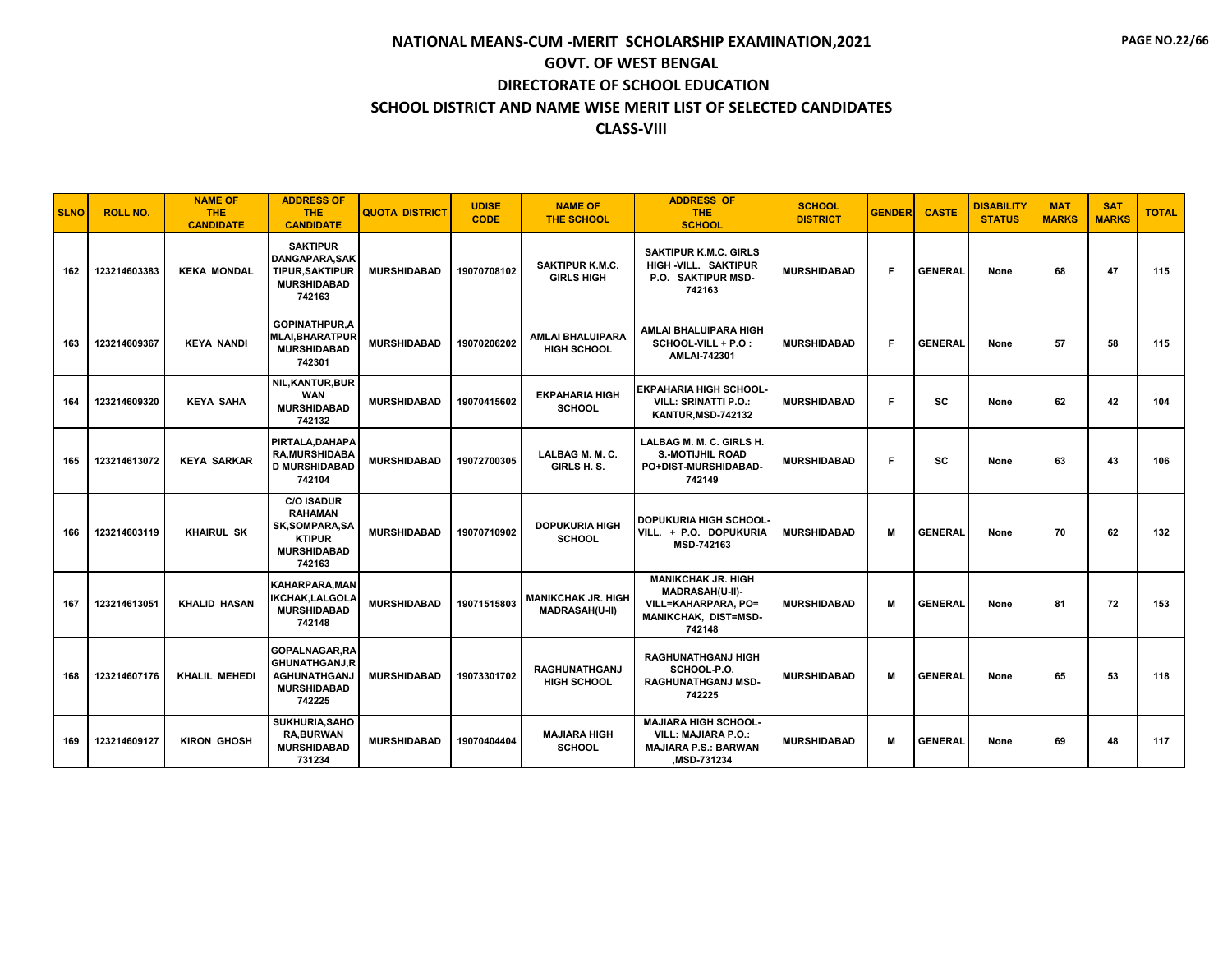| <b>SLNO</b> | <b>ROLL NO.</b> | <b>NAME OF</b><br><b>THE</b><br><b>CANDIDATE</b> | <b>ADDRESS OF</b><br>THE.<br><b>CANDIDATE</b>                                                                | <b>QUOTA DISTRICT</b> | <b>UDISE</b><br><b>CODE</b> | <b>NAME OF</b><br><b>THE SCHOOL</b>                | <b>ADDRESS OF</b><br><b>THE</b><br><b>SCHOOL</b>                                                              | <b>SCHOOL</b><br><b>DISTRICT</b> | <b>GENDER</b> | <b>CASTE</b>   | <b>DISABILITY</b><br><b>STATUS</b> | <b>MAT</b><br><b>MARKS</b> | <b>SAT</b><br><b>MARKS</b> | <b>TOTAL</b> |
|-------------|-----------------|--------------------------------------------------|--------------------------------------------------------------------------------------------------------------|-----------------------|-----------------------------|----------------------------------------------------|---------------------------------------------------------------------------------------------------------------|----------------------------------|---------------|----------------|------------------------------------|----------------------------|----------------------------|--------------|
| 162         | 123214603383    | <b>KEKA MONDAL</b>                               | <b>SAKTIPUR</b><br>DANGAPARA, SAK<br><b>TIPUR, SAKTIPUR</b><br><b>MURSHIDABAD</b><br>742163                  | <b>MURSHIDABAD</b>    | 19070708102                 | <b>SAKTIPUR K.M.C.</b><br><b>GIRLS HIGH</b>        | <b>SAKTIPUR K.M.C. GIRLS</b><br>HIGH -VILL. SAKTIPUR<br>P.O. SAKTIPUR MSD-<br>742163                          | <b>MURSHIDABAD</b>               | F             | <b>GENERAL</b> | None                               | 68                         | 47                         | 115          |
| 163         | 123214609367    | <b>KEYA NANDI</b>                                | <b>GOPINATHPUR.A</b><br><b>MLAI, BHARATPUR</b><br><b>MURSHIDABAD</b><br>742301                               | <b>MURSHIDABAD</b>    | 19070206202                 | AMLAI BHALUIPARA<br><b>HIGH SCHOOL</b>             | AMLAI BHALUIPARA HIGH<br>SCHOOL-VILL + P.O :<br>AMLAI-742301                                                  | <b>MURSHIDABAD</b>               | F.            | <b>GENERAL</b> | None                               | 57                         | 58                         | 115          |
| 164         | 123214609320    | <b>KEYA SAHA</b>                                 | <b>NIL, KANTUR, BUR</b><br><b>WAN</b><br><b>MURSHIDABAD</b><br>742132                                        | <b>MURSHIDABAD</b>    | 19070415602                 | <b>EKPAHARIA HIGH</b><br><b>SCHOOL</b>             | <b>EKPAHARIA HIGH SCHOOL</b><br><b>VILL: SRINATTI P.O.:</b><br><b>KANTUR, MSD-742132</b>                      | <b>MURSHIDABAD</b>               | F             | SC             | None                               | 62                         | 42                         | 104          |
| 165         | 123214613072    | <b>KEYA SARKAR</b>                               | PIRTALA, DAHAPA<br><b>RA, MURSHIDABA</b><br><b>D MURSHIDABAD</b><br>742104                                   | <b>MURSHIDABAD</b>    | 19072700305                 | LALBAG M. M. C.<br>GIRLS H.S.                      | LALBAG M. M. C. GIRLS H.<br><b>S.-MOTIJHIL ROAD</b><br>PO+DIST-MURSHIDABAD-<br>742149                         | <b>MURSHIDABAD</b>               | F             | sc             | None                               | 63                         | 43                         | 106          |
| 166         | 123214603119    | <b>KHAIRUL SK</b>                                | <b>C/O ISADUR</b><br><b>RAHAMAN</b><br><b>SK,SOMPARA,SA</b><br><b>KTIPUR</b><br><b>MURSHIDABAD</b><br>742163 | <b>MURSHIDABAD</b>    | 19070710902                 | <b>DOPUKURIA HIGH</b><br><b>SCHOOL</b>             | <b>DOPUKURIA HIGH SCHOOL</b><br>VILL. + P.O. DOPUKURIA<br>MSD-742163                                          | <b>MURSHIDABAD</b>               | M             | <b>GENERAL</b> | None                               | 70                         | 62                         | 132          |
| 167         | 123214613051    | <b>KHALID HASAN</b>                              | <b>KAHARPARA.MAN</b><br><b>IKCHAK,LALGOLA</b><br><b>MURSHIDABAD</b><br>742148                                | <b>MURSHIDABAD</b>    | 19071515803                 | <b>MANIKCHAK JR. HIGH</b><br><b>MADRASAH(U-II)</b> | <b>MANIKCHAK JR. HIGH</b><br>MADRASAH(U-II)-<br>VILL=KAHARPARA, PO=<br>MANIKCHAK, DIST=MSD-<br>742148         | <b>MURSHIDABAD</b>               | М             | <b>GENERAL</b> | None                               | 81                         | 72                         | 153          |
| 168         | 123214607176    | <b>KHALIL MEHEDI</b>                             | GOPALNAGAR, RA<br><b>GHUNATHGANJ.R</b><br><b>AGHUNATHGANJ</b><br><b>MURSHIDABAD</b><br>742225                | <b>MURSHIDABAD</b>    | 19073301702                 | <b>RAGHUNATHGANJ</b><br><b>HIGH SCHOOL</b>         | <b>RAGHUNATHGANJ HIGH</b><br>SCHOOL-P.O.<br><b>RAGHUNATHGANJ MSD-</b><br>742225                               | <b>MURSHIDABAD</b>               | M             | <b>GENERAL</b> | None                               | 65                         | 53                         | 118          |
| 169         | 123214609127    | <b>KIRON GHOSH</b>                               | <b>SUKHURIA, SAHO</b><br><b>RA.BURWAN</b><br><b>MURSHIDABAD</b><br>731234                                    | <b>MURSHIDABAD</b>    | 19070404404                 | <b>MAJIARA HIGH</b><br><b>SCHOOL</b>               | <b>MAJIARA HIGH SCHOOL-</b><br><b>VILL: MAJIARA P.O.:</b><br><b>MAJIARA P.S.: BARWAN</b><br><b>MSD-731234</b> | <b>MURSHIDABAD</b>               | M             | <b>GENERAL</b> | None                               | 69                         | 48                         | 117          |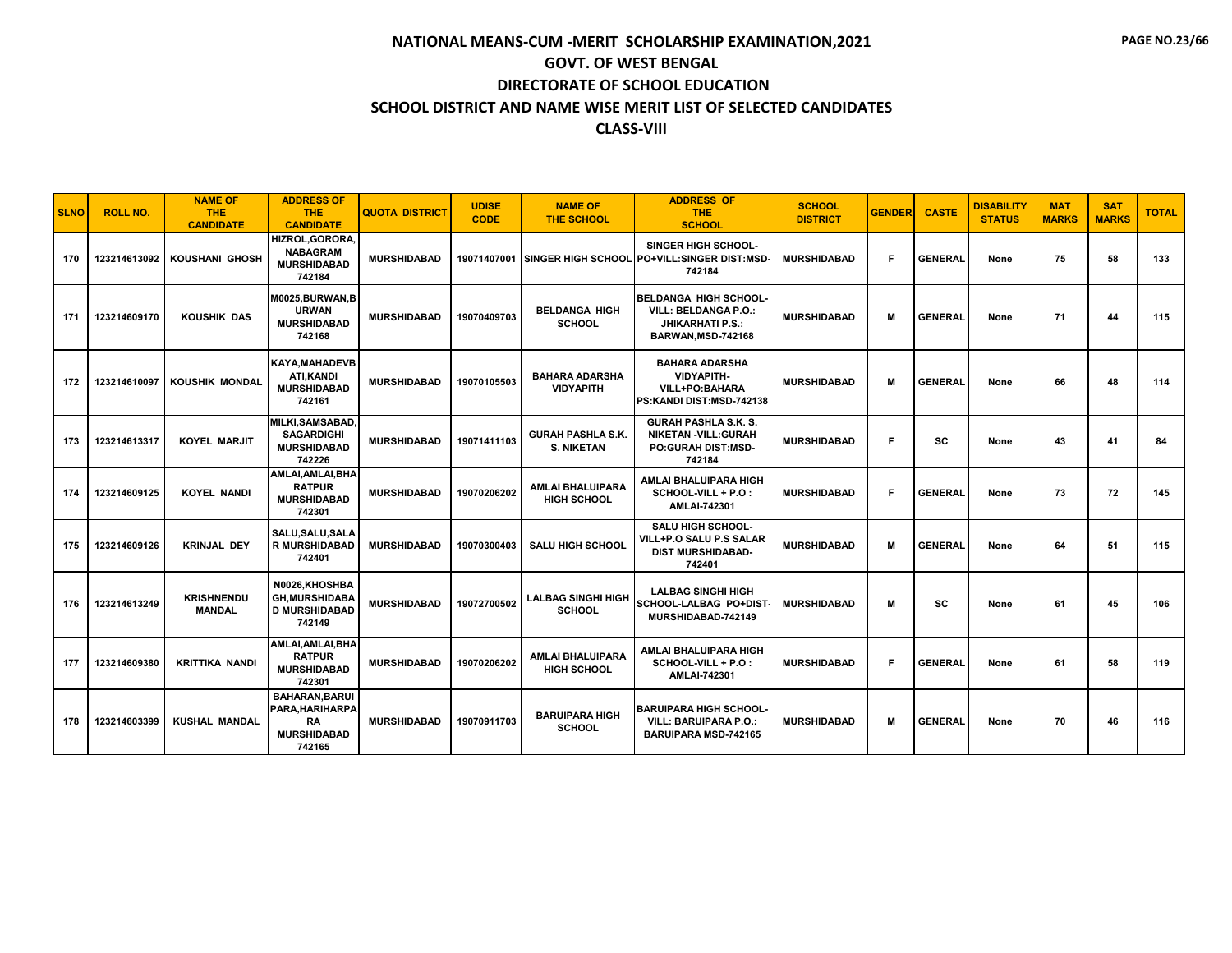| <b>SLNO</b> | <b>ROLL NO.</b> | <b>NAME OF</b><br><b>THE</b><br><b>CANDIDATE</b> | <b>ADDRESS OF</b><br><b>THE</b><br><b>CANDIDATE</b>                                   | <b>QUOTA DISTRICT</b> | <b>UDISE</b><br><b>CODE</b> | <b>NAME OF</b><br><b>THE SCHOOL</b>           | <b>ADDRESS OF</b><br><b>THE</b><br><b>SCHOOL</b>                                                            | <b>SCHOOL</b><br><b>DISTRICT</b> | <b>GENDER</b> | <b>CASTE</b>   | <b>DISABILITY</b><br><b>STATUS</b> | <b>MAT</b><br><b>MARKS</b> | <b>SAT</b><br><b>MARKS</b> | <b>TOTAL</b> |
|-------------|-----------------|--------------------------------------------------|---------------------------------------------------------------------------------------|-----------------------|-----------------------------|-----------------------------------------------|-------------------------------------------------------------------------------------------------------------|----------------------------------|---------------|----------------|------------------------------------|----------------------------|----------------------------|--------------|
| 170         | 123214613092    | <b>KOUSHANI GHOSH</b>                            | HIZROL.GORORA.<br><b>NABAGRAM</b><br><b>MURSHIDABAD</b><br>742184                     | <b>MURSHIDABAD</b>    | 19071407001                 |                                               | <b>SINGER HIGH SCHOOL-</b><br>SINGER HIGH SCHOOL PO+VILL:SINGER DIST:MSD-<br>742184                         | <b>MURSHIDABAD</b>               | F.            | <b>GENERAL</b> | None                               | 75                         | 58                         | 133          |
| 171         | 123214609170    | <b>KOUSHIK DAS</b>                               | M0025, BURWAN, B<br><b>URWAN</b><br><b>MURSHIDABAD</b><br>742168                      | <b>MURSHIDABAD</b>    | 19070409703                 | <b>BELDANGA HIGH</b><br><b>SCHOOL</b>         | <b>BELDANGA HIGH SCHOOL</b><br><b>VILL: BELDANGA P.O.:</b><br><b>JHIKARHATI P.S.:</b><br>BARWAN, MSD-742168 | <b>MURSHIDABAD</b>               | M             | <b>GENERAL</b> | None                               | 71                         | 44                         | 115          |
| 172         | 123214610097    | <b>KOUSHIK MONDAL</b>                            | <b>KAYA, MAHADEVB</b><br><b>ATI.KANDI</b><br><b>MURSHIDABAD</b><br>742161             | <b>MURSHIDABAD</b>    | 19070105503                 | <b>BAHARA ADARSHA</b><br><b>VIDYAPITH</b>     | <b>BAHARA ADARSHA</b><br><b>VIDYAPITH-</b><br>VILL+PO:BAHARA<br>PS:KANDI DIST:MSD-742138                    | <b>MURSHIDABAD</b>               | M             | <b>GENERAL</b> | None                               | 66                         | 48                         | 114          |
| 173         | 123214613317    | <b>KOYEL MARJIT</b>                              | MILKI.SAMSABAD.<br><b>SAGARDIGHI</b><br><b>MURSHIDABAD</b><br>742226                  | <b>MURSHIDABAD</b>    | 19071411103                 | <b>GURAH PASHLA S.K.</b><br><b>S. NIKETAN</b> | <b>GURAH PASHLA S.K. S.</b><br><b>NIKETAN -VILL:GURAH</b><br><b>PO:GURAH DIST:MSD-</b><br>742184            | <b>MURSHIDABAD</b>               | F.            | SC             | None                               | 43                         | 41                         | 84           |
| 174         | 123214609125    | <b>KOYEL NANDI</b>                               | AMLAI, AMLAI, BHA<br><b>RATPUR</b><br><b>MURSHIDABAD</b><br>742301                    | <b>MURSHIDABAD</b>    | 19070206202                 | <b>AMLAI BHALUIPARA</b><br><b>HIGH SCHOOL</b> | AMLAI BHALUIPARA HIGH<br>SCHOOL-VILL + P.O :<br><b>AMLAI-742301</b>                                         | <b>MURSHIDABAD</b>               | F             | <b>GENERAL</b> | None                               | 73                         | 72                         | 145          |
| 175         | 123214609126    | <b>KRINJAL DEY</b>                               | SALU, SALU, SALA<br><b>R MURSHIDABAD</b><br>742401                                    | <b>MURSHIDABAD</b>    | 19070300403                 | <b>SALU HIGH SCHOOL</b>                       | <b>SALU HIGH SCHOOL-</b><br>VILL+P.O SALU P.S SALAR<br><b>DIST MURSHIDABAD-</b><br>742401                   | <b>MURSHIDABAD</b>               | м             | <b>GENERAL</b> | None                               | 64                         | 51                         | 115          |
| 176         | 123214613249    | <b>KRISHNENDU</b><br><b>MANDAL</b>               | N0026.KHOSHBA<br><b>GH.MURSHIDABA</b><br><b>D MURSHIDABAD</b><br>742149               | <b>MURSHIDABAD</b>    | 19072700502                 | <b>LALBAG SINGHI HIGH</b><br><b>SCHOOL</b>    | <b>LALBAG SINGHI HIGH</b><br>SCHOOL-LALBAG PO+DIST<br>MURSHIDABAD-742149                                    | <b>MURSHIDABAD</b>               | м             | SC             | None                               | 61                         | 45                         | 106          |
| 177         | 123214609380    | <b>KRITTIKA NANDI</b>                            | AMLAI, AMLAI, BHA<br><b>RATPUR</b><br><b>MURSHIDABAD</b><br>742301                    | <b>MURSHIDABAD</b>    | 19070206202                 | <b>AMLAI BHALUIPARA</b><br><b>HIGH SCHOOL</b> | AMLAI BHALUIPARA HIGH<br>SCHOOL-VILL + P.O :<br><b>AMLAI-742301</b>                                         | <b>MURSHIDABAD</b>               | F.            | <b>GENERAL</b> | None                               | 61                         | 58                         | 119          |
| 178         | 123214603399    | <b>KUSHAL MANDAL</b>                             | <b>BAHARAN, BARUI</b><br>PARA, HARIHARPA<br><b>RA</b><br><b>MURSHIDABAD</b><br>742165 | <b>MURSHIDABAD</b>    | 19070911703                 | <b>BARUIPARA HIGH</b><br><b>SCHOOL</b>        | <b>BARUIPARA HIGH SCHOOL</b><br><b>VILL: BARUIPARA P.O.:</b><br><b>BARUIPARA MSD-742165</b>                 | <b>MURSHIDABAD</b>               | M             | <b>GENERAL</b> | None                               | 70                         | 46                         | 116          |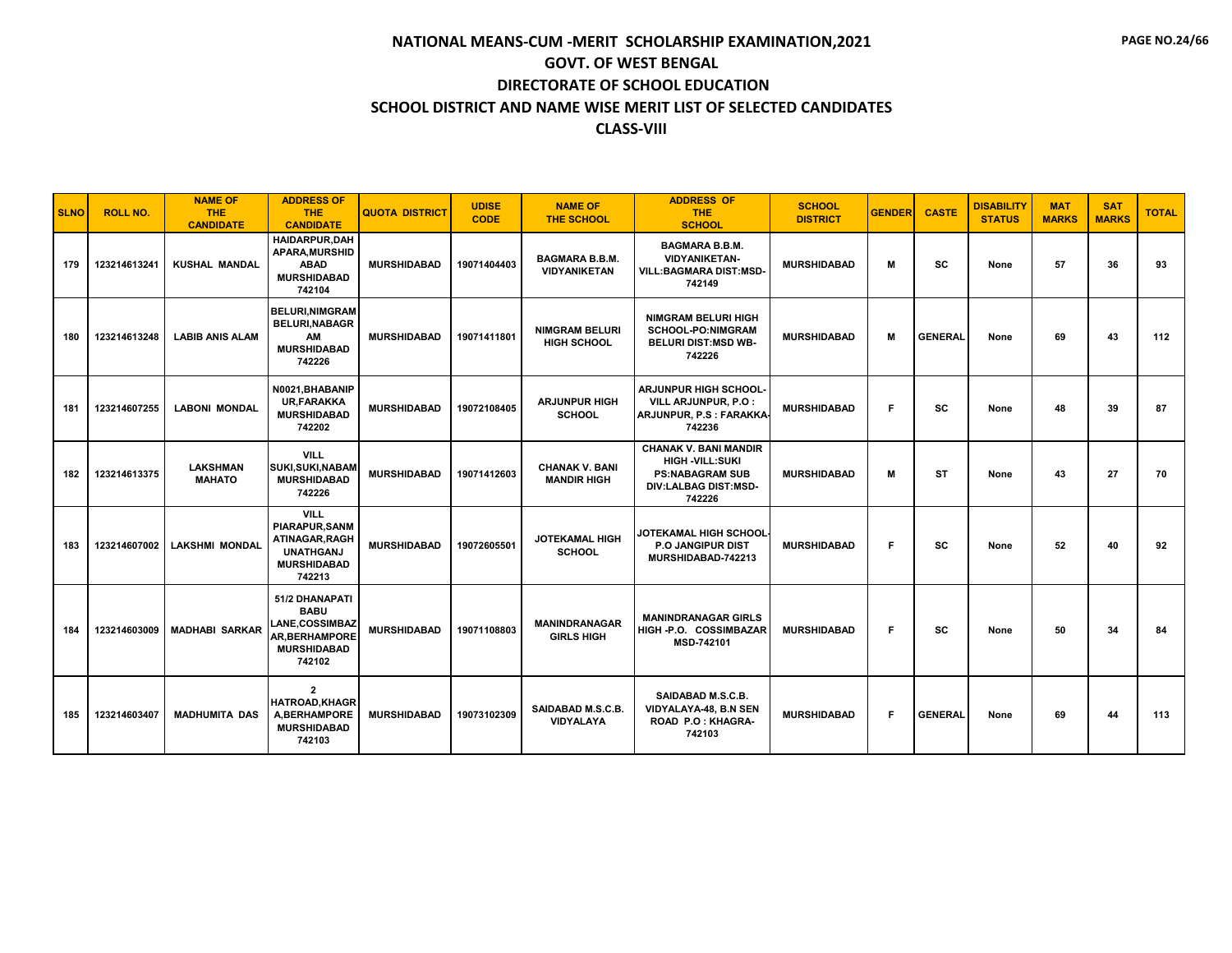| <b>SLNO</b> | <b>ROLL NO.</b> | <b>NAME OF</b><br><b>THE</b><br><b>CANDIDATE</b> | <b>ADDRESS OF</b><br>THE.<br><b>CANDIDATE</b>                                                                   | <b>QUOTA DISTRICT</b> | <b>UDISE</b><br><b>CODE</b> | <b>NAME OF</b><br><b>THE SCHOOL</b>          | <b>ADDRESS OF</b><br><b>THE</b><br><b>SCHOOL</b>                                                                          | <b>SCHOOL</b><br><b>DISTRICT</b> | <b>GENDER</b> | <b>CASTE</b>   | <b>DISABILITY</b><br><b>STATUS</b> | <b>MAT</b><br><b>MARKS</b> | <b>SAT</b><br><b>MARKS</b> | <b>TOTAL</b> |
|-------------|-----------------|--------------------------------------------------|-----------------------------------------------------------------------------------------------------------------|-----------------------|-----------------------------|----------------------------------------------|---------------------------------------------------------------------------------------------------------------------------|----------------------------------|---------------|----------------|------------------------------------|----------------------------|----------------------------|--------------|
| 179         | 123214613241    | <b>KUSHAL MANDAL</b>                             | <b>HAIDARPUR.DAH</b><br><b>APARA, MURSHID</b><br><b>ABAD</b><br><b>MURSHIDABAD</b><br>742104                    | <b>MURSHIDABAD</b>    | 19071404403                 | <b>BAGMARA B.B.M.</b><br><b>VIDYANIKETAN</b> | <b>BAGMARA B.B.M.</b><br><b>VIDYANIKETAN-</b><br><b>VILL:BAGMARA DIST:MSD-</b><br>742149                                  | <b>MURSHIDABAD</b>               | М             | SC             | None                               | 57                         | 36                         | 93           |
| 180         | 123214613248    | <b>LABIB ANIS ALAM</b>                           | <b>BELURI, NIMGRAM</b><br><b>BELURI, NABAGR</b><br>AM<br><b>MURSHIDABAD</b><br>742226                           | <b>MURSHIDABAD</b>    | 19071411801                 | <b>NIMGRAM BELURI</b><br>HIGH SCHOOL         | <b>NIMGRAM BELURI HIGH</b><br><b>SCHOOL-PO:NIMGRAM</b><br><b>BELURI DIST:MSD WB-</b><br>742226                            | <b>MURSHIDABAD</b>               | м             | <b>GENERAL</b> | None                               | 69                         | 43                         | 112          |
| 181         | 123214607255    | <b>LABONI MONDAL</b>                             | N0021, BHABANIP<br><b>UR.FARAKKA</b><br><b>MURSHIDABAD</b><br>742202                                            | <b>MURSHIDABAD</b>    | 19072108405                 | <b>ARJUNPUR HIGH</b><br><b>SCHOOL</b>        | <b>ARJUNPUR HIGH SCHOOL-</b><br>VILL ARJUNPUR, P.O :<br>ARJUNPUR, P.S : FARAKKA<br>742236                                 | <b>MURSHIDABAD</b>               | F.            | SC             | None                               | 48                         | 39                         | 87           |
| 182         | 123214613375    | <b>LAKSHMAN</b><br><b>MAHATO</b>                 | <b>VILL</b><br><b>SUKI, SUKI, NABAM</b><br><b>MURSHIDABAD</b><br>742226                                         | <b>MURSHIDABAD</b>    | 19071412603                 | <b>CHANAK V. BANI</b><br><b>MANDIR HIGH</b>  | <b>CHANAK V. BANI MANDIR</b><br><b>HIGH -VILL:SUKI</b><br><b>PS:NABAGRAM SUB</b><br><b>DIV:LALBAG DIST:MSD-</b><br>742226 | <b>MURSHIDABAD</b>               | М             | ST             | None                               | 43                         | 27                         | 70           |
| 183         | 123214607002    | <b>LAKSHMI MONDAL</b>                            | <b>VILL</b><br><b>PIARAPUR.SANM</b><br>ATINAGAR, RAGH<br><b>UNATHGANJ</b><br><b>MURSHIDABAD</b><br>742213       | <b>MURSHIDABAD</b>    | 19072605501                 | <b>JOTEKAMAL HIGH</b><br><b>SCHOOL</b>       | JOTEKAMAL HIGH SCHOOL<br><b>P.O. JANGIPUR DIST</b><br>MURSHIDABAD-742213                                                  | <b>MURSHIDABAD</b>               | F.            | SC             | None                               | 52                         | 40                         | 92           |
| 184         | 123214603009    | <b>MADHABI SARKAR</b>                            | 51/2 DHANAPATI<br><b>BABU</b><br><b>LANE.COSSIMBAZ</b><br><b>AR, BERHAMPORE</b><br><b>MURSHIDABAD</b><br>742102 | <b>MURSHIDABAD</b>    | 19071108803                 | <b>MANINDRANAGAR</b><br><b>GIRLS HIGH</b>    | <b>MANINDRANAGAR GIRLS</b><br>HIGH-P.O. COSSIMBAZAR<br>MSD-742101                                                         | <b>MURSHIDABAD</b>               | F.            | sc             | None                               | 50                         | 34                         | 84           |
| 185         | 123214603407    | <b>MADHUMITA DAS</b>                             | $\overline{2}$<br><b>HATROAD.KHAGR</b><br><b>A.BERHAMPORE</b><br><b>MURSHIDABAD</b><br>742103                   | <b>MURSHIDABAD</b>    | 19073102309                 | SAIDABAD M.S.C.B.<br><b>VIDYALAYA</b>        | SAIDABAD M.S.C.B.<br>VIDYALAYA-48, B.N SEN<br>ROAD P.O: KHAGRA-<br>742103                                                 | <b>MURSHIDABAD</b>               | F.            | <b>GENERAL</b> | None                               | 69                         | 44                         | 113          |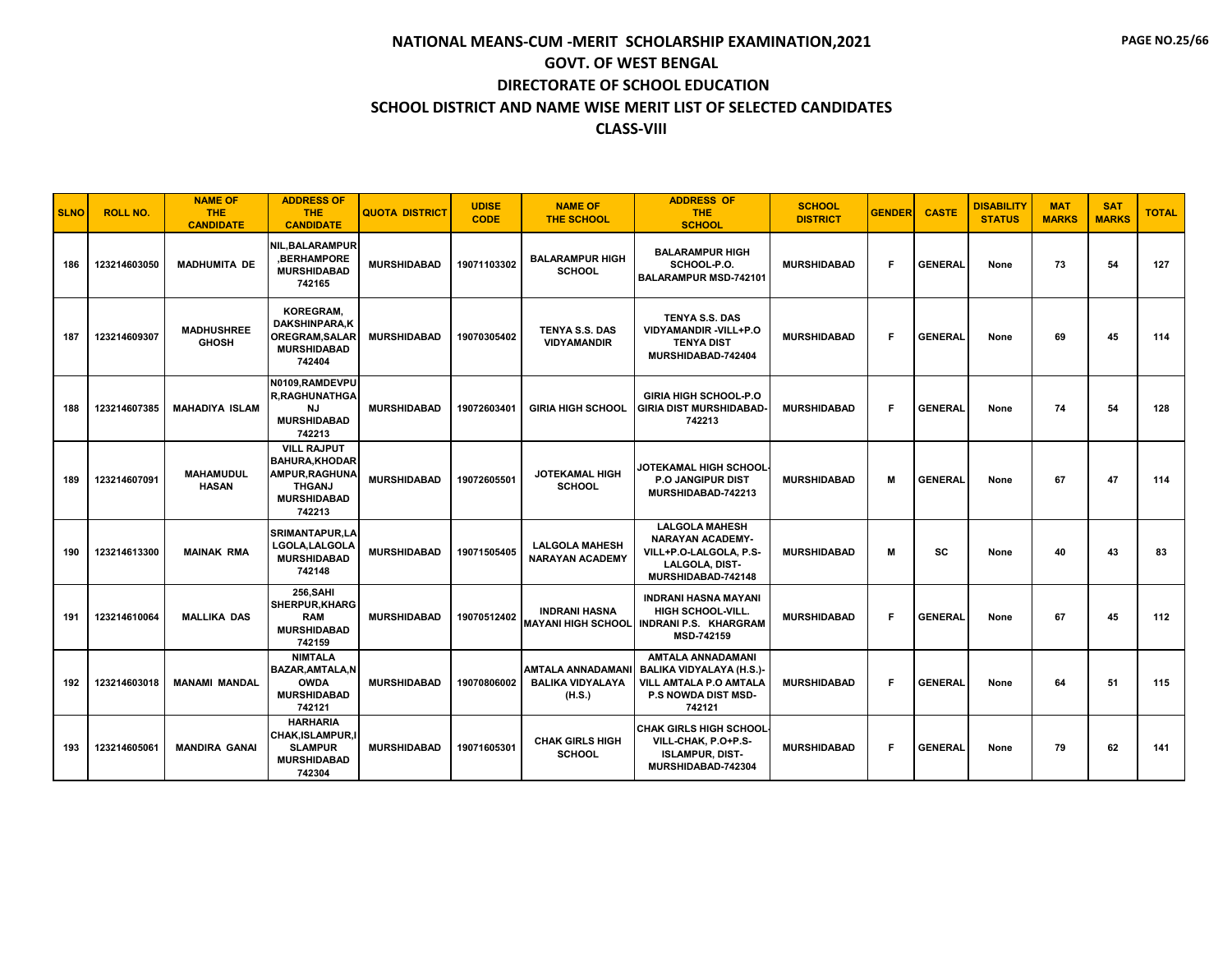| <b>SLNO</b> | <b>ROLL NO.</b> | <b>NAME OF</b><br><b>THE</b><br><b>CANDIDATE</b> | <b>ADDRESS OF</b><br><b>THE</b><br><b>CANDIDATE</b>                                                            | <b>QUOTA DISTRICT</b> | <b>UDISE</b><br><b>CODE</b> | <b>NAME OF</b><br><b>THE SCHOOL</b>                           | <b>ADDRESS OF</b><br><b>THE</b><br><b>SCHOOL</b>                                                                             | <b>SCHOOL</b><br><b>DISTRICT</b> | <b>GENDER</b> | <b>CASTE</b>   | <b>DISABILITY</b><br><b>STATUS</b> | <b>MAT</b><br><b>MARKS</b> | <b>SAT</b><br><b>MARKS</b> | <b>TOTAL</b> |
|-------------|-----------------|--------------------------------------------------|----------------------------------------------------------------------------------------------------------------|-----------------------|-----------------------------|---------------------------------------------------------------|------------------------------------------------------------------------------------------------------------------------------|----------------------------------|---------------|----------------|------------------------------------|----------------------------|----------------------------|--------------|
| 186         | 123214603050    | <b>MADHUMITA DE</b>                              | <b>NIL.BALARAMPUR</b><br>.BERHAMPORE<br><b>MURSHIDABAD</b><br>742165                                           | <b>MURSHIDABAD</b>    | 19071103302                 | <b>BALARAMPUR HIGH</b><br><b>SCHOOL</b>                       | <b>BALARAMPUR HIGH</b><br>SCHOOL-P.O.<br><b>BALARAMPUR MSD-742101</b>                                                        | <b>MURSHIDABAD</b>               | F             | <b>GENERAL</b> | None                               | 73                         | 54                         | 127          |
| 187         | 123214609307    | <b>MADHUSHREE</b><br><b>GHOSH</b>                | <b>KOREGRAM,</b><br><b>DAKSHINPARA.K</b><br><b>OREGRAM.SALAR</b><br><b>MURSHIDABAD</b><br>742404               | <b>MURSHIDABAD</b>    | 19070305402                 | <b>TENYA S.S. DAS</b><br><b>VIDYAMANDIR</b>                   | <b>TENYA S.S. DAS</b><br>VIDYAMANDIR-VILL+P.O<br><b>TENYA DIST</b><br>MURSHIDABAD-742404                                     | <b>MURSHIDABAD</b>               | F             | <b>GENERAL</b> | None                               | 69                         | 45                         | 114          |
| 188         | 123214607385    | <b>MAHADIYA ISLAM</b>                            | N0109,RAMDEVPU<br><b>R.RAGHUNATHGA</b><br>NJ<br><b>MURSHIDABAD</b><br>742213                                   | <b>MURSHIDABAD</b>    | 19072603401                 | <b>GIRIA HIGH SCHOOL</b>                                      | <b>GIRIA HIGH SCHOOL-P.O</b><br><b>GIRIA DIST MURSHIDABAD-</b><br>742213                                                     | <b>MURSHIDABAD</b>               | F             | <b>GENERAL</b> | None                               | 74                         | 54                         | 128          |
| 189         | 123214607091    | <b>MAHAMUDUL</b><br><b>HASAN</b>                 | <b>VILL RAJPUT</b><br><b>BAHURA, KHODAR</b><br>AMPUR, RAGHUNA<br><b>THGANJ</b><br><b>MURSHIDABAD</b><br>742213 | <b>MURSHIDABAD</b>    | 19072605501                 | <b>JOTEKAMAL HIGH</b><br><b>SCHOOL</b>                        | JOTEKAMAL HIGH SCHOOL<br><b>P.O. JANGIPUR DIST</b><br>MURSHIDABAD-742213                                                     | <b>MURSHIDABAD</b>               | М             | <b>GENERAL</b> | None                               | 67                         | 47                         | 114          |
| 190         | 123214613300    | <b>MAINAK RMA</b>                                | <b>SRIMANTAPUR.LA</b><br>LGOLA, LALGOLA<br><b>MURSHIDABAD</b><br>742148                                        | <b>MURSHIDABAD</b>    | 19071505405                 | <b>LALGOLA MAHESH</b><br><b>NARAYAN ACADEMY</b>               | <b>LALGOLA MAHESH</b><br><b>NARAYAN ACADEMY-</b><br>VILL+P.O-LALGOLA, P.S-<br><b>LALGOLA, DIST-</b><br>MURSHIDABAD-742148    | <b>MURSHIDABAD</b>               | M             | SC             | None                               | 40                         | 43                         | 83           |
| 191         | 123214610064    | <b>MALLIKA DAS</b>                               | <b>256.SAHI</b><br><b>SHERPUR.KHARG</b><br><b>RAM</b><br><b>MURSHIDABAD</b><br>742159                          | <b>MURSHIDABAD</b>    | 19070512402                 | <b>INDRANI HASNA</b><br><b>MAYANI HIGH SCHOOL</b>             | <b>INDRANI HASNA MAYANI</b><br><b>HIGH SCHOOL-VILL.</b><br><b>INDRANI P.S. KHARGRAM</b><br><b>MSD-742159</b>                 | <b>MURSHIDABAD</b>               | F             | <b>GENERAL</b> | None                               | 67                         | 45                         | 112          |
| 192         | 123214603018    | <b>MANAMI MANDAL</b>                             | <b>NIMTALA</b><br><b>BAZAR, AMTALA, N</b><br><b>OWDA</b><br><b>MURSHIDABAD</b><br>742121                       | <b>MURSHIDABAD</b>    | 19070806002                 | <b>AMTALA ANNADAMANI</b><br><b>BALIKA VIDYALAYA</b><br>(H.S.) | <b>AMTALA ANNADAMANI</b><br><b>BALIKA VIDYALAYA (H.S.)</b><br><b>VILL AMTALA P.O AMTALA</b><br>P.S NOWDA DIST MSD-<br>742121 | <b>MURSHIDABAD</b>               | F             | <b>GENERAL</b> | None                               | 64                         | 51                         | 115          |
| 193         | 123214605061    | <b>MANDIRA GANAI</b>                             | <b>HARHARIA</b><br><b>CHAK, ISLAMPUR, I</b><br><b>SLAMPUR</b><br><b>MURSHIDABAD</b><br>742304                  | <b>MURSHIDABAD</b>    | 19071605301                 | <b>CHAK GIRLS HIGH</b><br><b>SCHOOL</b>                       | <b>CHAK GIRLS HIGH SCHOOL</b><br>VILL-CHAK, P.O+P.S-<br><b>ISLAMPUR, DIST-</b><br>MURSHIDABAD-742304                         | <b>MURSHIDABAD</b>               | F.            | <b>GENERAL</b> | None                               | 79                         | 62                         | 141          |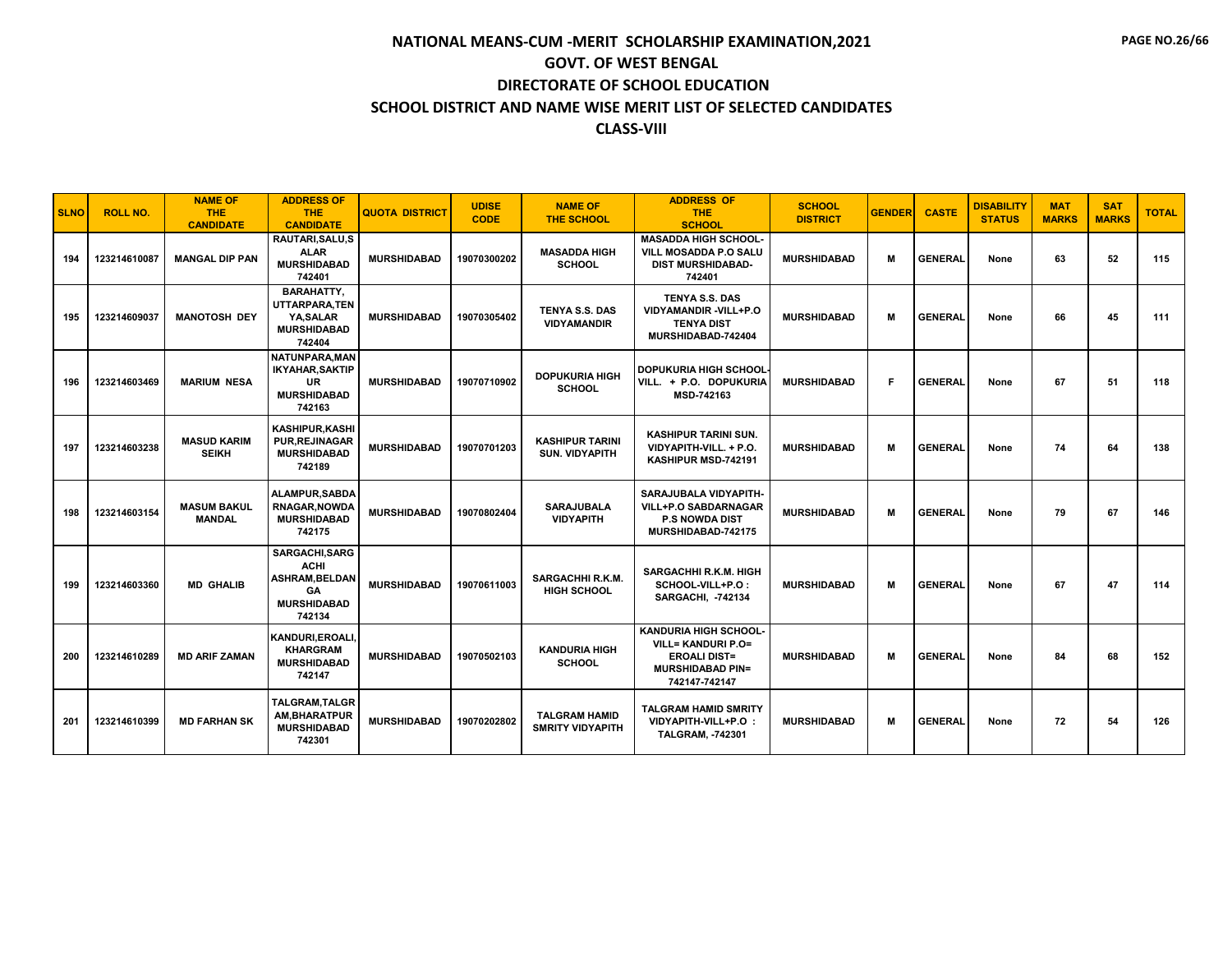| <b>SLNO</b> | <b>ROLL NO.</b> | <b>NAME OF</b><br><b>THE</b><br><b>CANDIDATE</b> | <b>ADDRESS OF</b><br><b>THE</b><br><b>CANDIDATE</b>                                                | <b>QUOTA DISTRICT</b> | <b>UDISE</b><br><b>CODE</b> | <b>NAME OF</b><br><b>THE SCHOOL</b>             | <b>ADDRESS OF</b><br><b>THE</b><br><b>SCHOOL</b>                                                                             | <b>SCHOOL</b><br><b>DISTRICT</b> | <b>GENDER</b> | <b>CASTE</b>   | <b>DISABILITY</b><br><b>STATUS</b> | <b>MAT</b><br><b>MARKS</b> | <b>SAT</b><br><b>MARKS</b> | <b>TOTAL</b> |
|-------------|-----------------|--------------------------------------------------|----------------------------------------------------------------------------------------------------|-----------------------|-----------------------------|-------------------------------------------------|------------------------------------------------------------------------------------------------------------------------------|----------------------------------|---------------|----------------|------------------------------------|----------------------------|----------------------------|--------------|
| 194         | 123214610087    | <b>MANGAL DIP PAN</b>                            | RAUTARI.SALU.S<br><b>ALAR</b><br><b>MURSHIDABAD</b><br>742401                                      | <b>MURSHIDABAD</b>    | 19070300202                 | <b>MASADDA HIGH</b><br><b>SCHOOL</b>            | <b>MASADDA HIGH SCHOOL-</b><br><b>VILL MOSADDA P.O SALU</b><br><b>DIST MURSHIDABAD-</b><br>742401                            | <b>MURSHIDABAD</b>               | М             | <b>GENERAL</b> | None                               | 63                         | 52                         | 115          |
| 195         | 123214609037    | <b>MANOTOSH DEY</b>                              | <b>BARAHATTY.</b><br>UTTARPARA,TEN<br>YA, SALAR<br><b>MURSHIDABAD</b><br>742404                    | <b>MURSHIDABAD</b>    | 19070305402                 | <b>TENYA S.S. DAS</b><br><b>VIDYAMANDIR</b>     | <b>TENYA S.S. DAS</b><br>VIDYAMANDIR - VILL+P.O<br><b>TENYA DIST</b><br>MURSHIDABAD-742404                                   | <b>MURSHIDABAD</b>               | м             | <b>GENERAL</b> | None                               | 66                         | 45                         | 111          |
| 196         | 123214603469    | <b>MARIUM NESA</b>                               | NATUNPARA.MAN<br><b>IKYAHAR.SAKTIP</b><br><b>UR</b><br><b>MURSHIDABAD</b><br>742163                | <b>MURSHIDABAD</b>    | 19070710902                 | <b>DOPUKURIA HIGH</b><br><b>SCHOOL</b>          | <b>DOPUKURIA HIGH SCHOOL</b><br>VILL. + P.O. DOPUKURIA<br>MSD-742163                                                         | <b>MURSHIDABAD</b>               | F.            | <b>GENERAL</b> | None                               | 67                         | 51                         | 118          |
| 197         | 123214603238    | <b>MASUD KARIM</b><br><b>SEIKH</b>               | <b>KASHIPUR, KASHI</b><br><b>PUR, REJINAGAR</b><br><b>MURSHIDABAD</b><br>742189                    | <b>MURSHIDABAD</b>    | 19070701203                 | <b>KASHIPUR TARINI</b><br><b>SUN. VIDYAPITH</b> | <b>KASHIPUR TARINI SUN.</b><br>VIDYAPITH-VILL. + P.O.<br>KASHIPUR MSD-742191                                                 | <b>MURSHIDABAD</b>               | м             | <b>GENERAL</b> | None                               | 74                         | 64                         | 138          |
| 198         | 123214603154    | <b>MASUM BAKUL</b><br><b>MANDAL</b>              | <b>ALAMPUR.SABDA</b><br><b>RNAGAR.NOWDA</b><br><b>MURSHIDABAD</b><br>742175                        | <b>MURSHIDABAD</b>    | 19070802404                 | <b>SARAJUBALA</b><br><b>VIDYAPITH</b>           | SARAJUBALA VIDYAPITH-<br><b>VILL+P.O SABDARNAGAR</b><br><b>P.S NOWDA DIST</b><br>MURSHIDABAD-742175                          | <b>MURSHIDABAD</b>               | M             | <b>GENERAL</b> | None                               | 79                         | 67                         | 146          |
| 199         | 123214603360    | <b>MD GHALIB</b>                                 | <b>SARGACHI, SARG</b><br><b>ACHI</b><br><b>ASHRAM.BELDAN</b><br>GA<br><b>MURSHIDABAD</b><br>742134 | <b>MURSHIDABAD</b>    | 19070611003                 | <b>SARGACHHI R.K.M.</b><br>HIGH SCHOOL          | <b>SARGACHHI R.K.M. HIGH</b><br>SCHOOL-VILL+P.O:<br><b>SARGACHI, -742134</b>                                                 | <b>MURSHIDABAD</b>               | M             | <b>GENERAL</b> | None                               | 67                         | 47                         | 114          |
| 200         | 123214610289    | <b>MD ARIF ZAMAN</b>                             | KANDURI, EROALI,<br><b>KHARGRAM</b><br><b>MURSHIDABAD</b><br>742147                                | <b>MURSHIDABAD</b>    | 19070502103                 | <b>KANDURIA HIGH</b><br><b>SCHOOL</b>           | <b>KANDURIA HIGH SCHOOL-</b><br><b>VILL= KANDURI P.O=</b><br><b>EROALI DIST=</b><br><b>MURSHIDABAD PIN=</b><br>742147-742147 | <b>MURSHIDABAD</b>               | м             | <b>GENERAL</b> | None                               | 84                         | 68                         | 152          |
| 201         | 123214610399    | <b>MD FARHAN SK</b>                              | <b>TALGRAM.TALGR</b><br>AM, BHARATPUR<br><b>MURSHIDABAD</b><br>742301                              | <b>MURSHIDABAD</b>    | 19070202802                 | <b>TALGRAM HAMID</b><br><b>SMRITY VIDYAPITH</b> | <b>TALGRAM HAMID SMRITY</b><br>VIDYAPITH-VILL+P.O :<br><b>TALGRAM, -742301</b>                                               | <b>MURSHIDABAD</b>               | M             | <b>GENERAL</b> | None                               | 72                         | 54                         | 126          |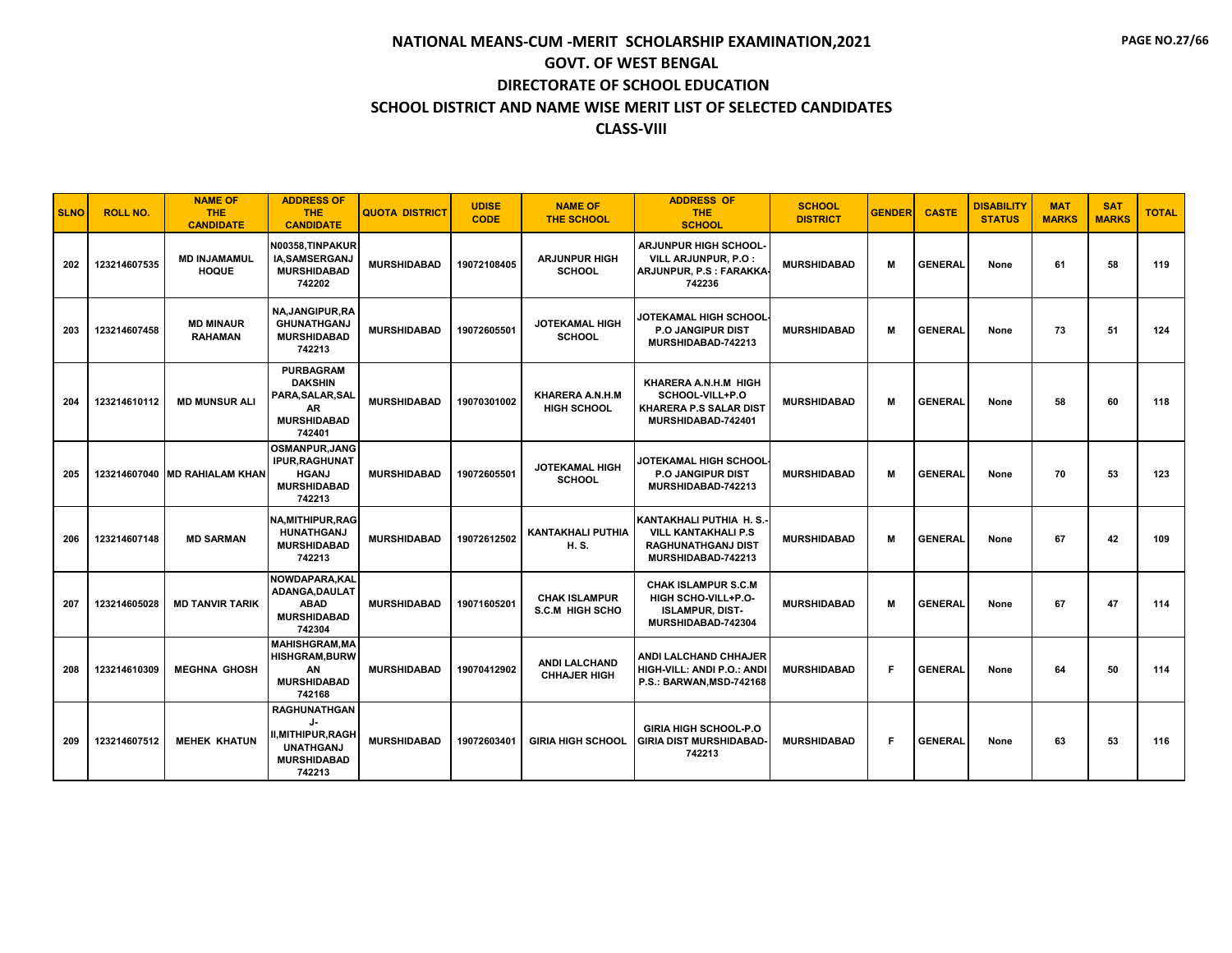| <b>SLNO</b> | <b>ROLL NO.</b> | <b>NAME OF</b><br><b>THE</b><br><b>CANDIDATE</b> | <b>ADDRESS OF</b><br>THE.<br><b>CANDIDATE</b>                                                            | <b>QUOTA DISTRICT</b> | <b>UDISE</b><br><b>CODE</b> | <b>NAME OF</b><br><b>THE SCHOOL</b>            | <b>ADDRESS OF</b><br><b>THE</b><br><b>SCHOOL</b>                                                        | <b>SCHOOL</b><br><b>DISTRICT</b> | <b>GENDER</b> | <b>CASTE</b>   | <b>DISABILITY</b><br><b>STATUS</b> | <b>MAT</b><br><b>MARKS</b> | <b>SAT</b><br><b>MARKS</b> | <b>TOTAL</b> |
|-------------|-----------------|--------------------------------------------------|----------------------------------------------------------------------------------------------------------|-----------------------|-----------------------------|------------------------------------------------|---------------------------------------------------------------------------------------------------------|----------------------------------|---------------|----------------|------------------------------------|----------------------------|----------------------------|--------------|
| 202         | 123214607535    | <b>MD INJAMAMUL</b><br><b>HOQUE</b>              | N00358,TINPAKUR<br>IA, SAMSERGANJ<br><b>MURSHIDABAD</b><br>742202                                        | <b>MURSHIDABAD</b>    | 19072108405                 | <b>ARJUNPUR HIGH</b><br><b>SCHOOL</b>          | <b>ARJUNPUR HIGH SCHOOL-</b><br>VILL ARJUNPUR, P.O :<br>ARJUNPUR, P.S : FARAKKA<br>742236               | <b>MURSHIDABAD</b>               | м             | <b>GENERAL</b> | None                               | 61                         | 58                         | 119          |
| 203         | 123214607458    | <b>MD MINAUR</b><br><b>RAHAMAN</b>               | NA, JANGIPUR, RA<br><b>GHUNATHGANJ</b><br><b>MURSHIDABAD</b><br>742213                                   | <b>MURSHIDABAD</b>    | 19072605501                 | <b>JOTEKAMAL HIGH</b><br><b>SCHOOL</b>         | <b>JOTEKAMAL HIGH SCHOOL</b><br><b>P.O JANGIPUR DIST</b><br>MURSHIDABAD-742213                          | <b>MURSHIDABAD</b>               | м             | <b>GENERAL</b> | None                               | 73                         | 51                         | 124          |
| 204         | 123214610112    | <b>MD MUNSUR ALI</b>                             | <b>PURBAGRAM</b><br><b>DAKSHIN</b><br>PARA, SALAR, SAL<br>AR<br><b>MURSHIDABAD</b><br>742401             | <b>MURSHIDABAD</b>    | 19070301002                 | KHARERA A.N.H.M<br><b>HIGH SCHOOL</b>          | KHARERA A.N.H.M HIGH<br>SCHOOL-VILL+P.O<br><b>KHARERA P.S SALAR DIST</b><br>MURSHIDABAD-742401          | <b>MURSHIDABAD</b>               | м             | <b>GENERAL</b> | None                               | 58                         | 60                         | 118          |
| 205         |                 | 123214607040 MD RAHIALAM KHAN                    | <b>OSMANPUR, JANG</b><br><b>IPUR, RAGHUNAT</b><br><b>HGANJ</b><br><b>MURSHIDABAD</b><br>742213           | <b>MURSHIDABAD</b>    | 19072605501                 | <b>JOTEKAMAL HIGH</b><br><b>SCHOOL</b>         | JOTEKAMAL HIGH SCHOOL<br><b>P.O JANGIPUR DIST</b><br>MURSHIDABAD-742213                                 | <b>MURSHIDABAD</b>               | м             | <b>GENERAL</b> | None                               | 70                         | 53                         | 123          |
| 206         | 123214607148    | <b>MD SARMAN</b>                                 | <b>NA.MITHIPUR.RAG</b><br><b>HUNATHGANJ</b><br><b>MURSHIDABAD</b><br>742213                              | <b>MURSHIDABAD</b>    | 19072612502                 | <b>KANTAKHALI PUTHIA</b><br>H. S.              | KANTAKHALI PUTHIA H.S.<br><b>VILL KANTAKHALI P.S</b><br><b>RAGHUNATHGANJ DIST</b><br>MURSHIDABAD-742213 | <b>MURSHIDABAD</b>               | м             | <b>GENERAL</b> | None                               | 67                         | 42                         | 109          |
| 207         | 123214605028    | <b>MD TANVIR TARIK</b>                           | NOWDAPARA.KAL<br>ADANGA, DAULAT<br><b>ABAD</b><br><b>MURSHIDABAD</b><br>742304                           | <b>MURSHIDABAD</b>    | 19071605201                 | <b>CHAK ISLAMPUR</b><br><b>S.C.M HIGH SCHO</b> | <b>CHAK ISLAMPUR S.C.M</b><br>HIGH SCHO-VILL+P.O-<br><b>ISLAMPUR, DIST-</b><br>MURSHIDABAD-742304       | <b>MURSHIDABAD</b>               | м             | <b>GENERAL</b> | None                               | 67                         | 47                         | 114          |
| 208         | 123214610309    | <b>MEGHNA GHOSH</b>                              | <b>MAHISHGRAM.MA</b><br><b>HISHGRAM, BURW</b><br>AN<br><b>MURSHIDABAD</b><br>742168                      | <b>MURSHIDABAD</b>    | 19070412902                 | <b>ANDI LALCHAND</b><br><b>CHHAJER HIGH</b>    | ANDI LALCHAND CHHAJER<br>HIGH-VILL: ANDI P.O.: ANDI<br>P.S.: BARWAN, MSD-742168                         | <b>MURSHIDABAD</b>               | F.            | <b>GENERAL</b> | None                               | 64                         | 50                         | 114          |
| 209         | 123214607512    | <b>MEHEK KHATUN</b>                              | <b>RAGHUNATHGAN</b><br>J-<br><b>II.MITHIPUR.RAGH</b><br><b>UNATHGANJ</b><br><b>MURSHIDABAD</b><br>742213 | <b>MURSHIDABAD</b>    | 19072603401                 | <b>GIRIA HIGH SCHOOL</b>                       | <b>GIRIA HIGH SCHOOL-P.O</b><br><b>GIRIA DIST MURSHIDABAD-</b><br>742213                                | <b>MURSHIDABAD</b>               | F             | <b>GENERAL</b> | None                               | 63                         | 53                         | 116          |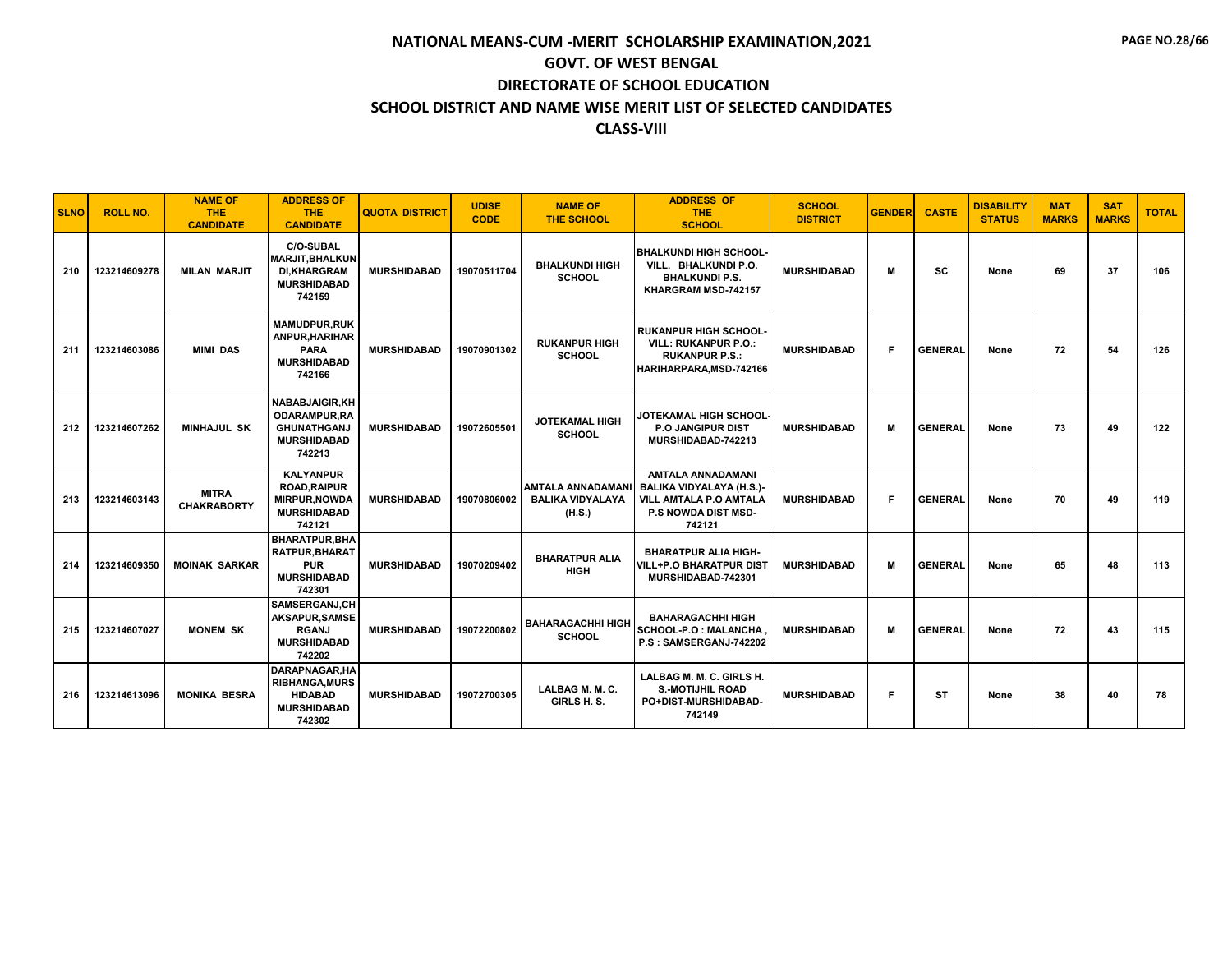| <b>SLNO</b> | <b>ROLL NO.</b> | <b>NAME OF</b><br><b>THE</b><br><b>CANDIDATE</b> | <b>ADDRESS OF</b><br>THE.<br><b>CANDIDATE</b>                                                      | <b>QUOTA DISTRICT</b> | <b>UDISE</b><br><b>CODE</b> | <b>NAME OF</b><br><b>THE SCHOOL</b>                          | <b>ADDRESS OF</b><br><b>THE</b><br><b>SCHOOL</b>                                                                              | <b>SCHOOL</b><br><b>DISTRICT</b> | <b>GENDER</b> | <b>CASTE</b>   | <b>DISABILITY</b><br><b>STATUS</b> | <b>MAT</b><br><b>MARKS</b> | <b>SAT</b><br><b>MARKS</b> | <b>TOTAL</b> |
|-------------|-----------------|--------------------------------------------------|----------------------------------------------------------------------------------------------------|-----------------------|-----------------------------|--------------------------------------------------------------|-------------------------------------------------------------------------------------------------------------------------------|----------------------------------|---------------|----------------|------------------------------------|----------------------------|----------------------------|--------------|
| 210         | 123214609278    | <b>MILAN MARJIT</b>                              | <b>C/O-SUBAL</b><br><b>MARJIT.BHALKUN</b><br><b>DI,KHARGRAM</b><br><b>MURSHIDABAD</b><br>742159    | <b>MURSHIDABAD</b>    | 19070511704                 | <b>BHALKUNDI HIGH</b><br><b>SCHOOL</b>                       | <b>BHALKUNDI HIGH SCHOOL</b><br>VILL. BHALKUNDI P.O.<br><b>BHALKUNDI P.S.</b><br>KHARGRAM MSD-742157                          | <b>MURSHIDABAD</b>               | м             | SC             | None                               | 69                         | 37                         | 106          |
| 211         | 123214603086    | <b>MIMI DAS</b>                                  | <b>MAMUDPUR.RUK</b><br><b>ANPUR.HARIHAR</b><br><b>PARA</b><br><b>MURSHIDABAD</b><br>742166         | <b>MURSHIDABAD</b>    | 19070901302                 | <b>RUKANPUR HIGH</b><br><b>SCHOOL</b>                        | <b>RUKANPUR HIGH SCHOOL</b><br><b>VILL: RUKANPUR P.O.:</b><br><b>RUKANPUR P.S.:</b><br>HARIHARPARA.MSD-742166                 | <b>MURSHIDABAD</b>               | F.            | <b>GENERAL</b> | None                               | 72                         | 54                         | 126          |
| 212         | 123214607262    | <b>MINHAJUL SK</b>                               | <b>NABABJAIGIR.KH</b><br><b>ODARAMPUR.RA</b><br><b>GHUNATHGANJ</b><br><b>MURSHIDABAD</b><br>742213 | <b>MURSHIDABAD</b>    | 19072605501                 | <b>JOTEKAMAL HIGH</b><br><b>SCHOOL</b>                       | JOTEKAMAL HIGH SCHOOL<br><b>P.O JANGIPUR DIST</b><br>MURSHIDABAD-742213                                                       | <b>MURSHIDABAD</b>               | м             | <b>GENERAL</b> | None                               | 73                         | 49                         | 122          |
| 213         | 123214603143    | <b>MITRA</b><br><b>CHAKRABORTY</b>               | <b>KALYANPUR</b><br><b>ROAD.RAIPUR</b><br><b>MIRPUR, NOWDA</b><br><b>MURSHIDABAD</b><br>742121     | <b>MURSHIDABAD</b>    | 19070806002                 | <b>AMTALA ANNADAMAN</b><br><b>BALIKA VIDYALAYA</b><br>(H.S.) | <b>AMTALA ANNADAMANI</b><br>BALIKA VIDYALAYA (H.S.)-<br><b>VILL AMTALA P.O AMTALA</b><br><b>P.S NOWDA DIST MSD-</b><br>742121 | <b>MURSHIDABAD</b>               | F.            | <b>GENERAL</b> | None                               | 70                         | 49                         | 119          |
| 214         | 123214609350    | <b>MOINAK SARKAR</b>                             | <b>BHARATPUR.BHA</b><br><b>RATPUR.BHARAT</b><br><b>PUR</b><br><b>MURSHIDABAD</b><br>742301         | <b>MURSHIDABAD</b>    | 19070209402                 | <b>BHARATPUR ALIA</b><br><b>HIGH</b>                         | <b>BHARATPUR ALIA HIGH-</b><br><b>VILL+P.O BHARATPUR DIST</b><br>MURSHIDABAD-742301                                           | <b>MURSHIDABAD</b>               | м             | <b>GENERAL</b> | None                               | 65                         | 48                         | 113          |
| 215         | 123214607027    | <b>MONEM SK</b>                                  | SAMSERGANJ.CH<br>AKSAPUR, SAMSE<br><b>RGANJ</b><br><b>MURSHIDABAD</b><br>742202                    | <b>MURSHIDABAD</b>    | 19072200802                 | <b>BAHARAGACHHI HIGH</b><br><b>SCHOOL</b>                    | <b>BAHARAGACHHI HIGH</b><br>SCHOOL-P.O : MALANCHA<br>P.S: SAMSERGANJ-742202                                                   | <b>MURSHIDABAD</b>               | м             | <b>GENERAL</b> | None                               | 72                         | 43                         | 115          |
| 216         | 123214613096    | <b>MONIKA BESRA</b>                              | DARAPNAGAR, HA<br><b>RIBHANGA, MURS</b><br><b>HIDABAD</b><br><b>MURSHIDABAD</b><br>742302          | <b>MURSHIDABAD</b>    | 19072700305                 | LALBAG M. M. C.<br>GIRLS H.S.                                | LALBAG M. M. C. GIRLS H.<br><b>S.-MOTIJHIL ROAD</b><br>PO+DIST-MURSHIDABAD-<br>742149                                         | <b>MURSHIDABAD</b>               | F             | ST             | None                               | 38                         | 40                         | 78           |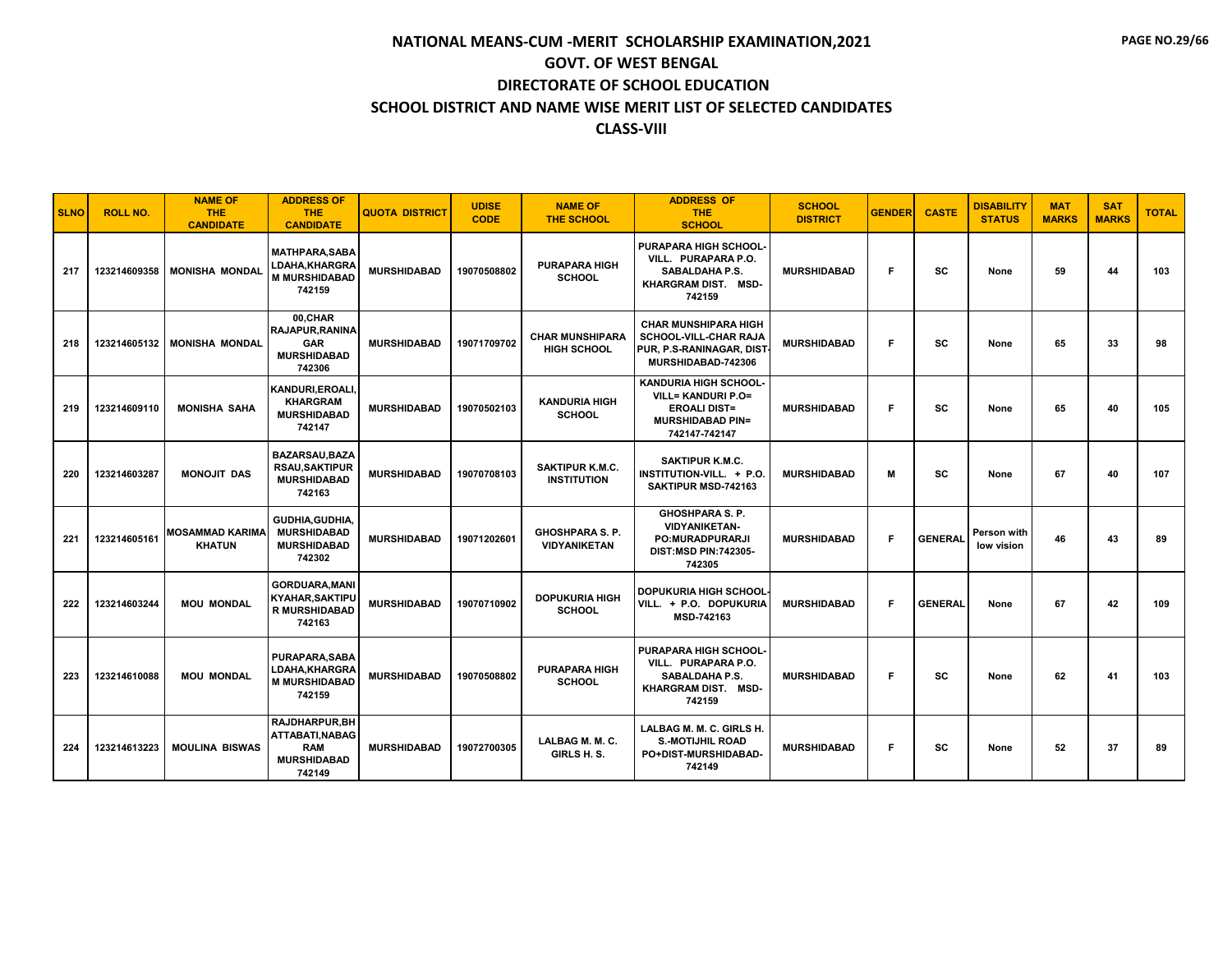| <b>SLNO</b> | <b>ROLL NO.</b> | <b>NAME OF</b><br><b>THE</b><br><b>CANDIDATE</b> | <b>ADDRESS OF</b><br>THE.<br><b>CANDIDATE</b>                                         | <b>QUOTA DISTRICT</b> | <b>UDISE</b><br><b>CODE</b> | <b>NAME OF</b><br><b>THE SCHOOL</b>           | <b>ADDRESS OF</b><br><b>THE</b><br><b>SCHOOL</b>                                                                             | <b>SCHOOL</b><br><b>DISTRICT</b> | <b>GENDER</b> | <b>CASTE</b>   | <b>DISABILITY</b><br><b>STATUS</b> | <b>MAT</b><br><b>MARKS</b> | <b>SAT</b><br><b>MARKS</b> | <b>TOTAL</b> |
|-------------|-----------------|--------------------------------------------------|---------------------------------------------------------------------------------------|-----------------------|-----------------------------|-----------------------------------------------|------------------------------------------------------------------------------------------------------------------------------|----------------------------------|---------------|----------------|------------------------------------|----------------------------|----------------------------|--------------|
| 217         | 123214609358    | <b>MONISHA MONDAL</b>                            | <b>MATHPARA.SABA</b><br>LDAHA,KHARGRA<br><b>M MURSHIDABAD</b><br>742159               | <b>MURSHIDABAD</b>    | 19070508802                 | <b>PURAPARA HIGH</b><br><b>SCHOOL</b>         | <b>PURAPARA HIGH SCHOOL</b><br>VILL. PURAPARA P.O.<br>SABALDAHA P.S.<br>KHARGRAM DIST. MSD-<br>742159                        | <b>MURSHIDABAD</b>               | F.            | SC             | None                               | 59                         | 44                         | 103          |
| 218         | 123214605132    | <b>MONISHA MONDAL</b>                            | 00.CHAR<br>RAJAPUR, RANINA<br><b>GAR</b><br><b>MURSHIDABAD</b><br>742306              | <b>MURSHIDABAD</b>    | 19071709702                 | <b>CHAR MUNSHIPARA</b><br><b>HIGH SCHOOL</b>  | <b>CHAR MUNSHIPARA HIGH</b><br><b>SCHOOL-VILL-CHAR RAJA</b><br>PUR, P.S-RANINAGAR, DIST<br>MURSHIDABAD-742306                | <b>MURSHIDABAD</b>               | F.            | SC             | None                               | 65                         | 33                         | 98           |
| 219         | 123214609110    | <b>MONISHA SAHA</b>                              | KANDURI, EROALI,<br><b>KHARGRAM</b><br><b>MURSHIDABAD</b><br>742147                   | <b>MURSHIDABAD</b>    | 19070502103                 | <b>KANDURIA HIGH</b><br><b>SCHOOL</b>         | <b>KANDURIA HIGH SCHOOL-</b><br><b>VILL= KANDURI P.O=</b><br><b>EROALI DIST=</b><br><b>MURSHIDABAD PIN=</b><br>742147-742147 | <b>MURSHIDABAD</b>               | F.            | <b>SC</b>      | None                               | 65                         | 40                         | 105          |
| 220         | 123214603287    | <b>MONOJIT DAS</b>                               | <b>BAZARSAU.BAZA</b><br><b>RSAU,SAKTIPUR</b><br><b>MURSHIDABAD</b><br>742163          | <b>MURSHIDABAD</b>    | 19070708103                 | SAKTIPUR K.M.C.<br><b>INSTITUTION</b>         | <b>SAKTIPUR K.M.C.</b><br>INSTITUTION-VILL. + P.O.<br>SAKTIPUR MSD-742163                                                    | <b>MURSHIDABAD</b>               | М             | <b>SC</b>      | None                               | 67                         | 40                         | 107          |
| 221         | 123214605161    | MOSAMMAD KARIMA<br><b>KHATUN</b>                 | <b>GUDHIA.GUDHIA.</b><br><b>MURSHIDABAD</b><br><b>MURSHIDABAD</b><br>742302           | <b>MURSHIDABAD</b>    | 19071202601                 | <b>GHOSHPARA S. P.</b><br><b>VIDYANIKETAN</b> | <b>GHOSHPARA S. P.</b><br><b>VIDYANIKETAN-</b><br><b>PO:MURADPURARJI</b><br><b>DIST:MSD PIN:742305-</b><br>742305            | <b>MURSHIDABAD</b>               | F             | <b>GENERAL</b> | Person with<br>low vision          | 46                         | 43                         | 89           |
| 222         | 123214603244    | <b>MOU MONDAL</b>                                | <b>GORDUARA.MANI</b><br><b>KYAHAR, SAKTIPU</b><br><b>R MURSHIDABAD</b><br>742163      | <b>MURSHIDABAD</b>    | 19070710902                 | <b>DOPUKURIA HIGH</b><br><b>SCHOOL</b>        | <b>DOPUKURIA HIGH SCHOOL</b><br>VILL. + P.O. DOPUKURIA<br>MSD-742163                                                         | <b>MURSHIDABAD</b>               | F.            | <b>GENERAL</b> | None                               | 67                         | 42                         | 109          |
| 223         | 123214610088    | <b>MOU MONDAL</b>                                | <b>PURAPARA, SABA</b><br>LDAHA,KHARGRA<br><b>M MURSHIDABAD</b><br>742159              | <b>MURSHIDABAD</b>    | 19070508802                 | <b>PURAPARA HIGH</b><br><b>SCHOOL</b>         | <b>PURAPARA HIGH SCHOOL</b><br>VILL. PURAPARA P.O.<br>SABALDAHA P.S.<br>KHARGRAM DIST. MSD-<br>742159                        | <b>MURSHIDABAD</b>               | F.            | <b>SC</b>      | None                               | 62                         | 41                         | 103          |
| 224         | 123214613223    | <b>MOULINA BISWAS</b>                            | <b>RAJDHARPUR.BH</b><br>ATTABATI, NABAG<br><b>RAM</b><br><b>MURSHIDABAD</b><br>742149 | <b>MURSHIDABAD</b>    | 19072700305                 | LALBAG M. M. C.<br>GIRLS H.S.                 | LALBAG M. M. C. GIRLS H.<br><b>S.-MOTIJHIL ROAD</b><br>PO+DIST-MURSHIDABAD-<br>742149                                        | <b>MURSHIDABAD</b>               | F             | SC             | None                               | 52                         | 37                         | 89           |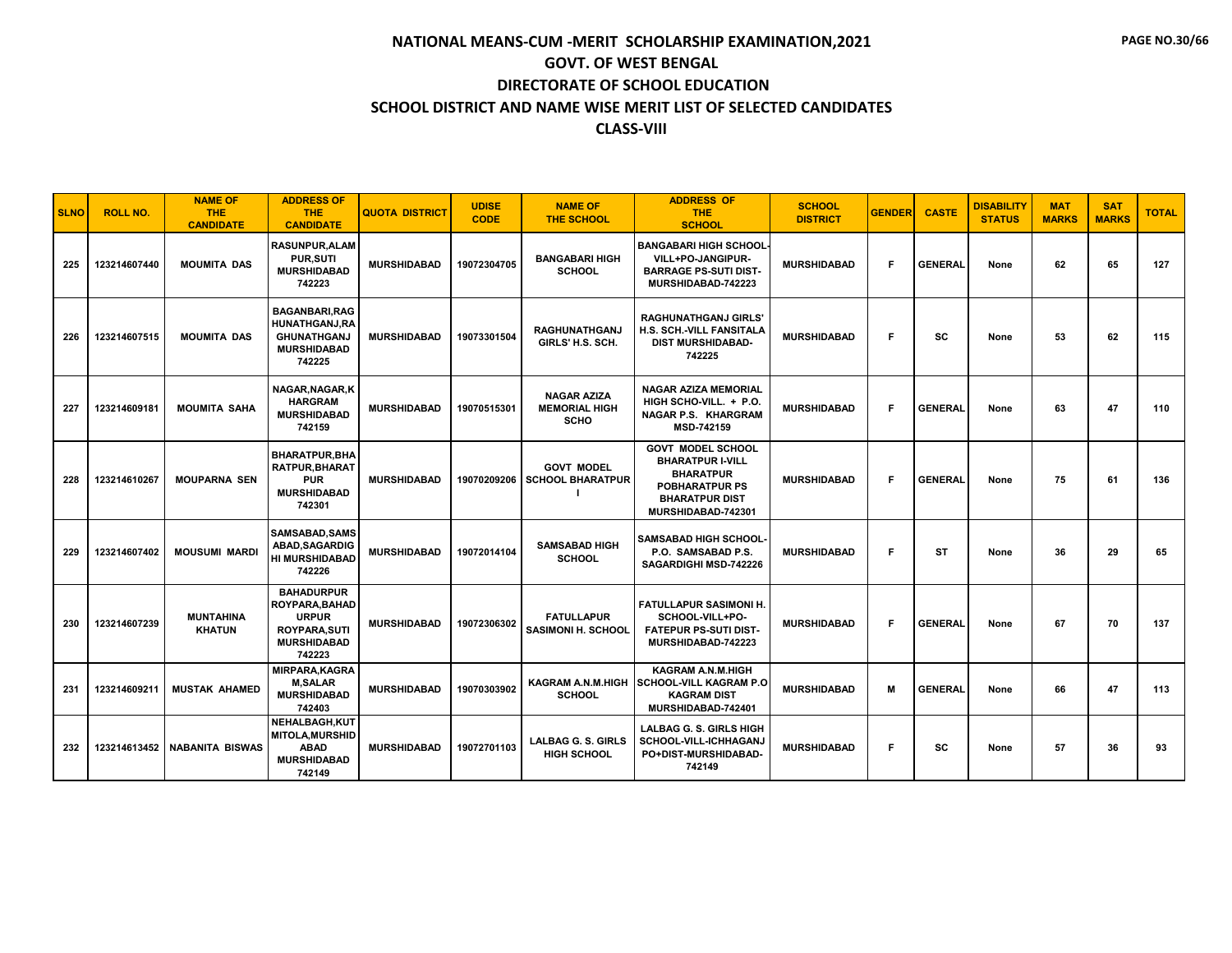| <b>SLNO</b> | <b>ROLL NO.</b> | <b>NAME OF</b><br><b>THE</b><br><b>CANDIDATE</b> | <b>ADDRESS OF</b><br><b>THE</b><br><b>CANDIDATE</b>                                                               | <b>QUOTA DISTRICT</b> | <b>UDISE</b><br><b>CODE</b> | <b>NAME OF</b><br><b>THE SCHOOL</b>                | <b>ADDRESS OF</b><br><b>THE</b><br><b>SCHOOL</b>                                                                                                | <b>SCHOOL</b><br><b>DISTRICT</b> | <b>GENDER</b> | <b>CASTE</b>   | <b>DISABILITY</b><br><b>STATUS</b> | <b>MAT</b><br><b>MARKS</b> | <b>SAT</b><br><b>MARKS</b> | <b>TOTAL</b> |
|-------------|-----------------|--------------------------------------------------|-------------------------------------------------------------------------------------------------------------------|-----------------------|-----------------------------|----------------------------------------------------|-------------------------------------------------------------------------------------------------------------------------------------------------|----------------------------------|---------------|----------------|------------------------------------|----------------------------|----------------------------|--------------|
| 225         | 123214607440    | <b>MOUMITA DAS</b>                               | <b>RASUNPUR.ALAM</b><br><b>PUR, SUTI</b><br><b>MURSHIDABAD</b><br>742223                                          | <b>MURSHIDABAD</b>    | 19072304705                 | <b>BANGABARI HIGH</b><br><b>SCHOOL</b>             | <b>BANGABARI HIGH SCHOOL</b><br>VILL+PO-JANGIPUR-<br><b>BARRAGE PS-SUTI DIST-</b><br>MURSHIDABAD-742223                                         | <b>MURSHIDABAD</b>               | F             | <b>GENERAL</b> | None                               | 62                         | 65                         | 127          |
| 226         | 123214607515    | <b>MOUMITA DAS</b>                               | <b>BAGANBARI, RAG</b><br><b>HUNATHGANJ,RA</b><br><b>GHUNATHGANJ</b><br><b>MURSHIDABAD</b><br>742225               | <b>MURSHIDABAD</b>    | 19073301504                 | <b>RAGHUNATHGANJ</b><br>GIRLS' H.S. SCH.           | <b>RAGHUNATHGANJ GIRLS</b><br>H.S. SCH.-VILL FANSITALA<br><b>DIST MURSHIDABAD-</b><br>742225                                                    | <b>MURSHIDABAD</b>               | F             | <b>SC</b>      | None                               | 53                         | 62                         | 115          |
| 227         | 123214609181    | <b>MOUMITA SAHA</b>                              | NAGAR, NAGAR, K<br><b>HARGRAM</b><br><b>MURSHIDABAD</b><br>742159                                                 | <b>MURSHIDABAD</b>    | 19070515301                 | <b>NAGAR AZIZA</b><br><b>MEMORIAL HIGH</b><br>SCHO | <b>NAGAR AZIZA MEMORIAL</b><br>HIGH SCHO-VILL. + P.O.<br>NAGAR P.S. KHARGRAM<br>MSD-742159                                                      | <b>MURSHIDABAD</b>               | F             | <b>GENERAL</b> | None                               | 63                         | 47                         | 110          |
| 228         | 123214610267    | <b>MOUPARNA SEN</b>                              | <b>BHARATPUR.BHA</b><br><b>RATPUR, BHARAT</b><br><b>PUR</b><br><b>MURSHIDABAD</b><br>742301                       | <b>MURSHIDABAD</b>    | 19070209206                 | <b>GOVT MODEL</b><br><b>SCHOOL BHARATPUR</b>       | <b>GOVT MODEL SCHOOL</b><br><b>BHARATPUR I-VILL</b><br><b>BHARATPUR</b><br><b>POBHARATPUR PS</b><br><b>BHARATPUR DIST</b><br>MURSHIDABAD-742301 | <b>MURSHIDABAD</b>               | F             | <b>GENERAL</b> | None                               | 75                         | 61                         | 136          |
| 229         | 123214607402    | <b>MOUSUMI MARDI</b>                             | SAMSABAD, SAMS<br>ABAD, SAGARDIG<br><b>HI MURSHIDABAD</b><br>742226                                               | <b>MURSHIDABAD</b>    | 19072014104                 | <b>SAMSABAD HIGH</b><br><b>SCHOOL</b>              | <b>SAMSABAD HIGH SCHOOL</b><br>P.O. SAMSABAD P.S.<br>SAGARDIGHI MSD-742226                                                                      | <b>MURSHIDABAD</b>               | F             | <b>ST</b>      | None                               | 36                         | 29                         | 65           |
| 230         | 123214607239    | <b>MUNTAHINA</b><br><b>KHATUN</b>                | <b>BAHADURPUR</b><br><b>ROYPARA.BAHAD</b><br><b>URPUR</b><br><b>ROYPARA, SUTI</b><br><b>MURSHIDABAD</b><br>742223 | <b>MURSHIDABAD</b>    | 19072306302                 | <b>FATULLAPUR</b><br><b>SASIMONI H. SCHOOL</b>     | <b>FATULLAPUR SASIMONI H.</b><br>SCHOOL-VILL+PO-<br><b>FATEPUR PS-SUTI DIST-</b><br>MURSHIDABAD-742223                                          | <b>MURSHIDABAD</b>               | F.            | <b>GENERAL</b> | None                               | 67                         | 70                         | 137          |
| 231         | 123214609211    | <b>MUSTAK AHAMED</b>                             | <b>MIRPARA.KAGRA</b><br><b>M.SALAR</b><br><b>MURSHIDABAD</b><br>742403                                            | <b>MURSHIDABAD</b>    | 19070303902                 | <b>KAGRAM A.N.M.HIGH</b><br><b>SCHOOL</b>          | <b>KAGRAM A.N.M.HIGH</b><br><b>SCHOOL-VILL KAGRAM P.O</b><br><b>KAGRAM DIST</b><br>MURSHIDABAD-742401                                           | <b>MURSHIDABAD</b>               | M             | <b>GENERAL</b> | None                               | 66                         | 47                         | 113          |
| 232         | 123214613452    | <b>NABANITA BISWAS</b>                           | NEHALBAGH.KUT<br><b>MITOLA, MURSHID</b><br><b>ABAD</b><br><b>MURSHIDABAD</b><br>742149                            | <b>MURSHIDABAD</b>    | 19072701103                 | <b>LALBAG G. S. GIRLS</b><br><b>HIGH SCHOOL</b>    | <b>LALBAG G. S. GIRLS HIGH</b><br>SCHOOL-VILL-ICHHAGANJ<br>PO+DIST-MURSHIDABAD-<br>742149                                                       | <b>MURSHIDABAD</b>               | F             | SC             | None                               | 57                         | 36                         | 93           |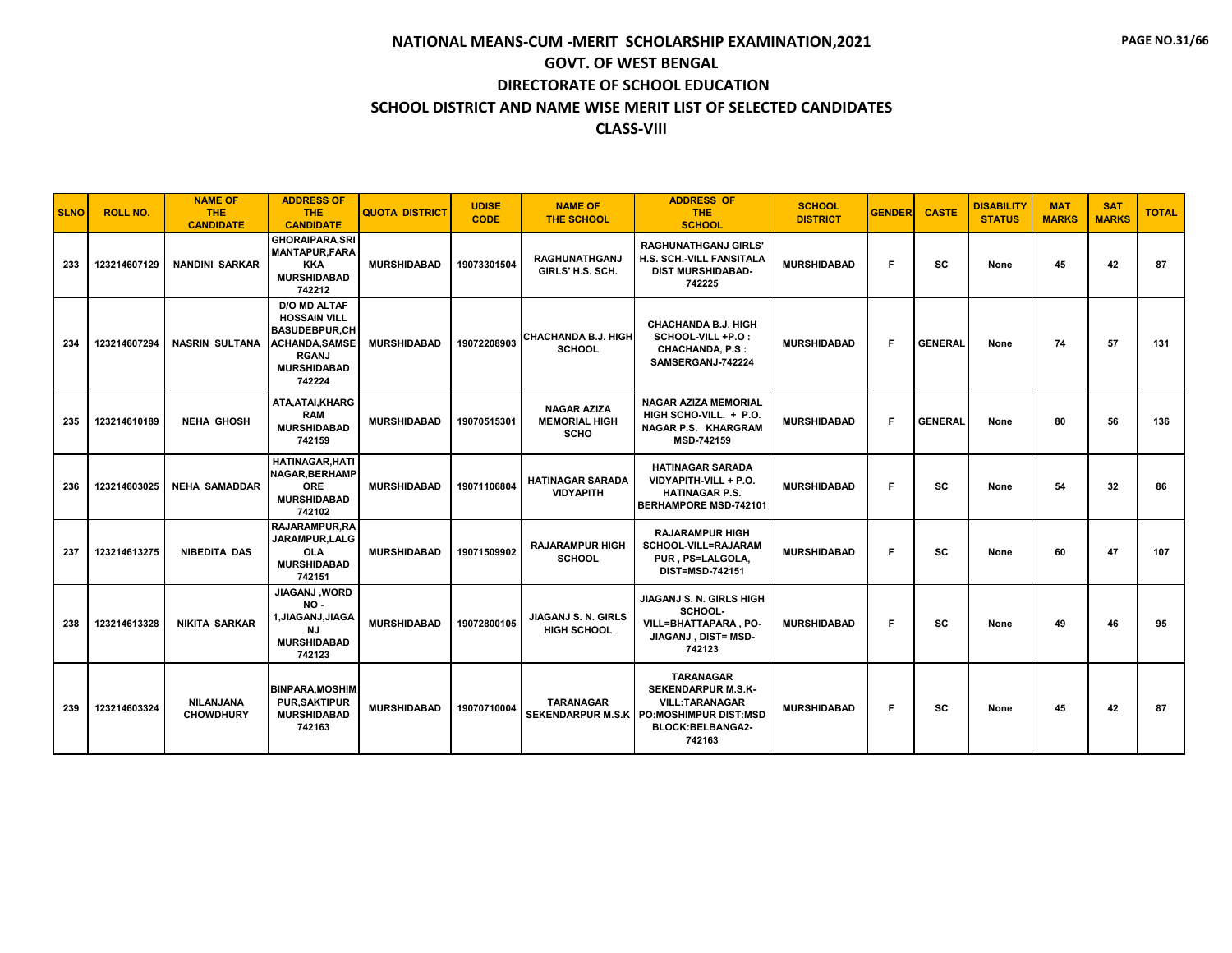| <b>SLNO</b> | <b>ROLL NO.</b> | <b>NAME OF</b><br><b>THE</b><br><b>CANDIDATE</b> | <b>ADDRESS OF</b><br><b>THE</b><br><b>CANDIDATE</b>                                                                                         | <b>QUOTA DISTRICT</b> | <b>UDISE</b><br><b>CODE</b> | <b>NAME OF</b><br><b>THE SCHOOL</b>                       | <b>ADDRESS OF</b><br><b>THE</b><br><b>SCHOOL</b>                                                                                     | <b>SCHOOL</b><br><b>DISTRICT</b> | <b>GENDER</b> | <b>CASTE</b>   | <b>DISABILITY</b><br><b>STATUS</b> | <b>MAT</b><br><b>MARKS</b> | <b>SAT</b><br><b>MARKS</b> | <b>TOTAL</b> |
|-------------|-----------------|--------------------------------------------------|---------------------------------------------------------------------------------------------------------------------------------------------|-----------------------|-----------------------------|-----------------------------------------------------------|--------------------------------------------------------------------------------------------------------------------------------------|----------------------------------|---------------|----------------|------------------------------------|----------------------------|----------------------------|--------------|
| 233         | 123214607129    | <b>NANDINI SARKAR</b>                            | <b>GHORAIPARA, SRI</b><br><b>MANTAPUR.FARA</b><br><b>KKA</b><br><b>MURSHIDABAD</b><br>742212                                                | <b>MURSHIDABAD</b>    | 19073301504                 | <b>RAGHUNATHGANJ</b><br>GIRLS' H.S. SCH.                  | <b>RAGHUNATHGANJ GIRLS'</b><br>H.S. SCH.-VILL FANSITALA<br><b>DIST MURSHIDABAD-</b><br>742225                                        | <b>MURSHIDABAD</b>               | F.            | SC             | None                               | 45                         | 42                         | 87           |
| 234         | 123214607294    | <b>NASRIN SULTANA</b>                            | <b>D/O MD ALTAF</b><br><b>HOSSAIN VILL</b><br><b>BASUDEBPUR,CH</b><br><b>ACHANDA, SAMSE</b><br><b>RGANJ</b><br><b>MURSHIDABAD</b><br>742224 | <b>MURSHIDABAD</b>    | 19072208903                 | <b>CHACHANDA B.J. HIGH</b><br><b>SCHOOL</b>               | <b>CHACHANDA B.J. HIGH</b><br>SCHOOL-VILL +P.O:<br><b>CHACHANDA, P.S :</b><br>SAMSERGANJ-742224                                      | <b>MURSHIDABAD</b>               | F.            | <b>GENERAL</b> | None                               | 74                         | 57                         | 131          |
| 235         | 123214610189    | <b>NEHA GHOSH</b>                                | ATA, ATAI, KHARG<br><b>RAM</b><br><b>MURSHIDABAD</b><br>742159                                                                              | <b>MURSHIDABAD</b>    | 19070515301                 | <b>NAGAR AZIZA</b><br><b>MEMORIAL HIGH</b><br><b>SCHO</b> | <b>NAGAR AZIZA MEMORIAL</b><br>HIGH SCHO-VILL. + P.O.<br><b>NAGAR P.S. KHARGRAM</b><br>MSD-742159                                    | <b>MURSHIDABAD</b>               | F             | <b>GENERAL</b> | None                               | 80                         | 56                         | 136          |
| 236         | 123214603025    | <b>NEHA SAMADDAR</b>                             | <b>HATINAGAR, HATI</b><br><b>NAGAR, BERHAMP</b><br><b>ORE</b><br><b>MURSHIDABAD</b><br>742102                                               | <b>MURSHIDABAD</b>    | 19071106804                 | <b>HATINAGAR SARADA</b><br><b>VIDYAPITH</b>               | <b>HATINAGAR SARADA</b><br>VIDYAPITH-VILL + P.O.<br><b>HATINAGAR P.S.</b><br><b>BERHAMPORE MSD-742101</b>                            | <b>MURSHIDABAD</b>               | F.            | SC             | None                               | 54                         | 32                         | 86           |
| 237         | 123214613275    | <b>NIBEDITA DAS</b>                              | RAJARAMPUR.RA<br><b>JARAMPUR.LALG</b><br><b>OLA</b><br><b>MURSHIDABAD</b><br>742151                                                         | <b>MURSHIDABAD</b>    | 19071509902                 | <b>RAJARAMPUR HIGH</b><br><b>SCHOOL</b>                   | <b>RAJARAMPUR HIGH</b><br>SCHOOL-VILL=RAJARAM<br>PUR, PS=LALGOLA,<br><b>DIST=MSD-742151</b>                                          | <b>MURSHIDABAD</b>               | F             | <b>SC</b>      | None                               | 60                         | 47                         | 107          |
| 238         | 123214613328    | <b>NIKITA SARKAR</b>                             | JIAGANJ, WORD<br>NO-<br>1, JIAGANJ, JIAGA<br>NJ<br><b>MURSHIDABAD</b><br>742123                                                             | <b>MURSHIDABAD</b>    | 19072800105                 | JIAGANJ S. N. GIRLS<br><b>HIGH SCHOOL</b>                 | JIAGANJ S. N. GIRLS HIGH<br>SCHOOL-<br><b>VILL=BHATTAPARA, PO-</b><br>JIAGANJ, DIST= MSD-<br>742123                                  | <b>MURSHIDABAD</b>               | F             | SC             | None                               | 49                         | 46                         | 95           |
| 239         | 123214603324    | <b>NILANJANA</b><br><b>CHOWDHURY</b>             | <b>BINPARA, MOSHIM</b><br><b>PUR.SAKTIPUR</b><br><b>MURSHIDABAD</b><br>742163                                                               | <b>MURSHIDABAD</b>    | 19070710004                 | <b>TARANAGAR</b><br><b>SEKENDARPUR M.S.K</b>              | <b>TARANAGAR</b><br><b>SEKENDARPUR M.S.K-</b><br><b>VILL:TARANAGAR</b><br><b>PO:MOSHIMPUR DIST:MSD</b><br>BLOCK:BELBANGA2-<br>742163 | <b>MURSHIDABAD</b>               | F.            | <b>SC</b>      | None                               | 45                         | 42                         | 87           |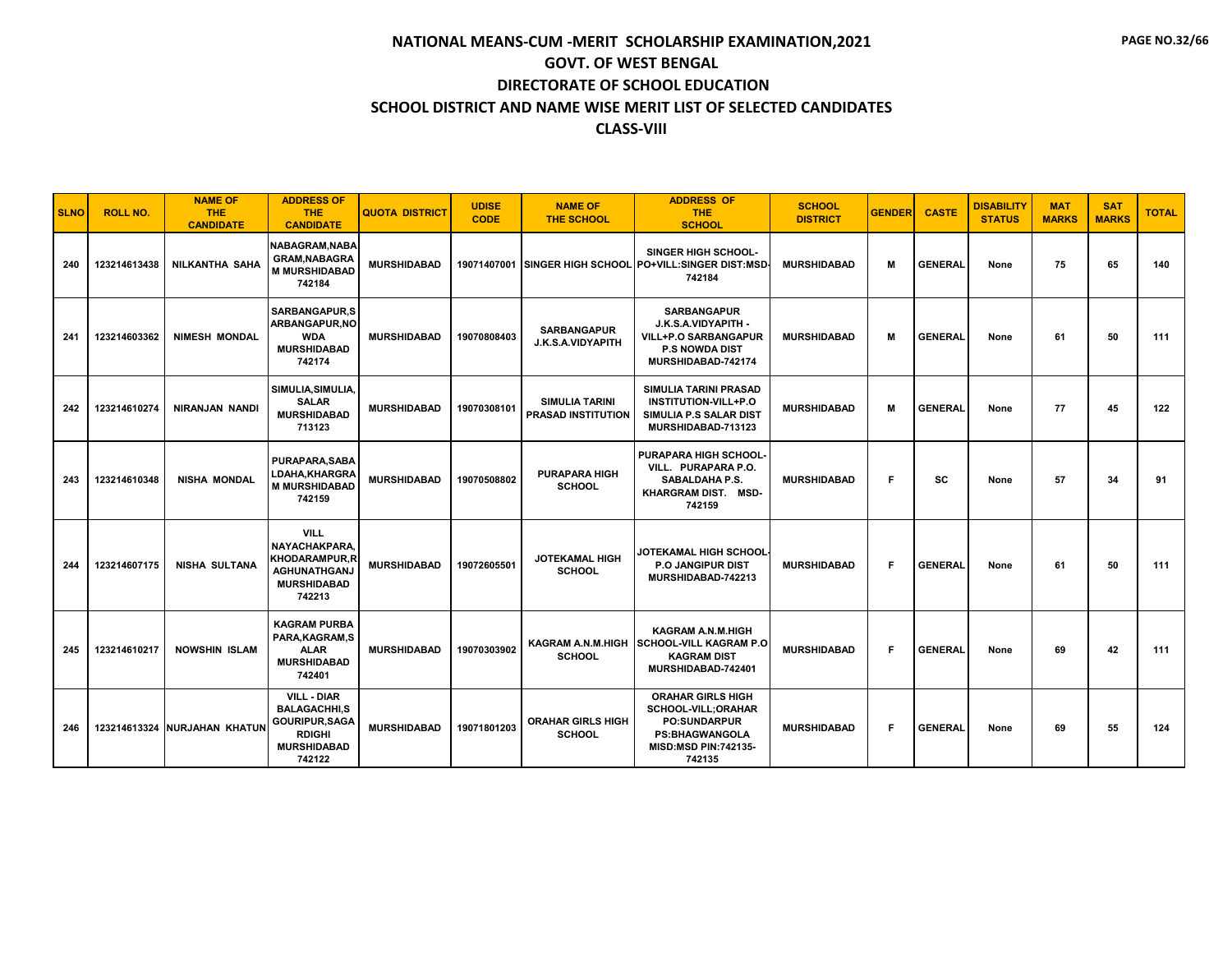| <b>SLNO</b> | <b>ROLL NO.</b> | <b>NAME OF</b><br><b>THE</b><br><b>CANDIDATE</b> | <b>ADDRESS OF</b><br><b>THE</b><br><b>CANDIDATE</b>                                                                 | <b>QUOTA DISTRICT</b> | <b>UDISE</b><br><b>CODE</b> | <b>NAME OF</b><br><b>THE SCHOOL</b>                | <b>ADDRESS OF</b><br><b>THE</b><br><b>SCHOOL</b>                                                                                               | <b>SCHOOL</b><br><b>DISTRICT</b> | <b>GENDER</b> | <b>CASTE</b>   | <b>DISABILITY</b><br><b>STATUS</b> | <b>MAT</b><br><b>MARKS</b> | <b>SAT</b><br><b>MARKS</b> | <b>TOTAL</b> |
|-------------|-----------------|--------------------------------------------------|---------------------------------------------------------------------------------------------------------------------|-----------------------|-----------------------------|----------------------------------------------------|------------------------------------------------------------------------------------------------------------------------------------------------|----------------------------------|---------------|----------------|------------------------------------|----------------------------|----------------------------|--------------|
| 240         | 123214613438    | <b>NILKANTHA SAHA</b>                            | NABAGRAM, NABA<br><b>GRAM, NABAGRA</b><br><b>M MURSHIDABAD</b><br>742184                                            | <b>MURSHIDABAD</b>    |                             |                                                    | <b>SINGER HIGH SCHOOL-</b><br>19071407001 SINGER HIGH SCHOOL PO+VILL:SINGER DIST:MSD-<br>742184                                                | <b>MURSHIDABAD</b>               | м             | <b>GENERAL</b> | None                               | 75                         | 65                         | 140          |
| 241         | 123214603362    | <b>NIMESH MONDAL</b>                             | <b>SARBANGAPUR,S</b><br>ARBANGAPUR, NO<br><b>WDA</b><br><b>MURSHIDABAD</b><br>742174                                | <b>MURSHIDABAD</b>    | 19070808403                 | <b>SARBANGAPUR</b><br><b>J.K.S.A.VIDYAPITH</b>     | <b>SARBANGAPUR</b><br>J.K.S.A.VIDYAPITH -<br><b>VILL+P.O SARBANGAPUR</b><br><b>P.S NOWDA DIST</b><br>MURSHIDABAD-742174                        | <b>MURSHIDABAD</b>               | M             | <b>GENERAL</b> | None                               | 61                         | 50                         | 111          |
| 242         | 123214610274    | <b>NIRANJAN NANDI</b>                            | SIMULIA, SIMULIA,<br><b>SALAR</b><br><b>MURSHIDABAD</b><br>713123                                                   | <b>MURSHIDABAD</b>    | 19070308101                 | <b>SIMULIA TARINI</b><br><b>PRASAD INSTITUTION</b> | <b>SIMULIA TARINI PRASAD</b><br><b>INSTITUTION-VILL+P.O</b><br>SIMULIA P.S SALAR DIST<br>MURSHIDABAD-713123                                    | <b>MURSHIDABAD</b>               | м             | <b>GENERAL</b> | None                               | 77                         | 45                         | 122          |
| 243         | 123214610348    | <b>NISHA MONDAL</b>                              | <b>PURAPARA.SABA</b><br>LDAHA,KHARGRA<br><b>M MURSHIDABAD</b><br>742159                                             | <b>MURSHIDABAD</b>    | 19070508802                 | <b>PURAPARA HIGH</b><br><b>SCHOOL</b>              | <b>PURAPARA HIGH SCHOOL</b><br>VILL. PURAPARA P.O.<br><b>SABALDAHA P.S.</b><br>KHARGRAM DIST. MSD-<br>742159                                   | <b>MURSHIDABAD</b>               | F.            | SC             | None                               | 57                         | 34                         | 91           |
| 244         | 123214607175    | <b>NISHA SULTANA</b>                             | <b>VILL</b><br>NAYACHAKPARA.<br><b>KHODARAMPUR,R</b><br>AGHUNATHGANJ<br><b>MURSHIDABAD</b><br>742213                | <b>MURSHIDABAD</b>    | 19072605501                 | <b>JOTEKAMAL HIGH</b><br><b>SCHOOL</b>             | JOTEKAMAL HIGH SCHOOL<br><b>P.O. JANGIPUR DIST</b><br>MURSHIDABAD-742213                                                                       | <b>MURSHIDABAD</b>               | F             | <b>GENERAL</b> | None                               | 61                         | 50                         | 111          |
| 245         | 123214610217    | <b>NOWSHIN ISLAM</b>                             | <b>KAGRAM PURBA</b><br>PARA, KAGRAM, S<br><b>ALAR</b><br><b>MURSHIDABAD</b><br>742401                               | <b>MURSHIDABAD</b>    | 19070303902                 | <b>SCHOOL</b>                                      | <b>KAGRAM A.N.M.HIGH</b><br>KAGRAM A.N.M.HIGH SCHOOL-VILL KAGRAM P.O<br><b>KAGRAM DIST</b><br>MURSHIDABAD-742401                               | <b>MURSHIDABAD</b>               | F             | <b>GENERAL</b> | None                               | 69                         | 42                         | 111          |
| 246         |                 | 123214613324 NURJAHAN KHATUN                     | <b>VILL - DIAR</b><br><b>BALAGACHHI.S</b><br><b>GOURIPUR, SAGA</b><br><b>RDIGHI</b><br><b>MURSHIDABAD</b><br>742122 | <b>MURSHIDABAD</b>    | 19071801203                 | <b>ORAHAR GIRLS HIGH</b><br><b>SCHOOL</b>          | <b>ORAHAR GIRLS HIGH</b><br><b>SCHOOL-VILL;ORAHAR</b><br><b>PO:SUNDARPUR</b><br><b>PS:BHAGWANGOLA</b><br><b>MISD:MSD PIN:742135-</b><br>742135 | <b>MURSHIDABAD</b>               | F.            | <b>GENERAL</b> | None                               | 69                         | 55                         | 124          |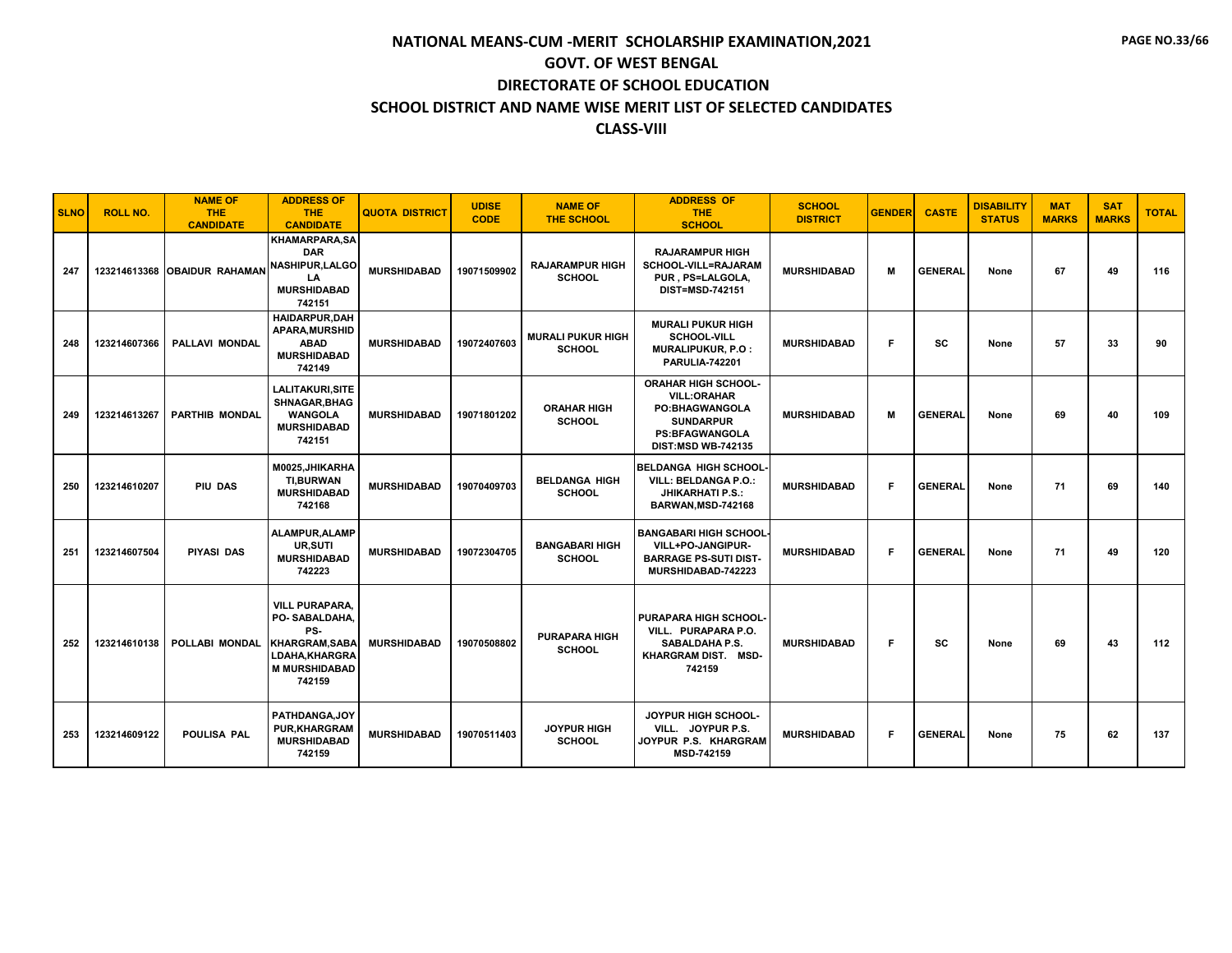| <b>SLNO</b> | <b>ROLL NO.</b> | <b>NAME OF</b><br><b>THE</b><br><b>CANDIDATE</b> | <b>ADDRESS OF</b><br><b>THE</b><br><b>CANDIDATE</b>                                                                              | <b>QUOTA DISTRICT</b> | <b>UDISE</b><br><b>CODE</b> | <b>NAME OF</b><br><b>THE SCHOOL</b>       | <b>ADDRESS OF</b><br><b>THE</b><br><b>SCHOOL</b>                                                                                                    | <b>SCHOOL</b><br><b>DISTRICT</b> | <b>GENDER</b> | <b>CASTE</b>   | <b>DISABILITY</b><br><b>STATUS</b> | <b>MAT</b><br><b>MARKS</b> | <b>SAT</b><br><b>MARKS</b> | <b>TOTAL</b> |
|-------------|-----------------|--------------------------------------------------|----------------------------------------------------------------------------------------------------------------------------------|-----------------------|-----------------------------|-------------------------------------------|-----------------------------------------------------------------------------------------------------------------------------------------------------|----------------------------------|---------------|----------------|------------------------------------|----------------------------|----------------------------|--------------|
| 247         |                 | 123214613368 OBAIDUR RAHAMAN                     | <b>KHAMARPARA,SA</b><br><b>DAR</b><br>NASHIPUR, LALGO<br>LA<br><b>MURSHIDABAD</b><br>742151                                      | <b>MURSHIDABAD</b>    | 19071509902                 | <b>RAJARAMPUR HIGH</b><br><b>SCHOOL</b>   | <b>RAJARAMPUR HIGH</b><br>SCHOOL-VILL=RAJARAM<br>PUR, PS=LALGOLA,<br><b>DIST=MSD-742151</b>                                                         | <b>MURSHIDABAD</b>               | м             | <b>GENERAL</b> | None                               | 67                         | 49                         | 116          |
| 248         | 123214607366    | <b>PALLAVI MONDAL</b>                            | <b>HAIDARPUR.DAH</b><br><b>APARA, MURSHID</b><br><b>ABAD</b><br><b>MURSHIDABAD</b><br>742149                                     | <b>MURSHIDABAD</b>    | 19072407603                 | <b>MURALI PUKUR HIGH</b><br><b>SCHOOL</b> | <b>MURALI PUKUR HIGH</b><br><b>SCHOOL-VILL</b><br>MURALIPUKUR, P.O :<br><b>PARULIA-742201</b>                                                       | <b>MURSHIDABAD</b>               | F             | sc             | None                               | 57                         | 33                         | 90           |
| 249         | 123214613267    | <b>PARTHIB MONDAL</b>                            | <b>LALITAKURI, SITE</b><br>SHNAGAR, BHAG<br><b>WANGOLA</b><br><b>MURSHIDABAD</b><br>742151                                       | <b>MURSHIDABAD</b>    | 19071801202                 | <b>ORAHAR HIGH</b><br><b>SCHOOL</b>       | <b>ORAHAR HIGH SCHOOL-</b><br><b>VILL:ORAHAR</b><br><b>PO:BHAGWANGOLA</b><br><b>SUNDARPUR</b><br><b>PS:BFAGWANGOLA</b><br><b>DIST:MSD WB-742135</b> | <b>MURSHIDABAD</b>               | м             | <b>GENERAL</b> | None                               | 69                         | 40                         | 109          |
| 250         | 123214610207    | PIU DAS                                          | M0025.JHIKARHA<br><b>TI.BURWAN</b><br><b>MURSHIDABAD</b><br>742168                                                               | <b>MURSHIDABAD</b>    | 19070409703                 | <b>BELDANGA HIGH</b><br><b>SCHOOL</b>     | <b>BELDANGA HIGH SCHOOL</b><br><b>VILL: BELDANGA P.O.:</b><br><b>JHIKARHATI P.S.:</b><br>BARWAN, MSD-742168                                         | <b>MURSHIDABAD</b>               | F             | <b>GENERAL</b> | None                               | 71                         | 69                         | 140          |
| 251         | 123214607504    | <b>PIYASI DAS</b>                                | ALAMPUR, ALAMP<br>UR, SUTI<br><b>MURSHIDABAD</b><br>742223                                                                       | <b>MURSHIDABAD</b>    | 19072304705                 | <b>BANGABARI HIGH</b><br><b>SCHOOL</b>    | <b>BANGABARI HIGH SCHOOL</b><br>VILL+PO-JANGIPUR-<br><b>BARRAGE PS-SUTI DIST-</b><br>MURSHIDABAD-742223                                             | <b>MURSHIDABAD</b>               | F.            | <b>GENERAL</b> | None                               | 71                         | 49                         | 120          |
| 252         | 123214610138    | POLLABI MONDAL                                   | <b>VILL PURAPARA.</b><br>PO-SABALDAHA.<br>PS-<br><b>KHARGRAM, SABA</b><br><b>LDAHA.KHARGRA</b><br><b>M MURSHIDABAD</b><br>742159 | <b>MURSHIDABAD</b>    | 19070508802                 | <b>PURAPARA HIGH</b><br><b>SCHOOL</b>     | PURAPARA HIGH SCHOOL-<br>VILL. PURAPARA P.O.<br><b>SABALDAHA P.S.</b><br>KHARGRAM DIST. MSD-<br>742159                                              | <b>MURSHIDABAD</b>               | F.            | SC             | None                               | 69                         | 43                         | 112          |
| 253         | 123214609122    | <b>POULISA PAL</b>                               | PATHDANGA.JOY<br><b>PUR, KHARGRAM</b><br><b>MURSHIDABAD</b><br>742159                                                            | <b>MURSHIDABAD</b>    | 19070511403                 | <b>JOYPUR HIGH</b><br><b>SCHOOL</b>       | JOYPUR HIGH SCHOOL-<br>VILL. JOYPUR P.S.<br>JOYPUR P.S. KHARGRAM<br>MSD-742159                                                                      | <b>MURSHIDABAD</b>               | F.            | <b>GENERAL</b> | None                               | 75                         | 62                         | 137          |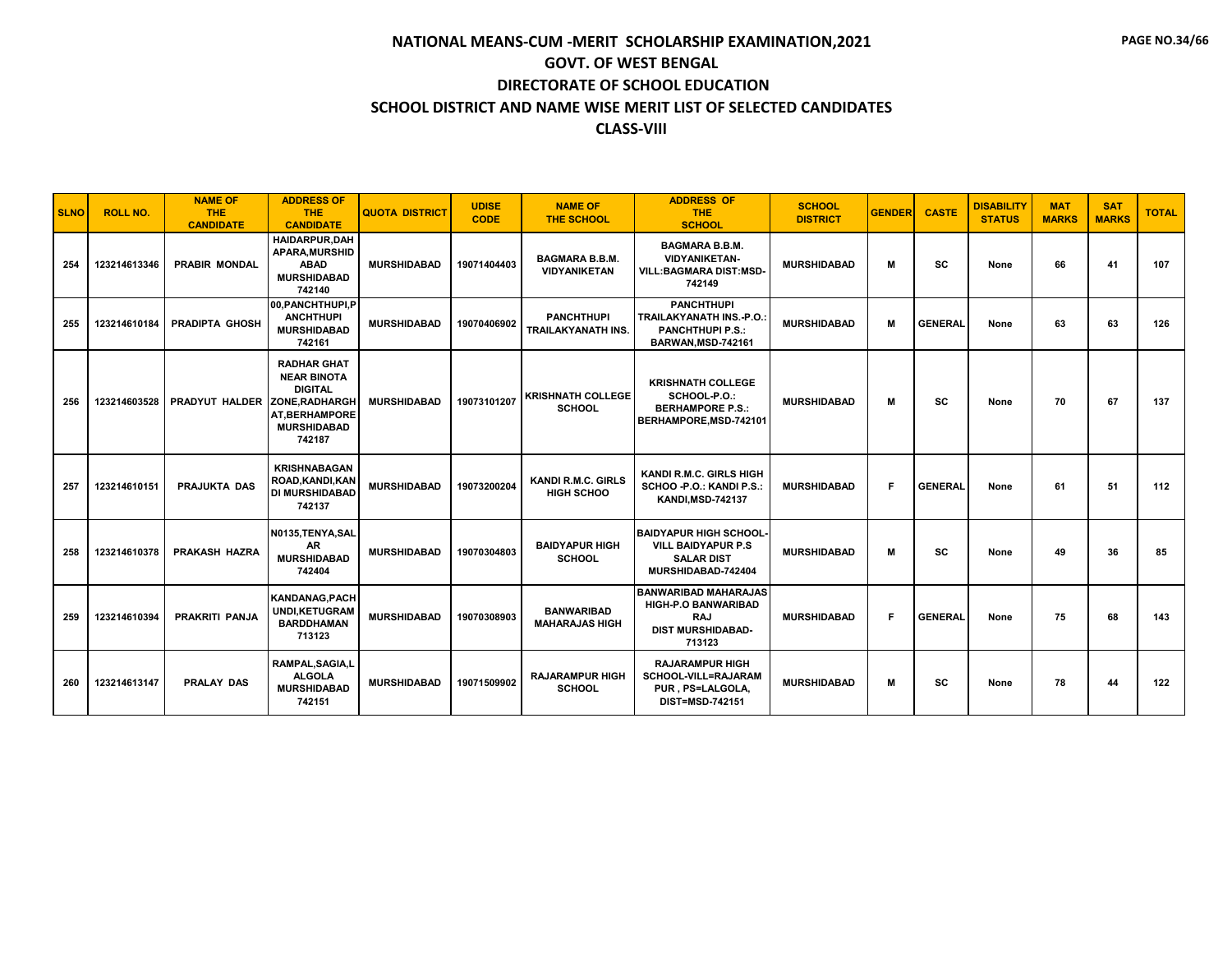| <b>SLNO</b> | <b>ROLL NO.</b> | <b>NAME OF</b><br><b>THE</b><br><b>CANDIDATE</b> | <b>ADDRESS OF</b><br><b>THE</b><br><b>CANDIDATE</b>                                                                | <b>QUOTA DISTRICT</b> | <b>UDISE</b><br><b>CODE</b> | <b>NAME OF</b><br>THE SCHOOL                   | <b>ADDRESS OF</b><br><b>THE</b><br><b>SCHOOL</b>                                                              | <b>SCHOOL</b><br><b>DISTRICT</b> | <b>GENDER</b> | <b>CASTE</b>   | <b>DISABILITY</b><br><b>STATUS</b> | <b>MAT</b><br><b>MARKS</b> | <b>SAT</b><br><b>MARKS</b> | <b>TOTAL</b> |
|-------------|-----------------|--------------------------------------------------|--------------------------------------------------------------------------------------------------------------------|-----------------------|-----------------------------|------------------------------------------------|---------------------------------------------------------------------------------------------------------------|----------------------------------|---------------|----------------|------------------------------------|----------------------------|----------------------------|--------------|
| 254         | 123214613346    | <b>PRABIR MONDAL</b>                             | <b>HAIDARPUR.DAH</b><br><b>APARA.MURSHID</b><br><b>ABAD</b><br><b>MURSHIDABAD</b><br>742140                        | <b>MURSHIDABAD</b>    | 19071404403                 | <b>BAGMARA B.B.M.</b><br><b>VIDYANIKETAN</b>   | <b>BAGMARA B.B.M.</b><br><b>VIDYANIKETAN-</b><br><b>VILL:BAGMARA DIST:MSD-</b><br>742149                      | <b>MURSHIDABAD</b>               | м             | <b>SC</b>      | None                               | 66                         | 41                         | 107          |
| 255         | 123214610184    | <b>PRADIPTA GHOSH</b>                            | 00.PANCHTHUPI.P<br><b>ANCHTHUPI</b><br><b>MURSHIDABAD</b><br>742161                                                | <b>MURSHIDABAD</b>    | 19070406902                 | <b>PANCHTHUPI</b><br><b>TRAILAKYANATH INS.</b> | <b>PANCHTHUPI</b><br><b>TRAILAKYANATH INS.-P.O.</b><br><b>PANCHTHUPI P.S.:</b><br>BARWAN, MSD-742161          | <b>MURSHIDABAD</b>               | M             | <b>GENERAL</b> | None                               | 63                         | 63                         | 126          |
| 256         | 123214603528    | PRADYUT HALDER ZONE.RADHARGH                     | <b>RADHAR GHAT</b><br><b>NEAR BINOTA</b><br><b>DIGITAL</b><br><b>AT.BERHAMPORE</b><br><b>MURSHIDABAD</b><br>742187 | <b>MURSHIDABAD</b>    | 19073101207                 | <b>KRISHNATH COLLEGE</b><br><b>SCHOOL</b>      | <b>KRISHNATH COLLEGE</b><br>SCHOOL-P.O.:<br><b>BERHAMPORE P.S.:</b><br>BERHAMPORE, MSD-742101                 | <b>MURSHIDABAD</b>               | M             | SC             | None                               | 70                         | 67                         | 137          |
| 257         | 123214610151    | <b>PRAJUKTA DAS</b>                              | <b>KRISHNABAGAN</b><br>ROAD, KANDI, KAN<br><b>DI MURSHIDABAD</b><br>742137                                         | <b>MURSHIDABAD</b>    | 19073200204                 | <b>KANDI R.M.C. GIRLS</b><br><b>HIGH SCHOO</b> | <b>KANDI R.M.C. GIRLS HIGH</b><br>SCHOO - P.O.: KANDI P.S.:<br><b>KANDI, MSD-742137</b>                       | <b>MURSHIDABAD</b>               | F.            | <b>GENERAL</b> | None                               | 61                         | 51                         | 112          |
| 258         | 123214610378    | PRAKASH HAZRA                                    | N0135, TENYA, SAL<br>AR<br><b>MURSHIDABAD</b><br>742404                                                            | <b>MURSHIDABAD</b>    | 19070304803                 | <b>BAIDYAPUR HIGH</b><br><b>SCHOOL</b>         | <b>BAIDYAPUR HIGH SCHOOL-</b><br><b>VILL BAIDYAPUR P.S</b><br><b>SALAR DIST</b><br>MURSHIDABAD-742404         | <b>MURSHIDABAD</b>               | M             | SC             | None                               | 49                         | 36                         | 85           |
| 259         | 123214610394    | <b>PRAKRITI PANJA</b>                            | <b>KANDANAG.PACH</b><br><b>UNDI,KETUGRAM</b><br><b>BARDDHAMAN</b><br>713123                                        | <b>MURSHIDABAD</b>    | 19070308903                 | <b>BANWARIBAD</b><br><b>MAHARAJAS HIGH</b>     | <b>BANWARIBAD MAHARAJAS</b><br><b>HIGH-P.O BANWARIBAD</b><br><b>RAJ</b><br><b>DIST MURSHIDABAD-</b><br>713123 | <b>MURSHIDABAD</b>               | F.            | <b>GENERAL</b> | None                               | 75                         | 68                         | 143          |
| 260         | 123214613147    | <b>PRALAY DAS</b>                                | RAMPAL, SAGIA, L<br><b>ALGOLA</b><br><b>MURSHIDABAD</b><br>742151                                                  | <b>MURSHIDABAD</b>    | 19071509902                 | <b>RAJARAMPUR HIGH</b><br><b>SCHOOL</b>        | <b>RAJARAMPUR HIGH</b><br>SCHOOL-VILL=RAJARAM<br>PUR. PS=LALGOLA.<br><b>DIST=MSD-742151</b>                   | <b>MURSHIDABAD</b>               | M             | <b>SC</b>      | None                               | 78                         | 44                         | 122          |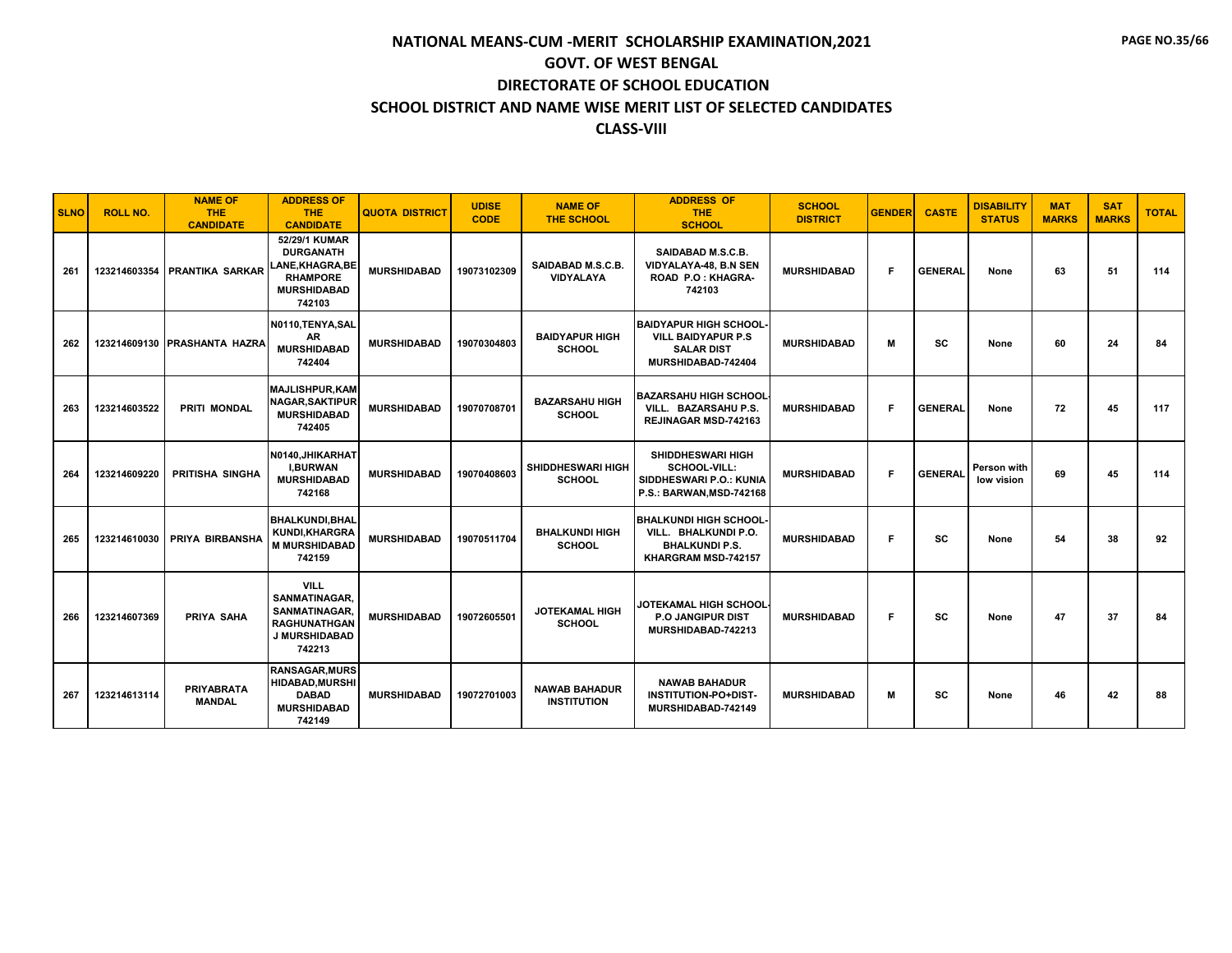| <b>SLNO</b> | <b>ROLL NO.</b> | <b>NAME OF</b><br><b>THE</b><br><b>CANDIDATE</b> | <b>ADDRESS OF</b><br><b>THE</b><br><b>CANDIDATE</b>                                                           | <b>QUOTA DISTRICT</b> | <b>UDISE</b><br><b>CODE</b> | <b>NAME OF</b><br>THE SCHOOL               | <b>ADDRESS OF</b><br><b>THE</b><br><b>SCHOOL</b>                                                      | <b>SCHOOL</b><br><b>DISTRICT</b> | <b>GENDER</b> | <b>CASTE</b>   | <b>DISABILITY</b><br><b>STATUS</b> | <b>MAT</b><br><b>MARKS</b> | <b>SAT</b><br><b>MARKS</b> | <b>TOTAL</b> |
|-------------|-----------------|--------------------------------------------------|---------------------------------------------------------------------------------------------------------------|-----------------------|-----------------------------|--------------------------------------------|-------------------------------------------------------------------------------------------------------|----------------------------------|---------------|----------------|------------------------------------|----------------------------|----------------------------|--------------|
| 261         |                 | 123214603354 PRANTIKA SARKAR                     | 52/29/1 KUMAR<br><b>DURGANATH</b><br><b>LANE.KHAGRA.BE</b><br><b>RHAMPORE</b><br><b>MURSHIDABAD</b><br>742103 | <b>MURSHIDABAD</b>    | 19073102309                 | SAIDABAD M.S.C.B.<br><b>VIDYALAYA</b>      | SAIDABAD M.S.C.B.<br>VIDYALAYA-48, B.N SEN<br><b>ROAD P.O: KHAGRA-</b><br>742103                      | <b>MURSHIDABAD</b>               | F.            | <b>GENERAL</b> | None                               | 63                         | 51                         | 114          |
| 262         |                 | 123214609130 PRASHANTA HAZRA                     | N0110, TENYA, SAL<br>AR<br><b>MURSHIDABAD</b><br>742404                                                       | <b>MURSHIDABAD</b>    | 19070304803                 | <b>BAIDYAPUR HIGH</b><br><b>SCHOOL</b>     | <b>BAIDYAPUR HIGH SCHOOL</b><br><b>VILL BAIDYAPUR P.S.</b><br><b>SALAR DIST</b><br>MURSHIDABAD-742404 | <b>MURSHIDABAD</b>               | M             | SC             | None                               | 60                         | 24                         | 84           |
| 263         | 123214603522    | <b>PRITI MONDAL</b>                              | <b>MAJLISHPUR, KAM</b><br>NAGAR.SAKTIPUR<br><b>MURSHIDABAD</b><br>742405                                      | <b>MURSHIDABAD</b>    | 19070708701                 | <b>BAZARSAHU HIGH</b><br><b>SCHOOL</b>     | <b>BAZARSAHU HIGH SCHOOL</b><br>VILL. BAZARSAHU P.S.<br><b>REJINAGAR MSD-742163</b>                   | <b>MURSHIDABAD</b>               | F.            | <b>GENERAL</b> | None                               | 72                         | 45                         | 117          |
| 264         | 123214609220    | PRITISHA SINGHA                                  | N0140.JHIKARHAT<br><b>I.BURWAN</b><br><b>MURSHIDABAD</b><br>742168                                            | <b>MURSHIDABAD</b>    | 19070408603                 | <b>SHIDDHESWARI HIGH</b><br><b>SCHOOL</b>  | <b>SHIDDHESWARI HIGH</b><br>SCHOOL-VILL:<br>SIDDHESWARI P.O.: KUNIA<br>P.S.: BARWAN, MSD-742168       | <b>MURSHIDABAD</b>               | F.            | <b>GENERAL</b> | Person with<br>low vision          | 69                         | 45                         | 114          |
| 265         | 123214610030    | <b>PRIYA BIRBANSHA</b>                           | <b>BHALKUNDI.BHAL</b><br>KUNDI, KHARGRA<br><b>M MURSHIDABAD</b><br>742159                                     | <b>MURSHIDABAD</b>    | 19070511704                 | <b>BHALKUNDI HIGH</b><br><b>SCHOOL</b>     | <b>BHALKUNDI HIGH SCHOOL</b><br>VILL. BHALKUNDI P.O.<br><b>BHALKUNDI P.S.</b><br>KHARGRAM MSD-742157  | <b>MURSHIDABAD</b>               | F.            | SC             | None                               | 54                         | 38                         | 92           |
| 266         | 123214607369    | <b>PRIYA SAHA</b>                                | <b>VILL</b><br>SANMATINAGAR.<br>SANMATINAGAR.<br><b>RAGHUNATHGAN</b><br>J MURSHIDABAD<br>742213               | <b>MURSHIDABAD</b>    | 19072605501                 | <b>JOTEKAMAL HIGH</b><br><b>SCHOOL</b>     | JOTEKAMAL HIGH SCHOOL·<br><b>P.O JANGIPUR DIST</b><br>MURSHIDABAD-742213                              | <b>MURSHIDABAD</b>               | F.            | SC             | None                               | 47                         | 37                         | 84           |
| 267         | 123214613114    | <b>PRIYABRATA</b><br><b>MANDAL</b>               | <b>RANSAGAR, MURS</b><br><b>HIDABAD, MURSHI</b><br><b>DABAD</b><br><b>MURSHIDABAD</b><br>742149               | <b>MURSHIDABAD</b>    | 19072701003                 | <b>NAWAB BAHADUR</b><br><b>INSTITUTION</b> | <b>NAWAB BAHADUR</b><br>INSTITUTION-PO+DIST-<br>MURSHIDABAD-742149                                    | <b>MURSHIDABAD</b>               | м             | SC             | None                               | 46                         | 42                         | 88           |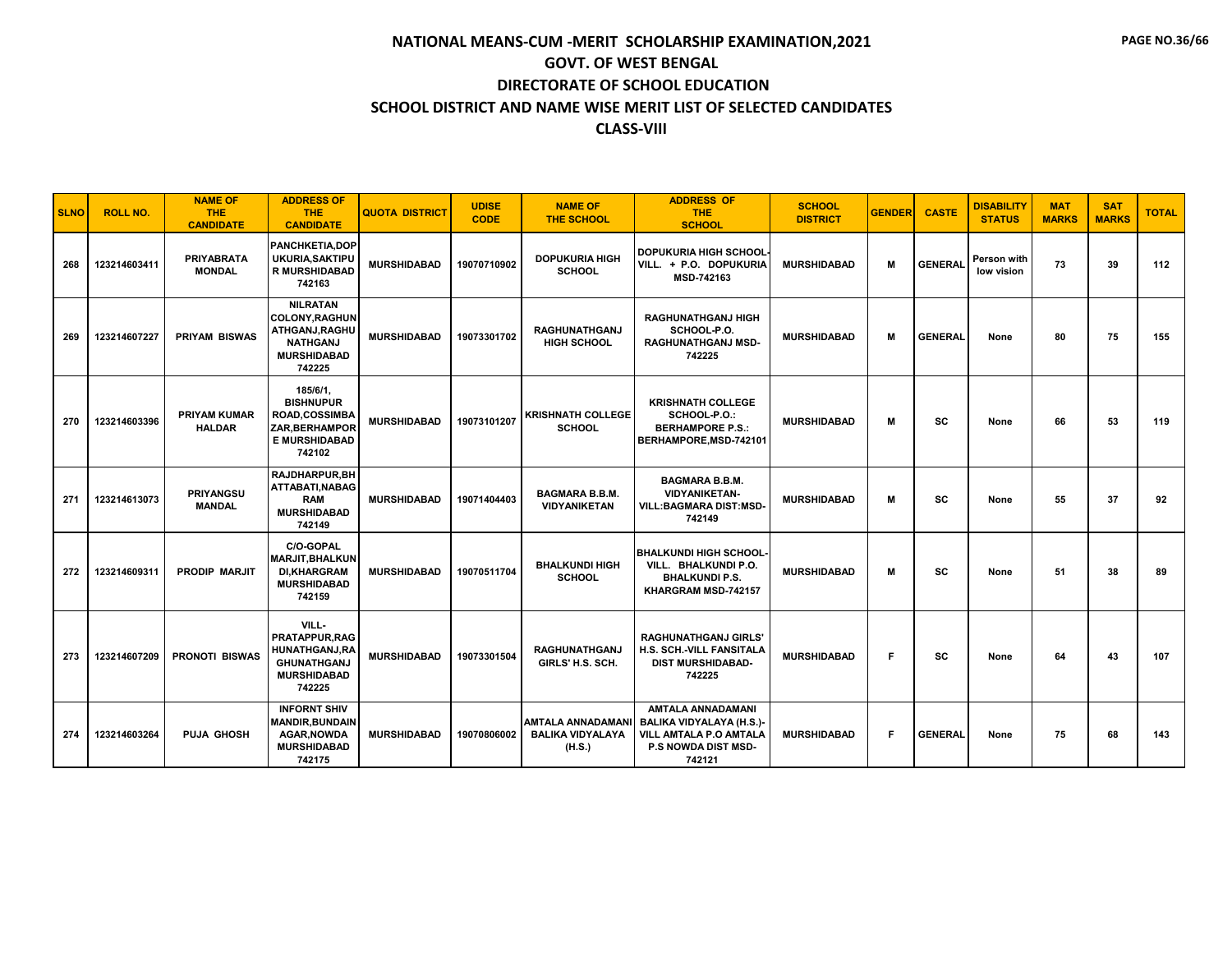| <b>SLNO</b> | <b>ROLL NO.</b> | <b>NAME OF</b><br><b>THE</b><br><b>CANDIDATE</b> | <b>ADDRESS OF</b><br><b>THE</b><br><b>CANDIDATE</b>                                                             | <b>QUOTA DISTRICT</b> | <b>UDISE</b><br><b>CODE</b> | <b>NAME OF</b><br><b>THE SCHOOL</b>                           | <b>ADDRESS OF</b><br><b>THE</b><br><b>SCHOOL</b>                                                                              | <b>SCHOOL</b><br><b>DISTRICT</b> | <b>GENDER</b> | <b>CASTE</b>   | <b>DISABILITY</b><br><b>STATUS</b> | <b>MAT</b><br><b>MARKS</b> | <b>SAT</b><br><b>MARKS</b> | <b>TOTAL</b> |
|-------------|-----------------|--------------------------------------------------|-----------------------------------------------------------------------------------------------------------------|-----------------------|-----------------------------|---------------------------------------------------------------|-------------------------------------------------------------------------------------------------------------------------------|----------------------------------|---------------|----------------|------------------------------------|----------------------------|----------------------------|--------------|
| 268         | 123214603411    | <b>PRIYABRATA</b><br><b>MONDAL</b>               | <b>PANCHKETIA.DOP</b><br>UKURIA, SAKTIPU<br><b>R MURSHIDABAD</b><br>742163                                      | <b>MURSHIDABAD</b>    | 19070710902                 | <b>DOPUKURIA HIGH</b><br><b>SCHOOL</b>                        | <b>DOPUKURIA HIGH SCHOOL</b><br>VILL. + P.O. DOPUKURIA<br>MSD-742163                                                          | <b>MURSHIDABAD</b>               | м             | <b>GENERAL</b> | Person with<br>low vision          | 73                         | 39                         | 112          |
| 269         | 123214607227    | <b>PRIYAM BISWAS</b>                             | <b>NILRATAN</b><br><b>COLONY, RAGHUN</b><br>ATHGANJ,RAGHU<br><b>NATHGANJ</b><br><b>MURSHIDABAD</b><br>742225    | <b>MURSHIDABAD</b>    | 19073301702                 | <b>RAGHUNATHGANJ</b><br><b>HIGH SCHOOL</b>                    | <b>RAGHUNATHGANJ HIGH</b><br>SCHOOL-P.O.<br><b>RAGHUNATHGANJ MSD-</b><br>742225                                               | <b>MURSHIDABAD</b>               | м             | <b>GENERAL</b> | None                               | 80                         | 75                         | 155          |
| 270         | 123214603396    | <b>PRIYAM KUMAR</b><br><b>HALDAR</b>             | 185/6/1,<br><b>BISHNUPUR</b><br><b>ROAD,COSSIMBA</b><br><b>ZAR, BERHAMPOR</b><br><b>E MURSHIDABAD</b><br>742102 | <b>MURSHIDABAD</b>    | 19073101207                 | <b>KRISHNATH COLLEGE</b><br><b>SCHOOL</b>                     | <b>KRISHNATH COLLEGE</b><br>SCHOOL-P.O.:<br><b>BERHAMPORE P.S.:</b><br>BERHAMPORE, MSD-742101                                 | <b>MURSHIDABAD</b>               | M             | SC             | None                               | 66                         | 53                         | 119          |
| 271         | 123214613073    | <b>PRIYANGSU</b><br><b>MANDAL</b>                | <b>RAJDHARPUR.BH</b><br>ATTABATI.NABAG<br><b>RAM</b><br><b>MURSHIDABAD</b><br>742149                            | <b>MURSHIDABAD</b>    | 19071404403                 | <b>BAGMARA B.B.M.</b><br><b>VIDYANIKETAN</b>                  | <b>BAGMARA B.B.M.</b><br><b>VIDYANIKETAN-</b><br><b>VILL:BAGMARA DIST:MSD-</b><br>742149                                      | <b>MURSHIDABAD</b>               | M             | SC             | None                               | 55                         | 37                         | 92           |
| 272         | 123214609311    | <b>PRODIP MARJIT</b>                             | C/O-GOPAL<br><b>MARJIT.BHALKUN</b><br><b>DI.KHARGRAM</b><br><b>MURSHIDABAD</b><br>742159                        | <b>MURSHIDABAD</b>    | 19070511704                 | <b>BHALKUNDI HIGH</b><br><b>SCHOOL</b>                        | <b>BHALKUNDI HIGH SCHOOL</b><br>VILL. BHALKUNDI P.O.<br><b>BHALKUNDI P.S.</b><br>KHARGRAM MSD-742157                          | <b>MURSHIDABAD</b>               | м             | SC             | None                               | 51                         | 38                         | 89           |
| 273         | 123214607209    | <b>PRONOTI BISWAS</b>                            | VILL-<br><b>PRATAPPUR.RAG</b><br>HUNATHGANJ,RA<br><b>GHUNATHGANJ</b><br><b>MURSHIDABAD</b><br>742225            | <b>MURSHIDABAD</b>    | 19073301504                 | <b>RAGHUNATHGANJ</b><br>GIRLS' H.S. SCH.                      | <b>RAGHUNATHGANJ GIRLS'</b><br><b>H.S. SCH.-VILL FANSITALA</b><br><b>DIST MURSHIDABAD-</b><br>742225                          | <b>MURSHIDABAD</b>               | F.            | <b>SC</b>      | None                               | 64                         | 43                         | 107          |
| 274         | 123214603264    | <b>PUJA GHOSH</b>                                | <b>INFORNT SHIV</b><br><b>MANDIR, BUNDAIN</b><br><b>AGAR, NOWDA</b><br><b>MURSHIDABAD</b><br>742175             | <b>MURSHIDABAD</b>    | 19070806002                 | <b>AMTALA ANNADAMANI</b><br><b>BALIKA VIDYALAYA</b><br>(H.S.) | <b>AMTALA ANNADAMANI</b><br><b>BALIKA VIDYALAYA (H.S.)-</b><br>VILL AMTALA P.O AMTALA<br><b>P.S NOWDA DIST MSD-</b><br>742121 | <b>MURSHIDABAD</b>               | F             | <b>GENERAL</b> | None                               | 75                         | 68                         | 143          |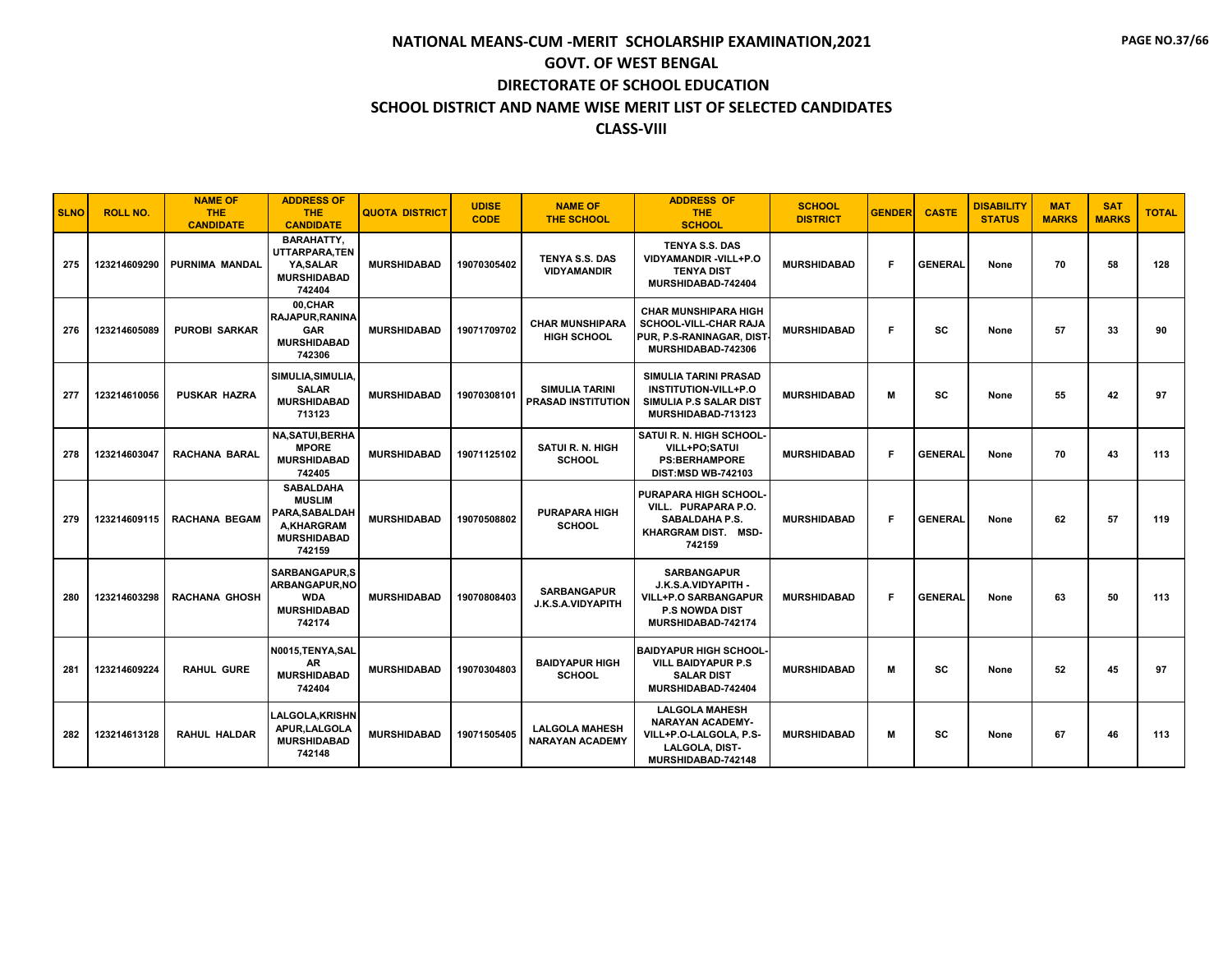| <b>SLNO</b> | <b>ROLL NO.</b> | <b>NAME OF</b><br><b>THE</b><br><b>CANDIDATE</b> | <b>ADDRESS OF</b><br><b>THE</b><br><b>CANDIDATE</b>                                               | <b>QUOTA DISTRICT</b> | <b>UDISE</b><br><b>CODE</b> | <b>NAME OF</b><br><b>THE SCHOOL</b>                | <b>ADDRESS OF</b><br><b>THE</b><br><b>SCHOOL</b>                                                                          | <b>SCHOOL</b><br><b>DISTRICT</b> | <b>GENDER</b> | <b>CASTE</b>   | <b>DISABILITY</b><br><b>STATUS</b> | <b>MAT</b><br><b>MARKS</b> | <b>SAT</b><br><b>MARKS</b> | <b>TOTAL</b> |
|-------------|-----------------|--------------------------------------------------|---------------------------------------------------------------------------------------------------|-----------------------|-----------------------------|----------------------------------------------------|---------------------------------------------------------------------------------------------------------------------------|----------------------------------|---------------|----------------|------------------------------------|----------------------------|----------------------------|--------------|
| 275         | 123214609290    | PURNIMA MANDAL                                   | <b>BARAHATTY,</b><br>UTTARPARA.TEN<br>YA.SALAR<br><b>MURSHIDABAD</b><br>742404                    | <b>MURSHIDABAD</b>    | 19070305402                 | <b>TENYA S.S. DAS</b><br><b>VIDYAMANDIR</b>        | TENYA S.S. DAS<br><b>VIDYAMANDIR -VILL+P.O</b><br><b>TENYA DIST</b><br>MURSHIDABAD-742404                                 | <b>MURSHIDABAD</b>               | F.            | <b>GENERAL</b> | None                               | 70                         | 58                         | 128          |
| 276         | 123214605089    | <b>PUROBI SARKAR</b>                             | 00.CHAR<br><b>RAJAPUR.RANINA</b><br><b>GAR</b><br><b>MURSHIDABAD</b><br>742306                    | <b>MURSHIDABAD</b>    | 19071709702                 | <b>CHAR MUNSHIPARA</b><br><b>HIGH SCHOOL</b>       | <b>CHAR MUNSHIPARA HIGH</b><br>SCHOOL-VILL-CHAR RAJA<br>PUR. P.S-RANINAGAR, DIST<br>MURSHIDABAD-742306                    | <b>MURSHIDABAD</b>               | F             | sc             | None                               | 57                         | 33                         | 90           |
| 277         | 123214610056    | <b>PUSKAR HAZRA</b>                              | SIMULIA, SIMULIA,<br><b>SALAR</b><br><b>MURSHIDABAD</b><br>713123                                 | <b>MURSHIDABAD</b>    | 19070308101                 | <b>SIMULIA TARINI</b><br><b>PRASAD INSTITUTION</b> | <b>SIMULIA TARINI PRASAD</b><br><b>INSTITUTION-VILL+P.O</b><br>SIMULIA P.S SALAR DIST<br>MURSHIDABAD-713123               | <b>MURSHIDABAD</b>               | M             | SC             | None                               | 55                         | 42                         | 97           |
| 278         | 123214603047    | <b>RACHANA BARAL</b>                             | <b>NA,SATUI,BERHA</b><br><b>MPORE</b><br><b>MURSHIDABAD</b><br>742405                             | <b>MURSHIDABAD</b>    | 19071125102                 | <b>SATUI R. N. HIGH</b><br><b>SCHOOL</b>           | SATUI R. N. HIGH SCHOOL-<br>VILL+PO:SATUI<br><b>PS:BERHAMPORE</b><br><b>DIST:MSD WB-742103</b>                            | <b>MURSHIDABAD</b>               | F.            | <b>GENERAL</b> | None                               | 70                         | 43                         | 113          |
| 279         | 123214609115    | <b>RACHANA BEGAM</b>                             | <b>SABALDAHA</b><br><b>MUSLIM</b><br>PARA, SABALDAH<br>A.KHARGRAM<br><b>MURSHIDABAD</b><br>742159 | <b>MURSHIDABAD</b>    | 19070508802                 | <b>PURAPARA HIGH</b><br><b>SCHOOL</b>              | <b>PURAPARA HIGH SCHOOL</b><br>VILL. PURAPARA P.O.<br>SABALDAHA P.S.<br>KHARGRAM DIST. MSD-<br>742159                     | <b>MURSHIDABAD</b>               | F             | <b>GENERAL</b> | None                               | 62                         | 57                         | 119          |
| 280         | 123214603298    | <b>RACHANA GHOSH</b>                             | <b>SARBANGAPUR,S</b><br>ARBANGAPUR, NO<br><b>WDA</b><br><b>MURSHIDABAD</b><br>742174              | <b>MURSHIDABAD</b>    | 19070808403                 | <b>SARBANGAPUR</b><br><b>J.K.S.A.VIDYAPITH</b>     | <b>SARBANGAPUR</b><br>J.K.S.A.VIDYAPITH -<br><b>VILL+P.O SARBANGAPUR</b><br><b>P.S NOWDA DIST</b><br>MURSHIDABAD-742174   | <b>MURSHIDABAD</b>               | F.            | <b>GENERAL</b> | None                               | 63                         | 50                         | 113          |
| 281         | 123214609224    | <b>RAHUL GURE</b>                                | N0015, TENYA, SAL<br>AR<br><b>MURSHIDABAD</b><br>742404                                           | <b>MURSHIDABAD</b>    | 19070304803                 | <b>BAIDYAPUR HIGH</b><br><b>SCHOOL</b>             | <b>BAIDYAPUR HIGH SCHOOL</b><br><b>VILL BAIDYAPUR P.S</b><br><b>SALAR DIST</b><br>MURSHIDABAD-742404                      | <b>MURSHIDABAD</b>               | м             | SC             | None                               | 52                         | 45                         | 97           |
| 282         | 123214613128    | <b>RAHUL HALDAR</b>                              | <b>LALGOLA, KRISHN</b><br>APUR,LALGOLA<br><b>MURSHIDABAD</b><br>742148                            | <b>MURSHIDABAD</b>    | 19071505405                 | <b>LALGOLA MAHESH</b><br><b>NARAYAN ACADEMY</b>    | <b>LALGOLA MAHESH</b><br><b>NARAYAN ACADEMY-</b><br>VILL+P.O-LALGOLA, P.S-<br><b>LALGOLA, DIST-</b><br>MURSHIDABAD-742148 | <b>MURSHIDABAD</b>               | м             | SC             | None                               | 67                         | 46                         | 113          |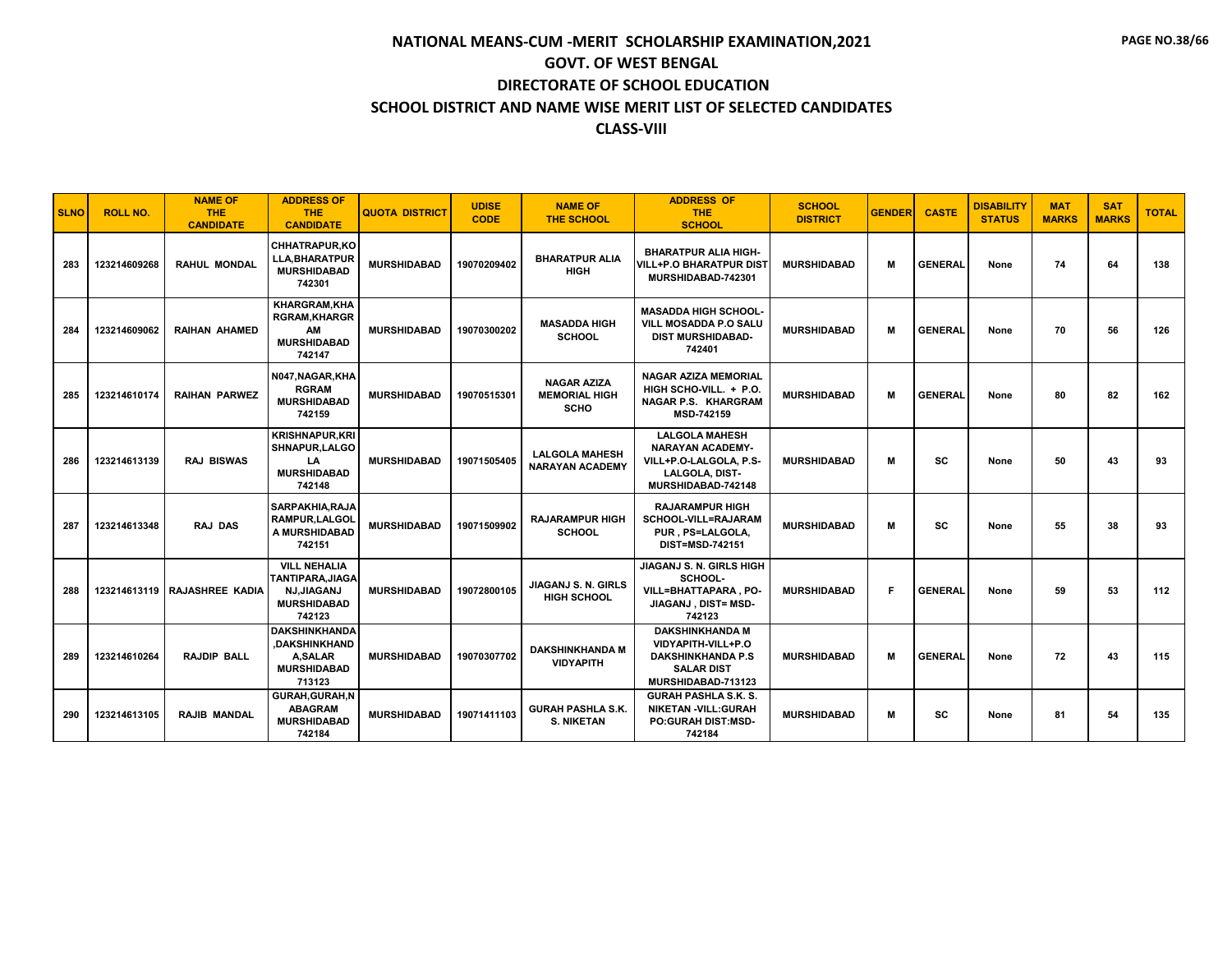| <b>SLNO</b> | <b>ROLL NO.</b> | <b>NAME OF</b><br><b>THE</b><br><b>CANDIDATE</b> | <b>ADDRESS OF</b><br>THE.<br><b>CANDIDATE</b>                                                       | <b>QUOTA DISTRICT</b> | <b>UDISE</b><br><b>CODE</b> | <b>NAME OF</b><br><b>THE SCHOOL</b>                       | <b>ADDRESS OF</b><br><b>THE</b><br><b>SCHOOL</b>                                                                    | <b>SCHOOL</b><br><b>DISTRICT</b> | <b>GENDER</b> | <b>CASTE</b>   | <b>DISABILITY</b><br><b>STATUS</b> | <b>MAT</b><br><b>MARKS</b> | <b>SAT</b><br><b>MARKS</b> | <b>TOTAL</b> |
|-------------|-----------------|--------------------------------------------------|-----------------------------------------------------------------------------------------------------|-----------------------|-----------------------------|-----------------------------------------------------------|---------------------------------------------------------------------------------------------------------------------|----------------------------------|---------------|----------------|------------------------------------|----------------------------|----------------------------|--------------|
| 283         | 123214609268    | <b>RAHUL MONDAL</b>                              | <b>CHHATRAPUR.KO</b><br><b>LLA, BHARATPUR</b><br><b>MURSHIDABAD</b><br>742301                       | <b>MURSHIDABAD</b>    | 19070209402                 | <b>BHARATPUR ALIA</b><br><b>HIGH</b>                      | <b>BHARATPUR ALIA HIGH-</b><br><b>VILL+P.O BHARATPUR DIST</b><br>MURSHIDABAD-742301                                 | <b>MURSHIDABAD</b>               | м             | <b>GENERAL</b> | None                               | 74                         | 64                         | 138          |
| 284         | 123214609062    | <b>RAIHAN AHAMED</b>                             | <b>KHARGRAM.KHA</b><br><b>RGRAM, KHARGR</b><br>AM<br><b>MURSHIDABAD</b><br>742147                   | <b>MURSHIDABAD</b>    | 19070300202                 | <b>MASADDA HIGH</b><br><b>SCHOOL</b>                      | <b>MASADDA HIGH SCHOOL-</b><br><b>VILL MOSADDA P.O SALU</b><br><b>DIST MURSHIDABAD-</b><br>742401                   | <b>MURSHIDABAD</b>               | м             | <b>GENERAL</b> | None                               | 70                         | 56                         | 126          |
| 285         | 123214610174    | <b>RAIHAN PARWEZ</b>                             | N047, NAGAR, KHA<br><b>RGRAM</b><br><b>MURSHIDABAD</b><br>742159                                    | <b>MURSHIDABAD</b>    | 19070515301                 | <b>NAGAR AZIZA</b><br><b>MEMORIAL HIGH</b><br><b>SCHO</b> | <b>NAGAR AZIZA MEMORIAL</b><br>HIGH SCHO-VILL. + P.O.<br>NAGAR P.S. KHARGRAM<br>MSD-742159                          | <b>MURSHIDABAD</b>               | м             | <b>GENERAL</b> | None                               | 80                         | 82                         | 162          |
| 286         | 123214613139    | <b>RAJ BISWAS</b>                                | <b>KRISHNAPUR.KRI</b><br>SHNAPUR, LALGO<br>LA<br><b>MURSHIDABAD</b><br>742148                       | <b>MURSHIDABAD</b>    | 19071505405                 | <b>LALGOLA MAHESH</b><br><b>NARAYAN ACADEMY</b>           | <b>LALGOLA MAHESH</b><br><b>NARAYAN ACADEMY-</b><br>VILL+P.O-LALGOLA, P.S-<br>LALGOLA, DIST-<br>MURSHIDABAD-742148  | <b>MURSHIDABAD</b>               | м             | SC             | None                               | 50                         | 43                         | 93           |
| 287         | 123214613348    | <b>RAJ DAS</b>                                   | <b>SARPAKHIA, RAJA</b><br><b>RAMPUR, LALGOL</b><br>A MURSHIDABAD<br>742151                          | <b>MURSHIDABAD</b>    | 19071509902                 | <b>RAJARAMPUR HIGH</b><br><b>SCHOOL</b>                   | <b>RAJARAMPUR HIGH</b><br><b>SCHOOL-VILL=RAJARAM</b><br>PUR, PS=LALGOLA,<br>DIST=MSD-742151                         | <b>MURSHIDABAD</b>               | м             | SC             | None                               | 55                         | 38                         | 93           |
| 288         |                 | 123214613119 RAJASHREE KADIA                     | <b>VILL NEHALIA</b><br><b>TANTIPARA, JIAGA</b><br><b>NJ,JIAGANJ</b><br><b>MURSHIDABAD</b><br>742123 | <b>MURSHIDABAD</b>    | 19072800105                 | <b>JIAGANJ S. N. GIRLS</b><br><b>HIGH SCHOOL</b>          | JIAGANJ S. N. GIRLS HIGH<br>SCHOOL-<br><b>VILL=BHATTAPARA.PO-</b><br>JIAGANJ, DIST= MSD-<br>742123                  | <b>MURSHIDABAD</b>               | F             | <b>GENERAL</b> | None                               | 59                         | 53                         | 112          |
| 289         | 123214610264    | <b>RAJDIP BALL</b>                               | <b>DAKSHINKHANDA</b><br>.DAKSHINKHAND<br><b>A,SALAR</b><br><b>MURSHIDABAD</b><br>713123             | <b>MURSHIDABAD</b>    | 19070307702                 | <b>DAKSHINKHANDA M</b><br><b>VIDYAPITH</b>                | <b>DAKSHINKHANDA M</b><br>VIDYAPITH-VILL+P.O<br><b>DAKSHINKHANDA P.S</b><br><b>SALAR DIST</b><br>MURSHIDABAD-713123 | <b>MURSHIDABAD</b>               | м             | <b>GENERAL</b> | None                               | 72                         | 43                         | 115          |
| 290         | 123214613105    | <b>RAJIB MANDAL</b>                              | GURAH, GURAH, N<br><b>ABAGRAM</b><br><b>MURSHIDABAD</b><br>742184                                   | <b>MURSHIDABAD</b>    | 19071411103                 | <b>GURAH PASHLA S.K.</b><br><b>S. NIKETAN</b>             | <b>GURAH PASHLA S.K. S.</b><br><b>NIKETAN -VILL:GURAH</b><br><b>PO:GURAH DIST:MSD-</b><br>742184                    | <b>MURSHIDABAD</b>               | м             | SC             | None                               | 81                         | 54                         | 135          |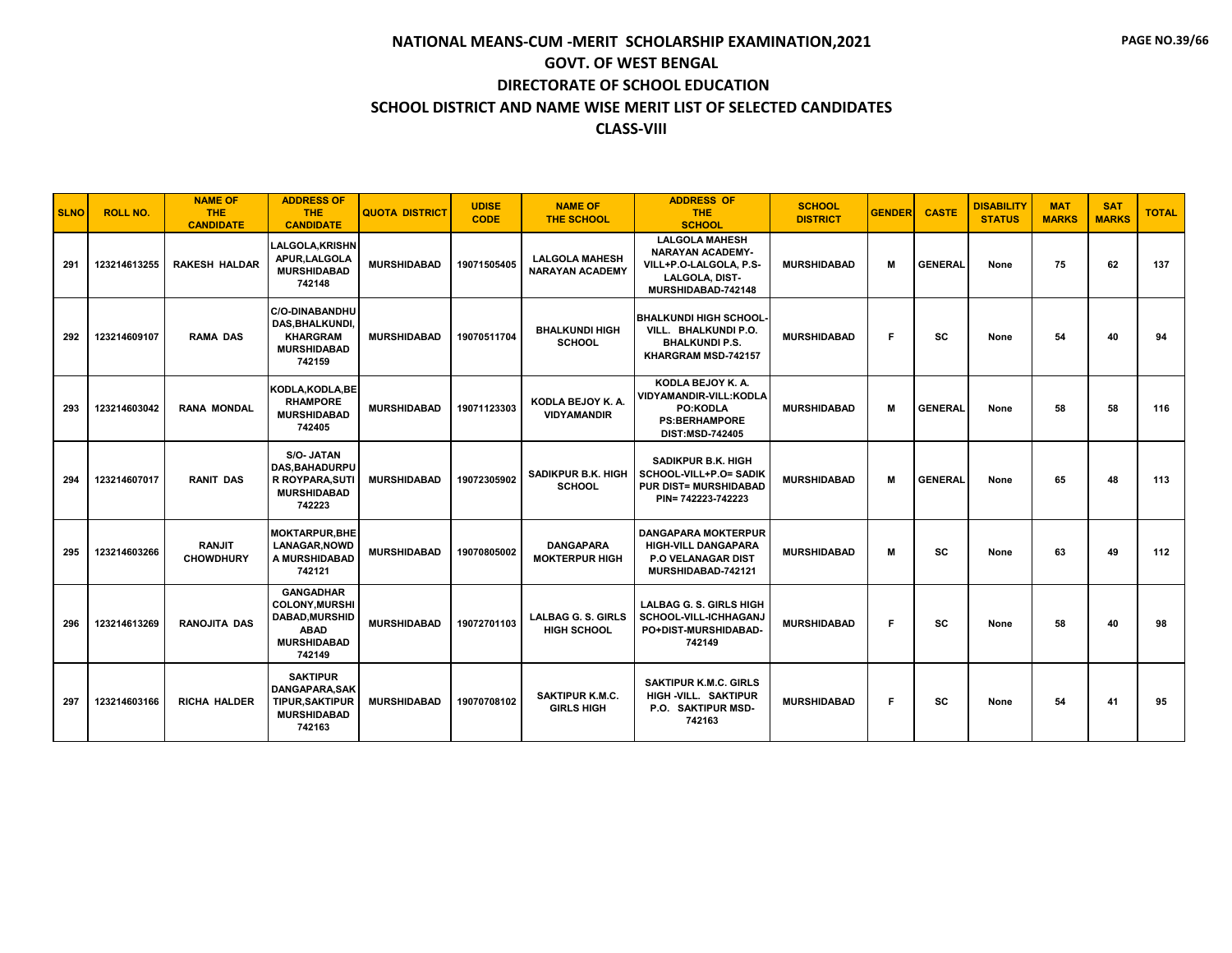| <b>SLNO</b> | <b>ROLL NO.</b> | <b>NAME OF</b><br><b>THE</b><br><b>CANDIDATE</b> | <b>ADDRESS OF</b><br><b>THE</b><br><b>CANDIDATE</b>                                                       | <b>QUOTA DISTRICT</b> | <b>UDISE</b><br><b>CODE</b> | <b>NAME OF</b><br><b>THE SCHOOL</b>             | <b>ADDRESS OF</b><br><b>THE</b><br><b>SCHOOL</b>                                                                   | <b>SCHOOL</b><br><b>DISTRICT</b> | <b>GENDER</b> | <b>CASTE</b>   | <b>DISABILITY</b><br><b>STATUS</b> | <b>MAT</b><br><b>MARKS</b> | <b>SAT</b><br><b>MARKS</b> | <b>TOTAL</b> |
|-------------|-----------------|--------------------------------------------------|-----------------------------------------------------------------------------------------------------------|-----------------------|-----------------------------|-------------------------------------------------|--------------------------------------------------------------------------------------------------------------------|----------------------------------|---------------|----------------|------------------------------------|----------------------------|----------------------------|--------------|
| 291         | 123214613255    | <b>RAKESH HALDAR</b>                             | <b>LALGOLA, KRISHN</b><br>APUR, LALGOLA<br><b>MURSHIDABAD</b><br>742148                                   | <b>MURSHIDABAD</b>    | 19071505405                 | <b>LALGOLA MAHESH</b><br><b>NARAYAN ACADEMY</b> | <b>LALGOLA MAHESH</b><br><b>NARAYAN ACADEMY-</b><br>VILL+P.O-LALGOLA, P.S-<br>LALGOLA, DIST-<br>MURSHIDABAD-742148 | <b>MURSHIDABAD</b>               | м             | <b>GENERAL</b> | None                               | 75                         | 62                         | 137          |
| 292         | 123214609107    | <b>RAMA DAS</b>                                  | <b>C/O-DINABANDHU</b><br>DAS, BHALKUNDI,<br><b>KHARGRAM</b><br><b>MURSHIDABAD</b><br>742159               | <b>MURSHIDABAD</b>    | 19070511704                 | <b>BHALKUNDI HIGH</b><br><b>SCHOOL</b>          | <b>BHALKUNDI HIGH SCHOOL</b><br>VILL. BHALKUNDI P.O.<br><b>BHALKUNDI P.S.</b><br>KHARGRAM MSD-742157               | <b>MURSHIDABAD</b>               | F.            | <b>SC</b>      | None                               | 54                         | 40                         | 94           |
| 293         | 123214603042    | <b>RANA MONDAL</b>                               | KODLA, KODLA, BE<br><b>RHAMPORE</b><br><b>MURSHIDABAD</b><br>742405                                       | <b>MURSHIDABAD</b>    | 19071123303                 | KODLA BEJOY K. A.<br><b>VIDYAMANDIR</b>         | KODLA BEJOY K. A.<br><b>VIDYAMANDIR-VILL:KODLA</b><br>PO:KODLA<br><b>PS:BERHAMPORE</b><br><b>DIST:MSD-742405</b>   | <b>MURSHIDABAD</b>               | M             | <b>GENERAL</b> | None                               | 58                         | 58                         | 116          |
| 294         | 123214607017    | <b>RANIT DAS</b>                                 | S/O- JATAN<br><b>DAS.BAHADURPU</b><br>R ROYPARA, SUTI<br><b>MURSHIDABAD</b><br>742223                     | <b>MURSHIDABAD</b>    | 19072305902                 | <b>SADIKPUR B.K. HIGH</b><br><b>SCHOOL</b>      | SADIKPUR B.K. HIGH<br>SCHOOL-VILL+P.O= SADIK<br><b>PUR DIST= MURSHIDABAD</b><br>PIN= 742223-742223                 | <b>MURSHIDABAD</b>               | M             | <b>GENERAL</b> | None                               | 65                         | 48                         | 113          |
| 295         | 123214603266    | <b>RANJIT</b><br><b>CHOWDHURY</b>                | <b>MOKTARPUR, BHE</b><br><b>LANAGAR, NOWD</b><br>A MURSHIDABAD<br>742121                                  | <b>MURSHIDABAD</b>    | 19070805002                 | <b>DANGAPARA</b><br><b>MOKTERPUR HIGH</b>       | <b>DANGAPARA MOKTERPUR</b><br><b>HIGH-VILL DANGAPARA</b><br><b>P.O VELANAGAR DIST</b><br>MURSHIDABAD-742121        | <b>MURSHIDABAD</b>               | M             | <b>SC</b>      | None                               | 63                         | 49                         | 112          |
| 296         | 123214613269    | <b>RANOJITA DAS</b>                              | <b>GANGADHAR</b><br><b>COLONY.MURSHI</b><br>DABAD, MURSHID<br><b>ABAD</b><br><b>MURSHIDABAD</b><br>742149 | <b>MURSHIDABAD</b>    | 19072701103                 | <b>LALBAG G. S. GIRLS</b><br><b>HIGH SCHOOL</b> | <b>LALBAG G. S. GIRLS HIGH</b><br>SCHOOL-VILL-ICHHAGANJ<br>PO+DIST-MURSHIDABAD-<br>742149                          | <b>MURSHIDABAD</b>               | F.            | <b>SC</b>      | None                               | 58                         | 40                         | 98           |
| 297         | 123214603166    | <b>RICHA HALDER</b>                              | <b>SAKTIPUR</b><br><b>DANGAPARA, SAK</b><br><b>TIPUR.SAKTIPUR</b><br><b>MURSHIDABAD</b><br>742163         | <b>MURSHIDABAD</b>    | 19070708102                 | <b>SAKTIPUR K.M.C.</b><br><b>GIRLS HIGH</b>     | <b>SAKTIPUR K.M.C. GIRLS</b><br>HIGH -VILL. SAKTIPUR<br>P.O. SAKTIPUR MSD-<br>742163                               | <b>MURSHIDABAD</b>               | F             | <b>SC</b>      | None                               | 54                         | 41                         | 95           |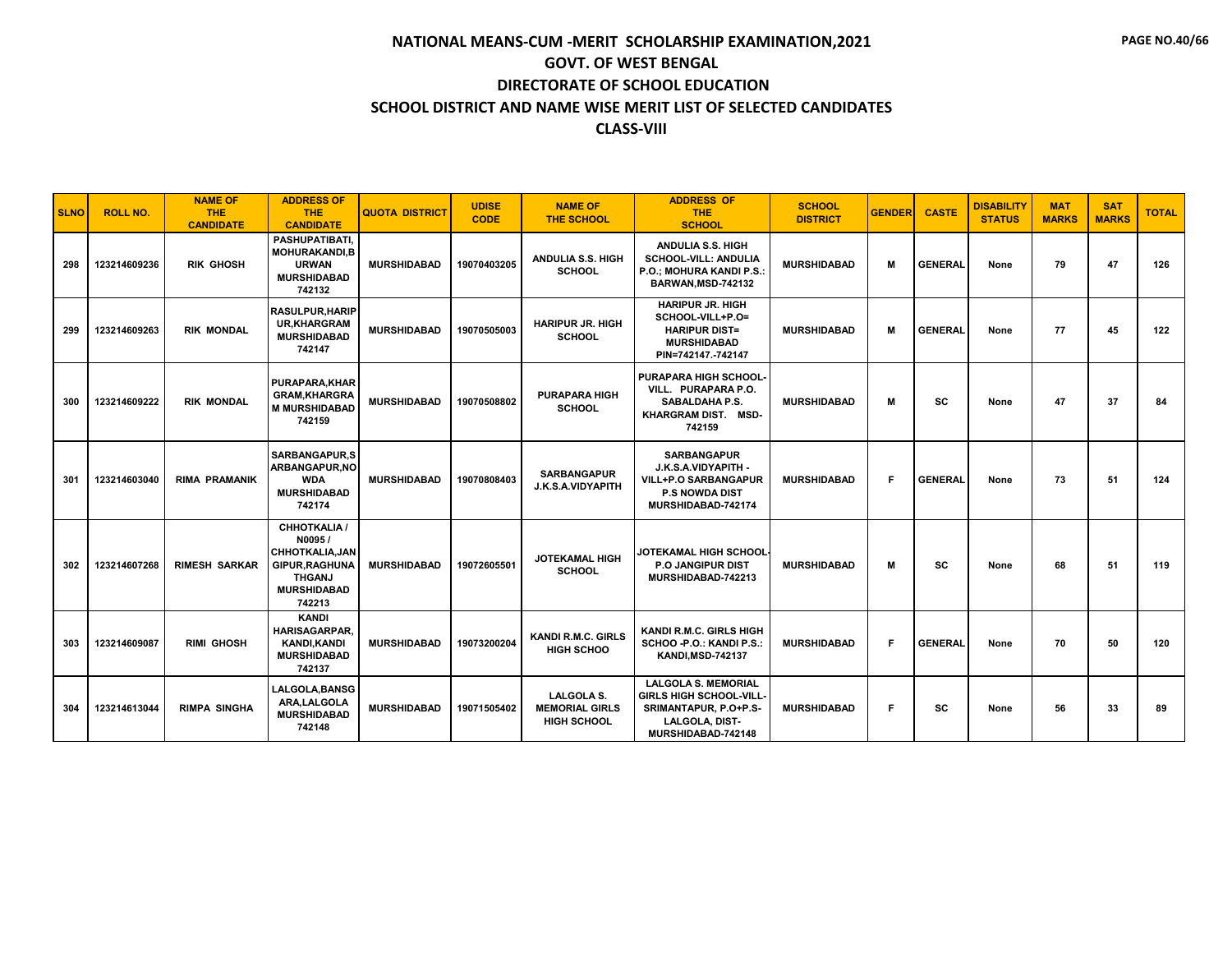| <b>SLNO</b> | <b>ROLL NO.</b> | <b>NAME OF</b><br><b>THE</b><br><b>CANDIDATE</b> | <b>ADDRESS OF</b><br><b>THE</b><br><b>CANDIDATE</b>                                                                              | <b>QUOTA DISTRICT</b> | <b>UDISE</b><br><b>CODE</b> | <b>NAME OF</b><br><b>THE SCHOOL</b>                              | <b>ADDRESS OF</b><br><b>THE</b><br><b>SCHOOL</b>                                                                        | <b>SCHOOL</b><br><b>DISTRICT</b> | <b>GENDER</b> | <b>CASTE</b>   | <b>DISABILITY</b><br><b>STATUS</b> | <b>MAT</b><br><b>MARKS</b> | <b>SAT</b><br><b>MARKS</b> | <b>TOTAL</b> |
|-------------|-----------------|--------------------------------------------------|----------------------------------------------------------------------------------------------------------------------------------|-----------------------|-----------------------------|------------------------------------------------------------------|-------------------------------------------------------------------------------------------------------------------------|----------------------------------|---------------|----------------|------------------------------------|----------------------------|----------------------------|--------------|
| 298         | 123214609236    | <b>RIK GHOSH</b>                                 | <b>PASHUPATIBATI.</b><br><b>MOHURAKANDI.B</b><br><b>URWAN</b><br><b>MURSHIDABAD</b><br>742132                                    | <b>MURSHIDABAD</b>    | 19070403205                 | <b>ANDULIA S.S. HIGH</b><br><b>SCHOOL</b>                        | <b>ANDULIA S.S. HIGH</b><br><b>SCHOOL-VILL: ANDULIA</b><br>P.O.; MOHURA KANDI P.S.:<br>BARWAN, MSD-742132               | <b>MURSHIDABAD</b>               | м             | <b>GENERAL</b> | None                               | 79                         | 47                         | 126          |
| 299         | 123214609263    | <b>RIK MONDAL</b>                                | <b>RASULPUR.HARIP</b><br><b>UR,KHARGRAM</b><br><b>MURSHIDABAD</b><br>742147                                                      | <b>MURSHIDABAD</b>    | 19070505003                 | <b>HARIPUR JR. HIGH</b><br><b>SCHOOL</b>                         | <b>HARIPUR JR. HIGH</b><br>SCHOOL-VILL+P.O=<br><b>HARIPUR DIST=</b><br><b>MURSHIDABAD</b><br>PIN=742147.-742147         | <b>MURSHIDABAD</b>               | м             | <b>GENERAL</b> | None                               | 77                         | 45                         | 122          |
| 300         | 123214609222    | <b>RIK MONDAL</b>                                | <b>PURAPARA, KHAR</b><br><b>GRAM, KHARGRA</b><br><b>M MURSHIDABAD</b><br>742159                                                  | <b>MURSHIDABAD</b>    | 19070508802                 | <b>PURAPARA HIGH</b><br><b>SCHOOL</b>                            | <b>PURAPARA HIGH SCHOOL</b><br>VILL. PURAPARA P.O.<br><b>SABALDAHA P.S.</b><br>KHARGRAM DIST. MSD-<br>742159            | <b>MURSHIDABAD</b>               | м             | SC             | None                               | 47                         | 37                         | 84           |
| 301         | 123214603040    | <b>RIMA PRAMANIK</b>                             | <b>SARBANGAPUR.S</b><br><b>ARBANGAPUR.NO</b><br><b>WDA</b><br><b>MURSHIDABAD</b><br>742174                                       | <b>MURSHIDABAD</b>    | 19070808403                 | <b>SARBANGAPUR</b><br>J.K.S.A.VIDYAPITH                          | <b>SARBANGAPUR</b><br>J.K.S.A.VIDYAPITH -<br><b>VILL+P.O SARBANGAPUR</b><br><b>P.S NOWDA DIST</b><br>MURSHIDABAD-742174 | <b>MURSHIDABAD</b>               | F             | <b>GENERAL</b> | None                               | 73                         | 51                         | 124          |
| 302         | 123214607268    | <b>RIMESH SARKAR</b>                             | <b>CHHOTKALIA /</b><br>N0095/<br><b>CHHOTKALIA.JAN</b><br><b>GIPUR, RAGHUNA</b><br><b>THGANJ</b><br><b>MURSHIDABAD</b><br>742213 | <b>MURSHIDABAD</b>    | 19072605501                 | <b>JOTEKAMAL HIGH</b><br><b>SCHOOL</b>                           | JOTEKAMAL HIGH SCHOOL<br><b>P.O JANGIPUR DIST</b><br>MURSHIDABAD-742213                                                 | <b>MURSHIDABAD</b>               | м             | SC             | None                               | 68                         | 51                         | 119          |
| 303         | 123214609087    | <b>RIMI GHOSH</b>                                | <b>KANDI</b><br><b>HARISAGARPAR.</b><br><b>KANDI.KANDI</b><br><b>MURSHIDABAD</b><br>742137                                       | <b>MURSHIDABAD</b>    | 19073200204                 | <b>KANDI R.M.C. GIRLS</b><br><b>HIGH SCHOO</b>                   | KANDI R.M.C. GIRLS HIGH<br>SCHOO - P.O.: KANDI P.S.:<br><b>KANDI, MSD-742137</b>                                        | <b>MURSHIDABAD</b>               | F.            | <b>GENERAL</b> | None                               | 70                         | 50                         | 120          |
| 304         | 123214613044    | <b>RIMPA SINGHA</b>                              | LALGOLA, BANSG<br><b>ARA.LALGOLA</b><br><b>MURSHIDABAD</b><br>742148                                                             | <b>MURSHIDABAD</b>    | 19071505402                 | <b>LALGOLA S.</b><br><b>MEMORIAL GIRLS</b><br><b>HIGH SCHOOL</b> | <b>LALGOLA S. MEMORIAL</b><br>GIRLS HIGH SCHOOL-VILL-<br>SRIMANTAPUR, P.O+P.S-<br>LALGOLA, DIST-<br>MURSHIDABAD-742148  | <b>MURSHIDABAD</b>               | F             | sc             | None                               | 56                         | 33                         | 89           |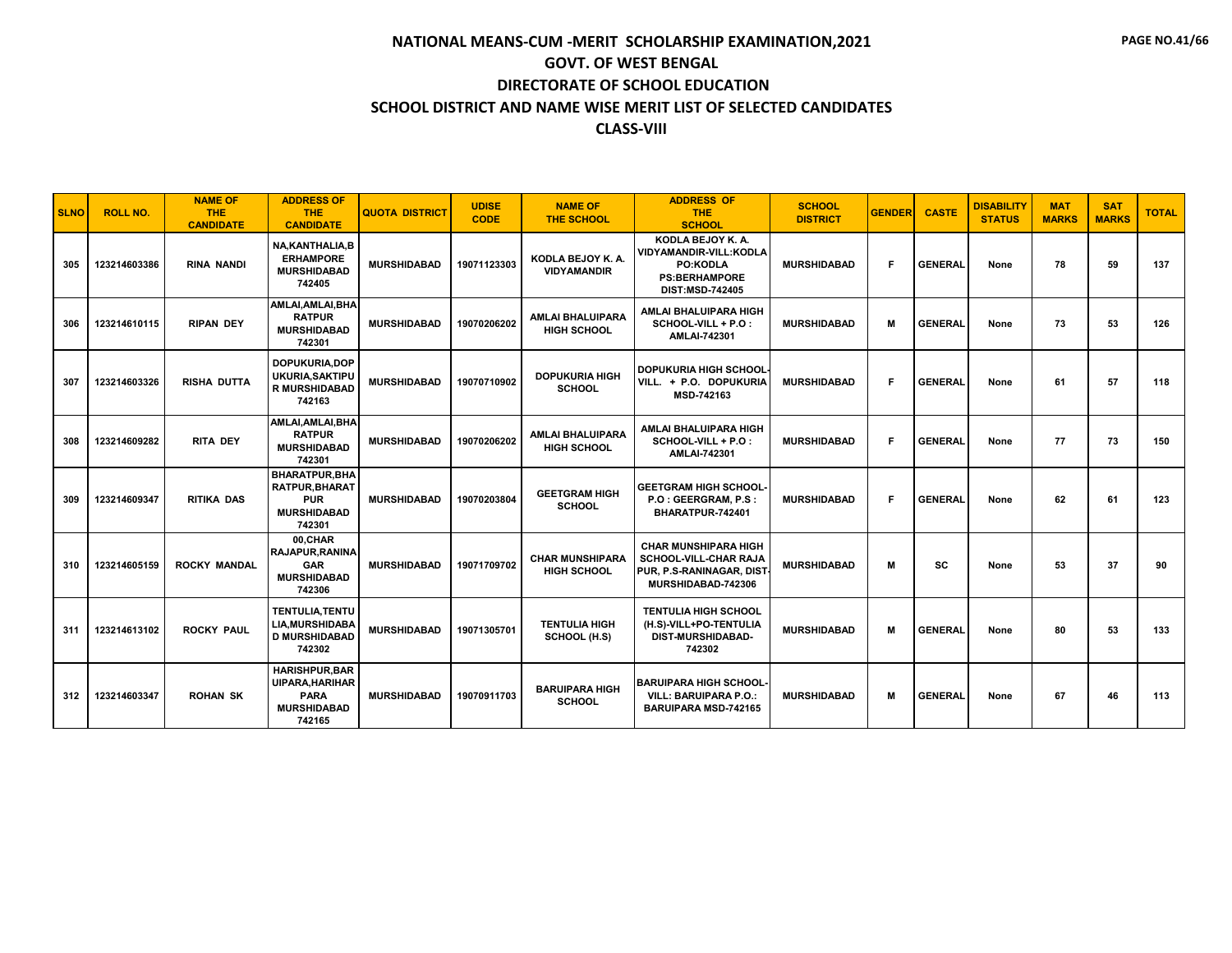| <b>SLNO</b> | <b>ROLL NO.</b> | <b>NAME OF</b><br><b>THE</b><br><b>CANDIDATE</b> | <b>ADDRESS OF</b><br><b>THE</b><br><b>CANDIDATE</b>                                           | <b>QUOTA DISTRICT</b> | <b>UDISE</b><br><b>CODE</b> | <b>NAME OF</b><br><b>THE SCHOOL</b>           | <b>ADDRESS OF</b><br><b>THE</b><br><b>SCHOOL</b>                                                                        | <b>SCHOOL</b><br><b>DISTRICT</b> | <b>GENDER</b> | <b>CASTE</b>   | <b>DISABILITY</b><br><b>STATUS</b> | <b>MAT</b><br><b>MARKS</b> | <b>SAT</b><br><b>MARKS</b> | <b>TOTAL</b> |
|-------------|-----------------|--------------------------------------------------|-----------------------------------------------------------------------------------------------|-----------------------|-----------------------------|-----------------------------------------------|-------------------------------------------------------------------------------------------------------------------------|----------------------------------|---------------|----------------|------------------------------------|----------------------------|----------------------------|--------------|
| 305         | 123214603386    | <b>RINA NANDI</b>                                | <b>NA.KANTHALIA.B</b><br><b>ERHAMPORE</b><br><b>MURSHIDABAD</b><br>742405                     | <b>MURSHIDABAD</b>    | 19071123303                 | KODLA BEJOY K. A.<br><b>VIDYAMANDIR</b>       | KODLA BEJOY K. A.<br><b>VIDYAMANDIR-VILL:KODLA</b><br><b>PO:KODLA</b><br><b>PS:BERHAMPORE</b><br><b>DIST:MSD-742405</b> | <b>MURSHIDABAD</b>               | F.            | <b>GENERAL</b> | None                               | 78                         | 59                         | 137          |
| 306         | 123214610115    | <b>RIPAN DEY</b>                                 | AMLAI, AMLAI, BHA<br><b>RATPUR</b><br><b>MURSHIDABAD</b><br>742301                            | <b>MURSHIDABAD</b>    | 19070206202                 | <b>AMLAI BHALUIPARA</b><br><b>HIGH SCHOOL</b> | AMLAI BHALUIPARA HIGH<br>SCHOOL-VILL + P.O :<br><b>AMLAI-742301</b>                                                     | <b>MURSHIDABAD</b>               | M             | <b>GENERAL</b> | None                               | 73                         | 53                         | 126          |
| 307         | 123214603326    | <b>RISHA DUTTA</b>                               | DOPUKURIA, DOP<br>UKURIA, SAKTIPU<br><b>R MURSHIDABAD</b><br>742163                           | <b>MURSHIDABAD</b>    | 19070710902                 | <b>DOPUKURIA HIGH</b><br><b>SCHOOL</b>        | DOPUKURIA HIGH SCHOOL<br>VILL. + P.O. DOPUKURIA<br>MSD-742163                                                           | <b>MURSHIDABAD</b>               | F.            | <b>GENERAL</b> | None                               | 61                         | 57                         | 118          |
| 308         | 123214609282    | <b>RITA DEY</b>                                  | AMLAI.AMLAI.BHA<br><b>RATPUR</b><br><b>MURSHIDABAD</b><br>742301                              | <b>MURSHIDABAD</b>    | 19070206202                 | <b>AMLAI BHALUIPARA</b><br><b>HIGH SCHOOL</b> | AMLAI BHALUIPARA HIGH<br>SCHOOL-VILL + P.O :<br>AMLAI-742301                                                            | <b>MURSHIDABAD</b>               | F.            | <b>GENERAL</b> | None                               | 77                         | 73                         | 150          |
| 309         | 123214609347    | <b>RITIKA DAS</b>                                | <b>BHARATPUR, BHA</b><br><b>RATPUR, BHARAT</b><br><b>PUR</b><br><b>MURSHIDABAD</b><br>742301  | <b>MURSHIDABAD</b>    | 19070203804                 | <b>GEETGRAM HIGH</b><br><b>SCHOOL</b>         | <b>GEETGRAM HIGH SCHOOL</b><br>P.O : GEERGRAM, P.S :<br>BHARATPUR-742401                                                | <b>MURSHIDABAD</b>               | F.            | <b>GENERAL</b> | None                               | 62                         | 61                         | 123          |
| 310         | 123214605159    | <b>ROCKY MANDAL</b>                              | 00.CHAR<br><b>RAJAPUR, RANINA</b><br>GAR<br><b>MURSHIDABAD</b><br>742306                      | <b>MURSHIDABAD</b>    | 19071709702                 | <b>CHAR MUNSHIPARA</b><br><b>HIGH SCHOOL</b>  | <b>CHAR MUNSHIPARA HIGH</b><br><b>SCHOOL-VILL-CHAR RAJA</b><br>PUR, P.S-RANINAGAR, DIST<br>MURSHIDABAD-742306           | <b>MURSHIDABAD</b>               | M             | <b>SC</b>      | None                               | 53                         | 37                         | 90           |
| 311         | 123214613102    | <b>ROCKY PAUL</b>                                | TENTULIA, TENTU<br>LIA, MURSHIDABA<br><b>D MURSHIDABAD</b><br>742302                          | <b>MURSHIDABAD</b>    | 19071305701                 | <b>TENTULIA HIGH</b><br>SCHOOL (H.S)          | <b>TENTULIA HIGH SCHOOL</b><br>(H.S)-VILL+PO-TENTULIA<br><b>DIST-MURSHIDABAD-</b><br>742302                             | <b>MURSHIDABAD</b>               | M             | <b>GENERAL</b> | None                               | 80                         | 53                         | 133          |
| 312         | 123214603347    | <b>ROHAN SK</b>                                  | <b>HARISHPUR.BAR</b><br><b>UIPARA, HARIHAR</b><br><b>PARA</b><br><b>MURSHIDABAD</b><br>742165 | <b>MURSHIDABAD</b>    | 19070911703                 | <b>BARUIPARA HIGH</b><br><b>SCHOOL</b>        | <b>BARUIPARA HIGH SCHOOL-</b><br><b>VILL: BARUIPARA P.O.:</b><br><b>BARUIPARA MSD-742165</b>                            | <b>MURSHIDABAD</b>               | M             | <b>GENERAL</b> | None                               | 67                         | 46                         | 113          |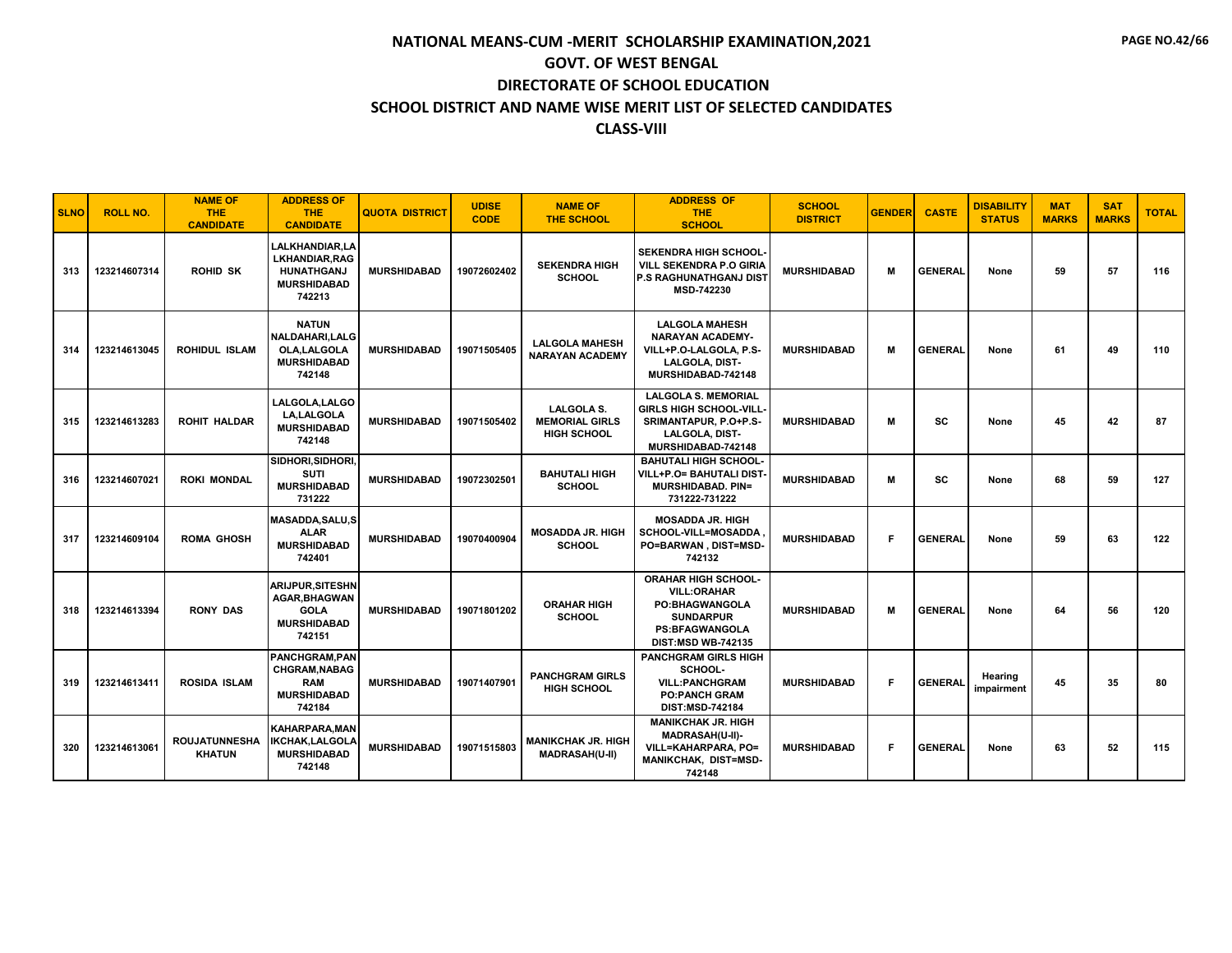| <b>SLNO</b> | <b>ROLL NO.</b> | <b>NAME OF</b><br><b>THE</b><br><b>CANDIDATE</b> | <b>ADDRESS OF</b><br><b>THE</b><br><b>CANDIDATE</b>                                                | <b>QUOTA DISTRICT</b> | <b>UDISE</b><br><b>CODE</b> | <b>NAME OF</b><br><b>THE SCHOOL</b>                              | <b>ADDRESS OF</b><br><b>THE</b><br><b>SCHOOL</b>                                                                                                    | <b>SCHOOL</b><br><b>DISTRICT</b> | <b>GENDER</b> | <b>CASTE</b>   | <b>DISABILITY</b><br><b>STATUS</b> | <b>MAT</b><br><b>MARKS</b> | <b>SAT</b><br><b>MARKS</b> | <b>TOTAL</b> |
|-------------|-----------------|--------------------------------------------------|----------------------------------------------------------------------------------------------------|-----------------------|-----------------------------|------------------------------------------------------------------|-----------------------------------------------------------------------------------------------------------------------------------------------------|----------------------------------|---------------|----------------|------------------------------------|----------------------------|----------------------------|--------------|
| 313         | 123214607314    | <b>ROHID SK</b>                                  | <b>LALKHANDIAR.LA</b><br><b>LKHANDIAR.RAG</b><br><b>HUNATHGANJ</b><br><b>MURSHIDABAD</b><br>742213 | <b>MURSHIDABAD</b>    | 19072602402                 | <b>SEKENDRA HIGH</b><br><b>SCHOOL</b>                            | <b>SEKENDRA HIGH SCHOOL</b><br><b>VILL SEKENDRA P.O GIRIA</b><br><b>P.S RAGHUNATHGANJ DIST</b><br>MSD-742230                                        | <b>MURSHIDABAD</b>               | М             | <b>GENERAL</b> | None                               | 59                         | 57                         | 116          |
| 314         | 123214613045    | <b>ROHIDUL ISLAM</b>                             | <b>NATUN</b><br>NALDAHARI, LALG<br>OLA.LALGOLA<br><b>MURSHIDABAD</b><br>742148                     | <b>MURSHIDABAD</b>    | 19071505405                 | <b>LALGOLA MAHESH</b><br><b>NARAYAN ACADEMY</b>                  | <b>LALGOLA MAHESH</b><br><b>NARAYAN ACADEMY-</b><br>VILL+P.O-LALGOLA, P.S-<br><b>LALGOLA, DIST-</b><br>MURSHIDABAD-742148                           | <b>MURSHIDABAD</b>               | M             | <b>GENERAL</b> | None                               | 61                         | 49                         | 110          |
| 315         | 123214613283    | <b>ROHIT HALDAR</b>                              | LALGOLA, LALGO<br><b>LA.LALGOLA</b><br><b>MURSHIDABAD</b><br>742148                                | <b>MURSHIDABAD</b>    | 19071505402                 | <b>LALGOLA S.</b><br><b>MEMORIAL GIRLS</b><br><b>HIGH SCHOOL</b> | <b>LALGOLA S. MEMORIAL</b><br><b>GIRLS HIGH SCHOOL-VILL</b><br>SRIMANTAPUR, P.O+P.S-<br>LALGOLA, DIST-<br>MURSHIDABAD-742148                        | <b>MURSHIDABAD</b>               | М             | SC             | None                               | 45                         | 42                         | 87           |
| 316         | 123214607021    | <b>ROKI MONDAL</b>                               | SIDHORI, SIDHORI,<br><b>SUTI</b><br><b>MURSHIDABAD</b><br>731222                                   | <b>MURSHIDABAD</b>    | 19072302501                 | <b>BAHUTALI HIGH</b><br><b>SCHOOL</b>                            | <b>BAHUTALI HIGH SCHOOL-</b><br>VILL+P.O= BAHUTALI DIST<br><b>MURSHIDABAD, PIN=</b><br>731222-731222                                                | <b>MURSHIDABAD</b>               | M             | SC             | None                               | 68                         | 59                         | 127          |
| 317         | 123214609104    | <b>ROMA GHOSH</b>                                | <b>MASADDA, SALU, S</b><br><b>ALAR</b><br><b>MURSHIDABAD</b><br>742401                             | <b>MURSHIDABAD</b>    | 19070400904                 | <b>MOSADDA JR. HIGH</b><br><b>SCHOOL</b>                         | <b>MOSADDA JR. HIGH</b><br>SCHOOL-VILL=MOSADDA<br>PO=BARWAN, DIST=MSD-<br>742132                                                                    | <b>MURSHIDABAD</b>               | F             | <b>GENERAL</b> | None                               | 59                         | 63                         | 122          |
| 318         | 123214613394    | <b>RONY DAS</b>                                  | <b>ARIJPUR, SITESHN</b><br><b>AGAR.BHAGWAN</b><br>GOLA<br><b>MURSHIDABAD</b><br>742151             | <b>MURSHIDABAD</b>    | 19071801202                 | <b>ORAHAR HIGH</b><br><b>SCHOOL</b>                              | <b>ORAHAR HIGH SCHOOL-</b><br><b>VILL:ORAHAR</b><br><b>PO:BHAGWANGOLA</b><br><b>SUNDARPUR</b><br><b>PS:BFAGWANGOLA</b><br><b>DIST:MSD WB-742135</b> | <b>MURSHIDABAD</b>               | M             | <b>GENERAL</b> | None                               | 64                         | 56                         | 120          |
| 319         | 123214613411    | <b>ROSIDA ISLAM</b>                              | <b>PANCHGRAM.PAN</b><br>CHGRAM, NABAG<br><b>RAM</b><br><b>MURSHIDABAD</b><br>742184                | <b>MURSHIDABAD</b>    | 19071407901                 | <b>PANCHGRAM GIRLS</b><br><b>HIGH SCHOOL</b>                     | <b>PANCHGRAM GIRLS HIGH</b><br>SCHOOL-<br><b>VILL:PANCHGRAM</b><br><b>PO:PANCH GRAM</b><br>DIST:MSD-742184                                          | <b>MURSHIDABAD</b>               | F.            | <b>GENERAL</b> | Hearing<br>impairment              | 45                         | 35                         | 80           |
| 320         | 123214613061    | <b>ROUJATUNNESHA</b><br><b>KHATUN</b>            | <b>KAHARPARA.MAN</b><br><b>IKCHAK,LALGOLA</b><br><b>MURSHIDABAD</b><br>742148                      | <b>MURSHIDABAD</b>    | 19071515803                 | <b>MANIKCHAK JR. HIGH</b><br><b>MADRASAH(U-II)</b>               | <b>MANIKCHAK JR. HIGH</b><br>MADRASAH(U-II)-<br>VILL=KAHARPARA. PO=<br>MANIKCHAK, DIST=MSD-<br>742148                                               | <b>MURSHIDABAD</b>               | F.            | <b>GENERAL</b> | None                               | 63                         | 52                         | 115          |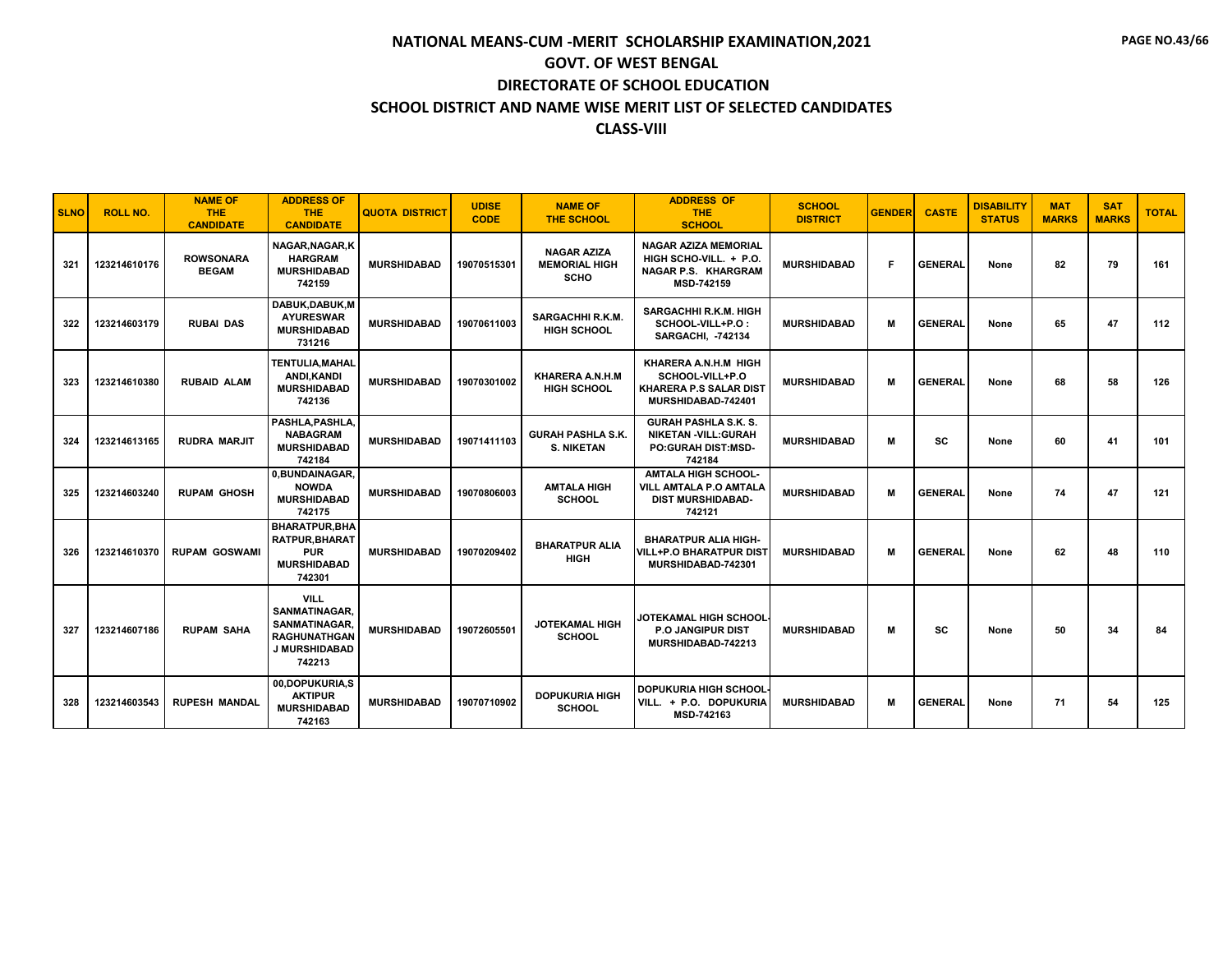| <b>SLNO</b> | <b>ROLL NO.</b> | <b>NAME OF</b><br><b>THE</b><br><b>CANDIDATE</b> | <b>ADDRESS OF</b><br><b>THE</b><br><b>CANDIDATE</b>                                             | <b>QUOTA DISTRICT</b> | <b>UDISE</b><br><b>CODE</b> | <b>NAME OF</b><br><b>THE SCHOOL</b>                       | <b>ADDRESS OF</b><br><b>THE</b><br><b>SCHOOL</b>                                                         | <b>SCHOOL</b><br><b>DISTRICT</b> | <b>GENDER</b> | <b>CASTE</b>   | <b>DISABILITY</b><br><b>STATUS</b> | <b>MAT</b><br><b>MARKS</b> | <b>SAT</b><br><b>MARKS</b> | <b>TOTAL</b> |
|-------------|-----------------|--------------------------------------------------|-------------------------------------------------------------------------------------------------|-----------------------|-----------------------------|-----------------------------------------------------------|----------------------------------------------------------------------------------------------------------|----------------------------------|---------------|----------------|------------------------------------|----------------------------|----------------------------|--------------|
| 321         | 123214610176    | <b>ROWSONARA</b><br><b>BEGAM</b>                 | NAGAR.NAGAR.K<br><b>HARGRAM</b><br><b>MURSHIDABAD</b><br>742159                                 | <b>MURSHIDABAD</b>    | 19070515301                 | <b>NAGAR AZIZA</b><br><b>MEMORIAL HIGH</b><br><b>SCHO</b> | <b>NAGAR AZIZA MEMORIAL</b><br>HIGH SCHO-VILL. + P.O.<br><b>NAGAR P.S. KHARGRAM</b><br><b>MSD-742159</b> | <b>MURSHIDABAD</b>               | F.            | <b>GENERAL</b> | None                               | 82                         | 79                         | 161          |
| 322         | 123214603179    | <b>RUBAI DAS</b>                                 | DABUK.DABUK.M<br><b>AYURESWAR</b><br><b>MURSHIDABAD</b><br>731216                               | <b>MURSHIDABAD</b>    | 19070611003                 | SARGACHHI R.K.M.<br><b>HIGH SCHOOL</b>                    | <b>SARGACHHI R.K.M. HIGH</b><br>SCHOOL-VILL+P.O:<br><b>SARGACHI, -742134</b>                             | <b>MURSHIDABAD</b>               | м             | <b>GENERAL</b> | None                               | 65                         | 47                         | 112          |
| 323         | 123214610380    | <b>RUBAID ALAM</b>                               | <b>TENTULIA, MAHAL</b><br>ANDI.KANDI<br><b>MURSHIDABAD</b><br>742136                            | <b>MURSHIDABAD</b>    | 19070301002                 | KHARERA A.N.H.M<br><b>HIGH SCHOOL</b>                     | KHARERA A.N.H.M HIGH<br>SCHOOL-VILL+P.O<br><b>KHARERA P.S SALAR DIST</b><br>MURSHIDABAD-742401           | <b>MURSHIDABAD</b>               | м             | <b>GENERAL</b> | None                               | 68                         | 58                         | 126          |
| 324         | 123214613165    | <b>RUDRA MARJIT</b>                              | PASHLA.PASHLA.<br><b>NABAGRAM</b><br><b>MURSHIDABAD</b><br>742184                               | <b>MURSHIDABAD</b>    | 19071411103                 | <b>GURAH PASHLA S.K.</b><br><b>S. NIKETAN</b>             | <b>GURAH PASHLA S.K. S.</b><br><b>NIKETAN -VILL:GURAH</b><br><b>PO:GURAH DIST:MSD-</b><br>742184         | <b>MURSHIDABAD</b>               | M             | <b>SC</b>      | None                               | 60                         | 41                         | 101          |
| 325         | 123214603240    | <b>RUPAM GHOSH</b>                               | 0.BUNDAINAGAR.<br><b>NOWDA</b><br><b>MURSHIDABAD</b><br>742175                                  | <b>MURSHIDABAD</b>    | 19070806003                 | <b>AMTALA HIGH</b><br><b>SCHOOL</b>                       | <b>AMTALA HIGH SCHOOL-</b><br>VILL AMTALA P.O AMTALA<br><b>DIST MURSHIDABAD-</b><br>742121               | <b>MURSHIDABAD</b>               | м             | <b>GENERAL</b> | None                               | 74                         | 47                         | 121          |
| 326         | 123214610370    | <b>RUPAM GOSWAMI</b>                             | <b>BHARATPUR, BHA</b><br><b>RATPUR.BHARAT</b><br><b>PUR</b><br><b>MURSHIDABAD</b><br>742301     | <b>MURSHIDABAD</b>    | 19070209402                 | <b>BHARATPUR ALIA</b><br>HIGH                             | <b>BHARATPUR ALIA HIGH-</b><br>VILL+P.O BHARATPUR DIS1<br>MURSHIDABAD-742301                             | <b>MURSHIDABAD</b>               | м             | <b>GENERAL</b> | None                               | 62                         | 48                         | 110          |
| 327         | 123214607186    | <b>RUPAM SAHA</b>                                | <b>VILL</b><br>SANMATINAGAR.<br>SANMATINAGAR.<br><b>RAGHUNATHGAN</b><br>J MURSHIDABAD<br>742213 | <b>MURSHIDABAD</b>    | 19072605501                 | <b>JOTEKAMAL HIGH</b><br><b>SCHOOL</b>                    | JOTEKAMAL HIGH SCHOOL·<br><b>P.O. JANGIPUR DIST</b><br>MURSHIDABAD-742213                                | <b>MURSHIDABAD</b>               | м             | SC             | None                               | 50                         | 34                         | 84           |
| 328         | 123214603543    | <b>RUPESH MANDAL</b>                             | 00,DOPUKURIA,S<br><b>AKTIPUR</b><br><b>MURSHIDABAD</b><br>742163                                | <b>MURSHIDABAD</b>    | 19070710902                 | <b>DOPUKURIA HIGH</b><br><b>SCHOOL</b>                    | DOPUKURIA HIGH SCHOOL<br>VILL. + P.O. DOPUKURIA<br>MSD-742163                                            | <b>MURSHIDABAD</b>               | м             | <b>GENERAL</b> | None                               | 71                         | 54                         | 125          |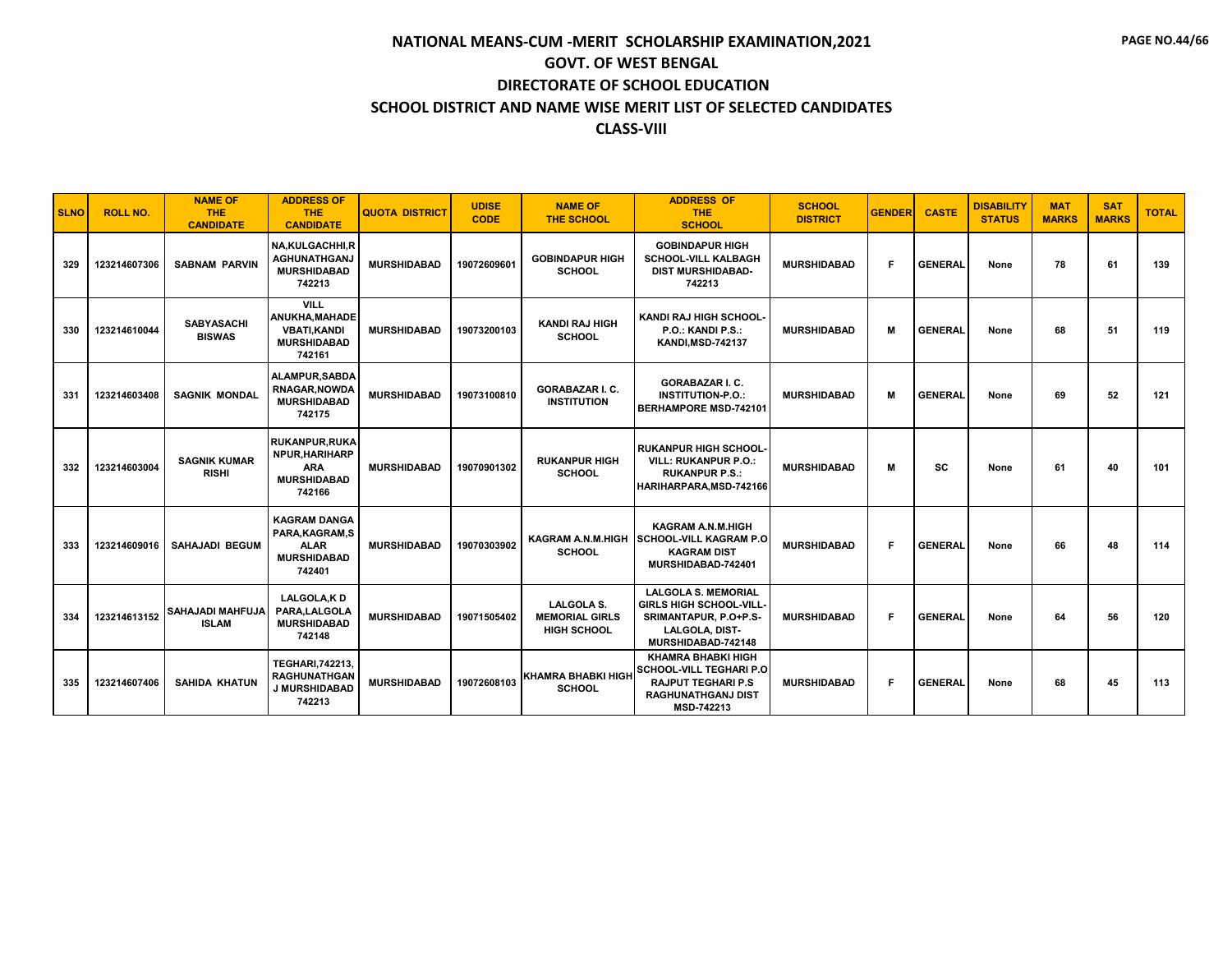| <b>SLNO</b> | <b>ROLL NO.</b> | <b>NAME OF</b><br><b>THE</b><br><b>CANDIDATE</b> | <b>ADDRESS OF</b><br><b>THE</b><br><b>CANDIDATE</b>                                   | <b>QUOTA DISTRICT</b> | <b>UDISE</b><br><b>CODE</b> | <b>NAME OF</b><br>THE SCHOOL                                     | <b>ADDRESS OF</b><br><b>THE</b><br><b>SCHOOL</b>                                                                                    | <b>SCHOOL</b><br><b>DISTRICT</b> | <b>GENDER</b> | <b>CASTE</b>   | <b>DISABILITY</b><br><b>STATUS</b> | <b>MAT</b><br><b>MARKS</b> | <b>SAT</b><br><b>MARKS</b> | <b>TOTAL</b> |
|-------------|-----------------|--------------------------------------------------|---------------------------------------------------------------------------------------|-----------------------|-----------------------------|------------------------------------------------------------------|-------------------------------------------------------------------------------------------------------------------------------------|----------------------------------|---------------|----------------|------------------------------------|----------------------------|----------------------------|--------------|
| 329         | 123214607306    | <b>SABNAM PARVIN</b>                             | <b>NA,KULGACHHI,R</b><br><b>AGHUNATHGANJ</b><br><b>MURSHIDABAD</b><br>742213          | <b>MURSHIDABAD</b>    | 19072609601                 | <b>GOBINDAPUR HIGH</b><br><b>SCHOOL</b>                          | <b>GOBINDAPUR HIGH</b><br><b>SCHOOL-VILL KALBAGH</b><br><b>DIST MURSHIDABAD-</b><br>742213                                          | <b>MURSHIDABAD</b>               | F.            | <b>GENERAL</b> | None                               | 78                         | 61                         | 139          |
| 330         | 123214610044    | <b>SABYASACHI</b><br><b>BISWAS</b>               | <b>VILL</b><br>ANUKHA, MAHADE<br><b>VBATI.KANDI</b><br><b>MURSHIDABAD</b><br>742161   | <b>MURSHIDABAD</b>    | 19073200103                 | <b>KANDI RAJ HIGH</b><br><b>SCHOOL</b>                           | KANDI RAJ HIGH SCHOOL-<br>P.O.: KANDI P.S.:<br><b>KANDI, MSD-742137</b>                                                             | <b>MURSHIDABAD</b>               | м             | <b>GENERAL</b> | None                               | 68                         | 51                         | 119          |
| 331         | 123214603408    | <b>SAGNIK MONDAL</b>                             | <b>ALAMPUR.SABDA</b><br><b>RNAGAR, NOWDA</b><br><b>MURSHIDABAD</b><br>742175          | <b>MURSHIDABAD</b>    | 19073100810                 | <b>GORABAZAR I. C.</b><br><b>INSTITUTION</b>                     | <b>GORABAZAR I. C.</b><br><b>INSTITUTION-P.O.:</b><br><b>BERHAMPORE MSD-742101</b>                                                  | <b>MURSHIDABAD</b>               | м             | <b>GENERAL</b> | None                               | 69                         | 52                         | 121          |
| 332         | 123214603004    | <b>SAGNIK KUMAR</b><br><b>RISHI</b>              | <b>RUKANPUR, RUKA</b><br>NPUR, HARIHARP<br><b>ARA</b><br><b>MURSHIDABAD</b><br>742166 | <b>MURSHIDABAD</b>    | 19070901302                 | <b>RUKANPUR HIGH</b><br><b>SCHOOL</b>                            | <b>RUKANPUR HIGH SCHOOL</b><br><b>VILL: RUKANPUR P.O.:</b><br><b>RUKANPUR P.S.:</b><br>HARIHARPARA, MSD-742166                      | <b>MURSHIDABAD</b>               | M             | SC             | None                               | 61                         | 40                         | 101          |
| 333         | 123214609016    | <b>SAHAJADI BEGUM</b>                            | <b>KAGRAM DANGA</b><br>PARA, KAGRAM, S<br><b>ALAR</b><br><b>MURSHIDABAD</b><br>742401 | <b>MURSHIDABAD</b>    | 19070303902                 | KAGRAM A.N.M.HIGH<br><b>SCHOOL</b>                               | <b>KAGRAM A.N.M.HIGH</b><br><b>SCHOOL-VILL KAGRAM P.O</b><br><b>KAGRAM DIST</b><br>MURSHIDABAD-742401                               | <b>MURSHIDABAD</b>               | F.            | <b>GENERAL</b> | None                               | 66                         | 48                         | 114          |
| 334         | 123214613152    | <b>SAHAJADI MAHFUJA</b><br><b>ISLAM</b>          | <b>LALGOLA.KD</b><br>PARA.LALGOLA<br><b>MURSHIDABAD</b><br>742148                     | <b>MURSHIDABAD</b>    | 19071505402                 | <b>LALGOLA S.</b><br><b>MEMORIAL GIRLS</b><br><b>HIGH SCHOOL</b> | <b>LALGOLA S. MEMORIAL</b><br>GIRLS HIGH SCHOOL-VILL<br>SRIMANTAPUR, P.O+P.S-<br>LALGOLA, DIST-<br>MURSHIDABAD-742148               | <b>MURSHIDABAD</b>               | F.            | <b>GENERAL</b> | None                               | 64                         | 56                         | 120          |
| 335         | 123214607406    | <b>SAHIDA KHATUN</b>                             | <b>TEGHARI.742213.</b><br><b>RAGHUNATHGAN</b><br>J MURSHIDABAD<br>742213              | <b>MURSHIDABAD</b>    | 19072608103                 | <b>KHAMRA BHABKI HIGH</b><br><b>SCHOOL</b>                       | <b>KHAMRA BHABKI HIGH</b><br>SCHOOL-VILL TEGHARI P.O<br><b>RAJPUT TEGHARI P.S</b><br><b>RAGHUNATHGANJ DIST</b><br><b>MSD-742213</b> | <b>MURSHIDABAD</b>               | F.            | <b>GENERAL</b> | None                               | 68                         | 45                         | 113          |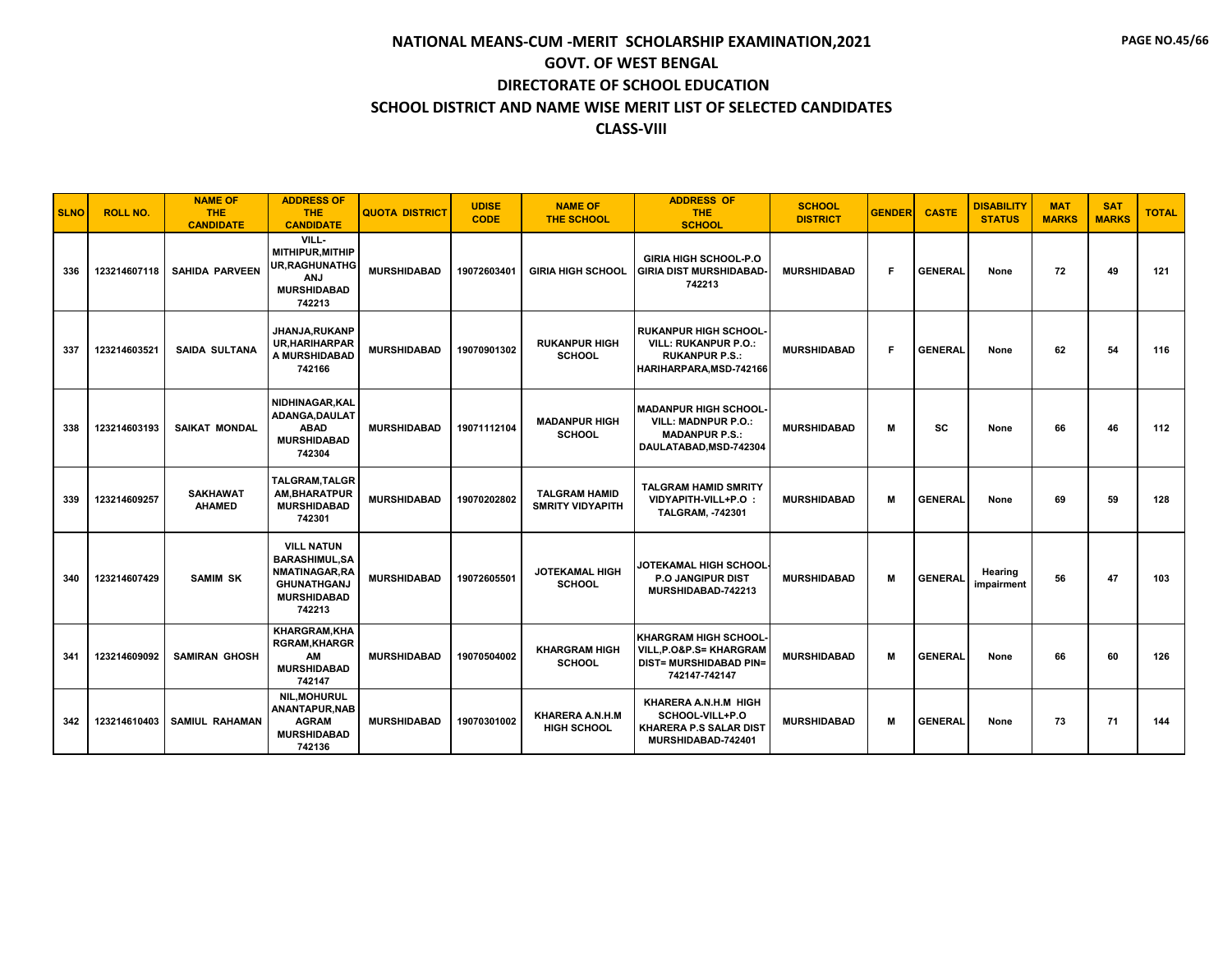| <b>SLNO</b> | <b>ROLL NO.</b> | <b>NAME OF</b><br><b>THE</b><br><b>CANDIDATE</b> | <b>ADDRESS OF</b><br><b>THE</b><br><b>CANDIDATE</b>                                                               | <b>QUOTA DISTRICT</b> | <b>UDISE</b><br><b>CODE</b> | <b>NAME OF</b><br><b>THE SCHOOL</b>             | <b>ADDRESS OF</b><br><b>THE</b><br><b>SCHOOL</b>                                                               | <b>SCHOOL</b><br><b>DISTRICT</b> | <b>GENDER</b> | <b>CASTE</b>   | <b>DISABILITY</b><br><b>STATUS</b> | <b>MAT</b><br><b>MARKS</b> | <b>SAT</b><br><b>MARKS</b> | <b>TOTAL</b> |
|-------------|-----------------|--------------------------------------------------|-------------------------------------------------------------------------------------------------------------------|-----------------------|-----------------------------|-------------------------------------------------|----------------------------------------------------------------------------------------------------------------|----------------------------------|---------------|----------------|------------------------------------|----------------------------|----------------------------|--------------|
| 336         | 123214607118    | <b>SAHIDA PARVEEN</b>                            | VILL-<br>MITHIPUR.MITHIP<br><b>UR, RAGHUNATHG</b><br><b>ANJ</b><br><b>MURSHIDABAD</b><br>742213                   | <b>MURSHIDABAD</b>    | 19072603401                 | <b>GIRIA HIGH SCHOOL</b>                        | <b>GIRIA HIGH SCHOOL-P.O</b><br><b>GIRIA DIST MURSHIDABAD</b><br>742213                                        | <b>MURSHIDABAD</b>               | F.            | <b>GENERAL</b> | None                               | 72                         | 49                         | 121          |
| 337         | 123214603521    | <b>SAIDA SULTANA</b>                             | JHANJA.RUKANP<br><b>UR.HARIHARPAR</b><br>A MURSHIDABAD<br>742166                                                  | <b>MURSHIDABAD</b>    | 19070901302                 | <b>RUKANPUR HIGH</b><br><b>SCHOOL</b>           | <b>RUKANPUR HIGH SCHOOL</b><br><b>VILL: RUKANPUR P.O.:</b><br><b>RUKANPUR P.S.:</b><br>HARIHARPARA, MSD-742166 | <b>MURSHIDABAD</b>               | F             | <b>GENERAL</b> | None                               | 62                         | 54                         | 116          |
| 338         | 123214603193    | <b>SAIKAT MONDAL</b>                             | NIDHINAGAR.KAL<br>ADANGA, DAULAT<br><b>ABAD</b><br><b>MURSHIDABAD</b><br>742304                                   | <b>MURSHIDABAD</b>    | 19071112104                 | <b>MADANPUR HIGH</b><br><b>SCHOOL</b>           | <b>MADANPUR HIGH SCHOOL</b><br><b>VILL: MADNPUR P.O.:</b><br><b>MADANPUR P.S.:</b><br>DAULATABAD.MSD-742304    | <b>MURSHIDABAD</b>               | M             | sc             | None                               | 66                         | 46                         | 112          |
| 339         | 123214609257    | <b>SAKHAWAT</b><br><b>AHAMED</b>                 | <b>TALGRAM.TALGR</b><br>AM, BHARATPUR<br><b>MURSHIDABAD</b><br>742301                                             | <b>MURSHIDABAD</b>    | 19070202802                 | <b>TALGRAM HAMID</b><br><b>SMRITY VIDYAPITH</b> | <b>TALGRAM HAMID SMRITY</b><br>VIDYAPITH-VILL+P.O :<br><b>TALGRAM, -742301</b>                                 | <b>MURSHIDABAD</b>               | м             | <b>GENERAL</b> | None                               | 69                         | 59                         | 128          |
| 340         | 123214607429    | <b>SAMIM SK</b>                                  | <b>VILL NATUN</b><br><b>BARASHIMUL.SA</b><br>NMATINAGAR, RA<br><b>GHUNATHGANJ</b><br><b>MURSHIDABAD</b><br>742213 | <b>MURSHIDABAD</b>    | 19072605501                 | <b>JOTEKAMAL HIGH</b><br><b>SCHOOL</b>          | <b>JOTEKAMAL HIGH SCHOOL</b><br><b>P.O JANGIPUR DIST</b><br>MURSHIDABAD-742213                                 | <b>MURSHIDABAD</b>               | М             | <b>GENERAL</b> | Hearing<br>impairment              | 56                         | 47                         | 103          |
| 341         | 123214609092    | <b>SAMIRAN GHOSH</b>                             | KHARGRAM, KHA<br><b>RGRAM,KHARGR</b><br>АM<br><b>MURSHIDABAD</b><br>742147                                        | <b>MURSHIDABAD</b>    | 19070504002                 | <b>KHARGRAM HIGH</b><br><b>SCHOOL</b>           | <b>KHARGRAM HIGH SCHOOL</b><br>VILL, P.O&P.S= KHARGRAM<br><b>DIST= MURSHIDABAD PIN=</b><br>742147-742147       | <b>MURSHIDABAD</b>               | м             | <b>GENERAL</b> | None                               | 66                         | 60                         | 126          |
| 342         | 123214610403    | <b>SAMIUL RAHAMAN</b>                            | <b>NIL, MOHURUL</b><br>ANANTAPUR, NAB<br><b>AGRAM</b><br><b>MURSHIDABAD</b><br>742136                             | <b>MURSHIDABAD</b>    | 19070301002                 | KHARERA A.N.H.M<br><b>HIGH SCHOOL</b>           | KHARERA A.N.H.M HIGH<br>SCHOOL-VILL+P.O<br><b>KHARERA P.S SALAR DIST</b><br>MURSHIDABAD-742401                 | <b>MURSHIDABAD</b>               | M             | <b>GENERAL</b> | None                               | 73                         | 71                         | 144          |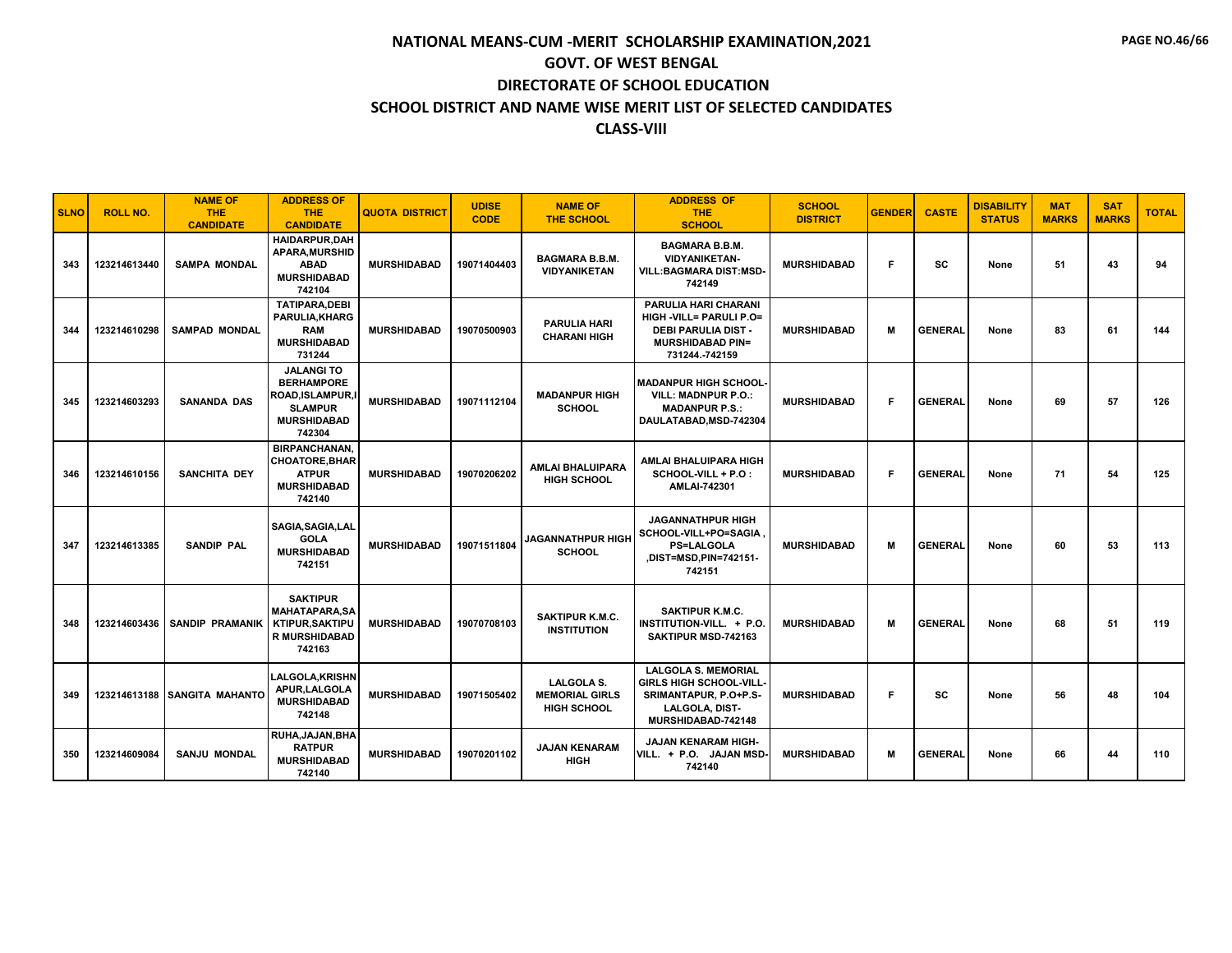| <b>SLNO</b> | <b>ROLL NO.</b> | <b>NAME OF</b><br><b>THE</b><br><b>CANDIDATE</b> | <b>ADDRESS OF</b><br>THE.<br><b>CANDIDATE</b>                                                              | <b>QUOTA DISTRICT</b> | <b>UDISE</b><br><b>CODE</b> | <b>NAME OF</b><br><b>THE SCHOOL</b>                              | <b>ADDRESS OF</b><br><b>THE</b><br><b>SCHOOL</b>                                                                             | <b>SCHOOL</b><br><b>DISTRICT</b> | <b>GENDER</b> | <b>CASTE</b>   | <b>DISABILITY</b><br><b>STATUS</b> | <b>MAT</b><br><b>MARKS</b> | <b>SAT</b><br><b>MARKS</b> | <b>TOTAL</b> |
|-------------|-----------------|--------------------------------------------------|------------------------------------------------------------------------------------------------------------|-----------------------|-----------------------------|------------------------------------------------------------------|------------------------------------------------------------------------------------------------------------------------------|----------------------------------|---------------|----------------|------------------------------------|----------------------------|----------------------------|--------------|
| 343         | 123214613440    | <b>SAMPA MONDAL</b>                              | <b>HAIDARPUR.DAH</b><br><b>APARA.MURSHID</b><br><b>ABAD</b><br><b>MURSHIDABAD</b><br>742104                | <b>MURSHIDABAD</b>    | 19071404403                 | <b>BAGMARA B.B.M.</b><br><b>VIDYANIKETAN</b>                     | <b>BAGMARA B.B.M.</b><br><b>VIDYANIKETAN-</b><br><b>VILL:BAGMARA DIST:MSD-</b><br>742149                                     | <b>MURSHIDABAD</b>               | F             | SC             | None                               | 51                         | 43                         | 94           |
| 344         | 123214610298    | <b>SAMPAD MONDAL</b>                             | <b>TATIPARA,DEBI</b><br>PARULIA, KHARG<br><b>RAM</b><br><b>MURSHIDABAD</b><br>731244                       | <b>MURSHIDABAD</b>    | 19070500903                 | <b>PARULIA HARI</b><br><b>CHARANI HIGH</b>                       | PARULIA HARI CHARANI<br>HIGH -VILL= PARULI P.O=<br><b>DEBI PARULIA DIST -</b><br><b>MURSHIDABAD PIN=</b><br>731244.-742159   | <b>MURSHIDABAD</b>               | М             | <b>GENERAL</b> | None                               | 83                         | 61                         | 144          |
| 345         | 123214603293    | <b>SANANDA DAS</b>                               | <b>JALANGITO</b><br><b>BERHAMPORE</b><br>ROAD,ISLAMPUR,I<br><b>SLAMPUR</b><br><b>MURSHIDABAD</b><br>742304 | <b>MURSHIDABAD</b>    | 19071112104                 | <b>MADANPUR HIGH</b><br><b>SCHOOL</b>                            | <b>MADANPUR HIGH SCHOOL</b><br><b>VILL: MADNPUR P.O.:</b><br><b>MADANPUR P.S.:</b><br>DAULATABAD, MSD-742304                 | <b>MURSHIDABAD</b>               | F.            | <b>GENERAL</b> | None                               | 69                         | 57                         | 126          |
| 346         | 123214610156    | <b>SANCHITA DEY</b>                              | <b>BIRPANCHANAN,</b><br><b>CHOATORE, BHAR</b><br><b>ATPUR</b><br><b>MURSHIDABAD</b><br>742140              | <b>MURSHIDABAD</b>    | 19070206202                 | <b>AMLAI BHALUIPARA</b><br><b>HIGH SCHOOL</b>                    | AMLAI BHALUIPARA HIGH<br>SCHOOL-VILL + P.O :<br>AMLAI-742301                                                                 | <b>MURSHIDABAD</b>               | F.            | <b>GENERAL</b> | None                               | 71                         | 54                         | 125          |
| 347         | 123214613385    | <b>SANDIP PAL</b>                                | SAGIA, SAGIA, LAL<br><b>GOLA</b><br><b>MURSHIDABAD</b><br>742151                                           | <b>MURSHIDABAD</b>    | 19071511804                 | <b>JAGANNATHPUR HIGH</b><br><b>SCHOOL</b>                        | <b>JAGANNATHPUR HIGH</b><br>SCHOOL-VILL+PO=SAGIA<br><b>PS=LALGOLA</b><br>,DIST=MSD,PIN=742151-<br>742151                     | <b>MURSHIDABAD</b>               | м             | <b>GENERAL</b> | None                               | 60                         | 53                         | 113          |
| 348         | 123214603436    | <b>SANDIP PRAMANIK</b>                           | <b>SAKTIPUR</b><br><b>MAHATAPARA, SA</b><br><b>KTIPUR, SAKTIPU</b><br><b>R MURSHIDABAD</b><br>742163       | <b>MURSHIDABAD</b>    | 19070708103                 | <b>SAKTIPUR K.M.C.</b><br><b>INSTITUTION</b>                     | <b>SAKTIPUR K.M.C.</b><br>INSTITUTION-VILL. + P.O.<br>SAKTIPUR MSD-742163                                                    | <b>MURSHIDABAD</b>               | М             | <b>GENERAL</b> | None                               | 68                         | 51                         | 119          |
| 349         | 123214613188    | <b>SANGITA MAHANTO</b>                           | <b>LALGOLA.KRISHN</b><br>APUR.LALGOLA<br><b>MURSHIDABAD</b><br>742148                                      | <b>MURSHIDABAD</b>    | 19071505402                 | <b>LALGOLA S.</b><br><b>MEMORIAL GIRLS</b><br><b>HIGH SCHOOL</b> | <b>LALGOLA S. MEMORIAL</b><br><b>GIRLS HIGH SCHOOL-VILL</b><br>SRIMANTAPUR, P.O+P.S-<br>LALGOLA, DIST-<br>MURSHIDABAD-742148 | <b>MURSHIDABAD</b>               | F.            | SC             | None                               | 56                         | 48                         | 104          |
| 350         | 123214609084    | <b>SANJU MONDAL</b>                              | RUHA, JAJAN, BHA<br><b>RATPUR</b><br><b>MURSHIDABAD</b><br>742140                                          | <b>MURSHIDABAD</b>    | 19070201102                 | <b>JAJAN KENARAM</b><br><b>HIGH</b>                              | JAJAN KENARAM HIGH-<br>VILL. + P.O. JAJAN MSD-<br>742140                                                                     | <b>MURSHIDABAD</b>               | М             | <b>GENERAL</b> | None                               | 66                         | 44                         | 110          |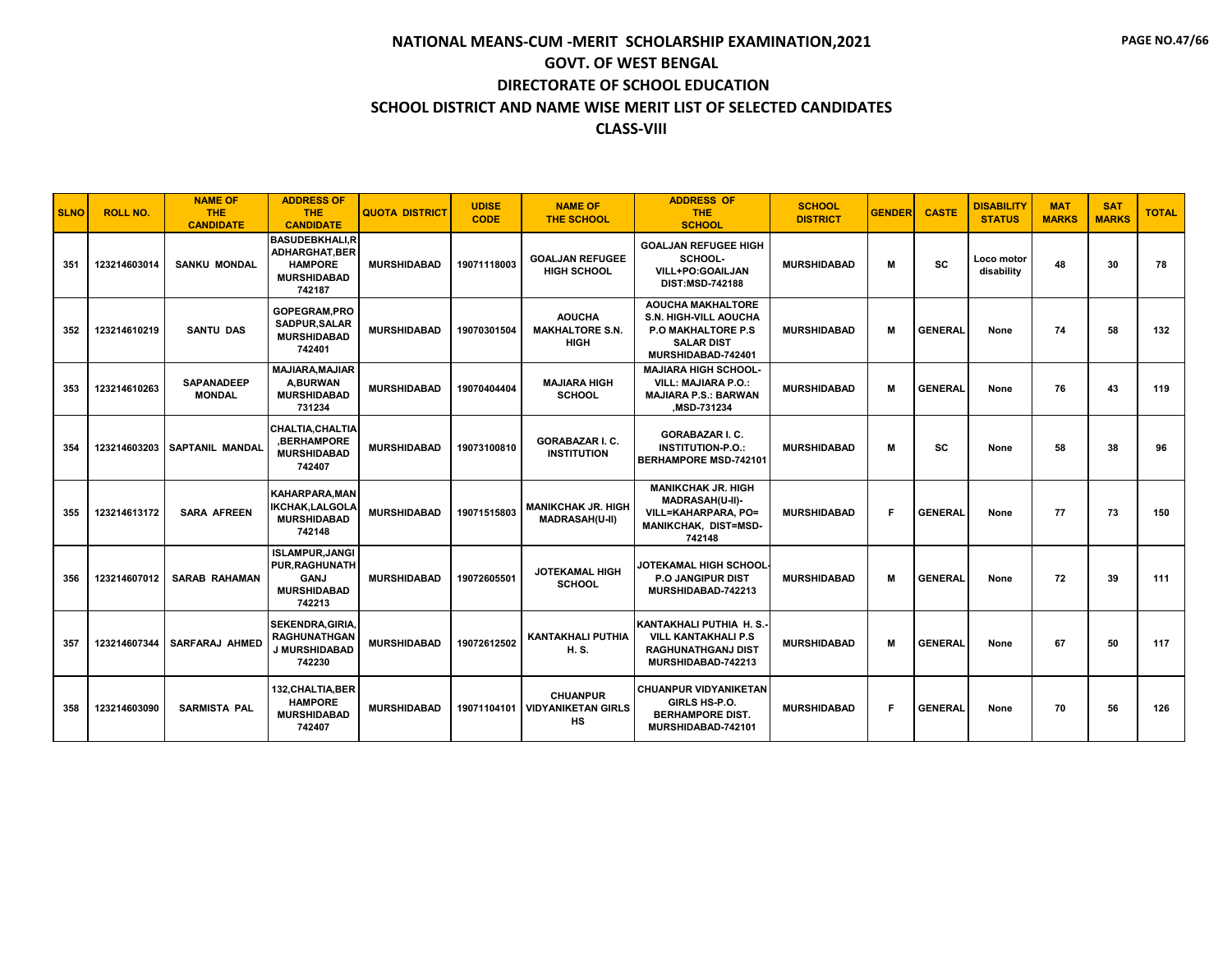| <b>SLNO</b> | <b>ROLL NO.</b> | <b>NAME OF</b><br><b>THE</b><br><b>CANDIDATE</b> | <b>ADDRESS OF</b><br><b>THE</b><br><b>CANDIDATE</b>                                              | <b>QUOTA DISTRICT</b> | <b>UDISE</b><br><b>CODE</b> | <b>NAME OF</b><br><b>THE SCHOOL</b>                    | <b>ADDRESS OF</b><br><b>THE</b><br><b>SCHOOL</b>                                                                           | <b>SCHOOL</b><br><b>DISTRICT</b> | <b>GENDER</b> | <b>CASTE</b>   | <b>DISABILITY</b><br><b>STATUS</b> | <b>MAT</b><br><b>MARKS</b> | <b>SAT</b><br><b>MARKS</b> | <b>TOTAL</b> |
|-------------|-----------------|--------------------------------------------------|--------------------------------------------------------------------------------------------------|-----------------------|-----------------------------|--------------------------------------------------------|----------------------------------------------------------------------------------------------------------------------------|----------------------------------|---------------|----------------|------------------------------------|----------------------------|----------------------------|--------------|
| 351         | 123214603014    | <b>SANKU MONDAL</b>                              | <b>BASUDEBKHALI.R</b><br><b>ADHARGHAT, BER</b><br><b>HAMPORE</b><br><b>MURSHIDABAD</b><br>742187 | <b>MURSHIDABAD</b>    | 19071118003                 | <b>GOALJAN REFUGEE</b><br><b>HIGH SCHOOL</b>           | <b>GOALJAN REFUGEE HIGH</b><br>SCHOOL-<br>VILL+PO:GOAILJAN<br><b>DIST:MSD-742188</b>                                       | <b>MURSHIDABAD</b>               | м             | SC             | Loco motor<br>disability           | 48                         | 30                         | 78           |
| 352         | 123214610219    | <b>SANTU DAS</b>                                 | GOPEGRAM.PRO<br>SADPUR.SALAR<br><b>MURSHIDABAD</b><br>742401                                     | <b>MURSHIDABAD</b>    | 19070301504                 | <b>AOUCHA</b><br><b>MAKHALTORE S.N.</b><br><b>HIGH</b> | <b>AOUCHA MAKHALTORE</b><br><b>S.N. HIGH-VILL AOUCHA</b><br>P.O MAKHALTORE P.S.<br><b>SALAR DIST</b><br>MURSHIDABAD-742401 | <b>MURSHIDABAD</b>               | м             | <b>GENERAL</b> | None                               | 74                         | 58                         | 132          |
| 353         | 123214610263    | <b>SAPANADEEP</b><br><b>MONDAL</b>               | <b>MAJIARA, MAJIAR</b><br><b>A.BURWAN</b><br><b>MURSHIDABAD</b><br>731234                        | <b>MURSHIDABAD</b>    | 19070404404                 | <b>MAJIARA HIGH</b><br><b>SCHOOL</b>                   | <b>MAJIARA HIGH SCHOOL-</b><br><b>VILL: MAJIARA P.O.:</b><br><b>MAJIARA P.S.: BARWAN</b><br><b>MSD-731234</b>              | <b>MURSHIDABAD</b>               | м             | <b>GENERAL</b> | None                               | 76                         | 43                         | 119          |
| 354         | 123214603203    | <b>SAPTANIL MANDAL</b>                           | <b>CHALTIA.CHALTIA</b><br><b>.BERHAMPORE</b><br><b>MURSHIDABAD</b><br>742407                     | <b>MURSHIDABAD</b>    | 19073100810                 | <b>GORABAZAR I. C.</b><br><b>INSTITUTION</b>           | <b>GORABAZAR I. C.</b><br><b>INSTITUTION-P.O.:</b><br><b>BERHAMPORE MSD-742101</b>                                         | <b>MURSHIDABAD</b>               | м             | SC             | None                               | 58                         | 38                         | 96           |
| 355         | 123214613172    | <b>SARA AFREEN</b>                               | <b>KAHARPARA, MAN</b><br><b>IKCHAK,LALGOLA</b><br><b>MURSHIDABAD</b><br>742148                   | <b>MURSHIDABAD</b>    | 19071515803                 | <b>MANIKCHAK JR. HIGH</b><br><b>MADRASAH(U-II)</b>     | <b>MANIKCHAK JR. HIGH</b><br>MADRASAH(U-II)-<br>VILL=KAHARPARA. PO=<br>MANIKCHAK, DIST=MSD-<br>742148                      | <b>MURSHIDABAD</b>               | F             | <b>GENERAL</b> | None                               | 77                         | 73                         | 150          |
| 356         | 123214607012    | <b>SARAB RAHAMAN</b>                             | <b>ISLAMPUR, JANGI</b><br><b>PUR.RAGHUNATH</b><br><b>GANJ</b><br><b>MURSHIDABAD</b><br>742213    | <b>MURSHIDABAD</b>    | 19072605501                 | <b>JOTEKAMAL HIGH</b><br><b>SCHOOL</b>                 | JOTEKAMAL HIGH SCHOOL<br><b>P.O JANGIPUR DIST</b><br>MURSHIDABAD-742213                                                    | <b>MURSHIDABAD</b>               | M             | <b>GENERAL</b> | None                               | 72                         | 39                         | 111          |
| 357         | 123214607344    | <b>SARFARAJ AHMED</b>                            | <b>SEKENDRA.GIRIA</b><br><b>RAGHUNATHGAN</b><br><b>J MURSHIDABAD</b><br>742230                   | <b>MURSHIDABAD</b>    | 19072612502                 | <b>KANTAKHALI PUTHIA</b><br>H. S.                      | KANTAKHALI PUTHIA H.S.<br><b>VILL KANTAKHALI P.S</b><br><b>RAGHUNATHGANJ DIST</b><br>MURSHIDABAD-742213                    | <b>MURSHIDABAD</b>               | м             | <b>GENERAL</b> | None                               | 67                         | 50                         | 117          |
| 358         | 123214603090    | <b>SARMISTA PAL</b>                              | 132, CHALTIA, BER<br><b>HAMPORE</b><br><b>MURSHIDABAD</b><br>742407                              | <b>MURSHIDABAD</b>    | 19071104101                 | <b>CHUANPUR</b><br><b>VIDYANIKETAN GIRLS</b><br>HS     | <b>CHUANPUR VIDYANIKETAN</b><br>GIRLS HS-P.O.<br><b>BERHAMPORE DIST.</b><br>MURSHIDABAD-742101                             | <b>MURSHIDABAD</b>               | F             | <b>GENERAL</b> | None                               | 70                         | 56                         | 126          |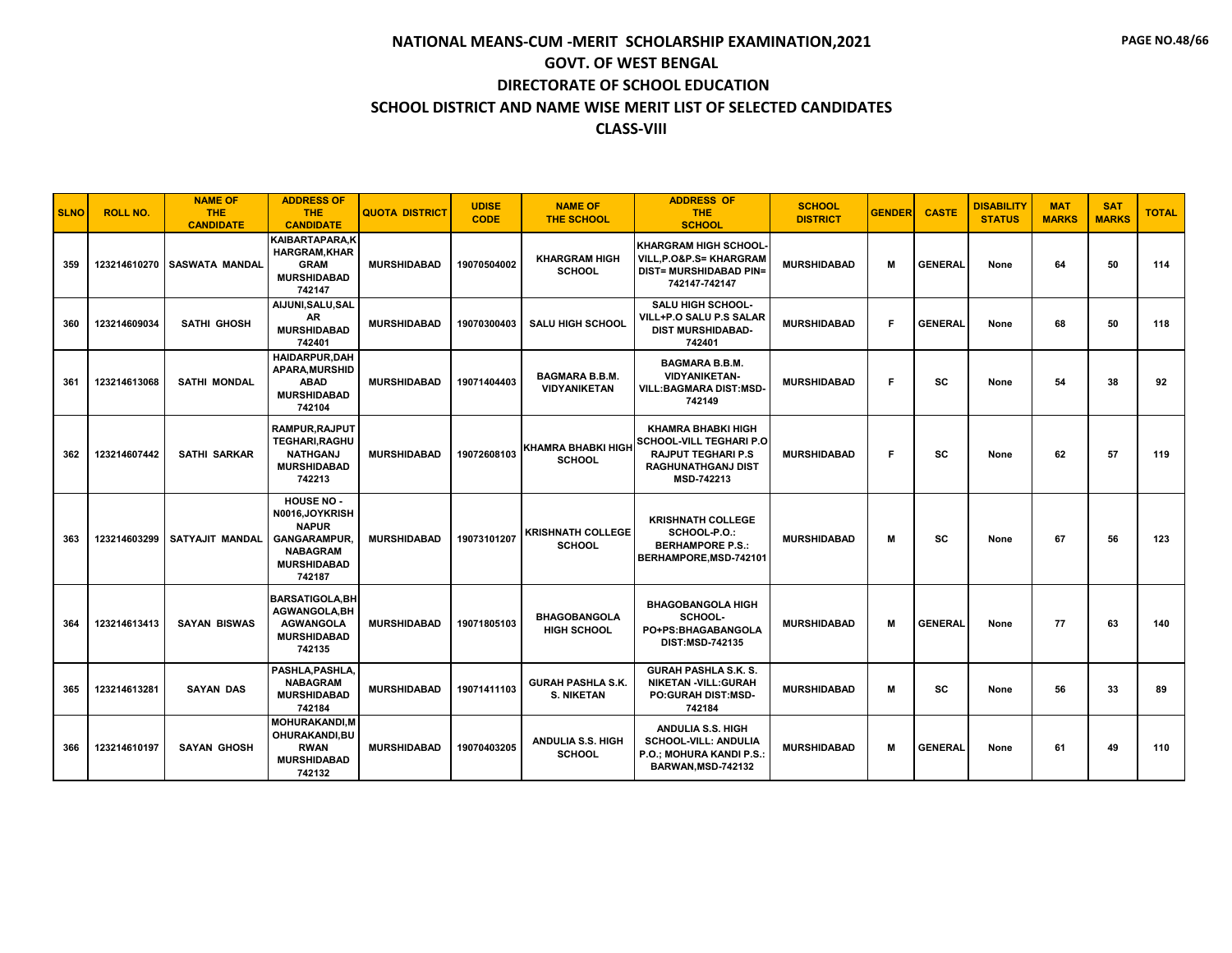| <b>SLNO</b> | <b>ROLL NO.</b> | <b>NAME OF</b><br><b>THE</b><br><b>CANDIDATE</b> | <b>ADDRESS OF</b><br><b>THE</b><br><b>CANDIDATE</b>                                                                           | <b>QUOTA DISTRICT</b> | <b>UDISE</b><br><b>CODE</b> | <b>NAME OF</b><br><b>THE SCHOOL</b>           | <b>ADDRESS OF</b><br>THE.<br><b>SCHOOL</b>                                                                                          | <b>SCHOOL</b><br><b>DISTRICT</b> | <b>GENDER</b> | <b>CASTE</b>   | <b>DISABILITY</b><br><b>STATUS</b> | <b>MAT</b><br><b>MARKS</b> | <b>SAT</b><br><b>MARKS</b> | <b>TOTAL</b> |
|-------------|-----------------|--------------------------------------------------|-------------------------------------------------------------------------------------------------------------------------------|-----------------------|-----------------------------|-----------------------------------------------|-------------------------------------------------------------------------------------------------------------------------------------|----------------------------------|---------------|----------------|------------------------------------|----------------------------|----------------------------|--------------|
| 359         | 123214610270    | <b>SASWATA MANDAL</b>                            | KAIBARTAPARA.K<br><b>HARGRAM.KHAR</b><br><b>GRAM</b><br><b>MURSHIDABAD</b><br>742147                                          | <b>MURSHIDABAD</b>    | 19070504002                 | <b>KHARGRAM HIGH</b><br><b>SCHOOL</b>         | <b>KHARGRAM HIGH SCHOOL</b><br><b>VILL.P.O&amp;P.S= KHARGRAM</b><br><b>DIST= MURSHIDABAD PIN=</b><br>742147-742147                  | <b>MURSHIDABAD</b>               | M             | <b>GENERAL</b> | None                               | 64                         | 50                         | 114          |
| 360         | 123214609034    | <b>SATHI GHOSH</b>                               | AIJUNI, SALU, SAL<br>AR<br><b>MURSHIDABAD</b><br>742401                                                                       | <b>MURSHIDABAD</b>    | 19070300403                 | <b>SALU HIGH SCHOOL</b>                       | <b>SALU HIGH SCHOOL-</b><br><b>VILL+P.O SALU P.S SALAR</b><br><b>DIST MURSHIDABAD-</b><br>742401                                    | <b>MURSHIDABAD</b>               | F             | <b>GENERAL</b> | None                               | 68                         | 50                         | 118          |
| 361         | 123214613068    | <b>SATHI MONDAL</b>                              | HAIDARPUR, DAH<br><b>APARA.MURSHID</b><br><b>ABAD</b><br><b>MURSHIDABAD</b><br>742104                                         | <b>MURSHIDABAD</b>    | 19071404403                 | <b>BAGMARA B.B.M.</b><br><b>VIDYANIKETAN</b>  | <b>BAGMARA B.B.M.</b><br><b>VIDYANIKETAN-</b><br><b>VILL:BAGMARA DIST:MSD-</b><br>742149                                            | <b>MURSHIDABAD</b>               | F.            | SC             | None                               | 54                         | 38                         | 92           |
| 362         | 123214607442    | <b>SATHI SARKAR</b>                              | RAMPUR, RAJPUT<br>TEGHARI, RAGHU<br><b>NATHGANJ</b><br><b>MURSHIDABAD</b><br>742213                                           | <b>MURSHIDABAD</b>    | 19072608103                 | <b>KHAMRA BHABKI HIGH</b><br><b>SCHOOL</b>    | <b>KHAMRA BHABKI HIGH</b><br><b>SCHOOL-VILL TEGHARI P.O</b><br><b>RAJPUT TEGHARI P.S</b><br>RAGHUNATHGANJ DIST<br><b>MSD-742213</b> | <b>MURSHIDABAD</b>               | F.            | SC             | None                               | 62                         | 57                         | 119          |
| 363         | 123214603299    | SATYAJIT MANDAL                                  | <b>HOUSE NO -</b><br>N0016,JOYKRISH<br><b>NAPUR</b><br><b>GANGARAMPUR.</b><br><b>NABAGRAM</b><br><b>MURSHIDABAD</b><br>742187 | <b>MURSHIDABAD</b>    | 19073101207                 | <b>KRISHNATH COLLEGE</b><br><b>SCHOOL</b>     | <b>KRISHNATH COLLEGE</b><br>SCHOOL-P.O.:<br><b>BERHAMPORE P.S.:</b><br>BERHAMPORE, MSD-742101                                       | <b>MURSHIDABAD</b>               | м             | SC             | None                               | 67                         | 56                         | 123          |
| 364         | 123214613413    | <b>SAYAN BISWAS</b>                              | <b>BARSATIGOLA, BH</b><br><b>AGWANGOLA, BH</b><br><b>AGWANGOLA</b><br><b>MURSHIDABAD</b><br>742135                            | <b>MURSHIDABAD</b>    | 19071805103                 | <b>BHAGOBANGOLA</b><br><b>HIGH SCHOOL</b>     | <b>BHAGOBANGOLA HIGH</b><br>SCHOOL-<br>PO+PS:BHAGABANGOLA<br><b>DIST:MSD-742135</b>                                                 | <b>MURSHIDABAD</b>               | м             | <b>GENERAL</b> | None                               | 77                         | 63                         | 140          |
| 365         | 123214613281    | <b>SAYAN DAS</b>                                 | PASHLA, PASHLA,<br><b>NABAGRAM</b><br><b>MURSHIDABAD</b><br>742184                                                            | <b>MURSHIDABAD</b>    | 19071411103                 | <b>GURAH PASHLA S.K.</b><br><b>S. NIKETAN</b> | <b>GURAH PASHLA S.K. S.</b><br><b>NIKETAN -VILL:GURAH</b><br><b>PO:GURAH DIST:MSD-</b><br>742184                                    | <b>MURSHIDABAD</b>               | M             | SC             | None                               | 56                         | 33                         | 89           |
| 366         | 123214610197    | <b>SAYAN GHOSH</b>                               | <b>MOHURAKANDI, M</b><br>OHURAKANDI,BU<br><b>RWAN</b><br><b>MURSHIDABAD</b><br>742132                                         | <b>MURSHIDABAD</b>    | 19070403205                 | <b>ANDULIA S.S. HIGH</b><br><b>SCHOOL</b>     | ANDULIA S.S. HIGH<br><b>SCHOOL-VILL: ANDULIA</b><br>P.O.; MOHURA KANDI P.S.:<br>BARWAN, MSD-742132                                  | <b>MURSHIDABAD</b>               | M             | <b>GENERAL</b> | None                               | 61                         | 49                         | 110          |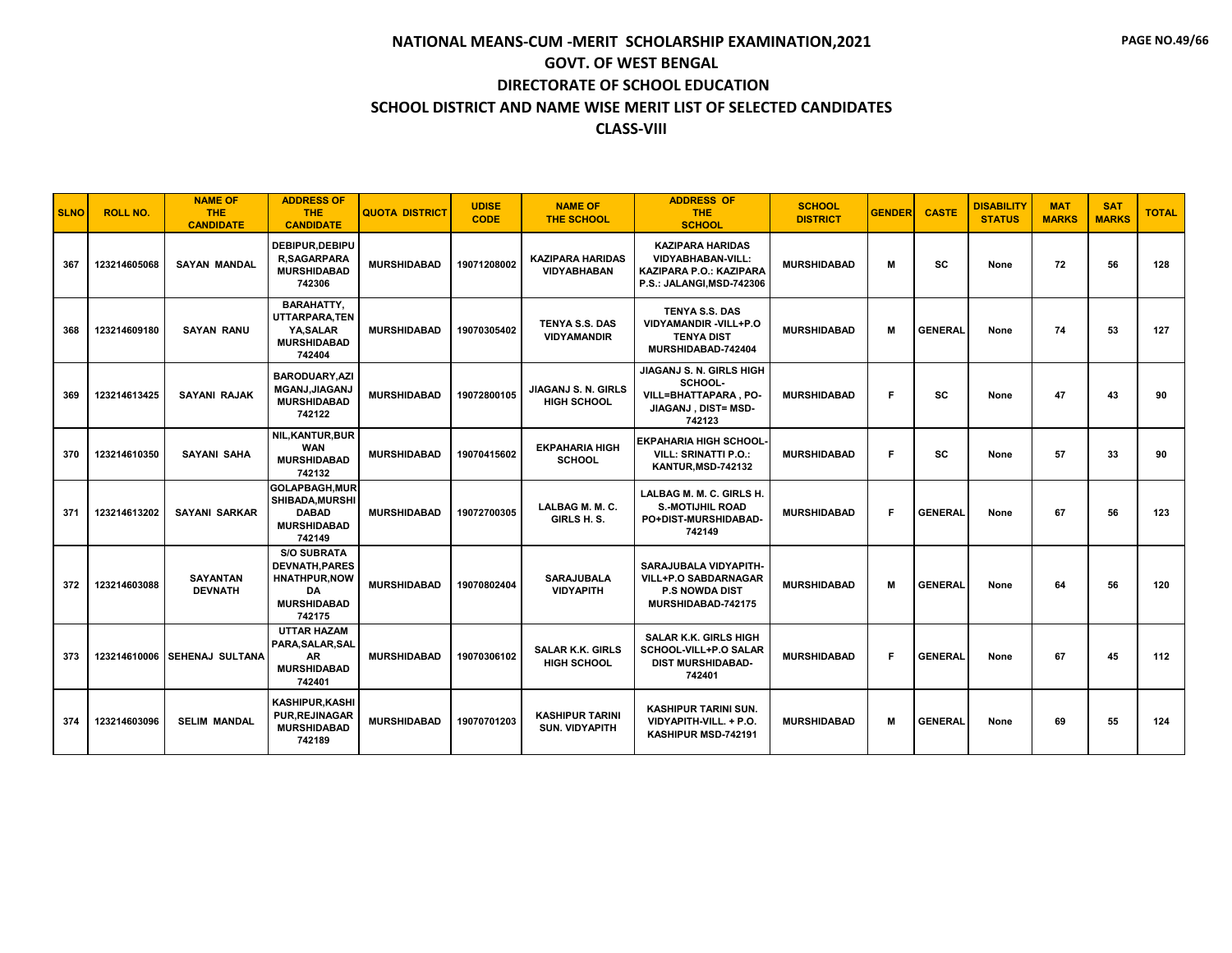| <b>SLNO</b> | <b>ROLL NO.</b> | <b>NAME OF</b><br><b>THE</b><br><b>CANDIDATE</b> | <b>ADDRESS OF</b><br><b>THE</b><br><b>CANDIDATE</b>                                                     | <b>QUOTA DISTRICT</b> | <b>UDISE</b><br><b>CODE</b> | <b>NAME OF</b><br><b>THE SCHOOL</b>             | <b>ADDRESS OF</b><br><b>THE</b><br><b>SCHOOL</b>                                                            | <b>SCHOOL</b><br><b>DISTRICT</b> | <b>GENDER</b> | <b>CASTE</b>   | <b>DISABILITY</b><br><b>STATUS</b> | <b>MAT</b><br><b>MARKS</b> | <b>SAT</b><br><b>MARKS</b> | <b>TOTAL</b> |
|-------------|-----------------|--------------------------------------------------|---------------------------------------------------------------------------------------------------------|-----------------------|-----------------------------|-------------------------------------------------|-------------------------------------------------------------------------------------------------------------|----------------------------------|---------------|----------------|------------------------------------|----------------------------|----------------------------|--------------|
| 367         | 123214605068    | <b>SAYAN MANDAL</b>                              | DEBIPUR, DEBIPU<br><b>R.SAGARPARA</b><br><b>MURSHIDABAD</b><br>742306                                   | <b>MURSHIDABAD</b>    | 19071208002                 | <b>KAZIPARA HARIDAS</b><br><b>VIDYABHABAN</b>   | <b>KAZIPARA HARIDAS</b><br><b>VIDYABHABAN-VILL:</b><br>KAZIPARA P.O.: KAZIPARA<br>P.S.: JALANGI, MSD-742306 | <b>MURSHIDABAD</b>               | м             | <b>SC</b>      | None                               | 72                         | 56                         | 128          |
| 368         | 123214609180    | <b>SAYAN RANU</b>                                | <b>BARAHATTY.</b><br>UTTARPARA.TEN<br>YA.SALAR<br><b>MURSHIDABAD</b><br>742404                          | <b>MURSHIDABAD</b>    | 19070305402                 | TENYA S.S. DAS<br><b>VIDYAMANDIR</b>            | <b>TENYA S.S. DAS</b><br>VIDYAMANDIR-VILL+P.O<br><b>TENYA DIST</b><br>MURSHIDABAD-742404                    | <b>MURSHIDABAD</b>               | М             | <b>GENERAL</b> | None                               | 74                         | 53                         | 127          |
| 369         | 123214613425    | <b>SAYANI RAJAK</b>                              | <b>BARODUARY.AZI</b><br>MGANJ, JIAGANJ<br><b>MURSHIDABAD</b><br>742122                                  | <b>MURSHIDABAD</b>    | 19072800105                 | JIAGANJ S. N. GIRLS<br><b>HIGH SCHOOL</b>       | JIAGANJ S. N. GIRLS HIGH<br>SCHOOL-<br><b>VILL=BHATTAPARA, PO-</b><br>JIAGANJ, DIST= MSD-<br>742123         | <b>MURSHIDABAD</b>               | F             | SC             | None                               | 47                         | 43                         | 90           |
| 370         | 123214610350    | <b>SAYANI SAHA</b>                               | <b>NIL.KANTUR.BUR</b><br><b>WAN</b><br><b>MURSHIDABAD</b><br>742132                                     | <b>MURSHIDABAD</b>    | 19070415602                 | <b>EKPAHARIA HIGH</b><br><b>SCHOOL</b>          | <b>EKPAHARIA HIGH SCHOOL</b><br><b>VILL: SRINATTI P.O.:</b><br>KANTUR, MSD-742132                           | <b>MURSHIDABAD</b>               | F.            | SC             | None                               | 57                         | 33                         | 90           |
| 371         | 123214613202    | <b>SAYANI SARKAR</b>                             | GOLAPBAGH, MUR<br><b>SHIBADA, MURSHI</b><br><b>DABAD</b><br><b>MURSHIDABAD</b><br>742149                | <b>MURSHIDABAD</b>    | 19072700305                 | LALBAG M. M. C.<br>GIRLS H.S.                   | LALBAG M. M. C. GIRLS H.<br><b>S.-MOTIJHIL ROAD</b><br>PO+DIST-MURSHIDABAD-<br>742149                       | <b>MURSHIDABAD</b>               | F             | <b>GENERAL</b> | None                               | 67                         | 56                         | 123          |
| 372         | 123214603088    | <b>SAYANTAN</b><br><b>DEVNATH</b>                | <b>S/O SUBRATA</b><br><b>DEVNATH.PARES</b><br><b>HNATHPUR.NOW</b><br>DA<br><b>MURSHIDABAD</b><br>742175 | <b>MURSHIDABAD</b>    | 19070802404                 | <b>SARAJUBALA</b><br><b>VIDYAPITH</b>           | SARAJUBALA VIDYAPITH-<br><b>VILL+P.O SABDARNAGAR</b><br><b>P.S NOWDA DIST</b><br>MURSHIDABAD-742175         | <b>MURSHIDABAD</b>               | M             | <b>GENERAL</b> | None                               | 64                         | 56                         | 120          |
| 373         | 123214610006    | <b>SEHENAJ SULTANA</b>                           | <b>UTTAR HAZAM</b><br>PARA.SALAR.SAL<br><b>AR</b><br><b>MURSHIDABAD</b><br>742401                       | <b>MURSHIDABAD</b>    | 19070306102                 | <b>SALAR K.K. GIRLS</b><br><b>HIGH SCHOOL</b>   | <b>SALAR K.K. GIRLS HIGH</b><br>SCHOOL-VILL+P.O SALAR<br><b>DIST MURSHIDABAD-</b><br>742401                 | <b>MURSHIDABAD</b>               | F.            | <b>GENERAL</b> | None                               | 67                         | 45                         | 112          |
| 374         | 123214603096    | <b>SELIM MANDAL</b>                              | <b>KASHIPUR.KASHI</b><br><b>PUR, REJINAGAR</b><br><b>MURSHIDABAD</b><br>742189                          | <b>MURSHIDABAD</b>    | 19070701203                 | <b>KASHIPUR TARINI</b><br><b>SUN. VIDYAPITH</b> | <b>KASHIPUR TARINI SUN.</b><br>VIDYAPITH-VILL. + P.O.<br>KASHIPUR MSD-742191                                | <b>MURSHIDABAD</b>               | М             | <b>GENERAL</b> | None                               | 69                         | 55                         | 124          |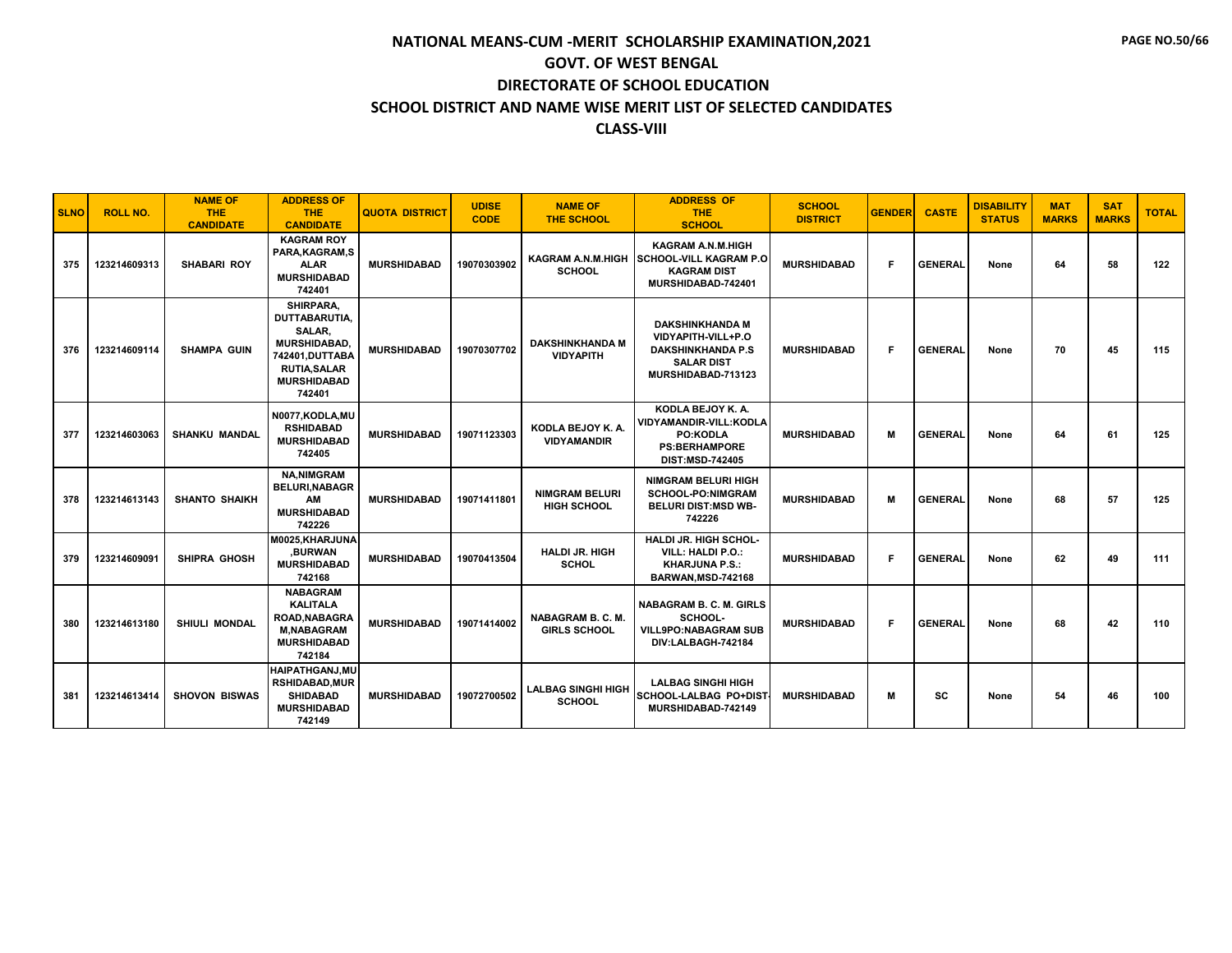| <b>SLNO</b> | <b>ROLL NO.</b> | <b>NAME OF</b><br><b>THE</b><br><b>CANDIDATE</b> | <b>ADDRESS OF</b><br><b>THE</b><br><b>CANDIDATE</b>                                                                                         | <b>QUOTA DISTRICT</b> | <b>UDISE</b><br><b>CODE</b> | <b>NAME OF</b><br><b>THE SCHOOL</b>             | <b>ADDRESS OF</b><br><b>THE</b><br><b>SCHOOL</b>                                                                    | <b>SCHOOL</b><br><b>DISTRICT</b> | <b>GENDER</b> | <b>CASTE</b>   | <b>DISABILITY</b><br><b>STATUS</b> | <b>MAT</b><br><b>MARKS</b> | <b>SAT</b><br><b>MARKS</b> | <b>TOTAL</b> |
|-------------|-----------------|--------------------------------------------------|---------------------------------------------------------------------------------------------------------------------------------------------|-----------------------|-----------------------------|-------------------------------------------------|---------------------------------------------------------------------------------------------------------------------|----------------------------------|---------------|----------------|------------------------------------|----------------------------|----------------------------|--------------|
| 375         | 123214609313    | <b>SHABARI ROY</b>                               | <b>KAGRAM ROY</b><br>PARA.KAGRAM.S<br><b>ALAR</b><br><b>MURSHIDABAD</b><br>742401                                                           | <b>MURSHIDABAD</b>    | 19070303902                 | KAGRAM A.N.M.HIGH<br><b>SCHOOL</b>              | <b>KAGRAM A.N.M.HIGH</b><br><b>SCHOOL-VILL KAGRAM P.O</b><br><b>KAGRAM DIST</b><br>MURSHIDABAD-742401               | <b>MURSHIDABAD</b>               | F             | <b>GENERAL</b> | None                               | 64                         | 58                         | 122          |
| 376         | 123214609114    | <b>SHAMPA GUIN</b>                               | SHIRPARA.<br><b>DUTTABARUTIA.</b><br>SALAR,<br><b>MURSHIDABAD.</b><br>742401.DUTTABA<br><b>RUTIA, SALAR</b><br><b>MURSHIDABAD</b><br>742401 | <b>MURSHIDABAD</b>    | 19070307702                 | <b>DAKSHINKHANDA M</b><br><b>VIDYAPITH</b>      | <b>DAKSHINKHANDA M</b><br>VIDYAPITH-VILL+P.O<br><b>DAKSHINKHANDA P.S</b><br><b>SALAR DIST</b><br>MURSHIDABAD-713123 | <b>MURSHIDABAD</b>               | F.            | <b>GENERAL</b> | None                               | 70                         | 45                         | 115          |
| 377         | 123214603063    | <b>SHANKU MANDAL</b>                             | N0077, KODLA, MU<br><b>RSHIDABAD</b><br><b>MURSHIDABAD</b><br>742405                                                                        | <b>MURSHIDABAD</b>    | 19071123303                 | KODLA BEJOY K. A.<br><b>VIDYAMANDIR</b>         | KODLA BEJOY K. A.<br>VIDYAMANDIR-VILL:KODLA<br><b>PO:KODLA</b><br><b>PS:BERHAMPORE</b><br><b>DIST:MSD-742405</b>    | <b>MURSHIDABAD</b>               | м             | <b>GENERAL</b> | None                               | 64                         | 61                         | 125          |
| 378         | 123214613143    | <b>SHANTO SHAIKH</b>                             | <b>NA.NIMGRAM</b><br><b>BELURI, NABAGR</b><br>AM<br><b>MURSHIDABAD</b><br>742226                                                            | <b>MURSHIDABAD</b>    | 19071411801                 | <b>NIMGRAM BELURI</b><br>HIGH SCHOOL            | <b>NIMGRAM BELURI HIGH</b><br><b>SCHOOL-PO:NIMGRAM</b><br><b>BELURI DIST:MSD WB-</b><br>742226                      | <b>MURSHIDABAD</b>               | м             | <b>GENERAL</b> | None                               | 68                         | 57                         | 125          |
| 379         | 123214609091    | <b>SHIPRA GHOSH</b>                              | M0025, KHARJUNA<br>.BURWAN<br><b>MURSHIDABAD</b><br>742168                                                                                  | <b>MURSHIDABAD</b>    | 19070413504                 | <b>HALDI JR. HIGH</b><br><b>SCHOL</b>           | <b>HALDI JR. HIGH SCHOL-</b><br>VILL: HALDI P.O.:<br><b>KHARJUNA P.S.:</b><br>BARWAN, MSD-742168                    | <b>MURSHIDABAD</b>               | F             | <b>GENERAL</b> | None                               | 62                         | 49                         | 111          |
| 380         | 123214613180    | <b>SHIULI MONDAL</b>                             | <b>NABAGRAM</b><br><b>KALITALA</b><br><b>ROAD.NABAGRA</b><br><b>M,NABAGRAM</b><br><b>MURSHIDABAD</b><br>742184                              | <b>MURSHIDABAD</b>    | 19071414002                 | <b>NABAGRAM B. C. M.</b><br><b>GIRLS SCHOOL</b> | <b>NABAGRAM B. C. M. GIRLS</b><br>SCHOOL-<br><b>VILL9PO:NABAGRAM SUB</b><br>DIV:LALBAGH-742184                      | <b>MURSHIDABAD</b>               | F             | <b>GENERAL</b> | None                               | 68                         | 42                         | 110          |
| 381         | 123214613414    | <b>SHOVON BISWAS</b>                             | <b>HAIPATHGANJ.MU</b><br><b>RSHIDABAD, MUR</b><br><b>SHIDABAD</b><br><b>MURSHIDABAD</b><br>742149                                           | <b>MURSHIDABAD</b>    | 19072700502                 | <b>LALBAG SINGHI HIGH</b><br><b>SCHOOL</b>      | <b>LALBAG SINGHI HIGH</b><br>SCHOOL-LALBAG PO+DIST<br>MURSHIDABAD-742149                                            | <b>MURSHIDABAD</b>               | м             | SC             | None                               | 54                         | 46                         | 100          |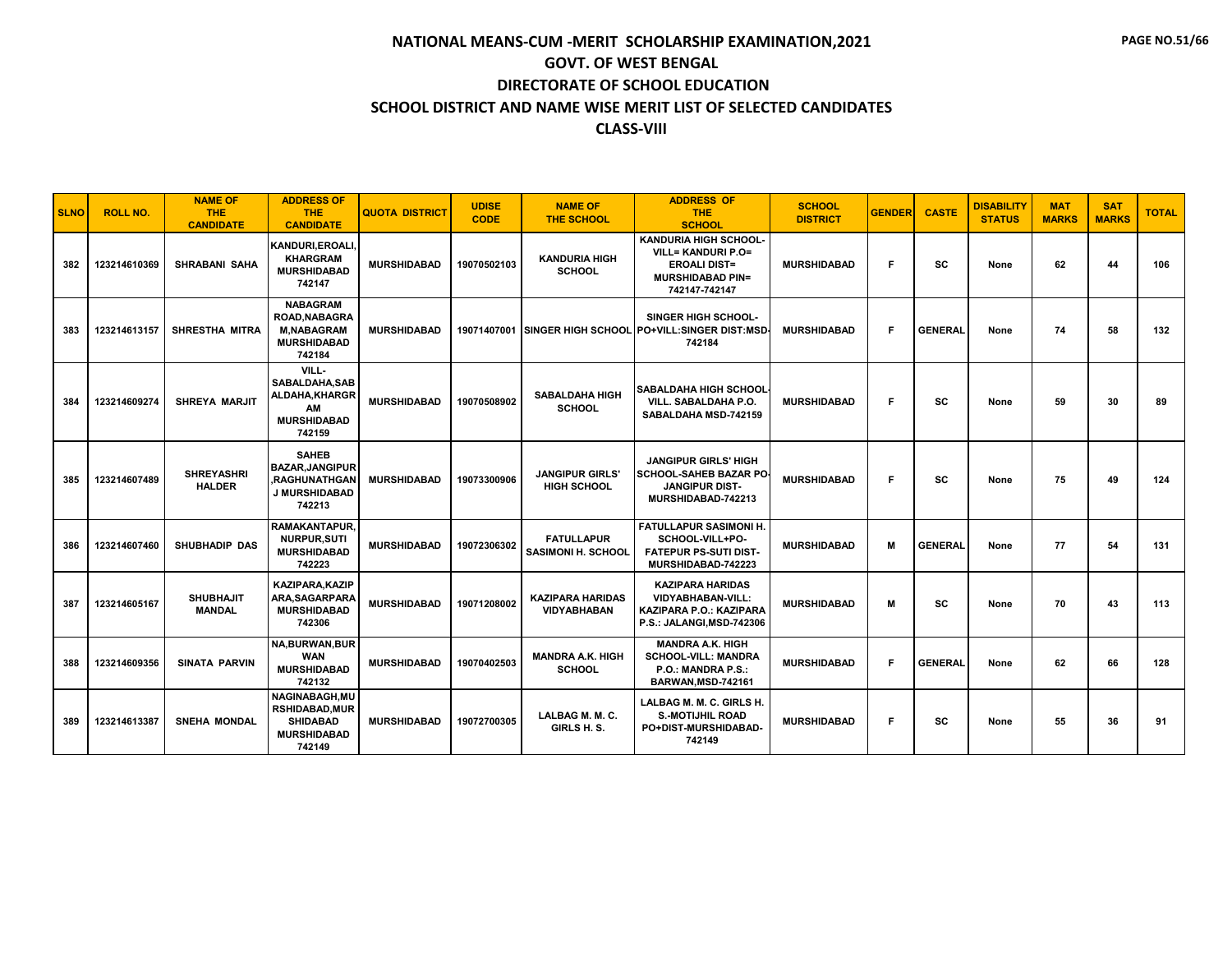| <b>SLNO</b> | <b>ROLL NO.</b> | <b>NAME OF</b><br><b>THE</b><br><b>CANDIDATE</b> | <b>ADDRESS OF</b><br><b>THE</b><br><b>CANDIDATE</b>                                             | <b>QUOTA DISTRICT</b> | <b>UDISE</b><br><b>CODE</b> | <b>NAME OF</b><br><b>THE SCHOOL</b>            | <b>ADDRESS OF</b><br><b>THE</b><br><b>SCHOOL</b>                                                                            | <b>SCHOOL</b><br><b>DISTRICT</b> | <b>GENDER</b> | <b>CASTE</b>   | <b>DISABILITY</b><br><b>STATUS</b> | <b>MAT</b><br><b>MARKS</b> | <b>SAT</b><br><b>MARKS</b> | <b>TOTAL</b> |
|-------------|-----------------|--------------------------------------------------|-------------------------------------------------------------------------------------------------|-----------------------|-----------------------------|------------------------------------------------|-----------------------------------------------------------------------------------------------------------------------------|----------------------------------|---------------|----------------|------------------------------------|----------------------------|----------------------------|--------------|
| 382         | 123214610369    | <b>SHRABANI SAHA</b>                             | KANDURI, EROALI.<br><b>KHARGRAM</b><br><b>MURSHIDABAD</b><br>742147                             | <b>MURSHIDABAD</b>    | 19070502103                 | <b>KANDURIA HIGH</b><br><b>SCHOOL</b>          | <b>KANDURIA HIGH SCHOOL</b><br><b>VILL= KANDURI P.O=</b><br><b>EROALI DIST=</b><br><b>MURSHIDABAD PIN=</b><br>742147-742147 | <b>MURSHIDABAD</b>               | F             | SC             | None                               | 62                         | 44                         | 106          |
| 383         | 123214613157    | SHRESTHA MITRA                                   | <b>NABAGRAM</b><br>ROAD, NABAGRA<br><b>M.NABAGRAM</b><br><b>MURSHIDABAD</b><br>742184           | <b>MURSHIDABAD</b>    |                             | 19071407001 SINGER HIGH SCHOOL                 | <b>SINGER HIGH SCHOOL-</b><br>PO+VILL:SINGER DIST:MSD<br>742184                                                             | <b>MURSHIDABAD</b>               | F             | <b>GENERAL</b> | None                               | 74                         | 58                         | 132          |
| 384         | 123214609274    | <b>SHREYA MARJIT</b>                             | VILL-<br>SABALDAHA.SAB<br>ALDAHA, KHARGR<br>AM<br><b>MURSHIDABAD</b><br>742159                  | <b>MURSHIDABAD</b>    | 19070508902                 | <b>SABALDAHA HIGH</b><br><b>SCHOOL</b>         | <b>SABALDAHA HIGH SCHOOL</b><br>VILL. SABALDAHA P.O.<br>SABALDAHA MSD-742159                                                | <b>MURSHIDABAD</b>               | F             | SC             | None                               | 59                         | 30                         | 89           |
| 385         | 123214607489    | <b>SHREYASHRI</b><br><b>HALDER</b>               | <b>SAHEB</b><br><b>BAZAR.JANGIPUR</b><br><b>.RAGHUNATHGAN</b><br><b>J MURSHIDABAD</b><br>742213 | <b>MURSHIDABAD</b>    | 19073300906                 | <b>JANGIPUR GIRLS'</b><br><b>HIGH SCHOOL</b>   | <b>JANGIPUR GIRLS' HIGH</b><br>SCHOOL-SAHEB BAZAR PO<br><b>JANGIPUR DIST-</b><br>MURSHIDABAD-742213                         | <b>MURSHIDABAD</b>               | F             | SC             | None                               | 75                         | 49                         | 124          |
| 386         | 123214607460    | <b>SHUBHADIP DAS</b>                             | <b>RAMAKANTAPUR.</b><br><b>NURPUR.SUTI</b><br><b>MURSHIDABAD</b><br>742223                      | <b>MURSHIDABAD</b>    | 19072306302                 | <b>FATULLAPUR</b><br><b>SASIMONI H. SCHOOL</b> | <b>FATULLAPUR SASIMONI H.</b><br>SCHOOL-VILL+PO-<br><b>FATEPUR PS-SUTI DIST-</b><br>MURSHIDABAD-742223                      | <b>MURSHIDABAD</b>               | м             | <b>GENERAL</b> | None                               | 77                         | 54                         | 131          |
| 387         | 123214605167    | <b>SHUBHAJIT</b><br><b>MANDAL</b>                | <b>KAZIPARA.KAZIP</b><br><b>ARA.SAGARPARA</b><br><b>MURSHIDABAD</b><br>742306                   | <b>MURSHIDABAD</b>    | 19071208002                 | <b>KAZIPARA HARIDAS</b><br><b>VIDYABHABAN</b>  | <b>KAZIPARA HARIDAS</b><br><b>VIDYABHABAN-VILL:</b><br>KAZIPARA P.O.: KAZIPARA<br>P.S.: JALANGI, MSD-742306                 | <b>MURSHIDABAD</b>               | м             | SC             | None                               | 70                         | 43                         | 113          |
| 388         | 123214609356    | <b>SINATA PARVIN</b>                             | <b>NA, BURWAN, BUR</b><br><b>WAN</b><br><b>MURSHIDABAD</b><br>742132                            | <b>MURSHIDABAD</b>    | 19070402503                 | <b>MANDRA A.K. HIGH</b><br><b>SCHOOL</b>       | <b>MANDRA A.K. HIGH</b><br><b>SCHOOL-VILL: MANDRA</b><br>P.O.: MANDRA P.S.:<br>BARWAN, MSD-742161                           | <b>MURSHIDABAD</b>               | F.            | <b>GENERAL</b> | None                               | 62                         | 66                         | 128          |
| 389         | 123214613387    | <b>SNEHA MONDAL</b>                              | NAGINABAGH, MU<br><b>RSHIDABAD, MUR</b><br><b>SHIDABAD</b><br><b>MURSHIDABAD</b><br>742149      | <b>MURSHIDABAD</b>    | 19072700305                 | LALBAG M. M. C.<br>GIRLS H.S.                  | LALBAG M. M. C. GIRLS H.<br><b>S.-MOTIJHIL ROAD</b><br>PO+DIST-MURSHIDABAD-<br>742149                                       | <b>MURSHIDABAD</b>               | F             | SC             | None                               | 55                         | 36                         | 91           |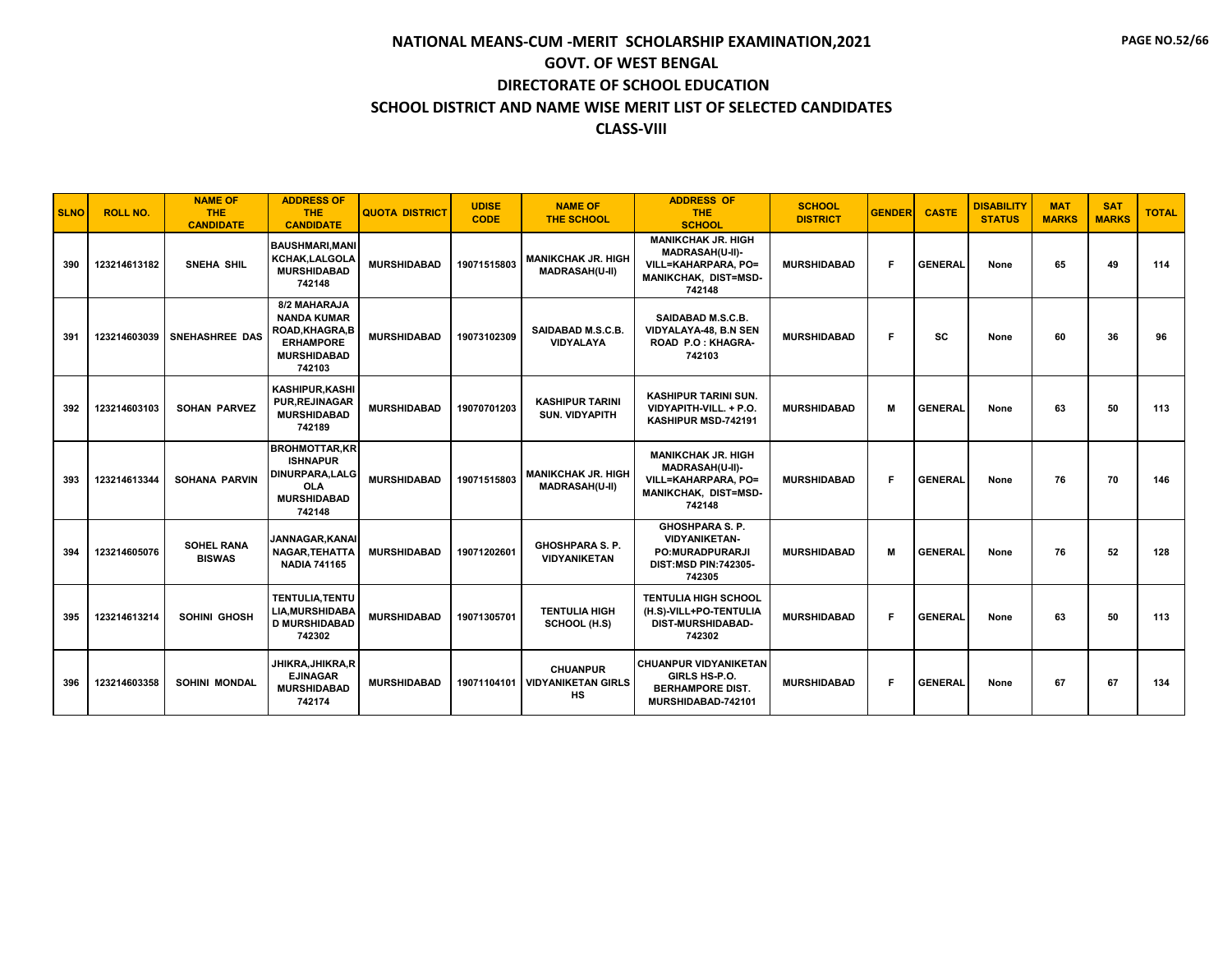#### **CLASS-VIII**

| <b>SLNO</b> | <b>ROLL NO.</b> | <b>NAME OF</b><br><b>THE</b><br><b>CANDIDATE</b> | <b>ADDRESS OF</b><br><b>THE</b><br><b>CANDIDATE</b>                                                            | <b>QUOTA DISTRICT</b> | <b>UDISE</b><br><b>CODE</b> | <b>NAME OF</b><br><b>THE SCHOOL</b>                | <b>ADDRESS OF</b><br><b>THE</b><br><b>SCHOOL</b>                                                             | <b>SCHOOL</b><br><b>DISTRICT</b> | <b>GENDER</b> | <b>CASTE</b>   | <b>DISABILITY</b><br><b>STATUS</b> | <b>MAT</b><br><b>MARKS</b> | <b>SAT</b><br><b>MARKS</b> | <b>TOTAL</b> |
|-------------|-----------------|--------------------------------------------------|----------------------------------------------------------------------------------------------------------------|-----------------------|-----------------------------|----------------------------------------------------|--------------------------------------------------------------------------------------------------------------|----------------------------------|---------------|----------------|------------------------------------|----------------------------|----------------------------|--------------|
| 390         | 123214613182    | SNEHA SHIL                                       | <b>BAUSHMARI.MANI</b><br>KCHAK, LALGOLA<br><b>MURSHIDABAD</b><br>742148                                        | <b>MURSHIDABAD</b>    | 19071515803                 | <b>MANIKCHAK JR. HIGH</b><br><b>MADRASAH(U-II)</b> | <b>MANIKCHAK JR. HIGH</b><br>MADRASAH(U-II)-<br>VILL=KAHARPARA, PO=<br>MANIKCHAK, DIST=MSD-<br>742148        | <b>MURSHIDABAD</b>               | F.            | <b>GENERAL</b> | None                               | 65                         | 49                         | 114          |
| 391         | 123214603039    | <b>SNEHASHREE DAS</b>                            | 8/2 MAHARAJA<br><b>NANDA KUMAR</b><br>ROAD.KHAGRA.B<br><b>ERHAMPORE</b><br><b>MURSHIDABAD</b><br>742103        | <b>MURSHIDABAD</b>    | 19073102309                 | SAIDABAD M.S.C.B.<br><b>VIDYALAYA</b>              | SAIDABAD M.S.C.B.<br><b>VIDYALAYA-48, B.N SEN</b><br>ROAD P.O: KHAGRA-<br>742103                             | <b>MURSHIDABAD</b>               | F.            | SC             | None                               | 60                         | 36                         | 96           |
| 392         | 123214603103    | <b>SOHAN PARVEZ</b>                              | <b>KASHIPUR.KASHI</b><br><b>PUR, REJINAGAR</b><br><b>MURSHIDABAD</b><br>742189                                 | <b>MURSHIDABAD</b>    | 19070701203                 | <b>KASHIPUR TARINI</b><br><b>SUN. VIDYAPITH</b>    | <b>KASHIPUR TARINI SUN.</b><br>VIDYAPITH-VILL. + P.O.<br>KASHIPUR MSD-742191                                 | <b>MURSHIDABAD</b>               | M             | <b>GENERAL</b> | None                               | 63                         | 50                         | 113          |
| 393         | 123214613344    | <b>SOHANA PARVIN</b>                             | <b>BROHMOTTAR,KR</b><br><b>ISHNAPUR</b><br><b>DINURPARA.LALG</b><br><b>OLA</b><br><b>MURSHIDABAD</b><br>742148 | <b>MURSHIDABAD</b>    | 19071515803                 | <b>MANIKCHAK JR. HIGH</b><br><b>MADRASAH(U-II)</b> | <b>MANIKCHAK JR. HIGH</b><br><b>MADRASAH(U-II)-</b><br>VILL=KAHARPARA. PO=<br>MANIKCHAK, DIST=MSD-<br>742148 | <b>MURSHIDABAD</b>               | F.            | <b>GENERAL</b> | None                               | 76                         | 70                         | 146          |
| 394         | 123214605076    | <b>SOHEL RANA</b><br><b>BISWAS</b>               | JANNAGAR.KANAI<br>NAGAR, TEHATTA<br><b>NADIA 741165</b>                                                        | <b>MURSHIDABAD</b>    | 19071202601                 | <b>GHOSHPARA S. P.</b><br><b>VIDYANIKETAN</b>      | <b>GHOSHPARA S. P.</b><br><b>VIDYANIKETAN-</b><br><b>PO:MURADPURARJI</b><br>DIST:MSD PIN:742305-<br>742305   | <b>MURSHIDABAD</b>               | M             | <b>GENERAL</b> | None                               | 76                         | 52                         | 128          |
| 395         | 123214613214    | SOHINI GHOSH                                     | <b>TENTULIA.TENTU</b><br><b>LIA.MURSHIDABA</b><br><b>D MURSHIDABAD</b><br>742302                               | <b>MURSHIDABAD</b>    | 19071305701                 | <b>TENTULIA HIGH</b><br>SCHOOL (H.S)               | <b>TENTULIA HIGH SCHOOL</b><br>(H.S)-VILL+PO-TENTULIA<br><b>DIST-MURSHIDABAD-</b><br>742302                  | <b>MURSHIDABAD</b>               | F             | <b>GENERAL</b> | None                               | 63                         | 50                         | 113          |
| 396         | 123214603358    | <b>SOHINI MONDAL</b>                             | JHIKRA, JHIKRA, R<br><b>EJINAGAR</b><br><b>MURSHIDABAD</b><br>742174                                           | <b>MURSHIDABAD</b>    | 19071104101                 | <b>CHUANPUR</b><br><b>VIDYANIKETAN GIRLS</b><br>HS | <b>CHUANPUR VIDYANIKETAN</b><br>GIRLS HS-P.O.<br><b>BERHAMPORE DIST.</b><br>MURSHIDABAD-742101               | <b>MURSHIDABAD</b>               | F.            | <b>GENERAL</b> | None                               | 67                         | 67                         | 134          |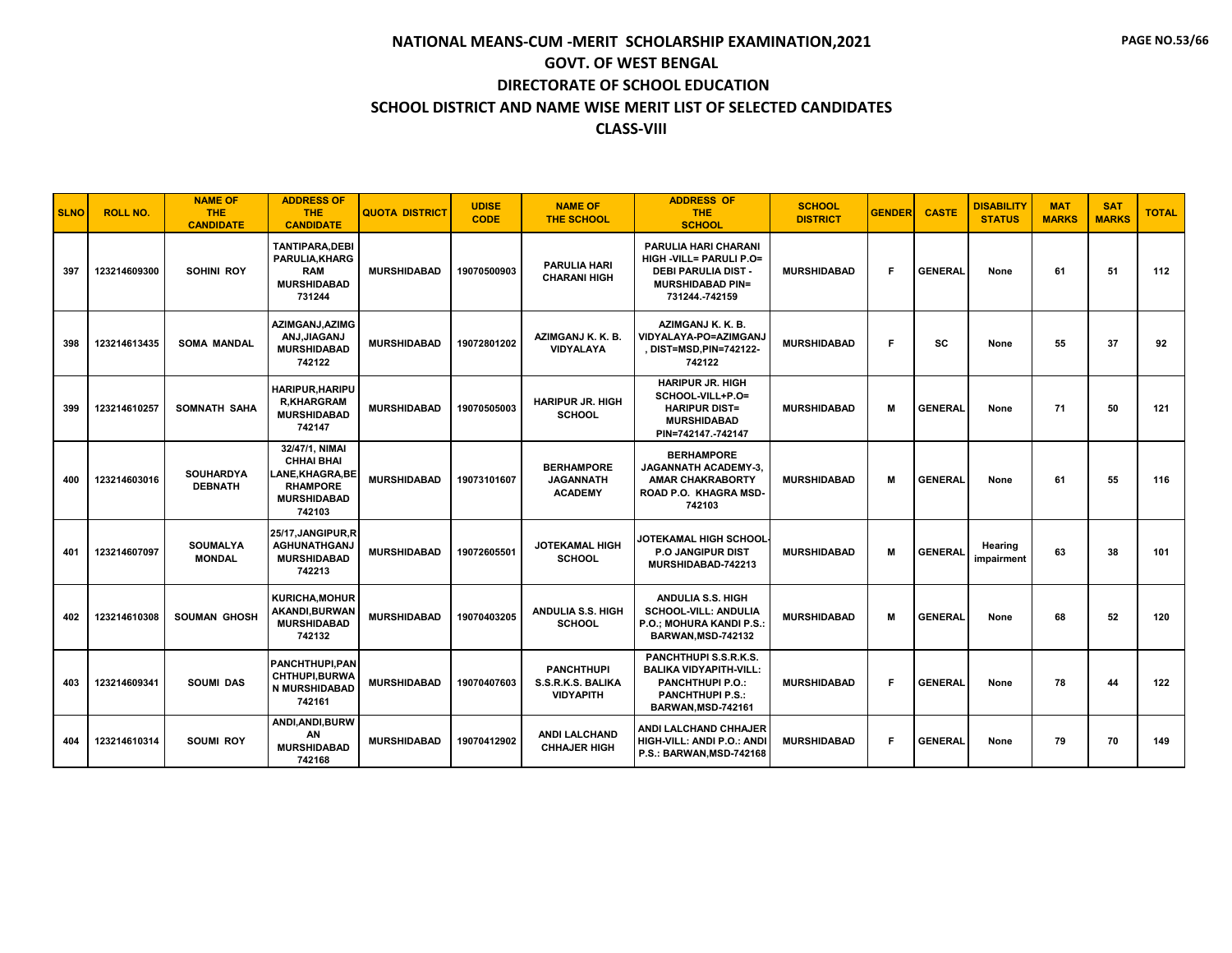| <b>SLNO</b> | <b>ROLL NO.</b> | <b>NAME OF</b><br>THE.<br><b>CANDIDATE</b> | <b>ADDRESS OF</b><br><b>THE</b><br><b>CANDIDATE</b>                                                      | <b>QUOTA DISTRICT</b> | <b>UDISE</b><br><b>CODE</b> | <b>NAME OF</b><br><b>THE SCHOOL</b>                        | <b>ADDRESS OF</b><br><b>THE</b><br><b>SCHOOL</b>                                                                                   | <b>SCHOOL</b><br><b>DISTRICT</b> | <b>GENDER</b> | <b>CASTE</b>   | <b>DISABILITY</b><br><b>STATUS</b> | <b>MAT</b><br><b>MARKS</b> | <b>SAT</b><br><b>MARKS</b> | <b>TOTAL</b> |
|-------------|-----------------|--------------------------------------------|----------------------------------------------------------------------------------------------------------|-----------------------|-----------------------------|------------------------------------------------------------|------------------------------------------------------------------------------------------------------------------------------------|----------------------------------|---------------|----------------|------------------------------------|----------------------------|----------------------------|--------------|
| 397         | 123214609300    | SOHINI ROY                                 | <b>TANTIPARA, DEBI</b><br>PARULIA, KHARG<br><b>RAM</b><br><b>MURSHIDABAD</b><br>731244                   | <b>MURSHIDABAD</b>    | 19070500903                 | <b>PARULIA HARI</b><br><b>CHARANI HIGH</b>                 | PARULIA HARI CHARANI<br><b>HIGH -VILL= PARULI P.O=</b><br><b>DEBI PARULIA DIST -</b><br><b>MURSHIDABAD PIN=</b><br>731244.-742159  | <b>MURSHIDABAD</b>               | F             | <b>GENERAL</b> | None                               | 61                         | 51                         | 112          |
| 398         | 123214613435    | <b>SOMA MANDAL</b>                         | AZIMGANJ, AZIMG<br>ANJ, JIAGANJ<br><b>MURSHIDABAD</b><br>742122                                          | <b>MURSHIDABAD</b>    | 19072801202                 | AZIMGANJ K. K. B.<br>VIDYALAYA                             | AZIMGANJ K. K. B.<br>VIDYALAYA-PO=AZIMGANJ<br>, DIST=MSD, PIN=742122-<br>742122                                                    | <b>MURSHIDABAD</b>               | F             | SC             | None                               | 55                         | 37                         | 92           |
| 399         | 123214610257    | SOMNATH SAHA                               | HARIPUR, HARIPU<br><b>R,KHARGRAM</b><br><b>MURSHIDABAD</b><br>742147                                     | <b>MURSHIDABAD</b>    | 19070505003                 | <b>HARIPUR JR. HIGH</b><br><b>SCHOOL</b>                   | <b>HARIPUR JR. HIGH</b><br>SCHOOL-VILL+P.O=<br><b>HARIPUR DIST=</b><br><b>MURSHIDABAD</b><br>PIN=742147.-742147                    | <b>MURSHIDABAD</b>               | м             | <b>GENERAL</b> | None                               | 71                         | 50                         | 121          |
| 400         | 123214603016    | <b>SOUHARDYA</b><br><b>DEBNATH</b>         | 32/47/1, NIMAI<br><b>CHHAI BHAI</b><br>LANE,KHAGRA,BE<br><b>RHAMPORE</b><br><b>MURSHIDABAD</b><br>742103 | <b>MURSHIDABAD</b>    | 19073101607                 | <b>BERHAMPORE</b><br><b>JAGANNATH</b><br><b>ACADEMY</b>    | <b>BERHAMPORE</b><br><b>JAGANNATH ACADEMY-3.</b><br><b>AMAR CHAKRABORTY</b><br>ROAD P.O. KHAGRA MSD-<br>742103                     | <b>MURSHIDABAD</b>               | м             | <b>GENERAL</b> | None                               | 61                         | 55                         | 116          |
| 401         | 123214607097    | <b>SOUMALYA</b><br><b>MONDAL</b>           | 25/17, JANGIPUR, R<br><b>AGHUNATHGANJ</b><br><b>MURSHIDABAD</b><br>742213                                | <b>MURSHIDABAD</b>    | 19072605501                 | <b>JOTEKAMAL HIGH</b><br><b>SCHOOL</b>                     | JOTEKAMAL HIGH SCHOOL<br>P.O JANGIPUR DIST<br>MURSHIDABAD-742213                                                                   | <b>MURSHIDABAD</b>               | м             | <b>GENERAL</b> | Hearing<br>impairment              | 63                         | 38                         | 101          |
| 402         | 123214610308    | <b>SOUMAN GHOSH</b>                        | <b>KURICHA, MOHUR</b><br>AKANDI, BURWAN<br><b>MURSHIDABAD</b><br>742132                                  | <b>MURSHIDABAD</b>    | 19070403205                 | <b>ANDULIA S.S. HIGH</b><br><b>SCHOOL</b>                  | <b>ANDULIA S.S. HIGH</b><br><b>SCHOOL-VILL: ANDULIA</b><br>P.O.; MOHURA KANDI P.S.:<br><b>BARWAN, MSD-742132</b>                   | <b>MURSHIDABAD</b>               | м             | <b>GENERAL</b> | None                               | 68                         | 52                         | 120          |
| 403         | 123214609341    | <b>SOUMI DAS</b>                           | <b>PANCHTHUPI.PAN</b><br>CHTHUPI, BURWA<br><b>N MURSHIDABAD</b><br>742161                                | <b>MURSHIDABAD</b>    | 19070407603                 | <b>PANCHTHUPI</b><br>S.S.R.K.S. BALIKA<br><b>VIDYAPITH</b> | PANCHTHUPI S.S.R.K.S.<br><b>BALIKA VIDYAPITH-VILL:</b><br><b>PANCHTHUPI P.O.:</b><br><b>PANCHTHUPI P.S.:</b><br>BARWAN, MSD-742161 | <b>MURSHIDABAD</b>               | F.            | <b>GENERAL</b> | None                               | 78                         | 44                         | 122          |
| 404         | 123214610314    | <b>SOUMI ROY</b>                           | ANDI, ANDI, BURW<br>AN<br><b>MURSHIDABAD</b><br>742168                                                   | <b>MURSHIDABAD</b>    | 19070412902                 | <b>ANDI LALCHAND</b><br><b>CHHAJER HIGH</b>                | <b>ANDI LALCHAND CHHAJER</b><br>HIGH-VILL: ANDI P.O.: ANDI<br>P.S.: BARWAN, MSD-742168                                             | <b>MURSHIDABAD</b>               | F.            | <b>GENERAL</b> | None                               | 79                         | 70                         | 149          |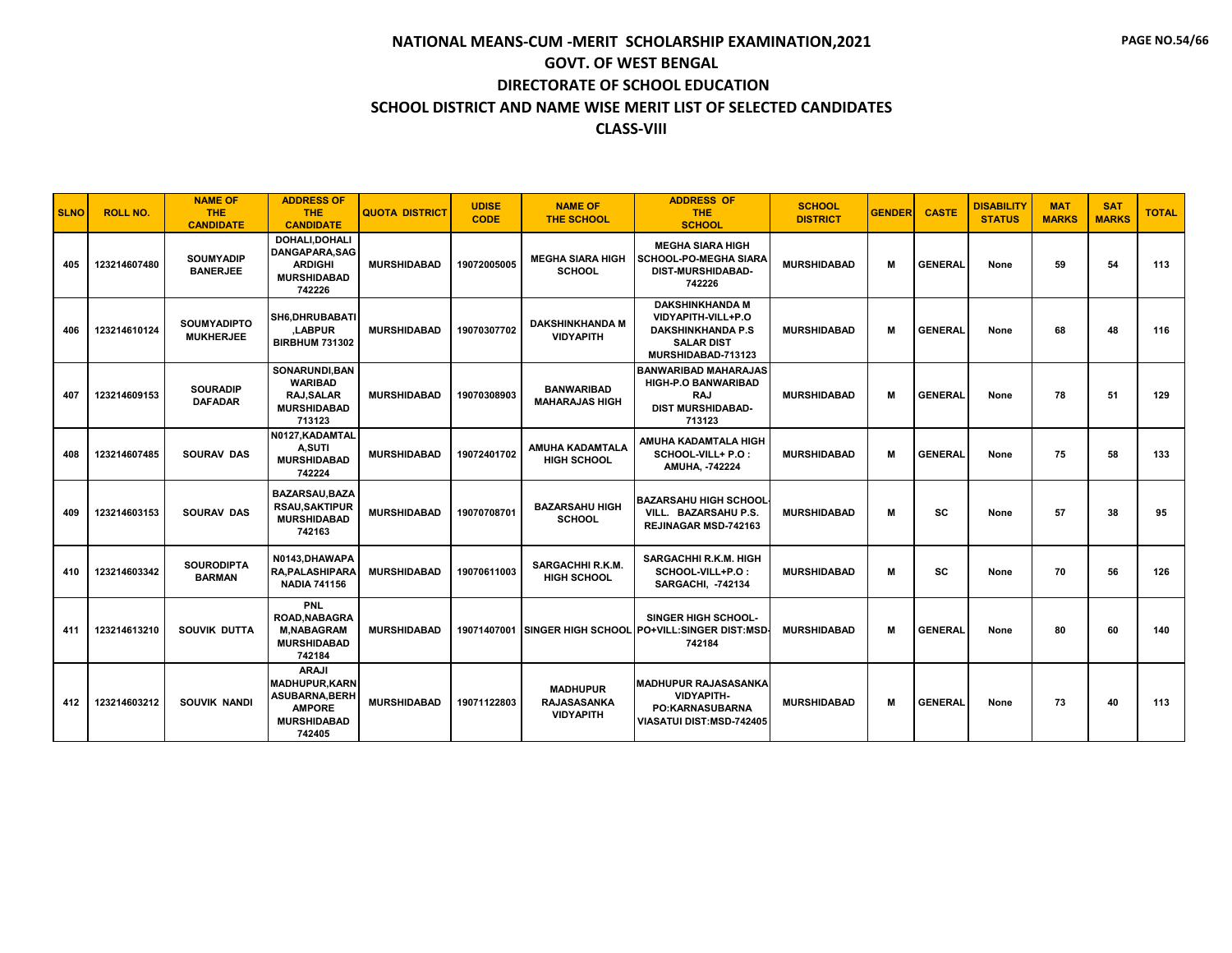| <b>SLNO</b> | <b>ROLL NO.</b> | <b>NAME OF</b><br><b>THE</b><br><b>CANDIDATE</b> | <b>ADDRESS OF</b><br>THE.<br><b>CANDIDATE</b>                                                                  | <b>QUOTA DISTRICT</b> | <b>UDISE</b><br><b>CODE</b> | <b>NAME OF</b><br><b>THE SCHOOL</b>                       | <b>ADDRESS OF</b><br><b>THE</b><br><b>SCHOOL</b>                                                                    | <b>SCHOOL</b><br><b>DISTRICT</b> | <b>GENDER</b> | <b>CASTE</b>   | <b>DISABILITY</b><br><b>STATUS</b> | <b>MAT</b><br><b>MARKS</b> | <b>SAT</b><br><b>MARKS</b> | <b>TOTAL</b> |
|-------------|-----------------|--------------------------------------------------|----------------------------------------------------------------------------------------------------------------|-----------------------|-----------------------------|-----------------------------------------------------------|---------------------------------------------------------------------------------------------------------------------|----------------------------------|---------------|----------------|------------------------------------|----------------------------|----------------------------|--------------|
| 405         | 123214607480    | <b>SOUMYADIP</b><br><b>BANERJEE</b>              | DOHALI, DOHALI<br>DANGAPARA.SAG<br><b>ARDIGHI</b><br><b>MURSHIDABAD</b><br>742226                              | <b>MURSHIDABAD</b>    | 19072005005                 | <b>MEGHA SIARA HIGH</b><br><b>SCHOOL</b>                  | <b>MEGHA SIARA HIGH</b><br><b>SCHOOL-PO-MEGHA SIARA</b><br>DIST-MURSHIDABAD-<br>742226                              | <b>MURSHIDABAD</b>               | м             | <b>GENERAL</b> | None                               | 59                         | 54                         | 113          |
| 406         | 123214610124    | <b>SOUMYADIPTO</b><br><b>MUKHERJEE</b>           | SH6, DHRUBABATI<br>.LABPUR<br><b>BIRBHUM 731302</b>                                                            | <b>MURSHIDABAD</b>    | 19070307702                 | <b>DAKSHINKHANDA M</b><br><b>VIDYAPITH</b>                | <b>DAKSHINKHANDA M</b><br>VIDYAPITH-VILL+P.O<br><b>DAKSHINKHANDA P.S</b><br><b>SALAR DIST</b><br>MURSHIDABAD-713123 | <b>MURSHIDABAD</b>               | м             | <b>GENERAL</b> | None                               | 68                         | 48                         | 116          |
| 407         | 123214609153    | <b>SOURADIP</b><br><b>DAFADAR</b>                | SONARUNDI.BAN<br><b>WARIBAD</b><br><b>RAJ.SALAR</b><br><b>MURSHIDABAD</b><br>713123                            | <b>MURSHIDABAD</b>    | 19070308903                 | <b>BANWARIBAD</b><br><b>MAHARAJAS HIGH</b>                | <b>BANWARIBAD MAHARAJAS</b><br><b>HIGH-P.O BANWARIBAD</b><br><b>RAJ</b><br><b>DIST MURSHIDABAD-</b><br>713123       | <b>MURSHIDABAD</b>               | м             | <b>GENERAL</b> | None                               | 78                         | 51                         | 129          |
| 408         | 123214607485    | <b>SOURAV DAS</b>                                | N0127, KADAMTAL<br><b>A,SUTI</b><br><b>MURSHIDABAD</b><br>742224                                               | <b>MURSHIDABAD</b>    | 19072401702                 | <b>AMUHA KADAMTALA</b><br><b>HIGH SCHOOL</b>              | AMUHA KADAMTALA HIGH<br>SCHOOL-VILL+ P.O:<br>AMUHA, -742224                                                         | <b>MURSHIDABAD</b>               | М             | <b>GENERAL</b> | None                               | 75                         | 58                         | 133          |
| 409         | 123214603153    | <b>SOURAV DAS</b>                                | <b>BAZARSAU.BAZA</b><br><b>RSAU,SAKTIPUR</b><br><b>MURSHIDABAD</b><br>742163                                   | <b>MURSHIDABAD</b>    | 19070708701                 | <b>BAZARSAHU HIGH</b><br><b>SCHOOL</b>                    | <b>BAZARSAHU HIGH SCHOOL</b><br>VILL. BAZARSAHU P.S.<br><b>REJINAGAR MSD-742163</b>                                 | <b>MURSHIDABAD</b>               | м             | SC             | None                               | 57                         | 38                         | 95           |
| 410         | 123214603342    | <b>SOURODIPTA</b><br><b>BARMAN</b>               | N0143, DHAWAPA<br><b>RA.PALASHIPARA</b><br><b>NADIA 741156</b>                                                 | <b>MURSHIDABAD</b>    | 19070611003                 | SARGACHHI R.K.M.<br><b>HIGH SCHOOL</b>                    | <b>SARGACHHI R.K.M. HIGH</b><br>SCHOOL-VILL+P.O:<br><b>SARGACHI, -742134</b>                                        | <b>MURSHIDABAD</b>               | м             | SC             | None                               | 70                         | 56                         | 126          |
| 411         | 123214613210    | SOUVIK DUTTA                                     | <b>PNL</b><br><b>ROAD, NABAGRA</b><br><b>M,NABAGRAM</b><br><b>MURSHIDABAD</b><br>742184                        | <b>MURSHIDABAD</b>    |                             |                                                           | <b>SINGER HIGH SCHOOL-</b><br>19071407001 SINGER HIGH SCHOOL PO+VILL:SINGER DIST:MSD<br>742184                      | <b>MURSHIDABAD</b>               | м             | <b>GENERAL</b> | None                               | 80                         | 60                         | 140          |
| 412         | 123214603212    | <b>SOUVIK NANDI</b>                              | <b>ARAJI</b><br><b>MADHUPUR.KARN</b><br><b>ASUBARNA, BERH</b><br><b>AMPORE</b><br><b>MURSHIDABAD</b><br>742405 | <b>MURSHIDABAD</b>    | 19071122803                 | <b>MADHUPUR</b><br><b>RAJASASANKA</b><br><b>VIDYAPITH</b> | <b>MADHUPUR RAJASASANKA</b><br><b>VIDYAPITH-</b><br><b>PO:KARNASUBARNA</b><br>VIASATUI DIST:MSD-742405              | <b>MURSHIDABAD</b>               | М             | <b>GENERAL</b> | None                               | 73                         | 40                         | 113          |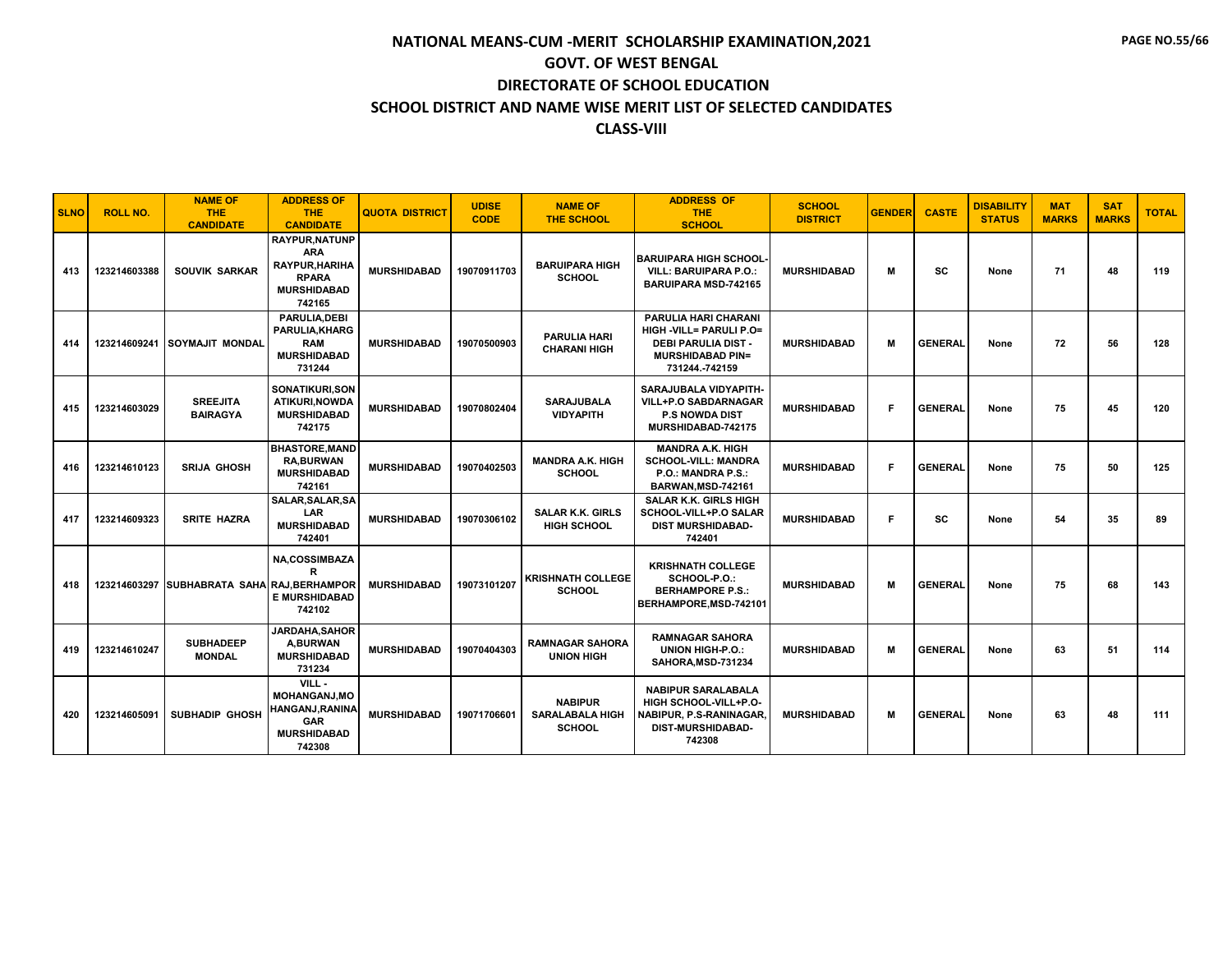| <b>SLNO</b> | <b>ROLL NO.</b> | <b>NAME OF</b><br><b>THE</b><br><b>CANDIDATE</b> | <b>ADDRESS OF</b><br>THE.<br><b>CANDIDATE</b>                                                        | <b>QUOTA DISTRICT</b> | <b>UDISE</b><br><b>CODE</b> | <b>NAME OF</b><br><b>THE SCHOOL</b>                       | <b>ADDRESS OF</b><br><b>THE</b><br><b>SCHOOL</b>                                                                           | <b>SCHOOL</b><br><b>DISTRICT</b> | <b>GENDER</b> | <b>CASTE</b>   | <b>DISABILITY</b><br><b>STATUS</b> | <b>MAT</b><br><b>MARKS</b> | <b>SAT</b><br><b>MARKS</b> | <b>TOTAL</b> |
|-------------|-----------------|--------------------------------------------------|------------------------------------------------------------------------------------------------------|-----------------------|-----------------------------|-----------------------------------------------------------|----------------------------------------------------------------------------------------------------------------------------|----------------------------------|---------------|----------------|------------------------------------|----------------------------|----------------------------|--------------|
| 413         | 123214603388    | <b>SOUVIK SARKAR</b>                             | <b>RAYPUR.NATUNP</b><br><b>ARA</b><br>RAYPUR, HARIHA<br><b>RPARA</b><br><b>MURSHIDABAD</b><br>742165 | <b>MURSHIDABAD</b>    | 19070911703                 | <b>BARUIPARA HIGH</b><br><b>SCHOOL</b>                    | <b>BARUIPARA HIGH SCHOOL</b><br><b>VILL: BARUIPARA P.O.:</b><br><b>BARUIPARA MSD-742165</b>                                | <b>MURSHIDABAD</b>               | М             | <b>SC</b>      | None                               | 71                         | 48                         | 119          |
| 414         | 123214609241    | SOYMAJIT MONDAL                                  | <b>PARULIA, DEBI</b><br>PARULIA, KHARG<br><b>RAM</b><br><b>MURSHIDABAD</b><br>731244                 | <b>MURSHIDABAD</b>    | 19070500903                 | <b>PARULIA HARI</b><br><b>CHARANI HIGH</b>                | <b>PARULIA HARI CHARANI</b><br>HIGH -VILL= PARULI P.O=<br>DEBI PARULIA DIST -<br><b>MURSHIDABAD PIN=</b><br>731244.-742159 | <b>MURSHIDABAD</b>               | М             | <b>GENERAL</b> | None                               | 72                         | 56                         | 128          |
| 415         | 123214603029    | <b>SREEJITA</b><br><b>BAIRAGYA</b>               | SONATIKURI.SON<br>ATIKURI, NOWDA<br><b>MURSHIDABAD</b><br>742175                                     | <b>MURSHIDABAD</b>    | 19070802404                 | <b>SARAJUBALA</b><br><b>VIDYAPITH</b>                     | SARAJUBALA VIDYAPITH-<br><b>VILL+P.O SABDARNAGAR</b><br><b>P.S NOWDA DIST</b><br>MURSHIDABAD-742175                        | <b>MURSHIDABAD</b>               | F.            | <b>GENERAL</b> | None                               | 75                         | 45                         | 120          |
| 416         | 123214610123    | <b>SRIJA GHOSH</b>                               | <b>BHASTORE.MAND</b><br><b>RA, BURWAN</b><br><b>MURSHIDABAD</b><br>742161                            | <b>MURSHIDABAD</b>    | 19070402503                 | <b>MANDRA A.K. HIGH</b><br><b>SCHOOL</b>                  | <b>MANDRA A.K. HIGH</b><br><b>SCHOOL-VILL: MANDRA</b><br>P.O.: MANDRA P.S.:<br>BARWAN, MSD-742161                          | <b>MURSHIDABAD</b>               | E             | <b>GENERAL</b> | None                               | 75                         | 50                         | 125          |
| 417         | 123214609323    | <b>SRITE HAZRA</b>                               | SALAR, SALAR, SA<br><b>LAR</b><br><b>MURSHIDABAD</b><br>742401                                       | <b>MURSHIDABAD</b>    | 19070306102                 | <b>SALAR K.K. GIRLS</b><br><b>HIGH SCHOOL</b>             | <b>SALAR K.K. GIRLS HIGH</b><br>SCHOOL-VILL+P.O SALAR<br><b>DIST MURSHIDABAD-</b><br>742401                                | <b>MURSHIDABAD</b>               | F.            | <b>SC</b>      | None                               | 54                         | 35                         | 89           |
| 418         | 123214603297    | SUBHABRATA SAHA RAJ, BERHAMPOR                   | <b>NA,COSSIMBAZA</b><br>R<br><b>E MURSHIDABAD</b><br>742102                                          | <b>MURSHIDABAD</b>    | 19073101207                 | <b>KRISHNATH COLLEGE</b><br><b>SCHOOL</b>                 | <b>KRISHNATH COLLEGE</b><br>SCHOOL-P.O.:<br><b>BERHAMPORE P.S.:</b><br>BERHAMPORE, MSD-742101                              | <b>MURSHIDABAD</b>               | М             | <b>GENERAL</b> | None                               | 75                         | 68                         | 143          |
| 419         | 123214610247    | <b>SUBHADEEP</b><br><b>MONDAL</b>                | <b>JARDAHA.SAHOR</b><br><b>A,BURWAN</b><br><b>MURSHIDABAD</b><br>731234                              | <b>MURSHIDABAD</b>    | 19070404303                 | <b>RAMNAGAR SAHORA</b><br><b>UNION HIGH</b>               | <b>RAMNAGAR SAHORA</b><br><b>UNION HIGH-P.O.:</b><br>SAHORA, MSD-731234                                                    | <b>MURSHIDABAD</b>               | М             | <b>GENERAL</b> | None                               | 63                         | 51                         | 114          |
| 420         | 123214605091    | <b>SUBHADIP GHOSH</b>                            | VILL -<br><b>MOHANGANJ.MO</b><br>HANGANJ,RANINA<br><b>GAR</b><br><b>MURSHIDABAD</b><br>742308        | <b>MURSHIDABAD</b>    | 19071706601                 | <b>NABIPUR</b><br><b>SARALABALA HIGH</b><br><b>SCHOOL</b> | <b>NABIPUR SARALABALA</b><br>HIGH SCHOOL-VILL+P.O-<br>NABIPUR, P.S-RANINAGAR,<br><b>DIST-MURSHIDABAD-</b><br>742308        | <b>MURSHIDABAD</b>               | М             | <b>GENERAL</b> | None                               | 63                         | 48                         | 111          |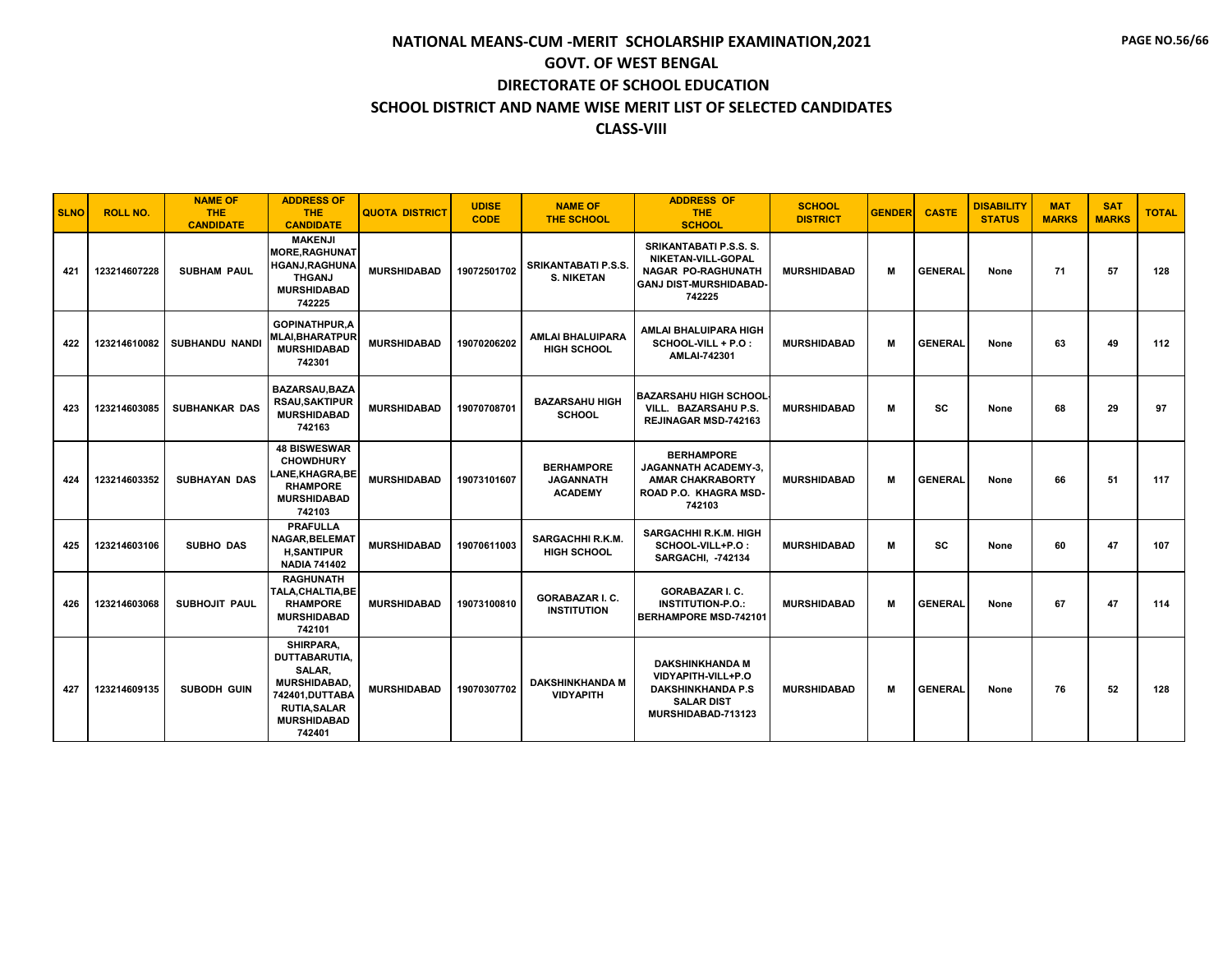| <b>SLNO</b> | <b>ROLL NO.</b> | <b>NAME OF</b><br><b>THE</b><br><b>CANDIDATE</b> | <b>ADDRESS OF</b><br>THE.<br><b>CANDIDATE</b>                                                                                                | <b>QUOTA DISTRICT</b> | <b>UDISE</b><br><b>CODE</b> | <b>NAME OF</b><br><b>THE SCHOOL</b>                     | <b>ADDRESS OF</b><br><b>THE</b><br><b>SCHOOL</b>                                                                           | <b>SCHOOL</b><br><b>DISTRICT</b> | <b>GENDER</b> | <b>CASTE</b>   | <b>DISABILITY</b><br><b>STATUS</b> | <b>MAT</b><br><b>MARKS</b> | <b>SAT</b><br><b>MARKS</b> | <b>TOTAL</b> |
|-------------|-----------------|--------------------------------------------------|----------------------------------------------------------------------------------------------------------------------------------------------|-----------------------|-----------------------------|---------------------------------------------------------|----------------------------------------------------------------------------------------------------------------------------|----------------------------------|---------------|----------------|------------------------------------|----------------------------|----------------------------|--------------|
| 421         | 123214607228    | <b>SUBHAM PAUL</b>                               | <b>MAKENJI</b><br><b>MORE, RAGHUNAT</b><br><b>HGANJ, RAGHUNA</b><br><b>THGANJ</b><br><b>MURSHIDABAD</b><br>742225                            | <b>MURSHIDABAD</b>    | 19072501702                 | <b>SRIKANTABATI P.S.S.</b><br><b>S. NIKETAN</b>         | <b>SRIKANTABATI P.S.S. S.</b><br>NIKETAN-VILL-GOPAL<br><b>NAGAR PO-RAGHUNATH</b><br><b>GANJ DIST-MURSHIDABAD</b><br>742225 | <b>MURSHIDABAD</b>               | м             | <b>GENERAL</b> | None                               | 71                         | 57                         | 128          |
| 422         | 123214610082    | <b>SUBHANDU NANDI</b>                            | <b>GOPINATHPUR.A</b><br><b>MLAI, BHARATPUR</b><br><b>MURSHIDABAD</b><br>742301                                                               | <b>MURSHIDABAD</b>    | 19070206202                 | <b>AMLAI BHALUIPARA</b><br><b>HIGH SCHOOL</b>           | AMLAI BHALUIPARA HIGH<br>SCHOOL-VILL + P.O :<br>AMLAI-742301                                                               | <b>MURSHIDABAD</b>               | м             | <b>GENERAL</b> | None                               | 63                         | 49                         | 112          |
| 423         | 123214603085    | <b>SUBHANKAR DAS</b>                             | <b>BAZARSAU, BAZA</b><br><b>RSAU,SAKTIPUR</b><br><b>MURSHIDABAD</b><br>742163                                                                | <b>MURSHIDABAD</b>    | 19070708701                 | <b>BAZARSAHU HIGH</b><br><b>SCHOOL</b>                  | <b>BAZARSAHU HIGH SCHOOL</b><br>VILL. BAZARSAHU P.S.<br><b>REJINAGAR MSD-742163</b>                                        | <b>MURSHIDABAD</b>               | м             | sc             | None                               | 68                         | 29                         | 97           |
| 424         | 123214603352    | <b>SUBHAYAN DAS</b>                              | <b>48 BISWESWAR</b><br><b>CHOWDHURY</b><br><b>LANE.KHAGRA.BE</b><br><b>RHAMPORE</b><br><b>MURSHIDABAD</b><br>742103                          | <b>MURSHIDABAD</b>    | 19073101607                 | <b>BERHAMPORE</b><br><b>JAGANNATH</b><br><b>ACADEMY</b> | <b>BERHAMPORE</b><br><b>JAGANNATH ACADEMY-3.</b><br><b>AMAR CHAKRABORTY</b><br>ROAD P.O. KHAGRA MSD-<br>742103             | <b>MURSHIDABAD</b>               | м             | <b>GENERAL</b> | None                               | 66                         | 51                         | 117          |
| 425         | 123214603106    | <b>SUBHO DAS</b>                                 | <b>PRAFULLA</b><br><b>NAGAR, BELEMAT</b><br><b>H,SANTIPUR</b><br><b>NADIA 741402</b>                                                         | <b>MURSHIDABAD</b>    | 19070611003                 | SARGACHHI R.K.M.<br><b>HIGH SCHOOL</b>                  | <b>SARGACHHI R.K.M. HIGH</b><br>SCHOOL-VILL+P.O:<br><b>SARGACHI, -742134</b>                                               | <b>MURSHIDABAD</b>               | м             | sc             | None                               | 60                         | 47                         | 107          |
| 426         | 123214603068    | <b>SUBHOJIT PAUL</b>                             | <b>RAGHUNATH</b><br><b>TALA.CHALTIA.BE</b><br><b>RHAMPORE</b><br><b>MURSHIDABAD</b><br>742101                                                | <b>MURSHIDABAD</b>    | 19073100810                 | <b>GORABAZAR I. C.</b><br><b>INSTITUTION</b>            | <b>GORABAZAR I. C.</b><br><b>INSTITUTION-P.O.:</b><br><b>BERHAMPORE MSD-742101</b>                                         | <b>MURSHIDABAD</b>               | M             | <b>GENERAL</b> | None                               | 67                         | 47                         | 114          |
| 427         | 123214609135    | <b>SUBODH GUIN</b>                               | SHIRPARA.<br><b>DUTTABARUTIA.</b><br>SALAR,<br><b>MURSHIDABAD,</b><br>742401, DUTTABA<br><b>RUTIA, SALAR</b><br><b>MURSHIDABAD</b><br>742401 | <b>MURSHIDABAD</b>    | 19070307702                 | <b>DAKSHINKHANDA M</b><br><b>VIDYAPITH</b>              | <b>DAKSHINKHANDA M</b><br>VIDYAPITH-VILL+P.O<br><b>DAKSHINKHANDA P.S</b><br><b>SALAR DIST</b><br>MURSHIDABAD-713123        | <b>MURSHIDABAD</b>               | М             | <b>GENERAL</b> | None                               | 76                         | 52                         | 128          |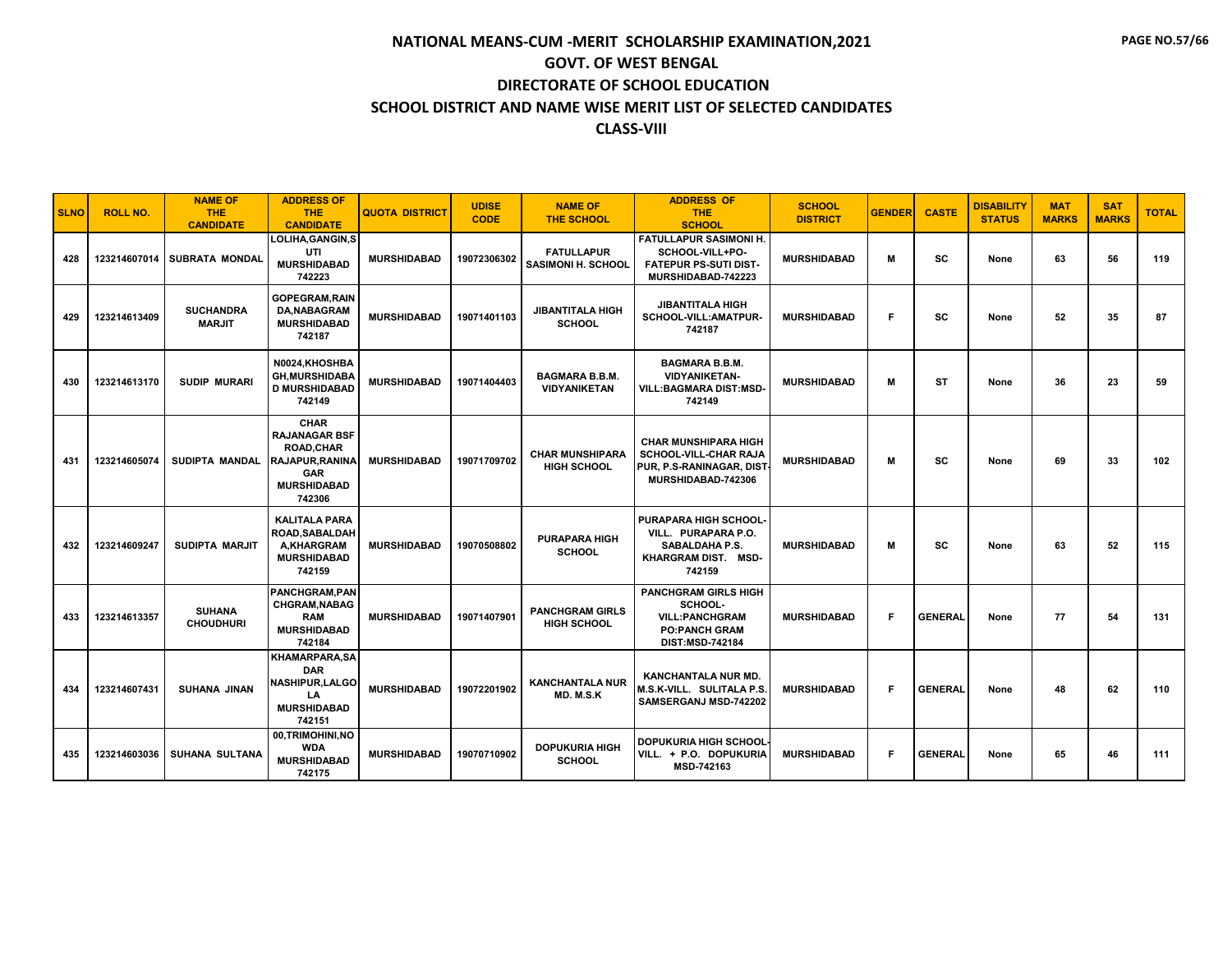| <b>SLNO</b> | <b>ROLL NO.</b> | <b>NAME OF</b><br><b>THE</b><br><b>CANDIDATE</b> | <b>ADDRESS OF</b><br><b>THE</b><br><b>CANDIDATE</b>                                                                     | <b>QUOTA DISTRICT</b> | <b>UDISE</b><br><b>CODE</b> | <b>NAME OF</b><br><b>THE SCHOOL</b>            | <b>ADDRESS OF</b><br><b>THE</b><br><b>SCHOOL</b>                                                                  | <b>SCHOOL</b><br><b>DISTRICT</b> | <b>GENDER</b> | <b>CASTE</b>   | <b>DISABILITY</b><br><b>STATUS</b> | <b>MAT</b><br><b>MARKS</b> | <b>SAT</b><br><b>MARKS</b> | <b>TOTAL</b> |
|-------------|-----------------|--------------------------------------------------|-------------------------------------------------------------------------------------------------------------------------|-----------------------|-----------------------------|------------------------------------------------|-------------------------------------------------------------------------------------------------------------------|----------------------------------|---------------|----------------|------------------------------------|----------------------------|----------------------------|--------------|
| 428         | 123214607014    | <b>SUBRATA MONDAL</b>                            | LOLIHA, GANGIN, S<br>UTI<br><b>MURSHIDABAD</b><br>742223                                                                | <b>MURSHIDABAD</b>    | 19072306302                 | <b>FATULLAPUR</b><br><b>SASIMONI H. SCHOOL</b> | <b>FATULLAPUR SASIMONI H.</b><br>SCHOOL-VILL+PO-<br><b>FATEPUR PS-SUTI DIST-</b><br>MURSHIDABAD-742223            | <b>MURSHIDABAD</b>               | M             | SC             | None                               | 63                         | 56                         | 119          |
| 429         | 123214613409    | <b>SUCHANDRA</b><br><b>MARJIT</b>                | <b>GOPEGRAM, RAIN</b><br><b>DA, NABAGRAM</b><br><b>MURSHIDABAD</b><br>742187                                            | <b>MURSHIDABAD</b>    | 19071401103                 | <b>JIBANTITALA HIGH</b><br><b>SCHOOL</b>       | <b>JIBANTITALA HIGH</b><br>SCHOOL-VILL:AMATPUR-<br>742187                                                         | <b>MURSHIDABAD</b>               | F.            | SC             | None                               | 52                         | 35                         | 87           |
| 430         | 123214613170    | <b>SUDIP MURARI</b>                              | N0024,KHOSHBA<br><b>GH,MURSHIDABA</b><br><b>D MURSHIDABAD</b><br>742149                                                 | <b>MURSHIDABAD</b>    | 19071404403                 | <b>BAGMARA B.B.M.</b><br><b>VIDYANIKETAN</b>   | <b>BAGMARA B.B.M.</b><br><b>VIDYANIKETAN-</b><br>VILL:BAGMARA DIST:MSD-<br>742149                                 | <b>MURSHIDABAD</b>               | м             | <b>ST</b>      | None                               | 36                         | 23                         | 59           |
| 431         | 123214605074    | <b>SUDIPTA MANDAL</b>                            | CHAR<br><b>RAJANAGAR BSF</b><br><b>ROAD.CHAR</b><br><b>RAJAPUR.RANINA</b><br><b>GAR</b><br><b>MURSHIDABAD</b><br>742306 | <b>MURSHIDABAD</b>    | 19071709702                 | <b>CHAR MUNSHIPARA</b><br><b>HIGH SCHOOL</b>   | <b>CHAR MUNSHIPARA HIGH</b><br><b>SCHOOL-VILL-CHAR RAJA</b><br>PUR, P.S-RANINAGAR, DIST<br>MURSHIDABAD-742306     | <b>MURSHIDABAD</b>               | м             | SC             | None                               | 69                         | 33                         | 102          |
| 432         | 123214609247    | SUDIPTA MARJIT                                   | <b>KALITALA PARA</b><br><b>ROAD.SABALDAH</b><br><b>A.KHARGRAM</b><br><b>MURSHIDABAD</b><br>742159                       | <b>MURSHIDABAD</b>    | 19070508802                 | <b>PURAPARA HIGH</b><br><b>SCHOOL</b>          | PURAPARA HIGH SCHOOL-<br>VILL. PURAPARA P.O.<br><b>SABALDAHA P.S.</b><br>KHARGRAM DIST. MSD-<br>742159            | <b>MURSHIDABAD</b>               | м             | SC             | None                               | 63                         | 52                         | 115          |
| 433         | 123214613357    | <b>SUHANA</b><br><b>CHOUDHURI</b>                | PANCHGRAM, PAN<br><b>CHGRAM.NABAG</b><br><b>RAM</b><br><b>MURSHIDABAD</b><br>742184                                     | <b>MURSHIDABAD</b>    | 19071407901                 | <b>PANCHGRAM GIRLS</b><br><b>HIGH SCHOOL</b>   | <b>PANCHGRAM GIRLS HIGH</b><br>SCHOOL-<br><b>VILL:PANCHGRAM</b><br><b>PO:PANCH GRAM</b><br><b>DIST:MSD-742184</b> | <b>MURSHIDABAD</b>               | F             | <b>GENERAL</b> | None                               | 77                         | 54                         | 131          |
| 434         | 123214607431    | <b>SUHANA JINAN</b>                              | <b>KHAMARPARA,SA</b><br><b>DAR</b><br><b>NASHIPUR.LALGO</b><br>LA<br><b>MURSHIDABAD</b><br>742151                       | <b>MURSHIDABAD</b>    | 19072201902                 | <b>KANCHANTALA NUR</b><br>MD. M.S.K            | <b>KANCHANTALA NUR MD.</b><br>M.S.K-VILL. SULITALA P.S.<br>SAMSERGANJ MSD-742202                                  | <b>MURSHIDABAD</b>               | F             | <b>GENERAL</b> | None                               | 48                         | 62                         | 110          |
| 435         | 123214603036    | <b>SUHANA SULTANA</b>                            | 00,TRIMOHINI,NO<br><b>WDA</b><br><b>MURSHIDABAD</b><br>742175                                                           | <b>MURSHIDABAD</b>    | 19070710902                 | <b>DOPUKURIA HIGH</b><br><b>SCHOOL</b>         | <b>DOPUKURIA HIGH SCHOOL</b><br>VILL. + P.O. DOPUKURIA<br>MSD-742163                                              | <b>MURSHIDABAD</b>               | F             | <b>GENERAL</b> | None                               | 65                         | 46                         | 111          |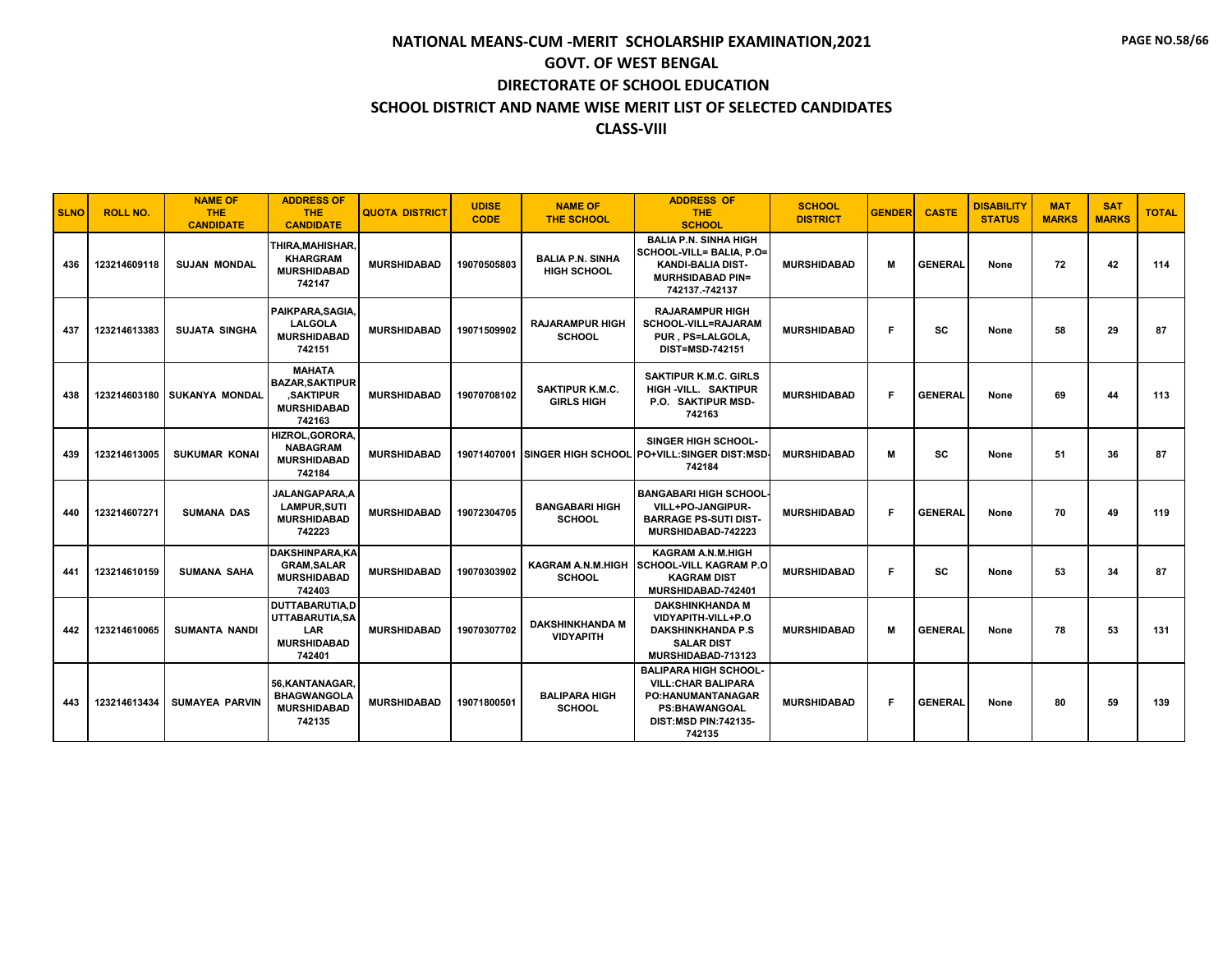| <b>SLNO</b> | <b>ROLL NO.</b> | <b>NAME OF</b><br><b>THE</b><br><b>CANDIDATE</b> | <b>ADDRESS OF</b><br><b>THE</b><br><b>CANDIDATE</b>                                         | <b>QUOTA DISTRICT</b> | <b>UDISE</b><br><b>CODE</b> | <b>NAME OF</b><br><b>THE SCHOOL</b>           | <b>ADDRESS OF</b><br><b>THE</b><br><b>SCHOOL</b>                                                                                                        | <b>SCHOOL</b><br><b>DISTRICT</b> | <b>GENDER</b> | <b>CASTE</b>   | <b>DISABILITY</b><br><b>STATUS</b> | <b>MAT</b><br><b>MARKS</b> | <b>SAT</b><br><b>MARKS</b> | <b>TOTAL</b> |
|-------------|-----------------|--------------------------------------------------|---------------------------------------------------------------------------------------------|-----------------------|-----------------------------|-----------------------------------------------|---------------------------------------------------------------------------------------------------------------------------------------------------------|----------------------------------|---------------|----------------|------------------------------------|----------------------------|----------------------------|--------------|
| 436         | 123214609118    | <b>SUJAN MONDAL</b>                              | THIRA, MAHISHAR,<br><b>KHARGRAM</b><br><b>MURSHIDABAD</b><br>742147                         | <b>MURSHIDABAD</b>    | 19070505803                 | <b>BALIA P.N. SINHA</b><br><b>HIGH SCHOOL</b> | <b>BALIA P.N. SINHA HIGH</b><br>SCHOOL-VILL= BALIA, P.O=<br><b>KANDI-BALIA DIST-</b><br><b>MURHSIDABAD PIN=</b><br>742137.-742137                       | <b>MURSHIDABAD</b>               | м             | <b>GENERAL</b> | None                               | 72                         | 42                         | 114          |
| 437         | 123214613383    | <b>SUJATA SINGHA</b>                             | PAIKPARA, SAGIA,<br><b>LALGOLA</b><br><b>MURSHIDABAD</b><br>742151                          | <b>MURSHIDABAD</b>    | 19071509902                 | <b>RAJARAMPUR HIGH</b><br><b>SCHOOL</b>       | <b>RAJARAMPUR HIGH</b><br>SCHOOL-VILL=RAJARAM<br>PUR. PS=LALGOLA.<br><b>DIST=MSD-742151</b>                                                             | <b>MURSHIDABAD</b>               | F             | SC             | None                               | 58                         | 29                         | 87           |
| 438         | 123214603180    | <b>SUKANYA MONDAL</b>                            | <b>MAHATA</b><br><b>BAZAR, SAKTIPUR</b><br><b>.SAKTIPUR</b><br><b>MURSHIDABAD</b><br>742163 | <b>MURSHIDABAD</b>    | 19070708102                 | <b>SAKTIPUR K.M.C.</b><br><b>GIRLS HIGH</b>   | <b>SAKTIPUR K.M.C. GIRLS</b><br>HIGH -VILL. SAKTIPUR<br>P.O. SAKTIPUR MSD-<br>742163                                                                    | <b>MURSHIDABAD</b>               | F             | <b>GENERAL</b> | None                               | 69                         | 44                         | 113          |
| 439         | 123214613005    | <b>SUKUMAR KONAI</b>                             | HIZROL, GORORA,<br><b>NABAGRAM</b><br><b>MURSHIDABAD</b><br>742184                          | <b>MURSHIDABAD</b>    |                             |                                               | <b>SINGER HIGH SCHOOL-</b><br>19071407001 SINGER HIGH SCHOOL PO+VILL:SINGER DIST:MSD<br>742184                                                          | <b>MURSHIDABAD</b>               | м             | SC             | None                               | 51                         | 36                         | 87           |
| 440         | 123214607271    | <b>SUMANA DAS</b>                                | JALANGAPARA, A<br><b>LAMPUR, SUTI</b><br><b>MURSHIDABAD</b><br>742223                       | <b>MURSHIDABAD</b>    | 19072304705                 | <b>BANGABARI HIGH</b><br><b>SCHOOL</b>        | <b>BANGABARI HIGH SCHOOL</b><br>VILL+PO-JANGIPUR-<br><b>BARRAGE PS-SUTI DIST-</b><br>MURSHIDABAD-742223                                                 | <b>MURSHIDABAD</b>               | F             | <b>GENERAL</b> | None                               | 70                         | 49                         | 119          |
| 441         | 123214610159    | <b>SUMANA SAHA</b>                               | <b>DAKSHINPARA,KA</b><br><b>GRAM, SALAR</b><br><b>MURSHIDABAD</b><br>742403                 | <b>MURSHIDABAD</b>    | 19070303902                 | <b>KAGRAM A.N.M.HIGH</b><br><b>SCHOOL</b>     | <b>KAGRAM A.N.M.HIGH</b><br><b>SCHOOL-VILL KAGRAM P.O</b><br><b>KAGRAM DIST</b><br>MURSHIDABAD-742401                                                   | <b>MURSHIDABAD</b>               | F             | sc             | None                               | 53                         | 34                         | 87           |
| 442         | 123214610065    | <b>SUMANTA NANDI</b>                             | DUTTABARUTIA.D<br>UTTABARUTIA.SA<br><b>LAR</b><br><b>MURSHIDABAD</b><br>742401              | <b>MURSHIDABAD</b>    | 19070307702                 | <b>DAKSHINKHANDA M</b><br><b>VIDYAPITH</b>    | <b>DAKSHINKHANDA M</b><br>VIDYAPITH-VILL+P.O<br><b>DAKSHINKHANDA P.S</b><br><b>SALAR DIST</b><br>MURSHIDABAD-713123                                     | <b>MURSHIDABAD</b>               | м             | <b>GENERAL</b> | None                               | 78                         | 53                         | 131          |
| 443         | 123214613434    | <b>SUMAYEA PARVIN</b>                            | 56.KANTANAGAR.<br><b>BHAGWANGOLA</b><br><b>MURSHIDABAD</b><br>742135                        | <b>MURSHIDABAD</b>    | 19071800501                 | <b>BALIPARA HIGH</b><br><b>SCHOOL</b>         | <b>BALIPARA HIGH SCHOOL-</b><br><b>VILL: CHAR BALIPARA</b><br><b>PO:HANUMANTANAGAR</b><br><b>PS:BHAWANGOAL</b><br><b>DIST:MSD PIN:742135-</b><br>742135 | <b>MURSHIDABAD</b>               | F             | <b>GENERAL</b> | None                               | 80                         | 59                         | 139          |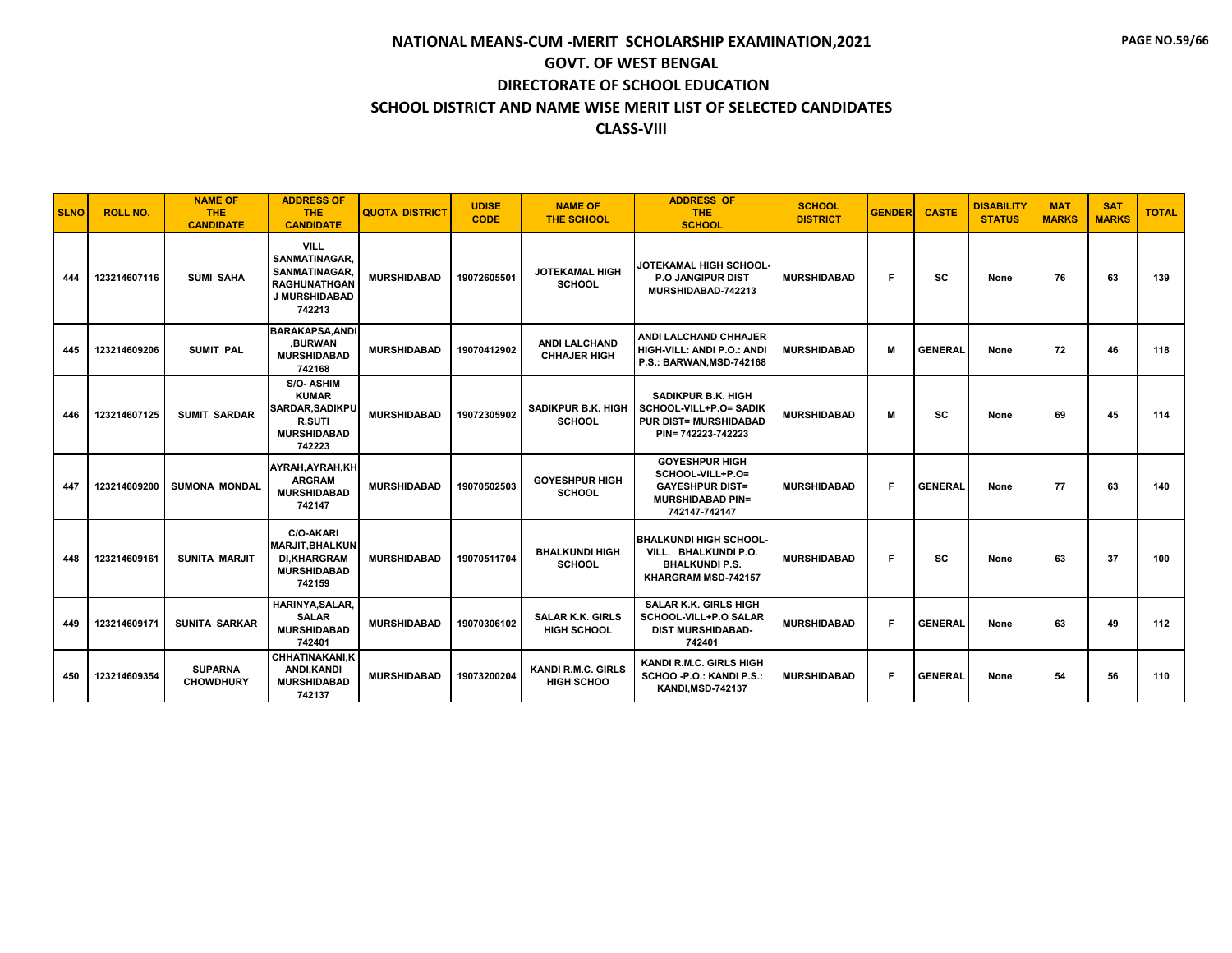| <b>SLNO</b> | <b>ROLL NO.</b> | <b>NAME OF</b><br><b>THE</b><br><b>CANDIDATE</b> | <b>ADDRESS OF</b><br><b>THE</b><br><b>CANDIDATE</b>                                                        | <b>QUOTA DISTRICT</b> | <b>UDISE</b><br><b>CODE</b> | <b>NAME OF</b><br><b>THE SCHOOL</b>            | <b>ADDRESS OF</b><br><b>THE</b><br><b>SCHOOL</b>                                                                 | <b>SCHOOL</b><br><b>DISTRICT</b> | <b>GENDER</b> | <b>CASTE</b>   | <b>DISABILITY</b><br><b>STATUS</b> | <b>MAT</b><br><b>MARKS</b> | <b>SAT</b><br><b>MARKS</b> | <b>TOTAL</b> |
|-------------|-----------------|--------------------------------------------------|------------------------------------------------------------------------------------------------------------|-----------------------|-----------------------------|------------------------------------------------|------------------------------------------------------------------------------------------------------------------|----------------------------------|---------------|----------------|------------------------------------|----------------------------|----------------------------|--------------|
| 444         | 123214607116    | <b>SUMI SAHA</b>                                 | <b>VILL</b><br><b>SANMATINAGAR.</b><br>SANMATINAGAR.<br><b>RAGHUNATHGAN</b><br>J MURSHIDABAD<br>742213     | <b>MURSHIDABAD</b>    | 19072605501                 | <b>JOTEKAMAL HIGH</b><br><b>SCHOOL</b>         | <b>JOTEKAMAL HIGH SCHOOL</b><br><b>P.O JANGIPUR DIST</b><br>MURSHIDABAD-742213                                   | <b>MURSHIDABAD</b>               | F.            | sc             | None                               | 76                         | 63                         | 139          |
| 445         | 123214609206    | <b>SUMIT PAL</b>                                 | <b>BARAKAPSA, ANDI</b><br>.BURWAN<br><b>MURSHIDABAD</b><br>742168                                          | <b>MURSHIDABAD</b>    | 19070412902                 | <b>ANDI LALCHAND</b><br><b>CHHAJER HIGH</b>    | ANDI LALCHAND CHHAJER<br>HIGH-VILL: ANDI P.O.: ANDI<br>P.S.: BARWAN, MSD-742168                                  | <b>MURSHIDABAD</b>               | м             | <b>GENERAL</b> | None                               | 72                         | 46                         | 118          |
| 446         | 123214607125    | <b>SUMIT SARDAR</b>                              | <b>S/O-ASHIM</b><br><b>KUMAR</b><br><b>SARDAR.SADIKPU</b><br><b>R.SUTI</b><br><b>MURSHIDABAD</b><br>742223 | <b>MURSHIDABAD</b>    | 19072305902                 | <b>SADIKPUR B.K. HIGH</b><br><b>SCHOOL</b>     | <b>SADIKPUR B.K. HIGH</b><br><b>SCHOOL-VILL+P.O= SADIK</b><br><b>PUR DIST= MURSHIDABAD</b><br>PIN= 742223-742223 | <b>MURSHIDABAD</b>               | м             | <b>SC</b>      | None                               | 69                         | 45                         | 114          |
| 447         | 123214609200    | <b>SUMONA MONDAL</b>                             | AYRAH, AYRAH, KH<br><b>ARGRAM</b><br><b>MURSHIDABAD</b><br>742147                                          | <b>MURSHIDABAD</b>    | 19070502503                 | <b>GOYESHPUR HIGH</b><br><b>SCHOOL</b>         | <b>GOYESHPUR HIGH</b><br>SCHOOL-VILL+P.O=<br><b>GAYESHPUR DIST=</b><br><b>MURSHIDABAD PIN=</b><br>742147-742147  | <b>MURSHIDABAD</b>               | F             | <b>GENERAL</b> | None                               | 77                         | 63                         | 140          |
| 448         | 123214609161    | <b>SUNITA MARJIT</b>                             | <b>C/O-AKARI</b><br><b>MARJIT.BHALKUN</b><br><b>DI.KHARGRAM</b><br><b>MURSHIDABAD</b><br>742159            | <b>MURSHIDABAD</b>    | 19070511704                 | <b>BHALKUNDI HIGH</b><br><b>SCHOOL</b>         | <b>BHALKUNDI HIGH SCHOOL</b><br>VILL. BHALKUNDI P.O.<br><b>BHALKUNDI P.S.</b><br>KHARGRAM MSD-742157             | <b>MURSHIDABAD</b>               | F             | SC             | None                               | 63                         | 37                         | 100          |
| 449         | 123214609171    | <b>SUNITA SARKAR</b>                             | HARINYA, SALAR,<br><b>SALAR</b><br><b>MURSHIDABAD</b><br>742401                                            | <b>MURSHIDABAD</b>    | 19070306102                 | <b>SALAR K.K. GIRLS</b><br><b>HIGH SCHOOL</b>  | <b>SALAR K.K. GIRLS HIGH</b><br>SCHOOL-VILL+P.O SALAR<br><b>DIST MURSHIDABAD-</b><br>742401                      | <b>MURSHIDABAD</b>               | F.            | <b>GENERAL</b> | None                               | 63                         | 49                         | 112          |
| 450         | 123214609354    | <b>SUPARNA</b><br><b>CHOWDHURY</b>               | <b>CHHATINAKANI,K</b><br>ANDI, KANDI<br><b>MURSHIDABAD</b><br>742137                                       | <b>MURSHIDABAD</b>    | 19073200204                 | <b>KANDI R.M.C. GIRLS</b><br><b>HIGH SCHOO</b> | KANDI R.M.C. GIRLS HIGH<br>SCHOO - P.O.: KANDI P.S.:<br><b>KANDI, MSD-742137</b>                                 | <b>MURSHIDABAD</b>               | F.            | <b>GENERAL</b> | None                               | 54                         | 56                         | 110          |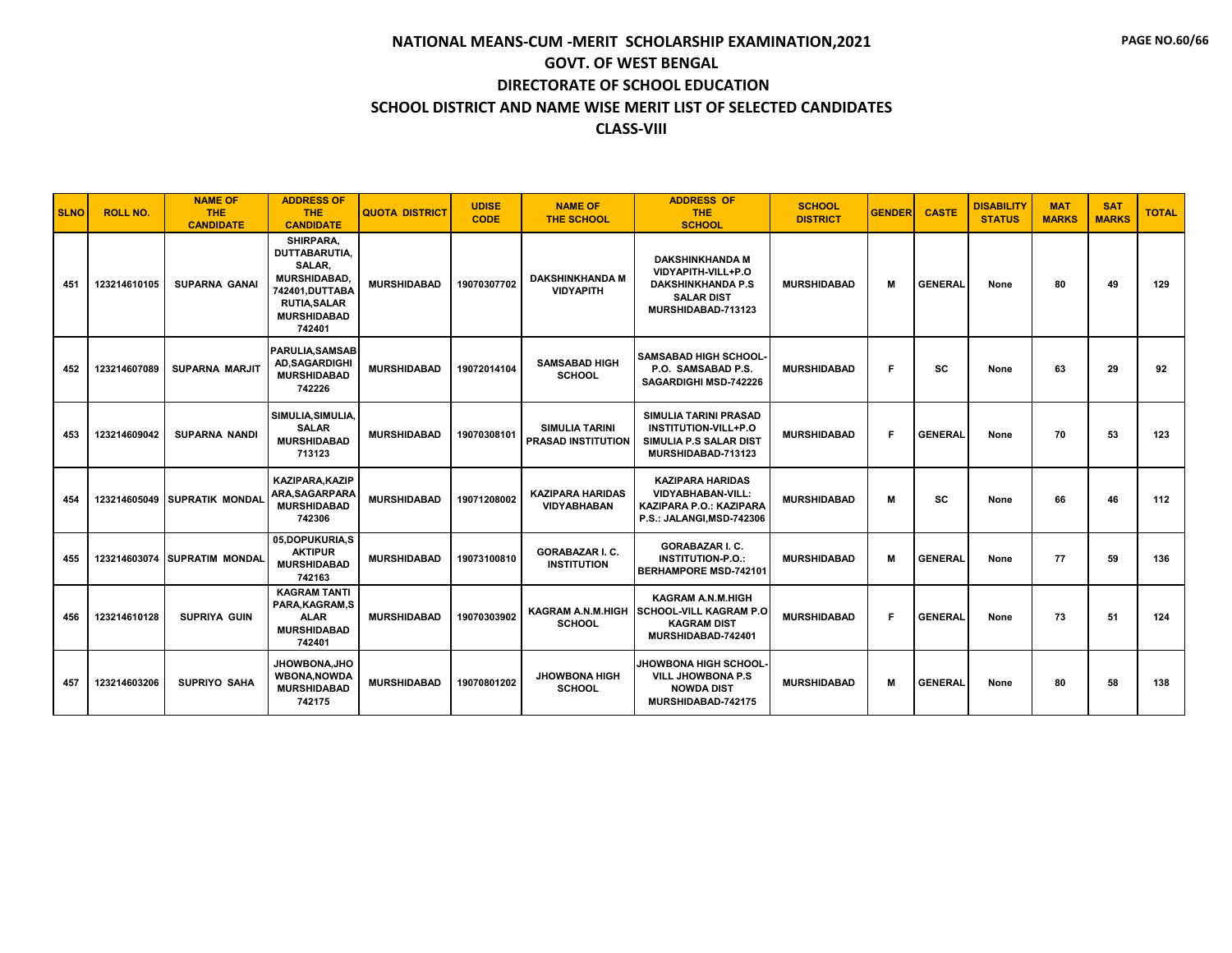| <b>SLNO</b> | <b>ROLL NO.</b> | <b>NAME OF</b><br><b>THE</b><br><b>CANDIDATE</b> | <b>ADDRESS OF</b><br><b>THE</b><br><b>CANDIDATE</b>                                                                                  | <b>QUOTA DISTRICT</b> | <b>UDISE</b><br><b>CODE</b> | <b>NAME OF</b><br><b>THE SCHOOL</b>                | <b>ADDRESS OF</b><br><b>THE</b><br><b>SCHOOL</b>                                                                    | <b>SCHOOL</b><br><b>DISTRICT</b> | <b>GENDER</b> | <b>CASTE</b>   | <b>DISABILITY</b><br><b>STATUS</b> | <b>MAT</b><br><b>MARKS</b> | <b>SAT</b><br><b>MARKS</b> | <b>TOTAL</b> |
|-------------|-----------------|--------------------------------------------------|--------------------------------------------------------------------------------------------------------------------------------------|-----------------------|-----------------------------|----------------------------------------------------|---------------------------------------------------------------------------------------------------------------------|----------------------------------|---------------|----------------|------------------------------------|----------------------------|----------------------------|--------------|
| 451         | 123214610105    | <b>SUPARNA GANAL</b>                             | SHIRPARA,<br>DUTTABARUTIA,<br>SALAR,<br><b>MURSHIDABAD</b><br>742401, DUTTABA<br><b>RUTIA, SALAR</b><br><b>MURSHIDABAD</b><br>742401 | <b>MURSHIDABAD</b>    | 19070307702                 | <b>DAKSHINKHANDA M</b><br><b>VIDYAPITH</b>         | <b>DAKSHINKHANDA M</b><br>VIDYAPITH-VILL+P.O<br><b>DAKSHINKHANDA P.S</b><br><b>SALAR DIST</b><br>MURSHIDABAD-713123 | <b>MURSHIDABAD</b>               | M             | <b>GENERAL</b> | None                               | 80                         | 49                         | 129          |
| 452         | 123214607089    | <b>SUPARNA MARJIT</b>                            | <b>PARULIA.SAMSAB</b><br><b>AD.SAGARDIGHI</b><br><b>MURSHIDABAD</b><br>742226                                                        | <b>MURSHIDABAD</b>    | 19072014104                 | <b>SAMSABAD HIGH</b><br><b>SCHOOL</b>              | <b>SAMSABAD HIGH SCHOOL</b><br>P.O. SAMSABAD P.S.<br>SAGARDIGHI MSD-742226                                          | <b>MURSHIDABAD</b>               | F             | SC             | None                               | 63                         | 29                         | 92           |
| 453         | 123214609042    | <b>SUPARNA NANDI</b>                             | SIMULIA, SIMULIA,<br><b>SALAR</b><br><b>MURSHIDABAD</b><br>713123                                                                    | <b>MURSHIDABAD</b>    | 19070308101                 | <b>SIMULIA TARINI</b><br><b>PRASAD INSTITUTION</b> | <b>SIMULIA TARINI PRASAD</b><br><b>INSTITUTION-VILL+P.O</b><br>SIMULIA P.S SALAR DIST<br>MURSHIDABAD-713123         | <b>MURSHIDABAD</b>               | F             | <b>GENERAL</b> | None                               | 70                         | 53                         | 123          |
| 454         | 123214605049    | <b>SUPRATIK MONDAL</b>                           | KAZIPARA.KAZIP<br>ARA, SAGARPARA<br><b>MURSHIDABAD</b><br>742306                                                                     | <b>MURSHIDABAD</b>    | 19071208002                 | <b>KAZIPARA HARIDAS</b><br><b>VIDYABHABAN</b>      | <b>KAZIPARA HARIDAS</b><br><b>VIDYABHABAN-VILL:</b><br><b>KAZIPARA P.O.: KAZIPARA</b><br>P.S.: JALANGI, MSD-742306  | <b>MURSHIDABAD</b>               | M             | <b>SC</b>      | None                               | 66                         | 46                         | 112          |
| 455         |                 | 123214603074 SUPRATIM MONDAL                     | 05,DOPUKURIA,S<br><b>AKTIPUR</b><br><b>MURSHIDABAD</b><br>742163                                                                     | <b>MURSHIDABAD</b>    | 19073100810                 | <b>GORABAZAR I. C.</b><br><b>INSTITUTION</b>       | <b>GORABAZAR I. C.</b><br><b>INSTITUTION-P.O.:</b><br><b>BERHAMPORE MSD-742101</b>                                  | <b>MURSHIDABAD</b>               | M             | <b>GENERAL</b> | None                               | 77                         | 59                         | 136          |
| 456         | 123214610128    | <b>SUPRIYA GUIN</b>                              | <b>KAGRAM TANTI</b><br>PARA, KAGRAM, S<br><b>ALAR</b><br><b>MURSHIDABAD</b><br>742401                                                | <b>MURSHIDABAD</b>    | 19070303902                 | KAGRAM A.N.M.HIGH<br><b>SCHOOL</b>                 | <b>KAGRAM A.N.M.HIGH</b><br><b>SCHOOL-VILL KAGRAM P.O</b><br><b>KAGRAM DIST</b><br>MURSHIDABAD-742401               | <b>MURSHIDABAD</b>               | F             | <b>GENERAL</b> | None                               | 73                         | 51                         | 124          |
| 457         | 123214603206    | <b>SUPRIYO SAHA</b>                              | <b>JHOWBONA.JHO</b><br><b>WBONA, NOWDA</b><br><b>MURSHIDABAD</b><br>742175                                                           | <b>MURSHIDABAD</b>    | 19070801202                 | <b>JHOWBONA HIGH</b><br><b>SCHOOL</b>              | <b>JHOWBONA HIGH SCHOOL</b><br><b>VILL JHOWBONA P.S</b><br><b>NOWDA DIST</b><br>MURSHIDABAD-742175                  | <b>MURSHIDABAD</b>               | М             | <b>GENERAL</b> | None                               | 80                         | 58                         | 138          |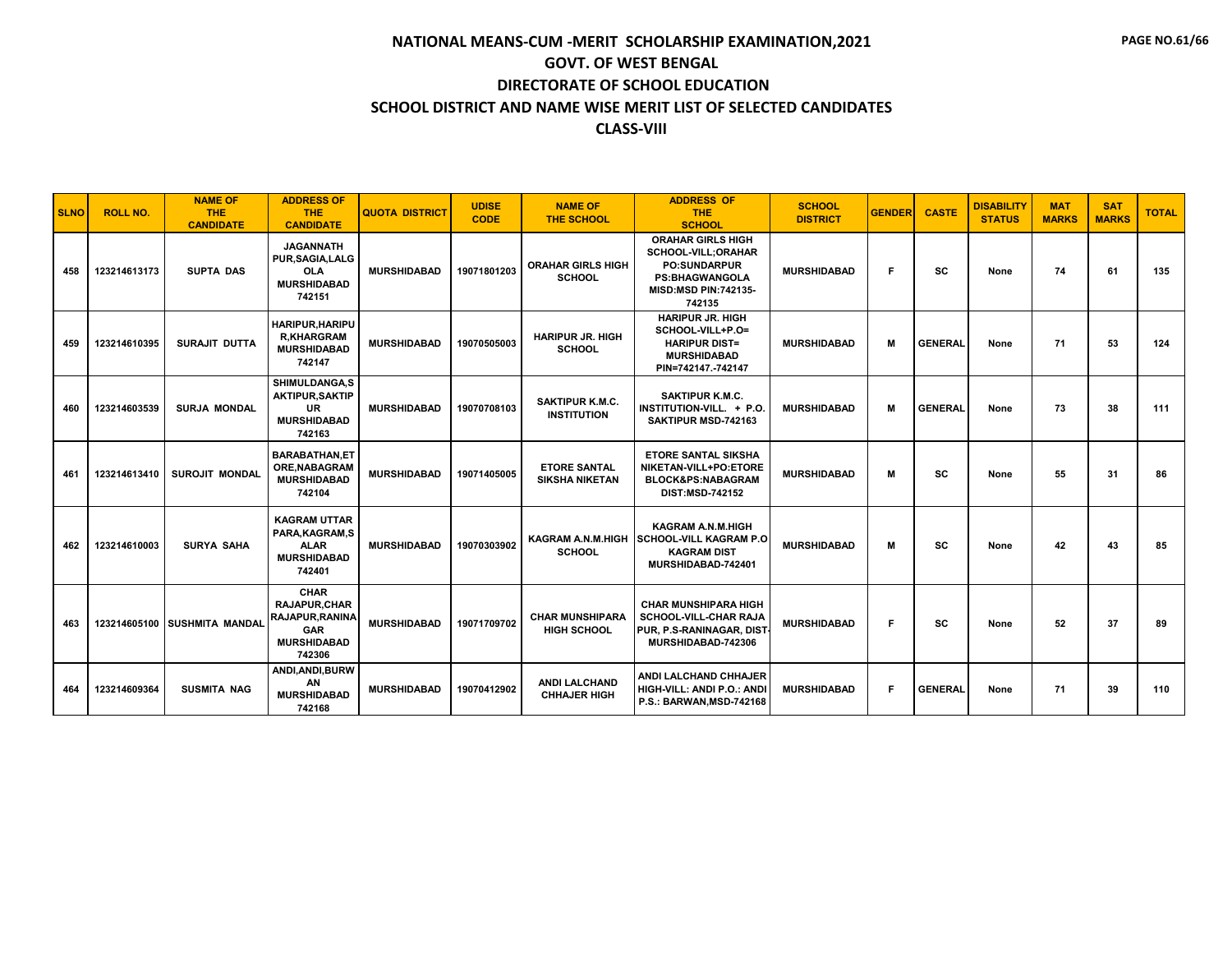| <b>SLNO</b> | <b>ROLL NO.</b> | <b>NAME OF</b><br><b>THE</b><br><b>CANDIDATE</b> | <b>ADDRESS OF</b><br><b>THE</b><br><b>CANDIDATE</b>                                                        | <b>QUOTA DISTRICT</b> | <b>UDISE</b><br><b>CODE</b> | <b>NAME OF</b><br><b>THE SCHOOL</b>          | <b>ADDRESS OF</b><br><b>THE</b><br><b>SCHOOL</b>                                                                                         | <b>SCHOOL</b><br><b>DISTRICT</b> | <b>GENDER</b> | <b>CASTE</b>   | <b>DISABILITY</b><br><b>STATUS</b> | <b>MAT</b><br><b>MARKS</b> | <b>SAT</b><br><b>MARKS</b> | <b>TOTAL</b> |
|-------------|-----------------|--------------------------------------------------|------------------------------------------------------------------------------------------------------------|-----------------------|-----------------------------|----------------------------------------------|------------------------------------------------------------------------------------------------------------------------------------------|----------------------------------|---------------|----------------|------------------------------------|----------------------------|----------------------------|--------------|
| 458         | 123214613173    | <b>SUPTA DAS</b>                                 | <b>JAGANNATH</b><br><b>PUR.SAGIA.LALG</b><br><b>OLA</b><br><b>MURSHIDABAD</b><br>742151                    | <b>MURSHIDABAD</b>    | 19071801203                 | <b>ORAHAR GIRLS HIGH</b><br><b>SCHOOL</b>    | <b>ORAHAR GIRLS HIGH</b><br>SCHOOL-VILL; ORAHAR<br><b>PO:SUNDARPUR</b><br><b>PS:BHAGWANGOLA</b><br><b>MISD:MSD PIN:742135-</b><br>742135 | <b>MURSHIDABAD</b>               | F.            | sc             | None                               | 74                         | 61                         | 135          |
| 459         | 123214610395    | SURAJIT DUTTA                                    | <b>HARIPUR, HARIPU</b><br><b>R.KHARGRAM</b><br><b>MURSHIDABAD</b><br>742147                                | <b>MURSHIDABAD</b>    | 19070505003                 | <b>HARIPUR JR. HIGH</b><br><b>SCHOOL</b>     | <b>HARIPUR JR. HIGH</b><br>SCHOOL-VILL+P.O=<br><b>HARIPUR DIST=</b><br><b>MURSHIDABAD</b><br>PIN=742147.-742147                          | <b>MURSHIDABAD</b>               | M             | <b>GENERAL</b> | None                               | 71                         | 53                         | 124          |
| 460         | 123214603539    | <b>SURJA MONDAL</b>                              | SHIMULDANGA.S<br><b>AKTIPUR, SAKTIP</b><br>UR<br><b>MURSHIDABAD</b><br>742163                              | <b>MURSHIDABAD</b>    | 19070708103                 | <b>SAKTIPUR K.M.C.</b><br><b>INSTITUTION</b> | <b>SAKTIPUR K.M.C.</b><br>INSTITUTION-VILL. + P.O.<br>SAKTIPUR MSD-742163                                                                | <b>MURSHIDABAD</b>               | м             | <b>GENERAL</b> | None                               | 73                         | 38                         | 111          |
| 461         | 123214613410    | <b>SUROJIT MONDAL</b>                            | <b>BARABATHAN,ET</b><br><b>ORE, NABAGRAM</b><br><b>MURSHIDABAD</b><br>742104                               | <b>MURSHIDABAD</b>    | 19071405005                 | <b>ETORE SANTAL</b><br><b>SIKSHA NIKETAN</b> | <b>ETORE SANTAL SIKSHA</b><br>NIKETAN-VILL+PO:ETORE<br>BLOCK&PS:NABAGRAM<br><b>DIST:MSD-742152</b>                                       | <b>MURSHIDABAD</b>               | м             | SC             | None                               | 55                         | 31                         | 86           |
| 462         | 123214610003    | <b>SURYA SAHA</b>                                | <b>KAGRAM UTTAR</b><br>PARA, KAGRAM, S<br><b>ALAR</b><br><b>MURSHIDABAD</b><br>742401                      | <b>MURSHIDABAD</b>    | 19070303902                 | <b>SCHOOL</b>                                | <b>KAGRAM A.N.M.HIGH</b><br>KAGRAM A.N.M.HIGH SCHOOL-VILL KAGRAM P.O.<br><b>KAGRAM DIST</b><br>MURSHIDABAD-742401                        | <b>MURSHIDABAD</b>               | м             | SC             | None                               | 42                         | 43                         | 85           |
| 463         |                 | 123214605100 SUSHMITA MANDAL                     | <b>CHAR</b><br><b>RAJAPUR.CHAR</b><br><b>RAJAPUR, RANINA</b><br><b>GAR</b><br><b>MURSHIDABAD</b><br>742306 | <b>MURSHIDABAD</b>    | 19071709702                 | <b>CHAR MUNSHIPARA</b><br><b>HIGH SCHOOL</b> | <b>CHAR MUNSHIPARA HIGH</b><br>SCHOOL-VILL-CHAR RAJA<br>PUR. P.S-RANINAGAR. DIST<br>MURSHIDABAD-742306                                   | <b>MURSHIDABAD</b>               | F.            | SC             | None                               | 52                         | 37                         | 89           |
| 464         | 123214609364    | <b>SUSMITA NAG</b>                               | ANDI.ANDI.BURW<br>AN<br><b>MURSHIDABAD</b><br>742168                                                       | <b>MURSHIDABAD</b>    | 19070412902                 | <b>ANDI LALCHAND</b><br><b>CHHAJER HIGH</b>  | <b>ANDI LALCHAND CHHAJER</b><br>HIGH-VILL: ANDI P.O.: ANDI<br>P.S.: BARWAN, MSD-742168                                                   | <b>MURSHIDABAD</b>               | F.            | <b>GENERAL</b> | None                               | 71                         | 39                         | 110          |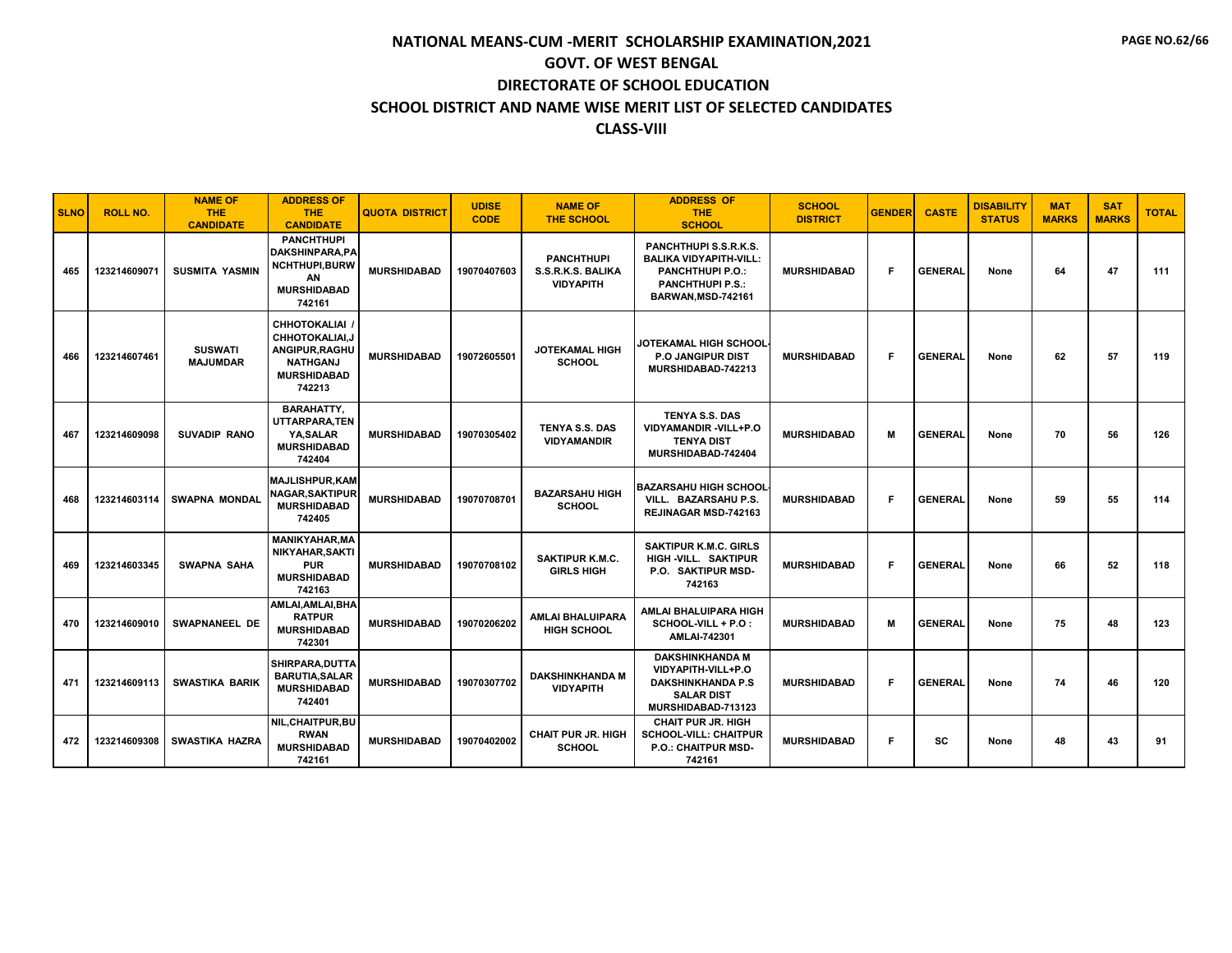| <b>SLNO</b> | <b>ROLL NO.</b> | <b>NAME OF</b><br><b>THE</b><br><b>CANDIDATE</b> | <b>ADDRESS OF</b><br>THE.<br><b>CANDIDATE</b>                                                              | <b>QUOTA DISTRICT</b> | <b>UDISE</b><br><b>CODE</b> | <b>NAME OF</b><br><b>THE SCHOOL</b>                        | <b>ADDRESS OF</b><br><b>THE</b><br><b>SCHOOL</b>                                                                                  | <b>SCHOOL</b><br><b>DISTRICT</b> | <b>GENDER</b> | <b>CASTE</b>   | <b>DISABILITY</b><br><b>STATUS</b> | <b>MAT</b><br><b>MARKS</b> | <b>SAT</b><br><b>MARKS</b> | <b>TOTAL</b> |
|-------------|-----------------|--------------------------------------------------|------------------------------------------------------------------------------------------------------------|-----------------------|-----------------------------|------------------------------------------------------------|-----------------------------------------------------------------------------------------------------------------------------------|----------------------------------|---------------|----------------|------------------------------------|----------------------------|----------------------------|--------------|
| 465         | 123214609071    | <b>SUSMITA YASMIN</b>                            | <b>PANCHTHUPI</b><br><b>DAKSHINPARA.PA</b><br><b>NCHTHUPI.BURW</b><br>AN<br><b>MURSHIDABAD</b><br>742161   | <b>MURSHIDABAD</b>    | 19070407603                 | <b>PANCHTHUPI</b><br>S.S.R.K.S. BALIKA<br><b>VIDYAPITH</b> | PANCHTHUPI S.S.R.K.S.<br><b>BALIKA VIDYAPITH-VILL:</b><br><b>PANCHTHUPI P.O.:</b><br><b>PANCHTHUPI P.S.:</b><br>BARWAN.MSD-742161 | <b>MURSHIDABAD</b>               | F             | <b>GENERAL</b> | None                               | 64                         | 47                         | 111          |
| 466         | 123214607461    | <b>SUSWATI</b><br><b>MAJUMDAR</b>                | <b>CHHOTOKALIAI</b><br>CHHOTOKALIAI.J<br>ANGIPUR, RAGHU<br><b>NATHGANJ</b><br><b>MURSHIDABAD</b><br>742213 | <b>MURSHIDABAD</b>    | 19072605501                 | JOTEKAMAL HIGH<br><b>SCHOOL</b>                            | <b>JOTEKAMAL HIGH SCHOOL</b><br><b>P.O JANGIPUR DIST</b><br>MURSHIDABAD-742213                                                    | <b>MURSHIDABAD</b>               | F.            | <b>GENERAL</b> | None                               | 62                         | 57                         | 119          |
| 467         | 123214609098    | <b>SUVADIP RANO</b>                              | <b>BARAHATTY.</b><br>UTTARPARA, TEN<br>YA, SALAR<br><b>MURSHIDABAD</b><br>742404                           | <b>MURSHIDABAD</b>    | 19070305402                 | <b>TENYA S.S. DAS</b><br><b>VIDYAMANDIR</b>                | <b>TENYA S.S. DAS</b><br>VIDYAMANDIR-VILL+P.O<br><b>TENYA DIST</b><br>MURSHIDABAD-742404                                          | <b>MURSHIDABAD</b>               | м             | <b>GENERAL</b> | None                               | 70                         | 56                         | 126          |
| 468         | 123214603114    | <b>SWAPNA MONDAL</b>                             | <b>MAJLISHPUR, KAM</b><br><b>NAGAR, SAKTIPUR</b><br><b>MURSHIDABAD</b><br>742405                           | <b>MURSHIDABAD</b>    | 19070708701                 | <b>BAZARSAHU HIGH</b><br><b>SCHOOL</b>                     | <b>BAZARSAHU HIGH SCHOOL</b><br>VILL. BAZARSAHU P.S.<br><b>REJINAGAR MSD-742163</b>                                               | <b>MURSHIDABAD</b>               | F             | <b>GENERAL</b> | None                               | 59                         | 55                         | 114          |
| 469         | 123214603345    | <b>SWAPNA SAHA</b>                               | <b>MANIKYAHAR, MA</b><br>NIKYAHAR, SAKTI<br><b>PUR</b><br><b>MURSHIDABAD</b><br>742163                     | <b>MURSHIDABAD</b>    | 19070708102                 | <b>SAKTIPUR K.M.C.</b><br><b>GIRLS HIGH</b>                | <b>SAKTIPUR K.M.C. GIRLS</b><br>HIGH -VILL. SAKTIPUR<br>P.O. SAKTIPUR MSD-<br>742163                                              | <b>MURSHIDABAD</b>               | F             | <b>GENERAL</b> | None                               | 66                         | 52                         | 118          |
| 470         | 123214609010    | <b>SWAPNANEEL DE</b>                             | AMLAI, AMLAI, BHA<br><b>RATPUR</b><br><b>MURSHIDABAD</b><br>742301                                         | <b>MURSHIDABAD</b>    | 19070206202                 | <b>AMLAI BHALUIPARA</b><br><b>HIGH SCHOOL</b>              | AMLAI BHALUIPARA HIGH<br>SCHOOL-VILL + P.O :<br><b>AMLAI-742301</b>                                                               | <b>MURSHIDABAD</b>               | м             | <b>GENERAL</b> | None                               | 75                         | 48                         | 123          |
| 471         | 123214609113    | <b>SWASTIKA BARIK</b>                            | SHIRPARA, DUTTA<br><b>BARUTIA, SALAR</b><br><b>MURSHIDABAD</b><br>742401                                   | <b>MURSHIDABAD</b>    | 19070307702                 | <b>DAKSHINKHANDA M</b><br><b>VIDYAPITH</b>                 | <b>DAKSHINKHANDA M</b><br>VIDYAPITH-VILL+P.O<br><b>DAKSHINKHANDA P.S</b><br><b>SALAR DIST</b><br>MURSHIDABAD-713123               | <b>MURSHIDABAD</b>               | F.            | <b>GENERAL</b> | None                               | 74                         | 46                         | 120          |
| 472         | 123214609308    | <b>SWASTIKA HAZRA</b>                            | NIL, CHAITPUR, BU<br><b>RWAN</b><br><b>MURSHIDABAD</b><br>742161                                           | <b>MURSHIDABAD</b>    | 19070402002                 | <b>CHAIT PUR JR. HIGH</b><br><b>SCHOOL</b>                 | <b>CHAIT PUR JR. HIGH</b><br><b>SCHOOL-VILL: CHAITPUR</b><br><b>P.O.: CHAITPUR MSD-</b><br>742161                                 | <b>MURSHIDABAD</b>               | F             | SC             | None                               | 48                         | 43                         | 91           |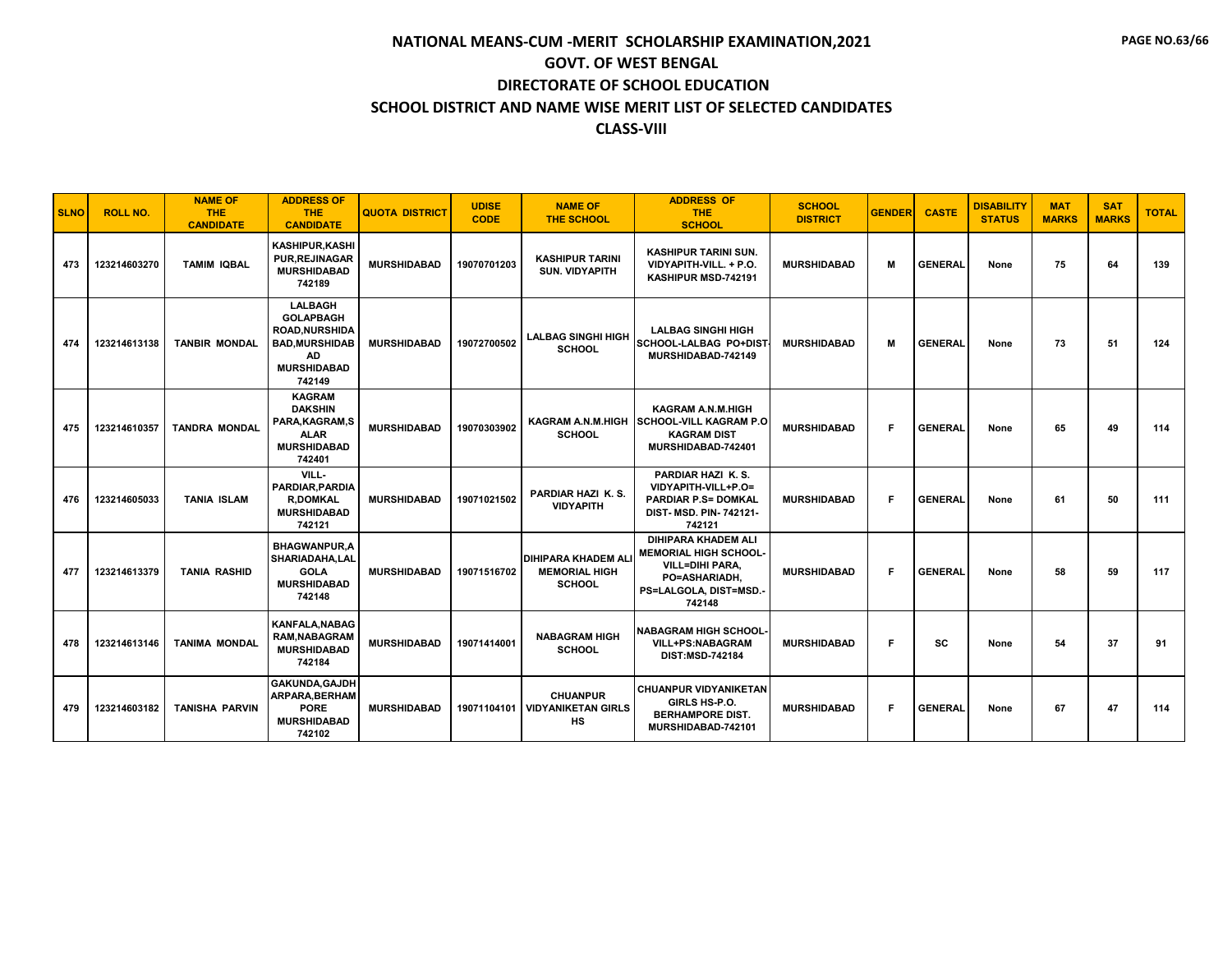| <b>SLNO</b> | <b>ROLL NO.</b> | <b>NAME OF</b><br><b>THE</b><br><b>CANDIDATE</b> | <b>ADDRESS OF</b><br><b>THE</b><br><b>CANDIDATE</b>                                                                       | <b>QUOTA DISTRICT</b> | <b>UDISE</b><br><b>CODE</b> | <b>NAME OF</b><br><b>THE SCHOOL</b>                                 | <b>ADDRESS OF</b><br><b>THE</b><br><b>SCHOOL</b>                                                                                          | <b>SCHOOL</b><br><b>DISTRICT</b> | <b>GENDER</b> | <b>CASTE</b>   | <b>DISABILITY</b><br><b>STATUS</b> | <b>MAT</b><br><b>MARKS</b> | <b>SAT</b><br><b>MARKS</b> | <b>TOTAL</b> |
|-------------|-----------------|--------------------------------------------------|---------------------------------------------------------------------------------------------------------------------------|-----------------------|-----------------------------|---------------------------------------------------------------------|-------------------------------------------------------------------------------------------------------------------------------------------|----------------------------------|---------------|----------------|------------------------------------|----------------------------|----------------------------|--------------|
| 473         | 123214603270    | <b>TAMIM IQBAL</b>                               | <b>KASHIPUR.KASHI</b><br><b>PUR, REJINAGAR</b><br><b>MURSHIDABAD</b><br>742189                                            | <b>MURSHIDABAD</b>    | 19070701203                 | <b>KASHIPUR TARINI</b><br><b>SUN. VIDYAPITH</b>                     | <b>KASHIPUR TARINI SUN.</b><br>VIDYAPITH-VILL. + P.O.<br>KASHIPUR MSD-742191                                                              | <b>MURSHIDABAD</b>               | M             | <b>GENERAL</b> | None                               | 75                         | 64                         | 139          |
| 474         | 123214613138    | <b>TANBIR MONDAL</b>                             | <b>LALBAGH</b><br><b>GOLAPBAGH</b><br><b>ROAD.NURSHIDA</b><br><b>BAD, MURSHIDAB</b><br>AD<br><b>MURSHIDABAD</b><br>742149 | <b>MURSHIDABAD</b>    | 19072700502                 | <b>LALBAG SINGHI HIGH</b><br><b>SCHOOL</b>                          | <b>LALBAG SINGHI HIGH</b><br>SCHOOL-LALBAG PO+DIST<br>MURSHIDABAD-742149                                                                  | <b>MURSHIDABAD</b>               | М             | <b>GENERAL</b> | None                               | 73                         | 51                         | 124          |
| 475         | 123214610357    | <b>TANDRA MONDAL</b>                             | <b>KAGRAM</b><br><b>DAKSHIN</b><br>PARA.KAGRAM.S<br><b>ALAR</b><br><b>MURSHIDABAD</b><br>742401                           | <b>MURSHIDABAD</b>    | 19070303902                 | KAGRAM A.N.M.HIGH<br><b>SCHOOL</b>                                  | <b>KAGRAM A.N.M.HIGH</b><br><b>SCHOOL-VILL KAGRAM P.O</b><br><b>KAGRAM DIST</b><br>MURSHIDABAD-742401                                     | <b>MURSHIDABAD</b>               | F.            | <b>GENERAL</b> | None                               | 65                         | 49                         | 114          |
| 476         | 123214605033    | <b>TANIA ISLAM</b>                               | VILL-<br>PARDIAR, PARDIA<br><b>R.DOMKAL</b><br><b>MURSHIDABAD</b><br>742121                                               | <b>MURSHIDABAD</b>    | 19071021502                 | PARDIAR HAZI K.S.<br><b>VIDYAPITH</b>                               | PARDIAR HAZI K.S.<br>VIDYAPITH-VILL+P.O=<br><b>PARDIAR P.S= DOMKAL</b><br>DIST- MSD. PIN-742121-<br>742121                                | <b>MURSHIDABAD</b>               | F.            | <b>GENERAL</b> | None                               | 61                         | 50                         | 111          |
| 477         | 123214613379    | <b>TANIA RASHID</b>                              | <b>BHAGWANPUR,A</b><br>SHARIADAHA.LAL<br><b>GOLA</b><br><b>MURSHIDABAD</b><br>742148                                      | <b>MURSHIDABAD</b>    | 19071516702                 | <b>DIHIPARA KHADEM ALI</b><br><b>MEMORIAL HIGH</b><br><b>SCHOOL</b> | <b>DIHIPARA KHADEM ALI</b><br><b>MEMORIAL HIGH SCHOOL-</b><br><b>VILL=DIHI PARA.</b><br>PO=ASHARIADH.<br>PS=LALGOLA, DIST=MSD.-<br>742148 | <b>MURSHIDABAD</b>               | F.            | <b>GENERAL</b> | None                               | 58                         | 59                         | 117          |
| 478         | 123214613146    | <b>TANIMA MONDAL</b>                             | <b>KANFALA, NABAG</b><br><b>RAM.NABAGRAM</b><br><b>MURSHIDABAD</b><br>742184                                              | <b>MURSHIDABAD</b>    | 19071414001                 | <b>NABAGRAM HIGH</b><br><b>SCHOOL</b>                               | <b>NABAGRAM HIGH SCHOOL</b><br>VILL+PS:NABAGRAM<br>DIST:MSD-742184                                                                        | <b>MURSHIDABAD</b>               | F             | <b>SC</b>      | None                               | 54                         | 37                         | 91           |
| 479         | 123214603182    | <b>TANISHA PARVIN</b>                            | GAKUNDA, GAJDH<br>ARPARA.BERHAM<br><b>PORE</b><br><b>MURSHIDABAD</b><br>742102                                            | <b>MURSHIDABAD</b>    | 19071104101                 | <b>CHUANPUR</b><br><b>VIDYANIKETAN GIRLS</b><br>HS                  | <b>CHUANPUR VIDYANIKETAN</b><br>GIRLS HS-P.O.<br><b>BERHAMPORE DIST.</b><br>MURSHIDABAD-742101                                            | <b>MURSHIDABAD</b>               | F             | <b>GENERAL</b> | None                               | 67                         | 47                         | 114          |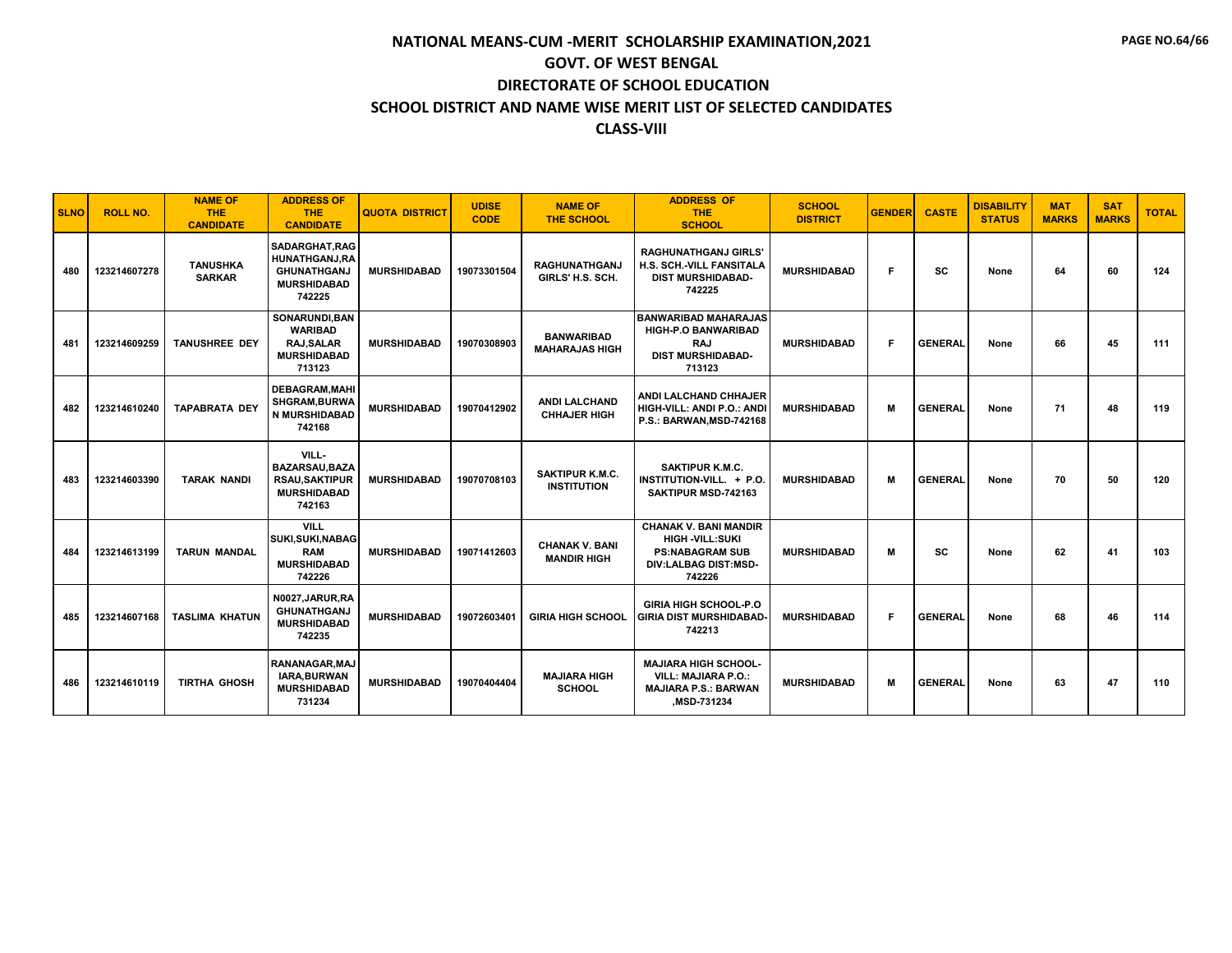| <b>SLNO</b> | <b>ROLL NO.</b> | <b>NAME OF</b><br><b>THE</b><br><b>CANDIDATE</b> | <b>ADDRESS OF</b><br><b>THE</b><br><b>CANDIDATE</b>                                   | <b>QUOTA DISTRICT</b> | <b>UDISE</b><br><b>CODE</b> | <b>NAME OF</b><br><b>THE SCHOOL</b>          | <b>ADDRESS OF</b><br><b>THE</b><br><b>SCHOOL</b>                                                                   | <b>SCHOOL</b><br><b>DISTRICT</b> | <b>GENDER</b> | <b>CASTE</b>   | <b>DISABILITY</b><br><b>STATUS</b> | <b>MAT</b><br><b>MARKS</b> | <b>SAT</b><br><b>MARKS</b> | <b>TOTAL</b> |
|-------------|-----------------|--------------------------------------------------|---------------------------------------------------------------------------------------|-----------------------|-----------------------------|----------------------------------------------|--------------------------------------------------------------------------------------------------------------------|----------------------------------|---------------|----------------|------------------------------------|----------------------------|----------------------------|--------------|
| 480         | 123214607278    | <b>TANUSHKA</b><br><b>SARKAR</b>                 | SADARGHAT, RAG<br>HUNATHGANJ,RA<br><b>GHUNATHGANJ</b><br><b>MURSHIDABAD</b><br>742225 | <b>MURSHIDABAD</b>    | 19073301504                 | <b>RAGHUNATHGANJ</b><br>GIRLS' H.S. SCH.     | <b>RAGHUNATHGANJ GIRLS'</b><br>H.S. SCH.-VILL FANSITALA<br><b>DIST MURSHIDABAD-</b><br>742225                      | <b>MURSHIDABAD</b>               | Е             | SC             | None                               | 64                         | 60                         | 124          |
| 481         | 123214609259    | <b>TANUSHREE DEY</b>                             | SONARUNDI, BAN<br><b>WARIBAD</b><br><b>RAJ.SALAR</b><br><b>MURSHIDABAD</b><br>713123  | <b>MURSHIDABAD</b>    | 19070308903                 | <b>BANWARIBAD</b><br><b>MAHARAJAS HIGH</b>   | <b>BANWARIBAD MAHARAJAS</b><br><b>HIGH-P.O BANWARIBAD</b><br><b>RAJ</b><br><b>DIST MURSHIDABAD-</b><br>713123      | <b>MURSHIDABAD</b>               | F             | <b>GENERAL</b> | None                               | 66                         | 45                         | 111          |
| 482         | 123214610240    | <b>TAPABRATA DEY</b>                             | <b>DEBAGRAM.MAHI</b><br>SHGRAM, BURWA<br><b>N MURSHIDABAD</b><br>742168               | <b>MURSHIDABAD</b>    | 19070412902                 | <b>ANDI LALCHAND</b><br><b>CHHAJER HIGH</b>  | <b>ANDI LALCHAND CHHAJER</b><br>HIGH-VILL: ANDI P.O.: ANDI<br>P.S.: BARWAN, MSD-742168                             | <b>MURSHIDABAD</b>               | M             | <b>GENERAL</b> | None                               | 71                         | 48                         | 119          |
| 483         | 123214603390    | <b>TARAK NANDI</b>                               | VILL-<br><b>BAZARSAU.BAZA</b><br><b>RSAU.SAKTIPUR</b><br><b>MURSHIDABAD</b><br>742163 | <b>MURSHIDABAD</b>    | 19070708103                 | <b>SAKTIPUR K.M.C.</b><br><b>INSTITUTION</b> | <b>SAKTIPUR K.M.C.</b><br>INSTITUTION-VILL. + P.O.<br>SAKTIPUR MSD-742163                                          | <b>MURSHIDABAD</b>               | м             | <b>GENERAL</b> | None                               | 70                         | 50                         | 120          |
| 484         | 123214613199    | <b>TARUN MANDAL</b>                              | <b>VILL</b><br>SUKI, SUKI, NABAG<br><b>RAM</b><br><b>MURSHIDABAD</b><br>742226        | <b>MURSHIDABAD</b>    | 19071412603                 | <b>CHANAK V. BANI</b><br><b>MANDIR HIGH</b>  | <b>CHANAK V. BANI MANDIR</b><br><b>HIGH -VILL:SUKI</b><br><b>PS:NABAGRAM SUB</b><br>DIV:LALBAG DIST:MSD-<br>742226 | <b>MURSHIDABAD</b>               | м             | SC             | None                               | 62                         | 41                         | 103          |
| 485         | 123214607168    | <b>TASLIMA KHATUN</b>                            | N0027.JARUR.RA<br><b>GHUNATHGANJ</b><br><b>MURSHIDABAD</b><br>742235                  | <b>MURSHIDABAD</b>    | 19072603401                 | <b>GIRIA HIGH SCHOOL</b>                     | <b>GIRIA HIGH SCHOOL-P.O</b><br><b>GIRIA DIST MURSHIDABAD-</b><br>742213                                           | <b>MURSHIDABAD</b>               | F             | <b>GENERAL</b> | None                               | 68                         | 46                         | 114          |
| 486         | 123214610119    | <b>TIRTHA GHOSH</b>                              | RANANAGAR.MAJ<br>IARA, BURWAN<br><b>MURSHIDABAD</b><br>731234                         | <b>MURSHIDABAD</b>    | 19070404404                 | <b>MAJIARA HIGH</b><br><b>SCHOOL</b>         | <b>MAJIARA HIGH SCHOOL-</b><br><b>VILL: MAJIARA P.O.:</b><br><b>MAJIARA P.S.: BARWAN</b><br>MSD-731234,            | <b>MURSHIDABAD</b>               | м             | <b>GENERAL</b> | None                               | 63                         | 47                         | 110          |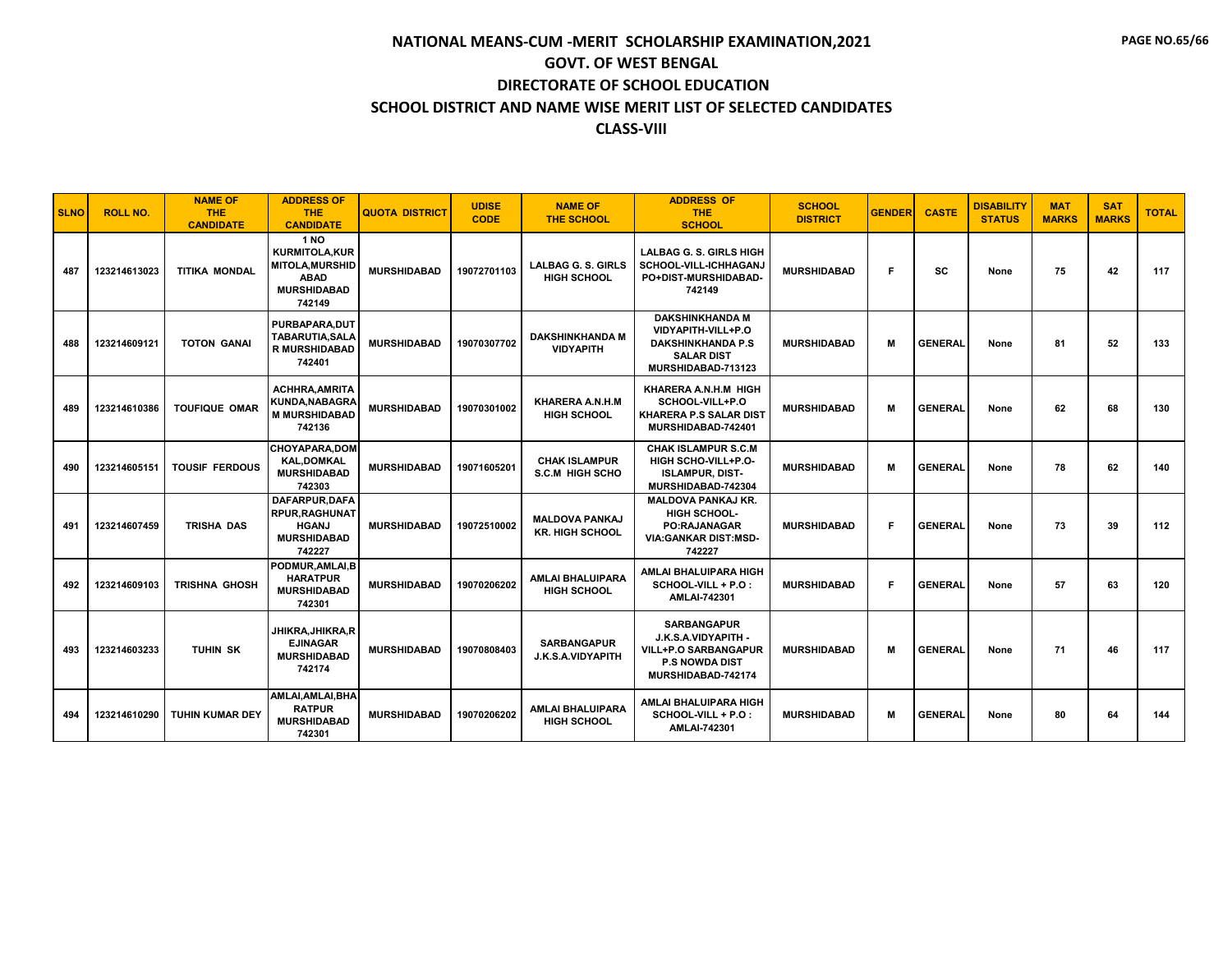| <b>SLNO</b> | <b>ROLL NO.</b> | <b>NAME OF</b><br><b>THE</b><br><b>CANDIDATE</b> | <b>ADDRESS OF</b><br>THE.<br><b>CANDIDATE</b>                                                               | <b>QUOTA DISTRICT</b> | <b>UDISE</b><br><b>CODE</b> | <b>NAME OF</b><br><b>THE SCHOOL</b>             | <b>ADDRESS OF</b><br><b>THE</b><br><b>SCHOOL</b>                                                                        | <b>SCHOOL</b><br><b>DISTRICT</b> | <b>GENDER</b> | <b>CASTE</b>   | <b>DISABILITY</b><br><b>STATUS</b> | <b>MAT</b><br><b>MARKS</b> | <b>SAT</b><br><b>MARKS</b> | <b>TOTAL</b> |
|-------------|-----------------|--------------------------------------------------|-------------------------------------------------------------------------------------------------------------|-----------------------|-----------------------------|-------------------------------------------------|-------------------------------------------------------------------------------------------------------------------------|----------------------------------|---------------|----------------|------------------------------------|----------------------------|----------------------------|--------------|
| 487         | 123214613023    | <b>TITIKA MONDAL</b>                             | <b>1 NO</b><br><b>KURMITOLA.KUR</b><br><b>MITOLA.MURSHID</b><br><b>ABAD</b><br><b>MURSHIDABAD</b><br>742149 | <b>MURSHIDABAD</b>    | 19072701103                 | <b>LALBAG G. S. GIRLS</b><br><b>HIGH SCHOOL</b> | <b>LALBAG G. S. GIRLS HIGH</b><br>SCHOOL-VILL-ICHHAGANJ<br>PO+DIST-MURSHIDABAD-<br>742149                               | <b>MURSHIDABAD</b>               | F             | SC             | None                               | 75                         | 42                         | 117          |
| 488         | 123214609121    | <b>TOTON GANAI</b>                               | PURBAPARA.DUT<br><b>TABARUTIA, SALA</b><br><b>R MURSHIDABAD</b><br>742401                                   | <b>MURSHIDABAD</b>    | 19070307702                 | <b>DAKSHINKHANDA M</b><br><b>VIDYAPITH</b>      | <b>DAKSHINKHANDA M</b><br>VIDYAPITH-VILL+P.O<br><b>DAKSHINKHANDA P.S</b><br><b>SALAR DIST</b><br>MURSHIDABAD-713123     | <b>MURSHIDABAD</b>               | м             | <b>GENERAL</b> | None                               | 81                         | 52                         | 133          |
| 489         | 123214610386    | <b>TOUFIQUE OMAR</b>                             | <b>ACHHRA, AMRITA</b><br><b>KUNDA, NABAGRA</b><br><b>M MURSHIDABAD</b><br>742136                            | <b>MURSHIDABAD</b>    | 19070301002                 | KHARERA A.N.H.M<br><b>HIGH SCHOOL</b>           | KHARERA A.N.H.M HIGH<br>SCHOOL-VILL+P.O<br>KHARERA P.S SALAR DIST<br>MURSHIDABAD-742401                                 | <b>MURSHIDABAD</b>               | м             | <b>GENERAL</b> | None                               | 62                         | 68                         | 130          |
| 490         | 123214605151    | <b>TOUSIF FERDOUS</b>                            | <b>CHOYAPARA,DOM</b><br><b>KAL.DOMKAL</b><br><b>MURSHIDABAD</b><br>742303                                   | <b>MURSHIDABAD</b>    | 19071605201                 | <b>CHAK ISLAMPUR</b><br><b>S.C.M HIGH SCHO</b>  | <b>CHAK ISLAMPUR S.C.M</b><br>HIGH SCHO-VILL+P.O-<br><b>ISLAMPUR, DIST-</b><br>MURSHIDABAD-742304                       | <b>MURSHIDABAD</b>               | м             | <b>GENERAL</b> | None                               | 78                         | 62                         | 140          |
| 491         | 123214607459    | TRISHA DAS                                       | DAFARPUR, DAFA<br><b>RPUR, RAGHUNAT</b><br><b>HGANJ</b><br><b>MURSHIDABAD</b><br>742227                     | <b>MURSHIDABAD</b>    | 19072510002                 | <b>MALDOVA PANKAJ</b><br><b>KR. HIGH SCHOOL</b> | <b>MALDOVA PANKAJ KR.</b><br><b>HIGH SCHOOL-</b><br><b>PO:RAJANAGAR</b><br><b>VIA:GANKAR DIST:MSD-</b><br>742227        | <b>MURSHIDABAD</b>               | F             | <b>GENERAL</b> | None                               | 73                         | 39                         | 112          |
| 492         | 123214609103    | <b>TRISHNA GHOSH</b>                             | PODMUR, AMLAI, B<br><b>HARATPUR</b><br><b>MURSHIDABAD</b><br>742301                                         | <b>MURSHIDABAD</b>    | 19070206202                 | <b>AMLAI BHALUIPARA</b><br><b>HIGH SCHOOL</b>   | AMLAI BHALUIPARA HIGH<br>SCHOOL-VILL + P.O :<br><b>AMLAI-742301</b>                                                     | <b>MURSHIDABAD</b>               | F.            | <b>GENERAL</b> | None                               | 57                         | 63                         | 120          |
| 493         | 123214603233    | <b>TUHIN SK</b>                                  | JHIKRA, JHIKRA, R<br><b>EJINAGAR</b><br><b>MURSHIDABAD</b><br>742174                                        | <b>MURSHIDABAD</b>    | 19070808403                 | <b>SARBANGAPUR</b><br>J.K.S.A.VIDYAPITH         | <b>SARBANGAPUR</b><br>J.K.S.A.VIDYAPITH -<br><b>VILL+P.O SARBANGAPUR</b><br><b>P.S NOWDA DIST</b><br>MURSHIDABAD-742174 | <b>MURSHIDABAD</b>               | M             | <b>GENERAL</b> | None                               | 71                         | 46                         | 117          |
| 494         | 123214610290    | <b>TUHIN KUMAR DEY</b>                           | AMLAI, AMLAI, BHA<br><b>RATPUR</b><br><b>MURSHIDABAD</b><br>742301                                          | <b>MURSHIDABAD</b>    | 19070206202                 | <b>AMLAI BHALUIPARA</b><br><b>HIGH SCHOOL</b>   | AMLAI BHALUIPARA HIGH<br>SCHOOL-VILL + P.O :<br><b>AMLAI-742301</b>                                                     | <b>MURSHIDABAD</b>               | м             | <b>GENERAL</b> | None                               | 80                         | 64                         | 144          |